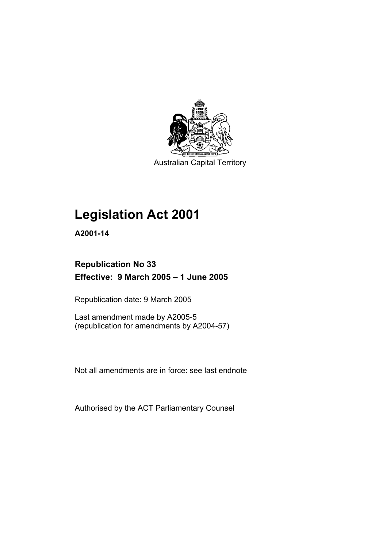

Australian Capital Territory

# **Legislation Act 2001**

**A2001-14** 

# **Republication No 33 Effective: 9 March 2005 – 1 June 2005**

Republication date: 9 March 2005

Last amendment made by A2005-5 (republication for amendments by A2004-57)

Not all amendments are in force: see last endnote

Authorised by the ACT Parliamentary Counsel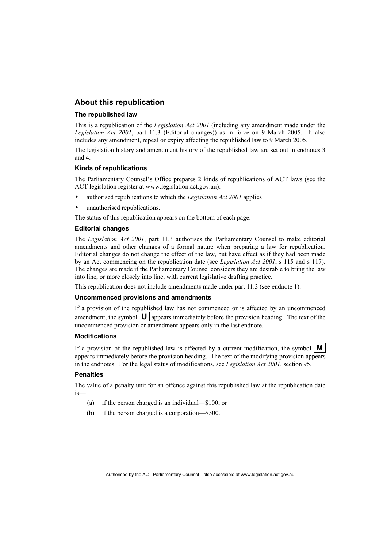## **About this republication**

#### **The republished law**

This is a republication of the *Legislation Act 2001* (including any amendment made under the *Legislation Act 2001*, part 11.3 (Editorial changes)) as in force on 9 March 2005*.* It also includes any amendment, repeal or expiry affecting the republished law to 9 March 2005.

The legislation history and amendment history of the republished law are set out in endnotes 3 and 4.

#### **Kinds of republications**

The Parliamentary Counsel's Office prepares 2 kinds of republications of ACT laws (see the ACT legislation register at www.legislation.act.gov.au):

- authorised republications to which the *Legislation Act 2001* applies
- unauthorised republications.

The status of this republication appears on the bottom of each page.

#### **Editorial changes**

The *Legislation Act 2001*, part 11.3 authorises the Parliamentary Counsel to make editorial amendments and other changes of a formal nature when preparing a law for republication. Editorial changes do not change the effect of the law, but have effect as if they had been made by an Act commencing on the republication date (see *Legislation Act 2001*, s 115 and s 117). The changes are made if the Parliamentary Counsel considers they are desirable to bring the law into line, or more closely into line, with current legislative drafting practice.

This republication does not include amendments made under part 11.3 (see endnote 1).

#### **Uncommenced provisions and amendments**

If a provision of the republished law has not commenced or is affected by an uncommenced amendment, the symbol  $\mathbf{U}$  appears immediately before the provision heading. The text of the uncommenced provision or amendment appears only in the last endnote.

#### **Modifications**

If a provision of the republished law is affected by a current modification, the symbol  $\mathbf{M}$ appears immediately before the provision heading. The text of the modifying provision appears in the endnotes. For the legal status of modifications, see *Legislation Act 2001*, section 95.

#### **Penalties**

The value of a penalty unit for an offence against this republished law at the republication date is—

- (a) if the person charged is an individual—\$100; or
- (b) if the person charged is a corporation—\$500.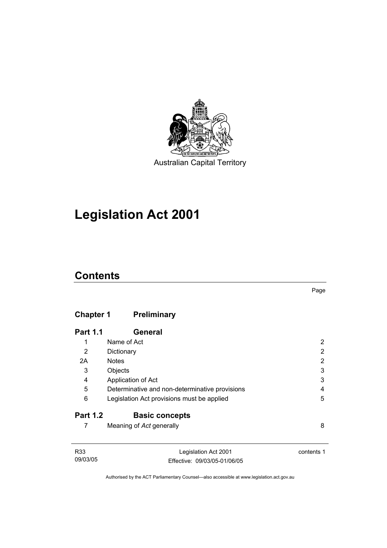

Australian Capital Territory

# **Legislation Act 2001**

# **Contents**

# **Chapter 1 Preliminary**

| <b>Part 1.1</b> | General                                        |   |
|-----------------|------------------------------------------------|---|
| 1               | Name of Act                                    |   |
| 2               | Dictionary                                     | 2 |
| 2A              | <b>Notes</b>                                   | 2 |
| 3               | Objects                                        | 3 |
| 4               | Application of Act                             | 3 |
| 5               | Determinative and non-determinative provisions | 4 |
| 6               | Legislation Act provisions must be applied     | 5 |
| <b>Part 1.2</b> | <b>Basic concepts</b>                          |   |
|                 | Meaning of Act generally                       | 8 |

| R33      | Legislation Act 2001         | contents 1 |
|----------|------------------------------|------------|
| 09/03/05 | Effective: 09/03/05-01/06/05 |            |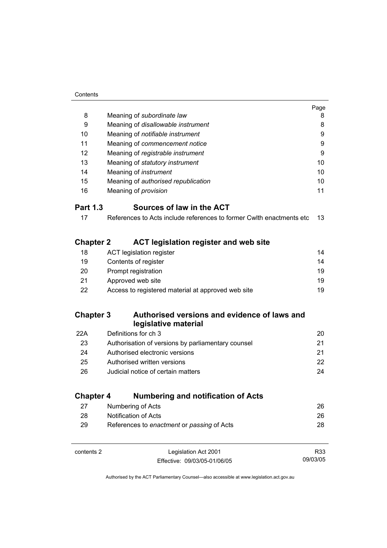| Contents |
|----------|
|          |

|                  |                                                                      | Page            |
|------------------|----------------------------------------------------------------------|-----------------|
| 8                | Meaning of subordinate law                                           | 8               |
| 9                | Meaning of disallowable instrument                                   | 8               |
| 10               | Meaning of notifiable instrument                                     | 9               |
| 11               | Meaning of commencement notice                                       | 9               |
| 12               | Meaning of registrable instrument                                    | 9               |
| 13               | Meaning of statutory instrument                                      | 10              |
| 14               | Meaning of <i>instrument</i>                                         | 10              |
| 15               | Meaning of authorised republication                                  | 10 <sup>1</sup> |
| 16               | Meaning of <i>provision</i>                                          | 11              |
| <b>Part 1.3</b>  | Sources of law in the ACT                                            |                 |
| 17               | References to Acts include references to former Cwlth enactments etc | 13              |
| <b>Chapter 2</b> | <b>ACT legislation register and web site</b>                         |                 |
| 18               | <b>ACT legislation register</b>                                      | 14              |
| 19               | Contents of register                                                 | 14              |
| 20               | Prompt registration                                                  | 19              |
| 21               | Approved web site                                                    | 19              |
| 22               | Access to registered material at approved web site                   | 19              |
| <b>Chapter 3</b> | Authorised versions and evidence of laws and<br>legislative material |                 |
| 22A              | Definitions for ch 3                                                 | 20              |
| 23               | Authorisation of versions by parliamentary counsel                   | 21              |
| 24               | Authorised electronic versions                                       | 21              |
| 25               | Authorised written versions                                          | 22              |
| 26               | Judicial notice of certain matters                                   | 24              |
| <b>Chapter 4</b> | <b>Numbering and notification of Acts</b>                            |                 |
| 27               | Numbering of Acts                                                    | 26              |
| 28               | Notification of Acts                                                 | 26              |
| 29               | References to enactment or passing of Acts                           | 28              |
|                  |                                                                      |                 |

contents 2 Legislation Act 2001 Effective: 09/03/05-01/06/05 R33 09/03/05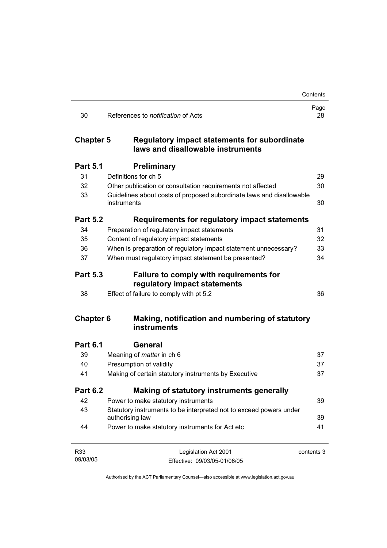|                  |                                                                                       | Contents   |
|------------------|---------------------------------------------------------------------------------------|------------|
| 30               | References to <i>notification</i> of Acts                                             | Page<br>28 |
| <b>Chapter 5</b> | Regulatory impact statements for subordinate<br>laws and disallowable instruments     |            |
| <b>Part 5.1</b>  | <b>Preliminary</b>                                                                    |            |
| 31               | Definitions for ch 5                                                                  | 29         |
| 32               | Other publication or consultation requirements not affected                           | 30         |
| 33               | Guidelines about costs of proposed subordinate laws and disallowable<br>instruments   | 30         |
| <b>Part 5.2</b>  | Requirements for regulatory impact statements                                         |            |
| 34               | Preparation of regulatory impact statements                                           | 31         |
| 35               | Content of regulatory impact statements                                               | 32         |
| 36               | When is preparation of regulatory impact statement unnecessary?                       | 33         |
| 37               | When must regulatory impact statement be presented?                                   | 34         |
| <b>Part 5.3</b>  | <b>Failure to comply with requirements for</b><br>regulatory impact statements        |            |
| 38               | Effect of failure to comply with pt 5.2                                               | 36         |
| <b>Chapter 6</b> | Making, notification and numbering of statutory<br>instruments                        |            |
| <b>Part 6.1</b>  | General                                                                               |            |
| 39               | Meaning of <i>matter</i> in ch 6                                                      | 37         |
| 40               | Presumption of validity                                                               | 37         |
| 41               | Making of certain statutory instruments by Executive                                  | 37         |
| <b>Part 6.2</b>  | Making of statutory instruments generally                                             |            |
| 42               | Power to make statutory instruments                                                   | 39         |
| 43               | Statutory instruments to be interpreted not to exceed powers under<br>authorising law | 39         |
| 44               | Power to make statutory instruments for Act etc                                       | 41         |
| R33              | Legislation Act 2001                                                                  | contents 3 |
| 09/03/05         | Effective: 09/03/05-01/06/05                                                          |            |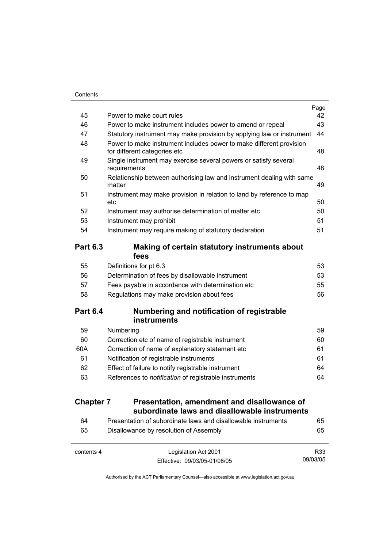|                  |                                                                                                     | Page |
|------------------|-----------------------------------------------------------------------------------------------------|------|
| 45               | Power to make court rules                                                                           | 42   |
| 46               | Power to make instrument includes power to amend or repeal                                          | 43   |
| 47               | Statutory instrument may make provision by applying law or instrument                               | 44   |
| 48               | Power to make instrument includes power to make different provision<br>for different categories etc | 48   |
| 49               | Single instrument may exercise several powers or satisfy several<br>requirements                    | 48   |
| 50               | Relationship between authorising law and instrument dealing with same<br>matter                     | 49   |
| 51               | Instrument may make provision in relation to land by reference to map<br>etc                        | 50   |
| 52               | Instrument may authorise determination of matter etc                                                | 50   |
| 53               | Instrument may prohibit                                                                             | 51   |
| 54               | Instrument may require making of statutory declaration                                              | 51   |
| <b>Part 6.3</b>  | Making of certain statutory instruments about<br>fees                                               |      |
| 55               | Definitions for pt 6.3                                                                              | 53   |
| 56               | Determination of fees by disallowable instrument                                                    | 53   |
| 57               | Fees payable in accordance with determination etc                                                   | 55   |
| 58               | Regulations may make provision about fees                                                           | 56   |
| <b>Part 6.4</b>  | Numbering and notification of registrable<br><b>instruments</b>                                     |      |
| 59               | Numbering                                                                                           | 59   |
| 60               | Correction etc of name of registrable instrument                                                    | 60   |
| 60A              | Correction of name of explanatory statement etc                                                     | 61   |
| 61               | Notification of registrable instruments                                                             | 61   |
| 62               | Effect of failure to notify registrable instrument                                                  | 64   |
| 63               | References to notification of registrable instruments                                               | 64   |
| <b>Chapter 7</b> | Presentation, amendment and disallowance of                                                         |      |
|                  | subordinate laws and disallowable instruments                                                       |      |
| 64               | Presentation of subordinate laws and disallowable instruments                                       | 65   |
| 65               | Disallowance by resolution of Assembly                                                              | 65   |

| contents 4 | Legislation Act 2001         | R33      |
|------------|------------------------------|----------|
|            | Effective: 09/03/05-01/06/05 | 09/03/05 |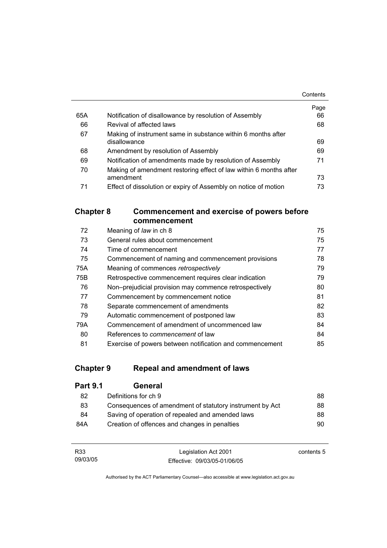|     |                                                                   | Contents |
|-----|-------------------------------------------------------------------|----------|
|     |                                                                   | Page     |
| 65A | Notification of disallowance by resolution of Assembly            | 66       |
| 66  | Revival of affected laws                                          | 68       |
| 67  | Making of instrument same in substance within 6 months after      |          |
|     | disallowance                                                      | 69       |
| 68  | Amendment by resolution of Assembly                               | 69       |
| 69  | Notification of amendments made by resolution of Assembly         | 71       |
| 70  | Making of amendment restoring effect of law within 6 months after |          |
|     | amendment                                                         | 73       |
| 71  | Effect of dissolution or expiry of Assembly on notice of motion   | 73       |

# **Chapter 8 Commencement and exercise of powers before commencement**

| 72  | Meaning of law in ch 8                                   | 75 |
|-----|----------------------------------------------------------|----|
| 73  | General rules about commencement                         | 75 |
| 74  | Time of commencement                                     | 77 |
| 75  | Commencement of naming and commencement provisions       | 78 |
| 75A | Meaning of commences retrospectively                     | 79 |
| 75B | Retrospective commencement requires clear indication     | 79 |
| 76  | Non-prejudicial provision may commence retrospectively   | 80 |
| 77  | Commencement by commencement notice                      | 81 |
| 78  | Separate commencement of amendments                      | 82 |
| 79  | Automatic commencement of postponed law                  | 83 |
| 79A | Commencement of amendment of uncommenced law             | 84 |
| 80  | References to <i>commencement</i> of law                 | 84 |
| 81  | Exercise of powers between notification and commencement | 85 |

# **Chapter 9 Repeal and amendment of laws**

| <b>Part 9.1</b> | General                                                  |    |
|-----------------|----------------------------------------------------------|----|
| 82              | Definitions for ch 9                                     | 88 |
| 83              | Consequences of amendment of statutory instrument by Act | 88 |
| 84              | Saving of operation of repealed and amended laws         | 88 |
| 84A             | Creation of offences and changes in penalties            | 90 |

| R33      | Legislation Act 2001         | contents 5 |
|----------|------------------------------|------------|
| 09/03/05 | Effective: 09/03/05-01/06/05 |            |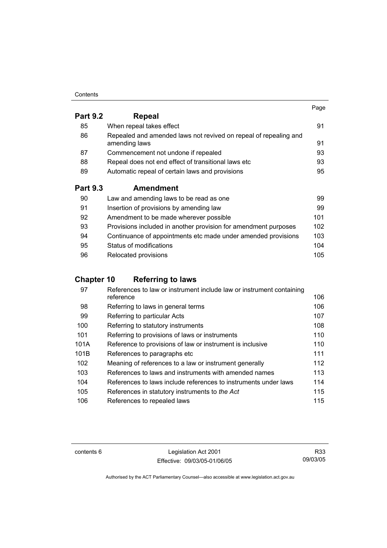#### **Contents**

|                 |                                                                                   | Page |
|-----------------|-----------------------------------------------------------------------------------|------|
| <b>Part 9.2</b> | Repeal                                                                            |      |
| 85              | When repeal takes effect                                                          | 91   |
| 86              | Repealed and amended laws not revived on repeal of repealing and<br>amending laws | 91   |
| 87              | Commencement not undone if repealed                                               | 93   |
| 88              | Repeal does not end effect of transitional laws etc                               | 93   |
| 89              | Automatic repeal of certain laws and provisions                                   | 95   |
| <b>Part 9.3</b> | <b>Amendment</b>                                                                  |      |
| 90              | Law and amending laws to be read as one                                           | 99   |
| 91              | Insertion of provisions by amending law                                           | 99   |
| 92              | Amendment to be made wherever possible                                            | 101  |
| 93              | Provisions included in another provision for amendment purposes                   | 102  |
| 94              | Continuance of appointments etc made under amended provisions                     | 103  |
|                 |                                                                                   |      |

## 95 Status of modifications 104 96 Relocated provisions **105**

# **Chapter 10 Referring to laws**

| 97   | References to law or instrument include law or instrument containing |     |
|------|----------------------------------------------------------------------|-----|
|      | reference                                                            | 106 |
| 98   | Referring to laws in general terms                                   | 106 |
| 99   | Referring to particular Acts                                         | 107 |
| 100  | Referring to statutory instruments                                   | 108 |
| 101  | Referring to provisions of laws or instruments                       | 110 |
| 101A | Reference to provisions of law or instrument is inclusive            | 110 |
| 101B | References to paragraphs etc.                                        | 111 |
| 102  | Meaning of references to a law or instrument generally               | 112 |
| 103  | References to laws and instruments with amended names                | 113 |
| 104  | References to laws include references to instruments under laws      | 114 |
| 105  | References in statutory instruments to the Act                       | 115 |
| 106  | References to repealed laws                                          | 115 |

contents 6 Legislation Act 2001 Effective: 09/03/05-01/06/05

R33 09/03/05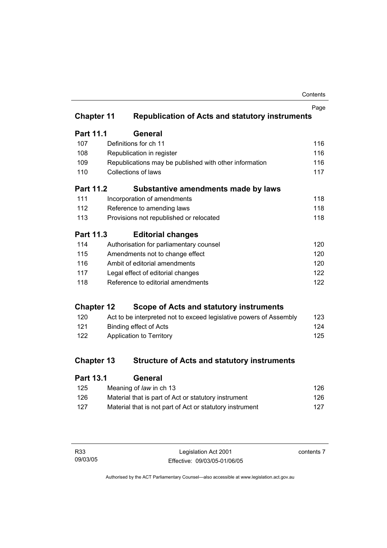| Contents |
|----------|
|----------|

|                   |                                                                    | Page |
|-------------------|--------------------------------------------------------------------|------|
| <b>Chapter 11</b> | <b>Republication of Acts and statutory instruments</b>             |      |
| Part 11.1         | <b>General</b>                                                     |      |
| 107               | Definitions for ch 11                                              | 116  |
| 108               | Republication in register                                          | 116  |
| 109               | Republications may be published with other information             | 116  |
| 110               | <b>Collections of laws</b>                                         | 117  |
| <b>Part 11.2</b>  | Substantive amendments made by laws                                |      |
| 111               | Incorporation of amendments                                        | 118  |
| 112               | Reference to amending laws                                         | 118  |
| 113               | Provisions not republished or relocated                            | 118  |
| <b>Part 11.3</b>  | <b>Editorial changes</b>                                           |      |
| 114               | Authorisation for parliamentary counsel                            | 120  |
| 115               | Amendments not to change effect                                    | 120  |
| 116               | Ambit of editorial amendments                                      | 120  |
| 117               | Legal effect of editorial changes                                  | 122  |
| 118               | Reference to editorial amendments                                  | 122  |
| <b>Chapter 12</b> | Scope of Acts and statutory instruments                            |      |
| 120               | Act to be interpreted not to exceed legislative powers of Assembly | 123  |
| 121               | <b>Binding effect of Acts</b>                                      | 124  |
| 122               | Application to Territory                                           | 125  |
| <b>Chapter 13</b> | <b>Structure of Acts and statutory instruments</b>                 |      |
| <b>Part 13.1</b>  | <b>General</b>                                                     |      |
|                   | $\blacksquare$                                                     |      |

| 125 | Meaning of law in ch 13                                  | 126 |
|-----|----------------------------------------------------------|-----|
| 126 | Material that is part of Act or statutory instrument     | 126 |
| 127 | Material that is not part of Act or statutory instrument | 127 |

| R33      | Legislation Act 2001         | contents 7 |
|----------|------------------------------|------------|
| 09/03/05 | Effective: 09/03/05-01/06/05 |            |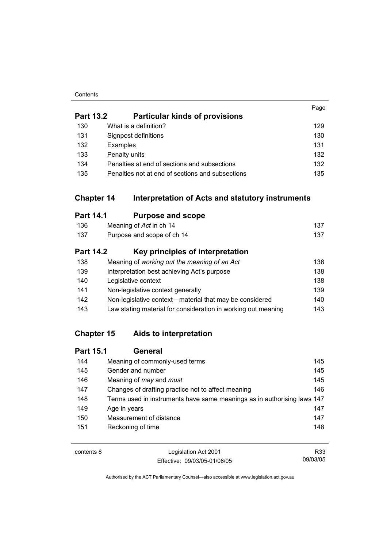#### **Contents**

|                  |                                                                       | Page |
|------------------|-----------------------------------------------------------------------|------|
| <b>Part 13.2</b> | <b>Particular kinds of provisions</b>                                 |      |
| 130              | What is a definition?                                                 | 129  |
| 131              | Signpost definitions                                                  | 130  |
| 132              | Examples                                                              | 131  |
| 133              | Penalty units                                                         | 132  |
| 134              | Penalties at end of sections and subsections                          | 132  |
| 135              | Penalties not at end of sections and subsections                      | 135  |
|                  | <b>Chapter 14</b><br>Interpretation of Acts and statutory instruments |      |
| <b>Part 14.1</b> | <b>Purpose and scope</b>                                              |      |
| 136              | Meaning of Act in ch 14                                               | 137  |
| 137              | Purpose and scope of ch 14                                            | 137  |
| <b>Part 14.2</b> | Key principles of interpretation                                      |      |
| 138              | Meaning of working out the meaning of an Act                          | 138  |
| 139              | Interpretation best achieving Act's purpose                           | 138  |
| 140              | Legislative context                                                   | 138  |
| 141              | Non-legislative context generally                                     | 139  |
| 142              | Non-legislative context-material that may be considered               | 140  |
| 143              | Law stating material for consideration in working out meaning         | 143  |

# **Chapter 15 Aids to interpretation**

| <b>Part 15.1</b> | General                                                                 |     |
|------------------|-------------------------------------------------------------------------|-----|
| 144              | Meaning of commonly-used terms                                          | 145 |
| 145              | Gender and number                                                       | 145 |
| 146              | Meaning of <i>may</i> and <i>must</i>                                   | 145 |
| 147              | Changes of drafting practice not to affect meaning                      | 146 |
| 148              | Terms used in instruments have same meanings as in authorising laws 147 |     |
| 149              | Age in years                                                            | 147 |
| 150              | Measurement of distance                                                 | 147 |
| 151              | Reckoning of time                                                       | 148 |
|                  |                                                                         |     |

contents 8 Legislation Act 2001 Effective: 09/03/05-01/06/05 R33 09/03/05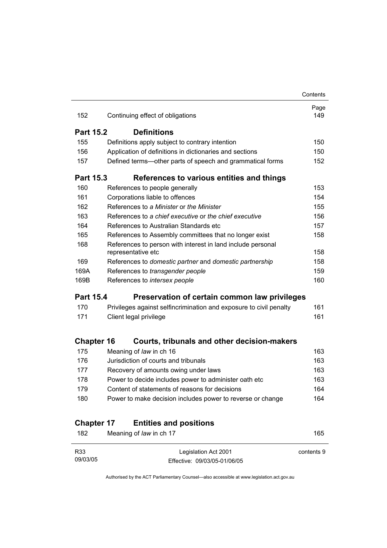|                   |                                                                                   | Contents    |
|-------------------|-----------------------------------------------------------------------------------|-------------|
| 152               | Continuing effect of obligations                                                  | Page<br>149 |
|                   |                                                                                   |             |
| <b>Part 15.2</b>  | <b>Definitions</b>                                                                |             |
| 155               | Definitions apply subject to contrary intention                                   | 150         |
| 156               | Application of definitions in dictionaries and sections                           | 150         |
| 157               | Defined terms-other parts of speech and grammatical forms                         | 152         |
| <b>Part 15.3</b>  | References to various entities and things                                         |             |
| 160               | References to people generally                                                    | 153         |
| 161               | Corporations liable to offences                                                   | 154         |
| 162               | References to a Minister or the Minister                                          | 155         |
| 163               | References to a chief executive or the chief executive                            | 156         |
| 164               | References to Australian Standards etc                                            | 157         |
| 165               | References to Assembly committees that no longer exist                            | 158         |
| 168               | References to person with interest in land include personal<br>representative etc | 158         |
| 169               | References to domestic partner and domestic partnership                           | 158         |
| 169A              | References to transgender people                                                  | 159         |
| 169B              | References to intersex people                                                     | 160         |
| <b>Part 15.4</b>  | Preservation of certain common law privileges                                     |             |
| 170               | Privileges against selfincrimination and exposure to civil penalty                | 161         |
| 171               | Client legal privilege                                                            | 161         |
| <b>Chapter 16</b> | Courts, tribunals and other decision-makers                                       |             |
| 175               | Meaning of law in ch 16                                                           | 163         |
| 176               | Jurisdiction of courts and tribunals                                              | 163         |
| 177               | Recovery of amounts owing under laws                                              | 163         |
| 178               | Power to decide includes power to administer oath etc                             | 163         |
| 179               | Content of statements of reasons for decisions                                    | 164         |
| 180               | Power to make decision includes power to reverse or change                        | 164         |
|                   |                                                                                   |             |
|                   |                                                                                   |             |
| <b>Chapter 17</b> | <b>Entities and positions</b>                                                     |             |

| R33      | Legislation Act 2001         | contents 9 |
|----------|------------------------------|------------|
| 09/03/05 | Effective: 09/03/05-01/06/05 |            |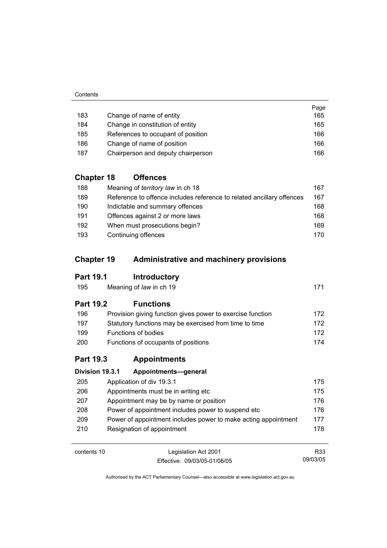|     |                                    | Page |
|-----|------------------------------------|------|
| 183 | Change of name of entity           | 165  |
| 184 | Change in constitution of entity   | 165  |
| 185 | References to occupant of position | 166  |
| 186 | Change of name of position         | 166  |
| 187 | Chairperson and deputy chairperson | 166  |

# **Chapter 18 Offences**

| 188 | Meaning of <i>territory law</i> in ch 18                              | 167 |
|-----|-----------------------------------------------------------------------|-----|
| 189 | Reference to offence includes reference to related ancillary offences | 167 |
| 190 | Indictable and summary offences                                       | 168 |
| 191 | Offences against 2 or more laws                                       | 168 |
| 192 | When must prosecutions begin?                                         | 169 |
| 193 | Continuing offences                                                   | 170 |

# **Chapter 19 Administrative and machinery provisions**

# **Part 19.1 Introductory**

| 195 | Meaning of law in ch 19 | 171 |
|-----|-------------------------|-----|
|-----|-------------------------|-----|

# **Part 19.2 Functions**

| 196        | Provision giving function gives power to exercise function | 172 |
|------------|------------------------------------------------------------|-----|
| 197        | Statutory functions may be exercised from time to time     | 172 |
| 199        | Functions of bodies                                        | 172 |
| <b>200</b> | Functions of occupants of positions                        | 174 |

# **Part 19.3 Appointments**

| Division 19.3.1 | Appointments-general                                           |     |
|-----------------|----------------------------------------------------------------|-----|
| 205             | Application of div 19.3.1                                      | 175 |
| 206             | Appointments must be in writing etc.                           | 175 |
| 207             | Appointment may be by name or position                         | 176 |
| 208             | Power of appointment includes power to suspend etc.            | 176 |
| 209             | Power of appointment includes power to make acting appointment | 177 |
| 210             | Resignation of appointment                                     | 178 |

contents 10 Legislation Act 2001 Effective: 09/03/05-01/06/05

R33 09/03/05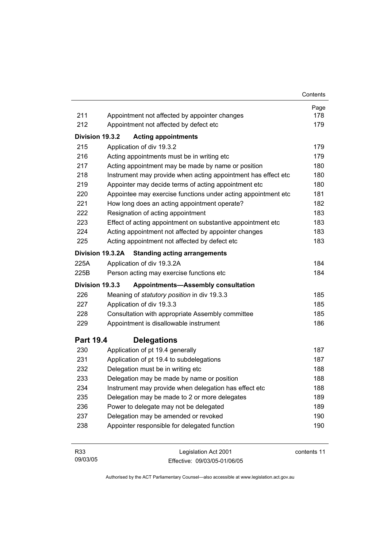|                  |                                                               | Contents |
|------------------|---------------------------------------------------------------|----------|
|                  |                                                               | Page     |
| 211              | Appointment not affected by appointer changes                 | 178      |
| 212              | Appointment not affected by defect etc                        | 179      |
| Division 19.3.2  | <b>Acting appointments</b>                                    |          |
| 215              | Application of div 19.3.2                                     | 179      |
| 216              | Acting appointments must be in writing etc                    | 179      |
| 217              | Acting appointment may be made by name or position            | 180      |
| 218              | Instrument may provide when acting appointment has effect etc | 180      |
| 219              | Appointer may decide terms of acting appointment etc          | 180      |
| 220              | Appointee may exercise functions under acting appointment etc | 181      |
| 221              | How long does an acting appointment operate?                  | 182      |
| 222              | Resignation of acting appointment                             | 183      |
| 223              | Effect of acting appointment on substantive appointment etc   | 183      |
| 224              | Acting appointment not affected by appointer changes          | 183      |
| 225              | Acting appointment not affected by defect etc                 | 183      |
|                  | Division 19.3.2A<br><b>Standing acting arrangements</b>       |          |
| 225A             | Application of div 19.3.2A                                    | 184      |
| 225B             | Person acting may exercise functions etc                      | 184      |
| Division 19.3.3  | <b>Appointments-Assembly consultation</b>                     |          |
| 226              | Meaning of statutory position in div 19.3.3                   | 185      |
| 227              | Application of div 19.3.3                                     | 185      |
| 228              | Consultation with appropriate Assembly committee              | 185      |
| 229              | Appointment is disallowable instrument                        | 186      |
| <b>Part 19.4</b> | <b>Delegations</b>                                            |          |
| 230              | Application of pt 19.4 generally                              | 187      |
| 231              | Application of pt 19.4 to subdelegations                      | 187      |
| 232              | Delegation must be in writing etc                             | 188      |
| 233              | Delegation may be made by name or position                    | 188      |
| 234              | Instrument may provide when delegation has effect etc         | 188      |
| 235              | Delegation may be made to 2 or more delegates                 | 189      |
| 236              | Power to delegate may not be delegated                        | 189      |
|                  | Delegation may be amended or revoked                          | 190      |
| 237              |                                                               |          |

| R33      | Legislation Act 2001         | contents 11 |
|----------|------------------------------|-------------|
| 09/03/05 | Effective: 09/03/05-01/06/05 |             |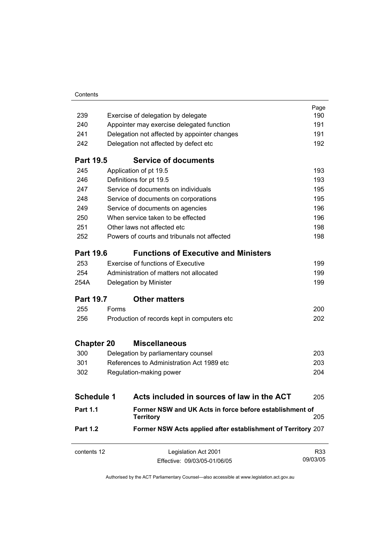| Contents |
|----------|
|          |

| Former NSW Acts applied after establishment of Territory 207                |                                                                                                                                                                                                                                                                                                                                                                                                                                                                                                                                                                                                                                               |
|-----------------------------------------------------------------------------|-----------------------------------------------------------------------------------------------------------------------------------------------------------------------------------------------------------------------------------------------------------------------------------------------------------------------------------------------------------------------------------------------------------------------------------------------------------------------------------------------------------------------------------------------------------------------------------------------------------------------------------------------|
| Former NSW and UK Acts in force before establishment of<br><b>Territory</b> | 205                                                                                                                                                                                                                                                                                                                                                                                                                                                                                                                                                                                                                                           |
| Acts included in sources of law in the ACT<br><b>Schedule 1</b>             | 205                                                                                                                                                                                                                                                                                                                                                                                                                                                                                                                                                                                                                                           |
|                                                                             |                                                                                                                                                                                                                                                                                                                                                                                                                                                                                                                                                                                                                                               |
| Regulation-making power                                                     | 204                                                                                                                                                                                                                                                                                                                                                                                                                                                                                                                                                                                                                                           |
| References to Administration Act 1989 etc                                   | 203                                                                                                                                                                                                                                                                                                                                                                                                                                                                                                                                                                                                                                           |
| Delegation by parliamentary counsel                                         | 203                                                                                                                                                                                                                                                                                                                                                                                                                                                                                                                                                                                                                                           |
| <b>Miscellaneous</b><br><b>Chapter 20</b>                                   |                                                                                                                                                                                                                                                                                                                                                                                                                                                                                                                                                                                                                                               |
|                                                                             | 202                                                                                                                                                                                                                                                                                                                                                                                                                                                                                                                                                                                                                                           |
|                                                                             | 200                                                                                                                                                                                                                                                                                                                                                                                                                                                                                                                                                                                                                                           |
| <b>Other matters</b>                                                        |                                                                                                                                                                                                                                                                                                                                                                                                                                                                                                                                                                                                                                               |
|                                                                             | 199                                                                                                                                                                                                                                                                                                                                                                                                                                                                                                                                                                                                                                           |
|                                                                             | 199                                                                                                                                                                                                                                                                                                                                                                                                                                                                                                                                                                                                                                           |
|                                                                             | 199                                                                                                                                                                                                                                                                                                                                                                                                                                                                                                                                                                                                                                           |
| <b>Functions of Executive and Ministers</b>                                 |                                                                                                                                                                                                                                                                                                                                                                                                                                                                                                                                                                                                                                               |
|                                                                             | 198                                                                                                                                                                                                                                                                                                                                                                                                                                                                                                                                                                                                                                           |
|                                                                             | 198                                                                                                                                                                                                                                                                                                                                                                                                                                                                                                                                                                                                                                           |
|                                                                             | 196                                                                                                                                                                                                                                                                                                                                                                                                                                                                                                                                                                                                                                           |
|                                                                             | 196                                                                                                                                                                                                                                                                                                                                                                                                                                                                                                                                                                                                                                           |
|                                                                             | 195                                                                                                                                                                                                                                                                                                                                                                                                                                                                                                                                                                                                                                           |
|                                                                             | 195                                                                                                                                                                                                                                                                                                                                                                                                                                                                                                                                                                                                                                           |
|                                                                             | 193                                                                                                                                                                                                                                                                                                                                                                                                                                                                                                                                                                                                                                           |
|                                                                             | 193                                                                                                                                                                                                                                                                                                                                                                                                                                                                                                                                                                                                                                           |
| <b>Service of documents</b>                                                 |                                                                                                                                                                                                                                                                                                                                                                                                                                                                                                                                                                                                                                               |
|                                                                             | 192                                                                                                                                                                                                                                                                                                                                                                                                                                                                                                                                                                                                                                           |
|                                                                             | 191                                                                                                                                                                                                                                                                                                                                                                                                                                                                                                                                                                                                                                           |
|                                                                             | 191                                                                                                                                                                                                                                                                                                                                                                                                                                                                                                                                                                                                                                           |
|                                                                             | Page<br>190                                                                                                                                                                                                                                                                                                                                                                                                                                                                                                                                                                                                                                   |
| <b>Part 19.5</b><br><b>Part 19.6</b><br><b>Part 19.7</b>                    | Exercise of delegation by delegate<br>Appointer may exercise delegated function<br>Delegation not affected by appointer changes<br>Delegation not affected by defect etc<br>Application of pt 19.5<br>Definitions for pt 19.5<br>Service of documents on individuals<br>Service of documents on corporations<br>Service of documents on agencies<br>When service taken to be effected<br>Other laws not affected etc<br>Powers of courts and tribunals not affected<br><b>Exercise of functions of Executive</b><br>Administration of matters not allocated<br>Delegation by Minister<br>Forms<br>Production of records kept in computers etc |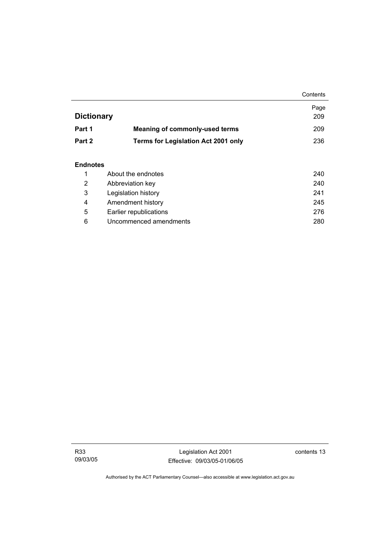|                   |                                            | Contents |
|-------------------|--------------------------------------------|----------|
|                   |                                            | Page     |
| <b>Dictionary</b> |                                            | 209      |
| Part 1            | <b>Meaning of commonly-used terms</b>      | 209      |
| Part 2            | <b>Terms for Legislation Act 2001 only</b> | 236      |
|                   |                                            |          |

## **Endnotes**

|   | About the endnotes     | 240 |
|---|------------------------|-----|
| 2 | Abbreviation key       | 240 |
| 3 | Legislation history    | 241 |
| 4 | Amendment history      | 245 |
| 5 | Earlier republications | 276 |
| 6 | Uncommenced amendments | 280 |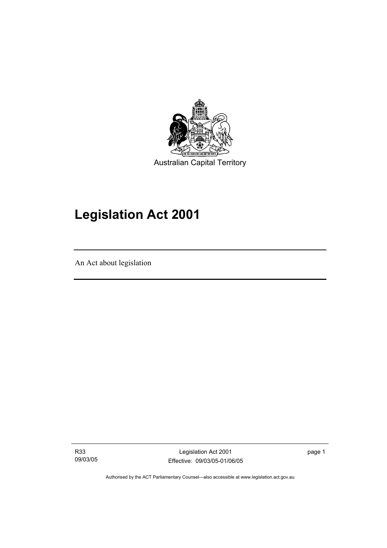

# **Legislation Act 2001**

An Act about legislation

I

R33 09/03/05

Legislation Act 2001 Effective: 09/03/05-01/06/05 page 1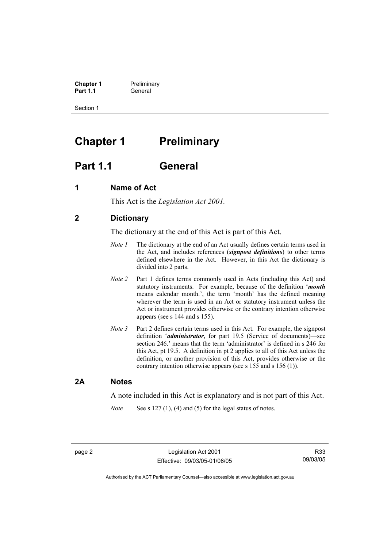**Chapter 1** Preliminary<br>**Part 1.1** General **Part 1.1** General

Section 1

# **Chapter 1** Preliminary

# **Part 1.1 General**

## **1 Name of Act**

This Act is the *Legislation Act 2001.* 

# **2 Dictionary**

The dictionary at the end of this Act is part of this Act.

- *Note 1* The dictionary at the end of an Act usually defines certain terms used in the Act, and includes references (*signpost definitions*) to other terms defined elsewhere in the Act. However, in this Act the dictionary is divided into 2 parts.
- *Note 2* Part 1 defines terms commonly used in Acts (including this Act) and statutory instruments. For example, because of the definition '*month* means calendar month.', the term 'month' has the defined meaning wherever the term is used in an Act or statutory instrument unless the Act or instrument provides otherwise or the contrary intention otherwise appears (see s 144 and s 155).
- *Note 3* Part 2 defines certain terms used in this Act. For example, the signpost definition '*administrator*, for part 19.5 (Service of documents)—see section 246.' means that the term 'administrator' is defined in s 246 for this Act, pt 19.5. A definition in pt 2 applies to all of this Act unless the definition, or another provision of this Act, provides otherwise or the contrary intention otherwise appears (see s 155 and s 156 (1)).

## **2A Notes**

A note included in this Act is explanatory and is not part of this Act.

*Note* See s 127 (1), (4) and (5) for the legal status of notes.

R33 09/03/05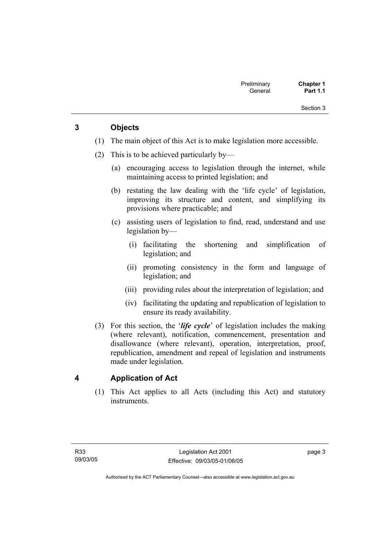Section 3

# **3 Objects**

- (1) The main object of this Act is to make legislation more accessible.
- (2) This is to be achieved particularly by—
	- (a) encouraging access to legislation through the internet, while maintaining access to printed legislation; and
	- (b) restating the law dealing with the 'life cycle' of legislation, improving its structure and content, and simplifying its provisions where practicable; and
	- (c) assisting users of legislation to find, read, understand and use legislation by—
		- (i) facilitating the shortening and simplification of legislation; and
		- (ii) promoting consistency in the form and language of legislation; and
		- (iii) providing rules about the interpretation of legislation; and
		- (iv) facilitating the updating and republication of legislation to ensure its ready availability.
- (3) For this section, the '*life cycle*' of legislation includes the making (where relevant), notification, commencement, presentation and disallowance (where relevant), operation, interpretation, proof, republication, amendment and repeal of legislation and instruments made under legislation.

# **4 Application of Act**

 (1) This Act applies to all Acts (including this Act) and statutory instruments.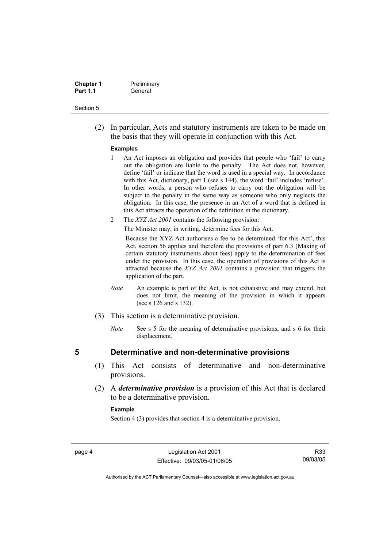| <b>Chapter 1</b> | Preliminary |
|------------------|-------------|
| <b>Part 1.1</b>  | General     |

#### Section 5

 (2) In particular, Acts and statutory instruments are taken to be made on the basis that they will operate in conjunction with this Act.

#### **Examples**

- 1 An Act imposes an obligation and provides that people who 'fail' to carry out the obligation are liable to the penalty. The Act does not, however, define 'fail' or indicate that the word is used in a special way. In accordance with this Act, dictionary, part 1 (see s 144), the word 'fail' includes 'refuse'. In other words, a person who refuses to carry out the obligation will be subject to the penalty in the same way as someone who only neglects the obligation. In this case, the presence in an Act of a word that is defined in this Act attracts the operation of the definition in the dictionary.
- 2 The *XYZ Act 2001* contains the following provision:

The Minister may, in writing, determine fees for this Act.

Because the XYZ Act authorises a fee to be determined 'for this Act', this Act, section 56 applies and therefore the provisions of part 6.3 (Making of certain statutory instruments about fees) apply to the determination of fees under the provision. In this case, the operation of provisions of this Act is attracted because the *XYZ Act 2001* contains a provision that triggers the application of the part.

- *Note* An example is part of the Act, is not exhaustive and may extend, but does not limit, the meaning of the provision in which it appears (see s 126 and s 132).
- (3) This section is a determinative provision.
	- *Note* See s 5 for the meaning of determinative provisions, and s 6 for their displacement.

## **5 Determinative and non-determinative provisions**

- (1) This Act consists of determinative and non-determinative provisions.
- (2) A *determinative provision* is a provision of this Act that is declared to be a determinative provision.

#### **Example**

Section 4 (3) provides that section 4 is a determinative provision.

R33 09/03/05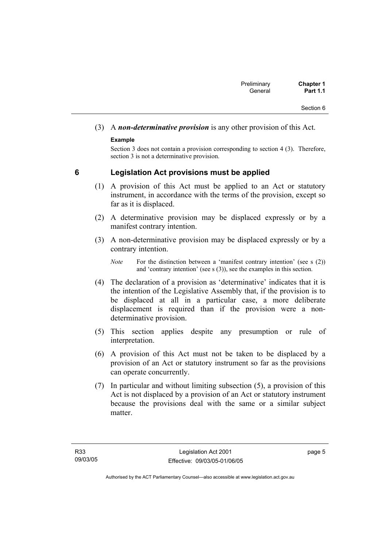# (3) A *non-determinative provision* is any other provision of this Act.

## **Example**

Section 3 does not contain a provision corresponding to section 4 (3). Therefore, section 3 is not a determinative provision.

# **6 Legislation Act provisions must be applied**

- (1) A provision of this Act must be applied to an Act or statutory instrument, in accordance with the terms of the provision, except so far as it is displaced.
- (2) A determinative provision may be displaced expressly or by a manifest contrary intention.
- (3) A non-determinative provision may be displaced expressly or by a contrary intention.

- (4) The declaration of a provision as 'determinative' indicates that it is the intention of the Legislative Assembly that, if the provision is to be displaced at all in a particular case, a more deliberate displacement is required than if the provision were a nondeterminative provision.
- (5) This section applies despite any presumption or rule of interpretation.
- (6) A provision of this Act must not be taken to be displaced by a provision of an Act or statutory instrument so far as the provisions can operate concurrently.
- (7) In particular and without limiting subsection (5), a provision of this Act is not displaced by a provision of an Act or statutory instrument because the provisions deal with the same or a similar subject matter

*Note* For the distinction between a 'manifest contrary intention' (see s (2)) and 'contrary intention' (see s (3)), see the examples in this section.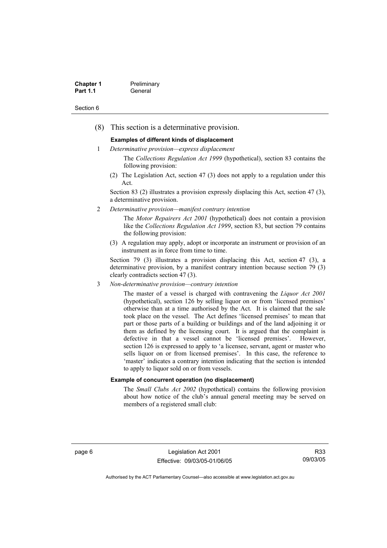| <b>Chapter 1</b> | Preliminary |
|------------------|-------------|
| <b>Part 1.1</b>  | General     |

#### Section 6

(8) This section is a determinative provision.

#### **Examples of different kinds of displacement**

1 *Determinative provision—express displacement*

The *Collections Regulation Act 1999* (hypothetical), section 83 contains the following provision:

(2) The Legislation Act, section 47 (3) does not apply to a regulation under this Act.

Section 83 (2) illustrates a provision expressly displacing this Act, section 47 (3), a determinative provision.

2 *Determinative provision—manifest contrary intention*

The *Motor Repairers Act 2001* (hypothetical) does not contain a provision like the *Collections Regulation Act 1999*, section 83, but section 79 contains the following provision:

(3) A regulation may apply, adopt or incorporate an instrument or provision of an instrument as in force from time to time.

Section 79 (3) illustrates a provision displacing this Act, section 47 (3), a determinative provision, by a manifest contrary intention because section 79 (3) clearly contradicts section 47 (3).

3 *Non-determinative provision—contrary intention*

The master of a vessel is charged with contravening the *Liquor Act 2001* (hypothetical), section 126 by selling liquor on or from 'licensed premises' otherwise than at a time authorised by the Act. It is claimed that the sale took place on the vessel. The Act defines 'licensed premises' to mean that part or those parts of a building or buildings and of the land adjoining it or them as defined by the licensing court. It is argued that the complaint is defective in that a vessel cannot be 'licensed premises'. However, section 126 is expressed to apply to 'a licensee, servant, agent or master who sells liquor on or from licensed premises'. In this case, the reference to 'master' indicates a contrary intention indicating that the section is intended to apply to liquor sold on or from vessels.

#### **Example of concurrent operation (no displacement)**

The *Small Clubs Act 2002* (hypothetical) contains the following provision about how notice of the club's annual general meeting may be served on members of a registered small club:

page 6 Legislation Act 2001 Effective: 09/03/05-01/06/05

R33 09/03/05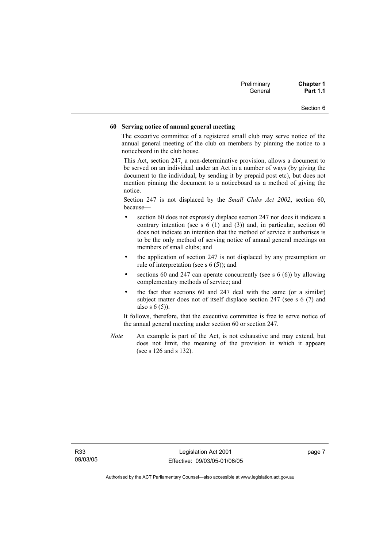| Preliminary | <b>Chapter 1</b> |
|-------------|------------------|
| General     | <b>Part 1.1</b>  |

#### Section 6

#### **60 Serving notice of annual general meeting**

The executive committee of a registered small club may serve notice of the annual general meeting of the club on members by pinning the notice to a noticeboard in the club house.

This Act, section 247, a non-determinative provision, allows a document to be served on an individual under an Act in a number of ways (by giving the document to the individual, by sending it by prepaid post etc), but does not mention pinning the document to a noticeboard as a method of giving the notice.

Section 247 is not displaced by the *Small Clubs Act 2002*, section 60, because—

- section 60 does not expressly displace section 247 nor does it indicate a contrary intention (see s  $6(1)$  and  $(3)$ ) and, in particular, section  $60$ does not indicate an intention that the method of service it authorises is to be the only method of serving notice of annual general meetings on members of small clubs; and
- the application of section 247 is not displaced by any presumption or rule of interpretation (see s 6 (5)); and
- sections 60 and 247 can operate concurrently (see s  $6(6)$ ) by allowing complementary methods of service; and
- the fact that sections 60 and 247 deal with the same (or a similar) subject matter does not of itself displace section 247 (see s 6 (7) and also s 6 (5)).

It follows, therefore, that the executive committee is free to serve notice of the annual general meeting under section 60 or section 247.

*Note* An example is part of the Act, is not exhaustive and may extend, but does not limit, the meaning of the provision in which it appears (see s 126 and s 132).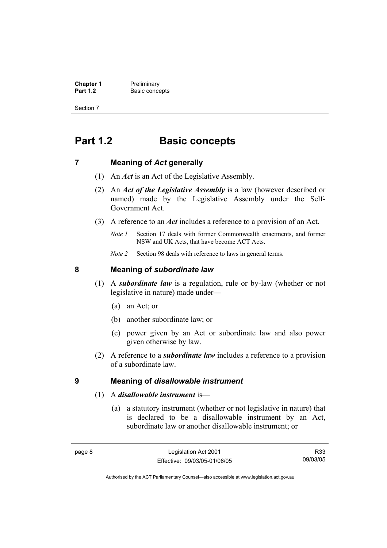**Chapter 1** Preliminary<br>**Part 1.2** Basic conce **Basic concepts** 

Section 7

# **Part 1.2 Basic concepts**

## **7 Meaning of** *Act* **generally**

- (1) An *Act* is an Act of the Legislative Assembly.
- (2) An *Act of the Legislative Assembly* is a law (however described or named) made by the Legislative Assembly under the Self-Government Act.
- (3) A reference to an *Act* includes a reference to a provision of an Act.
	- *Note 1* Section 17 deals with former Commonwealth enactments, and former NSW and UK Acts, that have become ACT Acts.
	- *Note 2* Section 98 deals with reference to laws in general terms.

## **8 Meaning of** *subordinate law*

- (1) A *subordinate law* is a regulation, rule or by-law (whether or not legislative in nature) made under—
	- (a) an Act; or
	- (b) another subordinate law; or
	- (c) power given by an Act or subordinate law and also power given otherwise by law.
- (2) A reference to a *subordinate law* includes a reference to a provision of a subordinate law.

## **9 Meaning of** *disallowable instrument*

- (1) A *disallowable instrument* is—
	- (a) a statutory instrument (whether or not legislative in nature) that is declared to be a disallowable instrument by an Act, subordinate law or another disallowable instrument; or

R33 09/03/05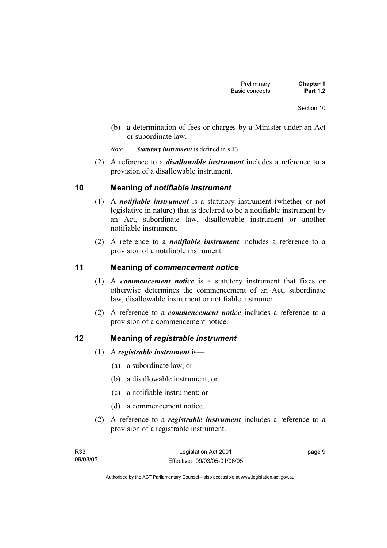- (b) a determination of fees or charges by a Minister under an Act or subordinate law.
- *Note Statutory instrument* is defined in s 13.
- (2) A reference to a *disallowable instrument* includes a reference to a provision of a disallowable instrument.

## **10 Meaning of** *notifiable instrument*

- (1) A *notifiable instrument* is a statutory instrument (whether or not legislative in nature) that is declared to be a notifiable instrument by an Act, subordinate law, disallowable instrument or another notifiable instrument.
- (2) A reference to a *notifiable instrument* includes a reference to a provision of a notifiable instrument.

## **11 Meaning of** *commencement notice*

- (1) A *commencement notice* is a statutory instrument that fixes or otherwise determines the commencement of an Act, subordinate law, disallowable instrument or notifiable instrument.
- (2) A reference to a *commencement notice* includes a reference to a provision of a commencement notice.

## **12 Meaning of** *registrable instrument*

- (1) A *registrable instrument* is—
	- (a) a subordinate law; or
	- (b) a disallowable instrument; or
	- (c) a notifiable instrument; or
	- (d) a commencement notice.
- (2) A reference to a *registrable instrument* includes a reference to a provision of a registrable instrument.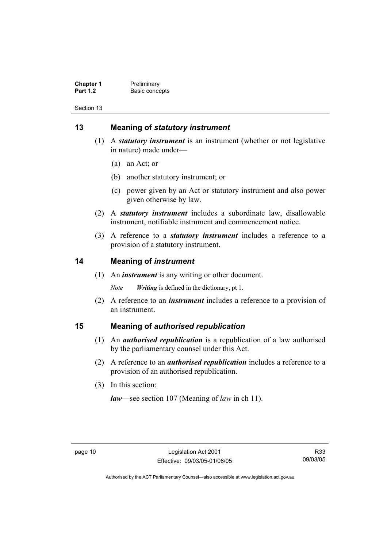**Chapter 1** Preliminary<br>**Part 1.2** Basic conce **Basic concepts** 

Section 13

# **13 Meaning of** *statutory instrument*

- (1) A *statutory instrument* is an instrument (whether or not legislative in nature) made under—
	- (a) an Act; or
	- (b) another statutory instrument; or
	- (c) power given by an Act or statutory instrument and also power given otherwise by law.
- (2) A *statutory instrument* includes a subordinate law, disallowable instrument, notifiable instrument and commencement notice.
- (3) A reference to a *statutory instrument* includes a reference to a provision of a statutory instrument.

## **14 Meaning of** *instrument*

(1) An *instrument* is any writing or other document.

*Note Writing* is defined in the dictionary, pt 1.

 (2) A reference to an *instrument* includes a reference to a provision of an instrument.

## **15 Meaning of** *authorised republication*

- (1) An *authorised republication* is a republication of a law authorised by the parliamentary counsel under this Act.
- (2) A reference to an *authorised republication* includes a reference to a provision of an authorised republication.
- (3) In this section:

*law*—see section 107 (Meaning of *law* in ch 11).

R33 09/03/05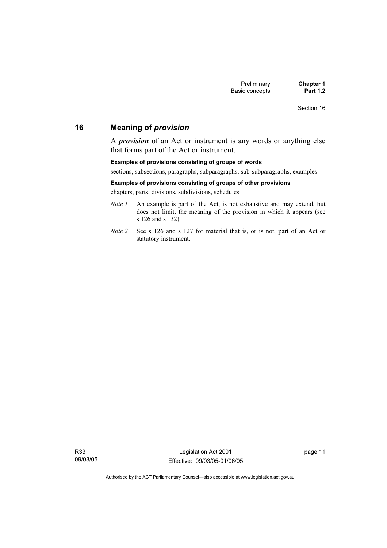Section 16

# **16 Meaning of** *provision*

A *provision* of an Act or instrument is any words or anything else that forms part of the Act or instrument.

#### **Examples of provisions consisting of groups of words**

sections, subsections, paragraphs, subparagraphs, sub-subparagraphs, examples

#### **Examples of provisions consisting of groups of other provisions**

chapters, parts, divisions, subdivisions, schedules

- *Note 1* An example is part of the Act, is not exhaustive and may extend, but does not limit, the meaning of the provision in which it appears (see s 126 and s 132).
- *Note 2* See s 126 and s 127 for material that is, or is not, part of an Act or statutory instrument.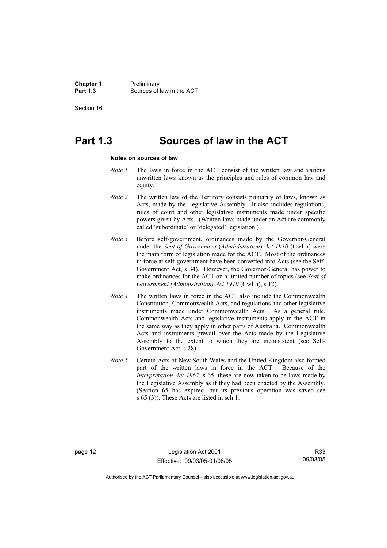**Chapter 1** Preliminary<br>**Part 1.3** Sources of **Part 1.3** Sources of law in the ACT

Section 16

# **Part 1.3 Sources of law in the ACT**

#### **Notes on sources of law**

- *Note 1* The laws in force in the ACT consist of the written law and various unwritten laws known as the principles and rules of common law and equity.
- *Note 2* The written law of the Territory consists primarily of laws, known as Acts, made by the Legislative Assembly. It also includes regulations, rules of court and other legislative instruments made under specific powers given by Acts. (Written laws made under an Act are commonly called 'subordinate' or 'delegated' legislation.)
- *Note 3* Before self-government, ordinances made by the Governor-General under the *Seat of Government* (*Administration*) *Act 1910* (Cwlth) were the main form of legislation made for the ACT. Most of the ordinances in force at self-government have been converted into Acts (see the Self-Government Act, s 34). However, the Governor-General has power to make ordinances for the ACT on a limited number of topics (see *Seat of Government (Administration) Act 1910* (Cwlth), s 12).
- *Note 4* The written laws in force in the ACT also include the Commonwealth Constitution, Commonwealth Acts, and regulations and other legislative instruments made under Commonwealth Acts. As a general rule, Commonwealth Acts and legislative instruments apply in the ACT in the same way as they apply in other parts of Australia. Commonwealth Acts and instruments prevail over the Acts made by the Legislative Assembly to the extent to which they are inconsistent (see Self-Government Act, s 28).
- *Note 5* Certain Acts of New South Wales and the United Kingdom also formed part of the written laws in force in the ACT. Because of the *Interpretation Act 1967*, s 65, these are now taken to be laws made by the Legislative Assembly as if they had been enacted by the Assembly. (Section 65 has expired, but its previous operation was saved–see s 65 (3)). These Acts are listed in sch 1.

page 12 Legislation Act 2001 Effective: 09/03/05-01/06/05

R33 09/03/05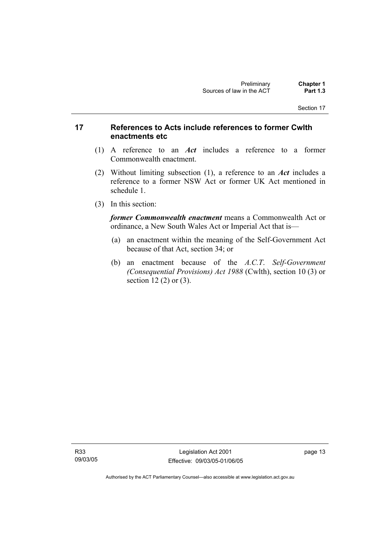## **17 References to Acts include references to former Cwlth enactments etc**

- (1) A reference to an *Act* includes a reference to a former Commonwealth enactment.
- (2) Without limiting subsection (1), a reference to an *Act* includes a reference to a former NSW Act or former UK Act mentioned in schedule 1.
- (3) In this section:

*former Commonwealth enactment* means a Commonwealth Act or ordinance, a New South Wales Act or Imperial Act that is—

- (a) an enactment within the meaning of the Self-Government Act because of that Act, section 34; or
- (b) an enactment because of the *A.C.T*. *Self-Government (Consequential Provisions) Act 1988* (Cwlth), section 10 (3) or section 12 (2) or (3).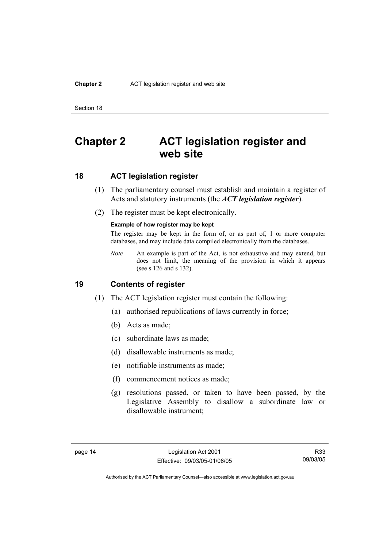#### **Chapter 2** ACT legislation register and web site

Section 18

# **Chapter 2 ACT legislation register and web site**

## **18 ACT legislation register**

- (1) The parliamentary counsel must establish and maintain a register of Acts and statutory instruments (the *ACT legislation register*).
- (2) The register must be kept electronically.

#### **Example of how register may be kept**

The register may be kept in the form of, or as part of, 1 or more computer databases, and may include data compiled electronically from the databases.

*Note* An example is part of the Act, is not exhaustive and may extend, but does not limit, the meaning of the provision in which it appears (see s 126 and s 132).

#### **19 Contents of register**

- (1) The ACT legislation register must contain the following:
	- (a) authorised republications of laws currently in force;
	- (b) Acts as made;
	- (c) subordinate laws as made;
	- (d) disallowable instruments as made;
	- (e) notifiable instruments as made;
	- (f) commencement notices as made;
	- (g) resolutions passed, or taken to have been passed, by the Legislative Assembly to disallow a subordinate law or disallowable instrument;

R33 09/03/05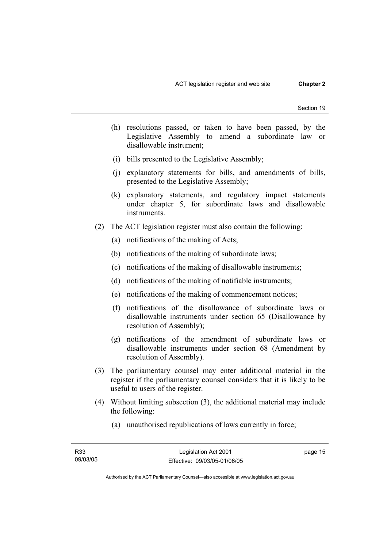- (h) resolutions passed, or taken to have been passed, by the Legislative Assembly to amend a subordinate law or disallowable instrument;
- (i) bills presented to the Legislative Assembly;
- (j) explanatory statements for bills, and amendments of bills, presented to the Legislative Assembly;
- (k) explanatory statements, and regulatory impact statements under chapter 5, for subordinate laws and disallowable instruments.
- (2) The ACT legislation register must also contain the following:
	- (a) notifications of the making of Acts;
	- (b) notifications of the making of subordinate laws;
	- (c) notifications of the making of disallowable instruments;
	- (d) notifications of the making of notifiable instruments;
	- (e) notifications of the making of commencement notices;
	- (f) notifications of the disallowance of subordinate laws or disallowable instruments under section 65 (Disallowance by resolution of Assembly);
	- (g) notifications of the amendment of subordinate laws or disallowable instruments under section 68 (Amendment by resolution of Assembly).
- (3) The parliamentary counsel may enter additional material in the register if the parliamentary counsel considers that it is likely to be useful to users of the register.
- (4) Without limiting subsection (3), the additional material may include the following:
	- (a) unauthorised republications of laws currently in force;

page 15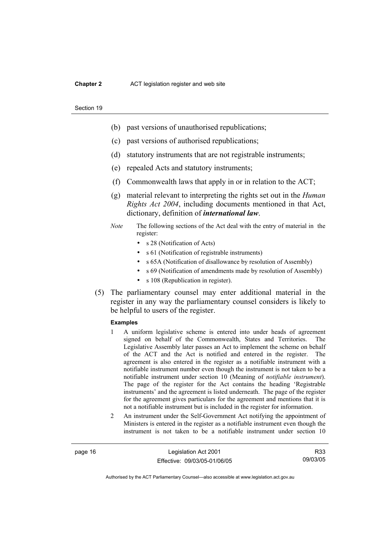#### **Chapter 2** ACT legislation register and web site

#### Section 19

- (b) past versions of unauthorised republications;
- (c) past versions of authorised republications;
- (d) statutory instruments that are not registrable instruments;
- (e) repealed Acts and statutory instruments;
- (f) Commonwealth laws that apply in or in relation to the ACT;
- (g) material relevant to interpreting the rights set out in the *Human Rights Act 2004*, including documents mentioned in that Act, dictionary, definition of *international law*.
- *Note* The following sections of the Act deal with the entry of material in the register:
	- s 28 (Notification of Acts)
	- s 61 (Notification of registrable instruments)
	- s 65A (Notification of disallowance by resolution of Assembly)
	- s 69 (Notification of amendments made by resolution of Assembly)
	- s 108 (Republication in register).
- (5) The parliamentary counsel may enter additional material in the register in any way the parliamentary counsel considers is likely to be helpful to users of the register.

#### **Examples**

- 1 A uniform legislative scheme is entered into under heads of agreement signed on behalf of the Commonwealth, States and Territories. The Legislative Assembly later passes an Act to implement the scheme on behalf of the ACT and the Act is notified and entered in the register. The agreement is also entered in the register as a notifiable instrument with a notifiable instrument number even though the instrument is not taken to be a notifiable instrument under section 10 (Meaning of *notifiable instrument*). The page of the register for the Act contains the heading 'Registrable instruments' and the agreement is listed underneath. The page of the register for the agreement gives particulars for the agreement and mentions that it is not a notifiable instrument but is included in the register for information.
- 2 An instrument under the Self-Government Act notifying the appointment of Ministers is entered in the register as a notifiable instrument even though the instrument is not taken to be a notifiable instrument under section 10

page 16 Legislation Act 2001 Effective: 09/03/05-01/06/05

R33 09/03/05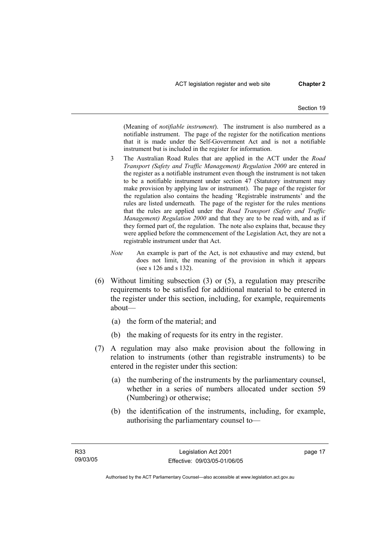(Meaning of *notifiable instrument*). The instrument is also numbered as a notifiable instrument. The page of the register for the notification mentions that it is made under the Self-Government Act and is not a notifiable instrument but is included in the register for information.

- 3 The Australian Road Rules that are applied in the ACT under the *Road Transport (Safety and Traffic Management) Regulation 2000* are entered in the register as a notifiable instrument even though the instrument is not taken to be a notifiable instrument under section 47 (Statutory instrument may make provision by applying law or instrument). The page of the register for the regulation also contains the heading 'Registrable instruments' and the rules are listed underneath. The page of the register for the rules mentions that the rules are applied under the *Road Transport (Safety and Traffic Management) Regulation 2000* and that they are to be read with, and as if they formed part of, the regulation. The note also explains that, because they were applied before the commencement of the Legislation Act, they are not a registrable instrument under that Act.
- *Note* An example is part of the Act, is not exhaustive and may extend, but does not limit, the meaning of the provision in which it appears (see s 126 and s 132).
- (6) Without limiting subsection (3) or (5), a regulation may prescribe requirements to be satisfied for additional material to be entered in the register under this section, including, for example, requirements about—
	- (a) the form of the material; and
	- (b) the making of requests for its entry in the register.
- (7) A regulation may also make provision about the following in relation to instruments (other than registrable instruments) to be entered in the register under this section:
	- (a) the numbering of the instruments by the parliamentary counsel, whether in a series of numbers allocated under section 59 (Numbering) or otherwise;
	- (b) the identification of the instruments, including, for example, authorising the parliamentary counsel to—

page 17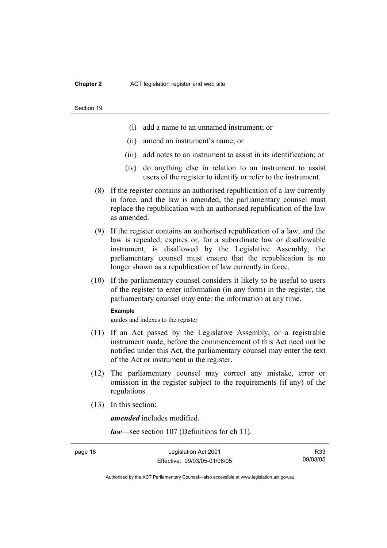#### **Chapter 2** ACT legislation register and web site

#### Section 19

- (i) add a name to an unnamed instrument; or
- (ii) amend an instrument's name; or
- (iii) add notes to an instrument to assist in its identification; or
- (iv) do anything else in relation to an instrument to assist users of the register to identify or refer to the instrument.
- (8) If the register contains an authorised republication of a law currently in force, and the law is amended, the parliamentary counsel must replace the republication with an authorised republication of the law as amended.
- (9) If the register contains an authorised republication of a law, and the law is repealed, expires or, for a subordinate law or disallowable instrument, is disallowed by the Legislative Assembly, the parliamentary counsel must ensure that the republication is no longer shown as a republication of law currently in force.
- (10) If the parliamentary counsel considers it likely to be useful to users of the register to enter information (in any form) in the register, the parliamentary counsel may enter the information at any time.

#### **Example**

guides and indexes to the register

- (11) If an Act passed by the Legislative Assembly, or a registrable instrument made, before the commencement of this Act need not be notified under this Act, the parliamentary counsel may enter the text of the Act or instrument in the register.
- (12) The parliamentary counsel may correct any mistake, error or omission in the register subject to the requirements (if any) of the regulations.
- (13) In this section:

*amended* includes modified.

*law*—see section 107 (Definitions for ch 11).

R33 09/03/05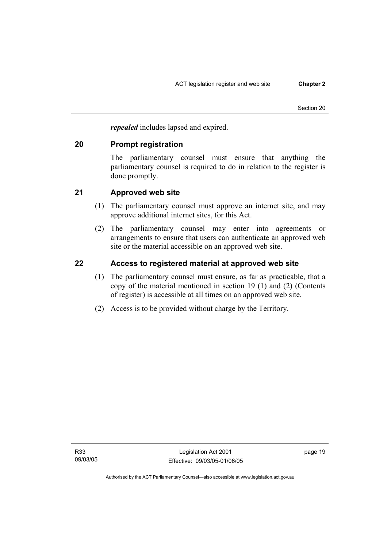*repealed* includes lapsed and expired.

## **20 Prompt registration**

The parliamentary counsel must ensure that anything the parliamentary counsel is required to do in relation to the register is done promptly.

# **21 Approved web site**

- (1) The parliamentary counsel must approve an internet site, and may approve additional internet sites, for this Act.
- (2) The parliamentary counsel may enter into agreements or arrangements to ensure that users can authenticate an approved web site or the material accessible on an approved web site.

# **22 Access to registered material at approved web site**

- (1) The parliamentary counsel must ensure, as far as practicable, that a copy of the material mentioned in section 19 (1) and (2) (Contents of register) is accessible at all times on an approved web site.
- (2) Access is to be provided without charge by the Territory.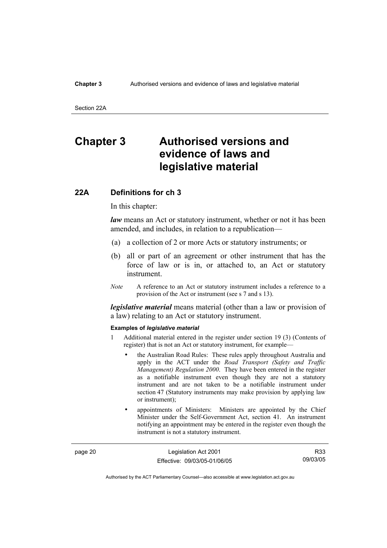#### **Chapter 3** Authorised versions and evidence of laws and legislative material

Section 22A

# **Chapter 3 Authorised versions and evidence of laws and legislative material**

#### **22A Definitions for ch 3**

In this chapter:

*law* means an Act or statutory instrument, whether or not it has been amended, and includes, in relation to a republication—

- (a) a collection of 2 or more Acts or statutory instruments; or
- (b) all or part of an agreement or other instrument that has the force of law or is in, or attached to, an Act or statutory instrument.
- *Note* A reference to an Act or statutory instrument includes a reference to a provision of the Act or instrument (see s 7 and s 13).

*legislative material* means material (other than a law or provision of a law) relating to an Act or statutory instrument.

#### **Examples of** *legislative material*

- 1 Additional material entered in the register under section 19 (3) (Contents of register) that is not an Act or statutory instrument, for example—
	- the Australian Road Rules: These rules apply throughout Australia and apply in the ACT under the *Road Transport (Safety and Traffic Management) Regulation 2000*. They have been entered in the register as a notifiable instrument even though they are not a statutory instrument and are not taken to be a notifiable instrument under section 47 (Statutory instruments may make provision by applying law or instrument);
	- appointments of Ministers: Ministers are appointed by the Chief Minister under the Self-Government Act, section 41. An instrument notifying an appointment may be entered in the register even though the instrument is not a statutory instrument.

page 20 Legislation Act 2001 Effective: 09/03/05-01/06/05

R33 09/03/05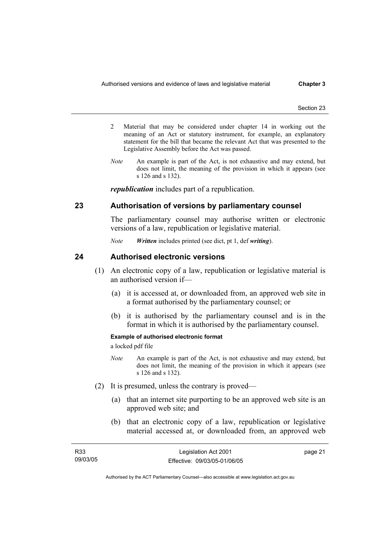- 2 Material that may be considered under chapter 14 in working out the meaning of an Act or statutory instrument, for example, an explanatory statement for the bill that became the relevant Act that was presented to the Legislative Assembly before the Act was passed.
- *Note* An example is part of the Act, is not exhaustive and may extend, but does not limit, the meaning of the provision in which it appears (see s 126 and s 132).

*republication* includes part of a republication.

## **23 Authorisation of versions by parliamentary counsel**

The parliamentary counsel may authorise written or electronic versions of a law, republication or legislative material.

*Note Written* includes printed (see dict, pt 1, def *writing*).

## **24 Authorised electronic versions**

- (1) An electronic copy of a law, republication or legislative material is an authorised version if—
	- (a) it is accessed at, or downloaded from, an approved web site in a format authorised by the parliamentary counsel; or
	- (b) it is authorised by the parliamentary counsel and is in the format in which it is authorised by the parliamentary counsel.

#### **Example of authorised electronic format**

a locked pdf file

- *Note* An example is part of the Act, is not exhaustive and may extend, but does not limit, the meaning of the provision in which it appears (see s 126 and s 132).
- (2) It is presumed, unless the contrary is proved—
	- (a) that an internet site purporting to be an approved web site is an approved web site; and
	- (b) that an electronic copy of a law, republication or legislative material accessed at, or downloaded from, an approved web

| R33      | Legislation Act 2001         | page 21 |
|----------|------------------------------|---------|
| 09/03/05 | Effective: 09/03/05-01/06/05 |         |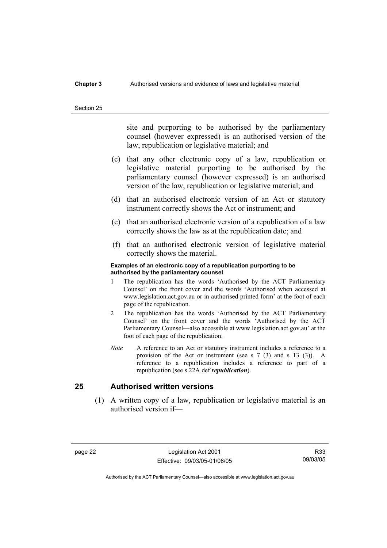### **Chapter 3** Authorised versions and evidence of laws and legislative material

#### Section 25

site and purporting to be authorised by the parliamentary counsel (however expressed) is an authorised version of the law, republication or legislative material; and

- (c) that any other electronic copy of a law, republication or legislative material purporting to be authorised by the parliamentary counsel (however expressed) is an authorised version of the law, republication or legislative material; and
- (d) that an authorised electronic version of an Act or statutory instrument correctly shows the Act or instrument; and
- (e) that an authorised electronic version of a republication of a law correctly shows the law as at the republication date; and
- (f) that an authorised electronic version of legislative material correctly shows the material.

#### **Examples of an electronic copy of a republication purporting to be authorised by the parliamentary counsel**

- 1 The republication has the words 'Authorised by the ACT Parliamentary Counsel' on the front cover and the words 'Authorised when accessed at www.legislation.act.gov.au or in authorised printed form' at the foot of each page of the republication.
- 2 The republication has the words 'Authorised by the ACT Parliamentary Counsel' on the front cover and the words 'Authorised by the ACT Parliamentary Counsel—also accessible at www.legislation.act.gov.au' at the foot of each page of the republication.
- *Note* A reference to an Act or statutory instrument includes a reference to a provision of the Act or instrument (see s 7 (3) and s 13 (3)). A reference to a republication includes a reference to part of a republication (see s 22A def *republication*).

## **25 Authorised written versions**

 (1) A written copy of a law, republication or legislative material is an authorised version if—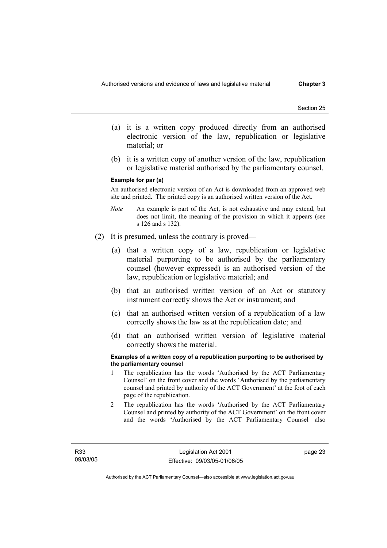- (a) it is a written copy produced directly from an authorised electronic version of the law, republication or legislative material; or
- (b) it is a written copy of another version of the law, republication or legislative material authorised by the parliamentary counsel.

#### **Example for par (a)**

An authorised electronic version of an Act is downloaded from an approved web site and printed. The printed copy is an authorised written version of the Act.

- *Note* An example is part of the Act, is not exhaustive and may extend, but does not limit, the meaning of the provision in which it appears (see s 126 and s 132).
- (2) It is presumed, unless the contrary is proved—
	- (a) that a written copy of a law, republication or legislative material purporting to be authorised by the parliamentary counsel (however expressed) is an authorised version of the law, republication or legislative material; and
	- (b) that an authorised written version of an Act or statutory instrument correctly shows the Act or instrument; and
	- (c) that an authorised written version of a republication of a law correctly shows the law as at the republication date; and
	- (d) that an authorised written version of legislative material correctly shows the material.

#### **Examples of a written copy of a republication purporting to be authorised by the parliamentary counsel**

- 1 The republication has the words 'Authorised by the ACT Parliamentary Counsel' on the front cover and the words 'Authorised by the parliamentary counsel and printed by authority of the ACT Government' at the foot of each page of the republication.
- 2 The republication has the words 'Authorised by the ACT Parliamentary Counsel and printed by authority of the ACT Government' on the front cover and the words 'Authorised by the ACT Parliamentary Counsel—also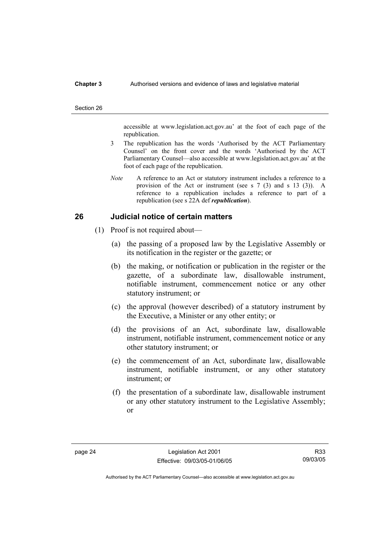#### **Chapter 3** Authorised versions and evidence of laws and legislative material

#### Section 26

accessible at www.legislation.act.gov.au' at the foot of each page of the republication.

- 3 The republication has the words 'Authorised by the ACT Parliamentary Counsel' on the front cover and the words 'Authorised by the ACT Parliamentary Counsel—also accessible at www.legislation.act.gov.au' at the foot of each page of the republication.
- *Note* A reference to an Act or statutory instrument includes a reference to a provision of the Act or instrument (see s 7 (3) and s 13 (3)). A reference to a republication includes a reference to part of a republication (see s 22A def *republication*).

## **26 Judicial notice of certain matters**

- (1) Proof is not required about—
	- (a) the passing of a proposed law by the Legislative Assembly or its notification in the register or the gazette; or
	- (b) the making, or notification or publication in the register or the gazette, of a subordinate law, disallowable instrument, notifiable instrument, commencement notice or any other statutory instrument; or
	- (c) the approval (however described) of a statutory instrument by the Executive, a Minister or any other entity; or
	- (d) the provisions of an Act, subordinate law, disallowable instrument, notifiable instrument, commencement notice or any other statutory instrument; or
	- (e) the commencement of an Act, subordinate law, disallowable instrument, notifiable instrument, or any other statutory instrument; or
	- (f) the presentation of a subordinate law, disallowable instrument or any other statutory instrument to the Legislative Assembly; or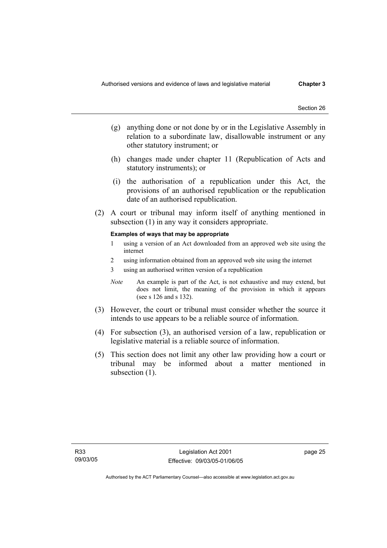- (g) anything done or not done by or in the Legislative Assembly in relation to a subordinate law, disallowable instrument or any other statutory instrument; or
- (h) changes made under chapter 11 (Republication of Acts and statutory instruments); or
- (i) the authorisation of a republication under this Act, the provisions of an authorised republication or the republication date of an authorised republication.
- (2) A court or tribunal may inform itself of anything mentioned in subsection (1) in any way it considers appropriate.

#### **Examples of ways that may be appropriate**

- 1 using a version of an Act downloaded from an approved web site using the internet
- 2 using information obtained from an approved web site using the internet
- 3 using an authorised written version of a republication
- *Note* An example is part of the Act, is not exhaustive and may extend, but does not limit, the meaning of the provision in which it appears (see s 126 and s 132).
- (3) However, the court or tribunal must consider whether the source it intends to use appears to be a reliable source of information.
- (4) For subsection (3), an authorised version of a law, republication or legislative material is a reliable source of information.
- (5) This section does not limit any other law providing how a court or tribunal may be informed about a matter mentioned in subsection  $(1)$ .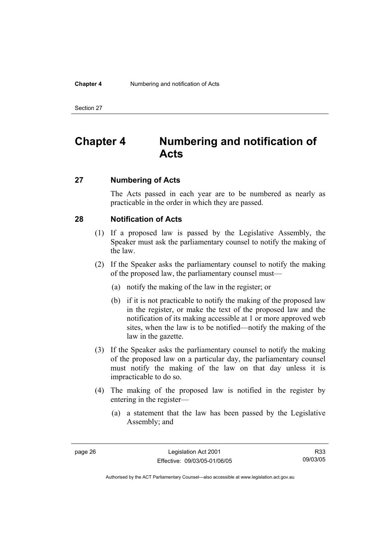#### **Chapter 4** Numbering and notification of Acts

Section 27

# **Chapter 4 Numbering and notification of Acts**

## **27 Numbering of Acts**

The Acts passed in each year are to be numbered as nearly as practicable in the order in which they are passed.

## **28 Notification of Acts**

- (1) If a proposed law is passed by the Legislative Assembly, the Speaker must ask the parliamentary counsel to notify the making of the law.
- (2) If the Speaker asks the parliamentary counsel to notify the making of the proposed law, the parliamentary counsel must—
	- (a) notify the making of the law in the register; or
	- (b) if it is not practicable to notify the making of the proposed law in the register, or make the text of the proposed law and the notification of its making accessible at 1 or more approved web sites, when the law is to be notified—notify the making of the law in the gazette.
- (3) If the Speaker asks the parliamentary counsel to notify the making of the proposed law on a particular day, the parliamentary counsel must notify the making of the law on that day unless it is impracticable to do so.
- (4) The making of the proposed law is notified in the register by entering in the register—
	- (a) a statement that the law has been passed by the Legislative Assembly; and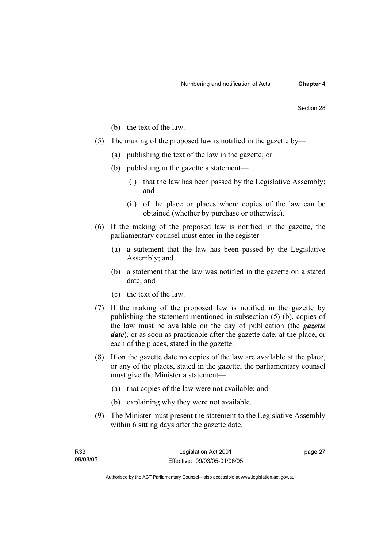- (b) the text of the law.
- (5) The making of the proposed law is notified in the gazette by—
	- (a) publishing the text of the law in the gazette; or
	- (b) publishing in the gazette a statement—
		- (i) that the law has been passed by the Legislative Assembly; and
		- (ii) of the place or places where copies of the law can be obtained (whether by purchase or otherwise).
- (6) If the making of the proposed law is notified in the gazette, the parliamentary counsel must enter in the register—
	- (a) a statement that the law has been passed by the Legislative Assembly; and
	- (b) a statement that the law was notified in the gazette on a stated date; and
	- (c) the text of the law.
- (7) If the making of the proposed law is notified in the gazette by publishing the statement mentioned in subsection (5) (b), copies of the law must be available on the day of publication (the *gazette date*), or as soon as practicable after the gazette date, at the place, or each of the places, stated in the gazette.
- (8) If on the gazette date no copies of the law are available at the place, or any of the places, stated in the gazette, the parliamentary counsel must give the Minister a statement—
	- (a) that copies of the law were not available; and
	- (b) explaining why they were not available.
- (9) The Minister must present the statement to the Legislative Assembly within 6 sitting days after the gazette date.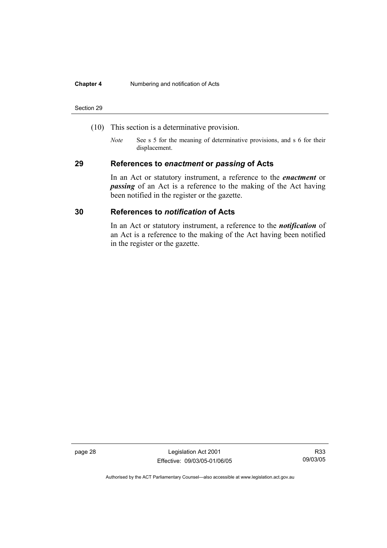#### **Chapter 4** Numbering and notification of Acts

#### Section 29

- (10) This section is a determinative provision.
	- *Note* See s 5 for the meaning of determinative provisions, and s 6 for their displacement.

## **29 References to** *enactment* **or** *passing* **of Acts**

In an Act or statutory instrument, a reference to the *enactment* or *passing* of an Act is a reference to the making of the Act having been notified in the register or the gazette.

## **30 References to** *notification* **of Acts**

In an Act or statutory instrument, a reference to the *notification* of an Act is a reference to the making of the Act having been notified in the register or the gazette.

page 28 Legislation Act 2001 Effective: 09/03/05-01/06/05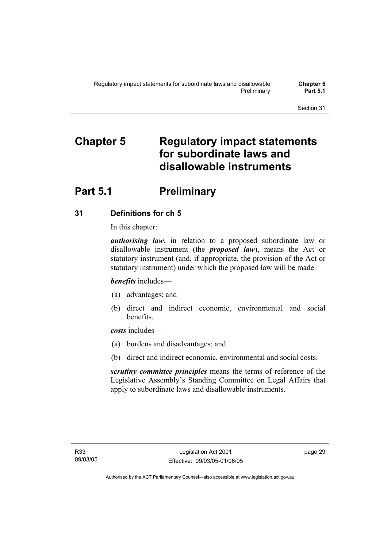# **Chapter 5 Regulatory impact statements for subordinate laws and disallowable instruments**

# **Part 5.1** Preliminary

## **31 Definitions for ch 5**

In this chapter:

*authorising law*, in relation to a proposed subordinate law or disallowable instrument (the *proposed law*), means the Act or statutory instrument (and, if appropriate, the provision of the Act or statutory instrument) under which the proposed law will be made.

*benefits* includes—

- (a) advantages; and
- (b) direct and indirect economic, environmental and social benefits.

*costs* includes—

- (a) burdens and disadvantages; and
- (b) direct and indirect economic, environmental and social costs.

*scrutiny committee principles* means the terms of reference of the Legislative Assembly's Standing Committee on Legal Affairs that apply to subordinate laws and disallowable instruments.

page 29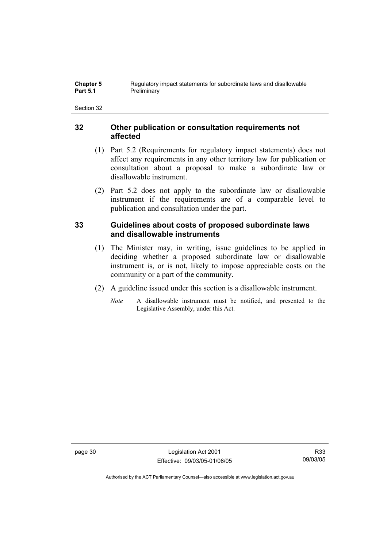## **32 Other publication or consultation requirements not affected**

- (1) Part 5.2 (Requirements for regulatory impact statements) does not affect any requirements in any other territory law for publication or consultation about a proposal to make a subordinate law or disallowable instrument.
- (2) Part 5.2 does not apply to the subordinate law or disallowable instrument if the requirements are of a comparable level to publication and consultation under the part.

## **33 Guidelines about costs of proposed subordinate laws and disallowable instruments**

- (1) The Minister may, in writing, issue guidelines to be applied in deciding whether a proposed subordinate law or disallowable instrument is, or is not, likely to impose appreciable costs on the community or a part of the community.
- (2) A guideline issued under this section is a disallowable instrument.
	- *Note* A disallowable instrument must be notified, and presented to the Legislative Assembly, under this Act.

page 30 Legislation Act 2001 Effective: 09/03/05-01/06/05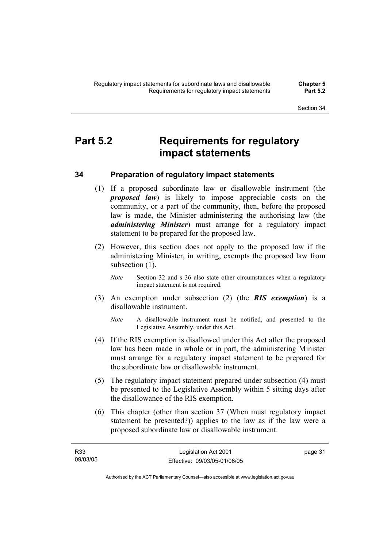# **Part 5.2 Requirements for regulatory impact statements**

## **34 Preparation of regulatory impact statements**

- (1) If a proposed subordinate law or disallowable instrument (the *proposed law*) is likely to impose appreciable costs on the community, or a part of the community, then, before the proposed law is made, the Minister administering the authorising law (the *administering Minister*) must arrange for a regulatory impact statement to be prepared for the proposed law.
- (2) However, this section does not apply to the proposed law if the administering Minister, in writing, exempts the proposed law from subsection  $(1)$ .
	- *Note* Section 32 and s 36 also state other circumstances when a regulatory impact statement is not required.
- (3) An exemption under subsection (2) (the *RIS exemption*) is a disallowable instrument.
	- *Note* A disallowable instrument must be notified, and presented to the Legislative Assembly, under this Act.
- (4) If the RIS exemption is disallowed under this Act after the proposed law has been made in whole or in part, the administering Minister must arrange for a regulatory impact statement to be prepared for the subordinate law or disallowable instrument.
- (5) The regulatory impact statement prepared under subsection (4) must be presented to the Legislative Assembly within 5 sitting days after the disallowance of the RIS exemption.
- (6) This chapter (other than section 37 (When must regulatory impact statement be presented?)) applies to the law as if the law were a proposed subordinate law or disallowable instrument.

Authorised by the ACT Parliamentary Counsel—also accessible at www.legislation.act.gov.au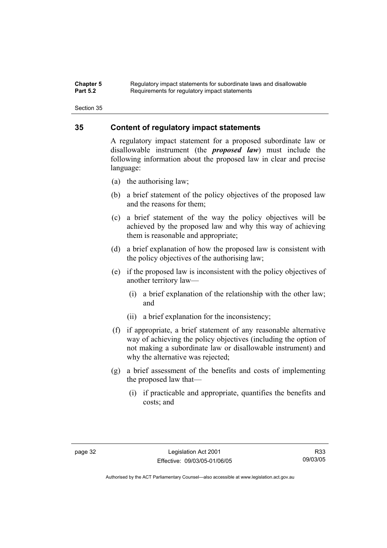#### **Chapter 5** Regulatory impact statements for subordinate laws and disallowable<br>**Part 5.2** Requirements for requistory impact statements Requirements for regulatory impact statements

Section 35

## **35 Content of regulatory impact statements**

A regulatory impact statement for a proposed subordinate law or disallowable instrument (the *proposed law*) must include the following information about the proposed law in clear and precise language:

- (a) the authorising law;
- (b) a brief statement of the policy objectives of the proposed law and the reasons for them;
- (c) a brief statement of the way the policy objectives will be achieved by the proposed law and why this way of achieving them is reasonable and appropriate;
- (d) a brief explanation of how the proposed law is consistent with the policy objectives of the authorising law;
- (e) if the proposed law is inconsistent with the policy objectives of another territory law—
	- (i) a brief explanation of the relationship with the other law; and
	- (ii) a brief explanation for the inconsistency;
- (f) if appropriate, a brief statement of any reasonable alternative way of achieving the policy objectives (including the option of not making a subordinate law or disallowable instrument) and why the alternative was rejected;
- (g) a brief assessment of the benefits and costs of implementing the proposed law that—
	- (i) if practicable and appropriate, quantifies the benefits and costs; and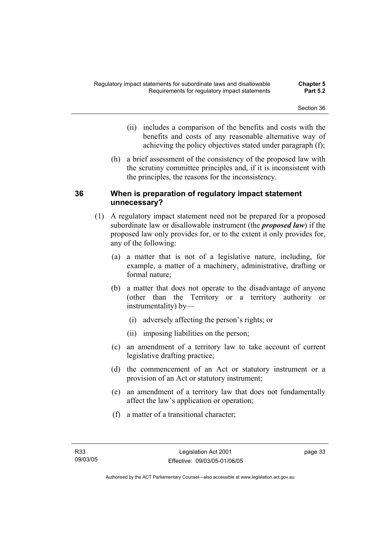- (ii) includes a comparison of the benefits and costs with the benefits and costs of any reasonable alternative way of achieving the policy objectives stated under paragraph (f);
- (h) a brief assessment of the consistency of the proposed law with the scrutiny committee principles and, if it is inconsistent with the principles, the reasons for the inconsistency.

## **36 When is preparation of regulatory impact statement unnecessary?**

- (1) A regulatory impact statement need not be prepared for a proposed subordinate law or disallowable instrument (the *proposed law*) if the proposed law only provides for, or to the extent it only provides for, any of the following:
	- (a) a matter that is not of a legislative nature, including, for example, a matter of a machinery, administrative, drafting or formal nature;
	- (b) a matter that does not operate to the disadvantage of anyone (other than the Territory or a territory authority or instrumentality) by—
		- (i) adversely affecting the person's rights; or
		- (ii) imposing liabilities on the person;
	- (c) an amendment of a territory law to take account of current legislative drafting practice;
	- (d) the commencement of an Act or statutory instrument or a provision of an Act or statutory instrument;
	- (e) an amendment of a territory law that does not fundamentally affect the law's application or operation;
	- (f) a matter of a transitional character;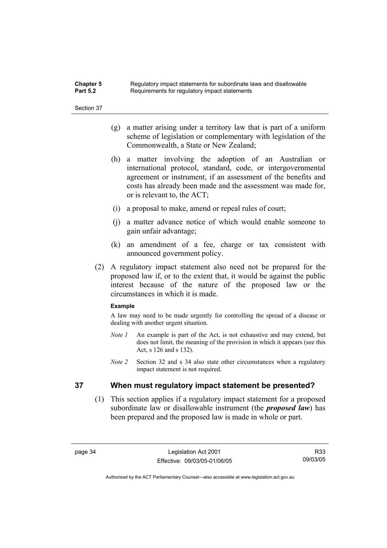| <b>Chapter 5</b> | Regulatory impact statements for subordinate laws and disallowable |
|------------------|--------------------------------------------------------------------|
| <b>Part 5.2</b>  | Requirements for regulatory impact statements                      |

- (g) a matter arising under a territory law that is part of a uniform scheme of legislation or complementary with legislation of the Commonwealth, a State or New Zealand;
- (h) a matter involving the adoption of an Australian or international protocol, standard, code, or intergovernmental agreement or instrument, if an assessment of the benefits and costs has already been made and the assessment was made for, or is relevant to, the ACT;
- (i) a proposal to make, amend or repeal rules of court;
- (j) a matter advance notice of which would enable someone to gain unfair advantage;
- (k) an amendment of a fee, charge or tax consistent with announced government policy.
- (2) A regulatory impact statement also need not be prepared for the proposed law if, or to the extent that, it would be against the public interest because of the nature of the proposed law or the circumstances in which it is made.

#### **Example**

A law may need to be made urgently for controlling the spread of a disease or dealing with another urgent situation.

- *Note 1* An example is part of the Act, is not exhaustive and may extend, but does not limit, the meaning of the provision in which it appears (see this Act, s 126 and s 132).
- *Note 2* Section 32 and s 34 also state other circumstances when a regulatory impact statement is not required.

## **37 When must regulatory impact statement be presented?**

 (1) This section applies if a regulatory impact statement for a proposed subordinate law or disallowable instrument (the *proposed law*) has been prepared and the proposed law is made in whole or part.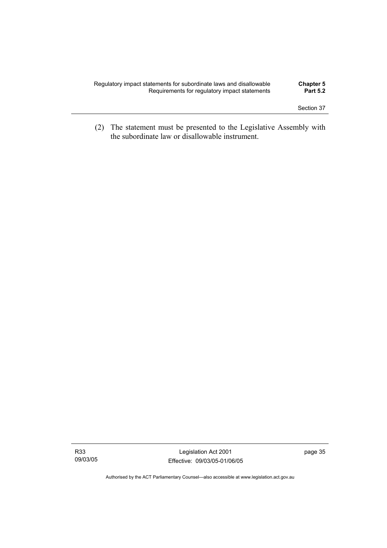| Regulatory impact statements for subordinate laws and disallowable | <b>Chapter 5</b> |
|--------------------------------------------------------------------|------------------|
| Requirements for regulatory impact statements                      | <b>Part 5.2</b>  |
|                                                                    |                  |

 (2) The statement must be presented to the Legislative Assembly with the subordinate law or disallowable instrument.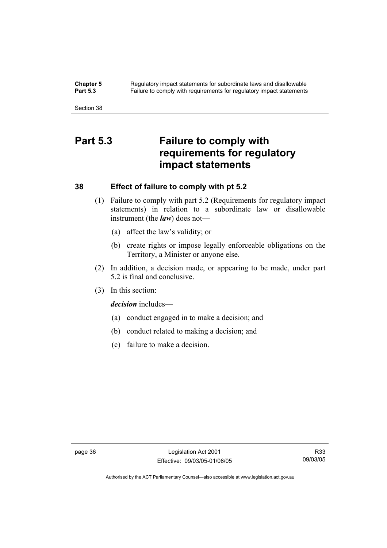**Chapter 5** Regulatory impact statements for subordinate laws and disallowable<br>**Part 5.3** Failure to comply with requirements for requilatory impact statements Failure to comply with requirements for regulatory impact statements

Section 38

# **Part 5.3 Failure to comply with requirements for regulatory impact statements**

## **38 Effect of failure to comply with pt 5.2**

- (1) Failure to comply with part 5.2 (Requirements for regulatory impact statements) in relation to a subordinate law or disallowable instrument (the *law*) does not—
	- (a) affect the law's validity; or
	- (b) create rights or impose legally enforceable obligations on the Territory, a Minister or anyone else.
- (2) In addition, a decision made, or appearing to be made, under part 5.2 is final and conclusive.
- (3) In this section:

*decision* includes—

- (a) conduct engaged in to make a decision; and
- (b) conduct related to making a decision; and
- (c) failure to make a decision.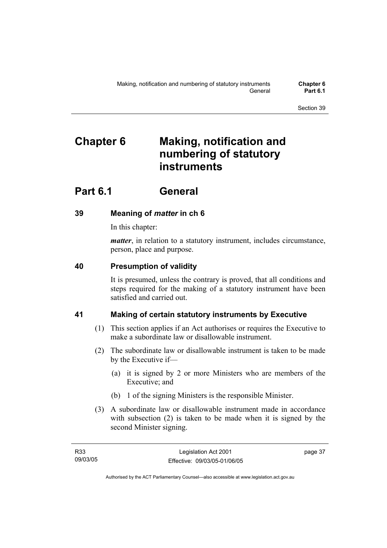# **Chapter 6 Making, notification and numbering of statutory instruments**

# **Part 6.1 General**

## **39 Meaning of** *matter* **in ch 6**

In this chapter:

*matter*, in relation to a statutory instrument, includes circumstance, person, place and purpose.

## **40 Presumption of validity**

It is presumed, unless the contrary is proved, that all conditions and steps required for the making of a statutory instrument have been satisfied and carried out.

## **41 Making of certain statutory instruments by Executive**

- (1) This section applies if an Act authorises or requires the Executive to make a subordinate law or disallowable instrument.
- (2) The subordinate law or disallowable instrument is taken to be made by the Executive if—
	- (a) it is signed by 2 or more Ministers who are members of the Executive; and
	- (b) 1 of the signing Ministers is the responsible Minister.
- (3) A subordinate law or disallowable instrument made in accordance with subsection (2) is taken to be made when it is signed by the second Minister signing.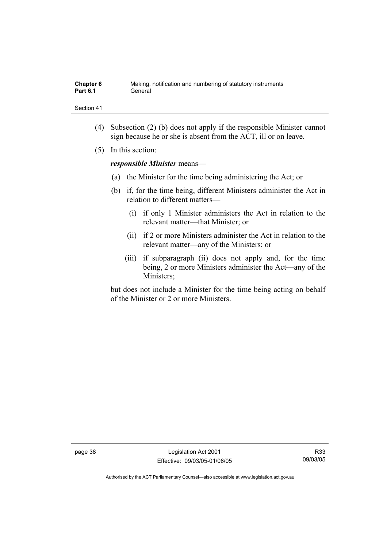| Chapter 6       | Making, notification and numbering of statutory instruments |
|-----------------|-------------------------------------------------------------|
| <b>Part 6.1</b> | General                                                     |

- (4) Subsection (2) (b) does not apply if the responsible Minister cannot sign because he or she is absent from the ACT, ill or on leave.
- (5) In this section:

*responsible Minister* means—

- (a) the Minister for the time being administering the Act; or
- (b) if, for the time being, different Ministers administer the Act in relation to different matters—
	- (i) if only 1 Minister administers the Act in relation to the relevant matter—that Minister; or
	- (ii) if 2 or more Ministers administer the Act in relation to the relevant matter—any of the Ministers; or
	- (iii) if subparagraph (ii) does not apply and, for the time being, 2 or more Ministers administer the Act—any of the Ministers;

but does not include a Minister for the time being acting on behalf of the Minister or 2 or more Ministers.

page 38 Legislation Act 2001 Effective: 09/03/05-01/06/05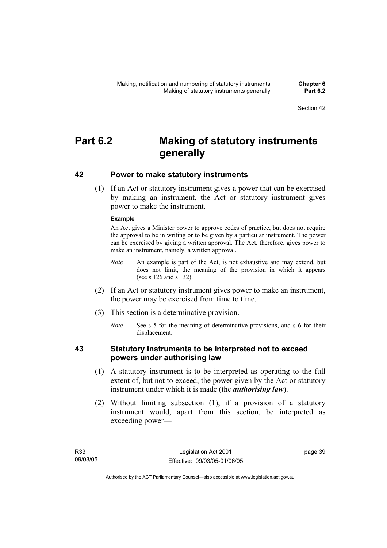# **Part 6.2 Making of statutory instruments generally**

## **42 Power to make statutory instruments**

 (1) If an Act or statutory instrument gives a power that can be exercised by making an instrument, the Act or statutory instrument gives power to make the instrument.

### **Example**

An Act gives a Minister power to approve codes of practice, but does not require the approval to be in writing or to be given by a particular instrument. The power can be exercised by giving a written approval. The Act, therefore, gives power to make an instrument, namely, a written approval.

- *Note* An example is part of the Act, is not exhaustive and may extend, but does not limit, the meaning of the provision in which it appears (see s 126 and s 132).
- (2) If an Act or statutory instrument gives power to make an instrument, the power may be exercised from time to time.
- (3) This section is a determinative provision.
	- *Note* See s 5 for the meaning of determinative provisions, and s 6 for their displacement.

## **43 Statutory instruments to be interpreted not to exceed powers under authorising law**

- (1) A statutory instrument is to be interpreted as operating to the full extent of, but not to exceed, the power given by the Act or statutory instrument under which it is made (the *authorising law*).
- (2) Without limiting subsection (1), if a provision of a statutory instrument would, apart from this section, be interpreted as exceeding power—

page 39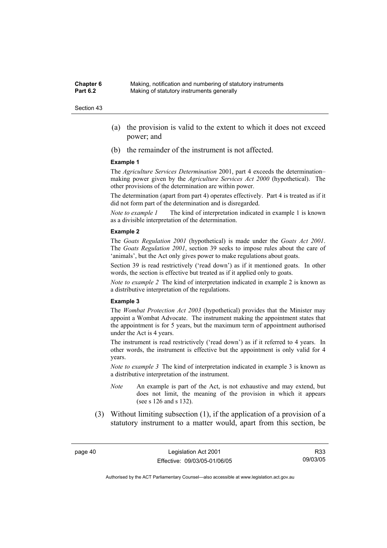- (a) the provision is valid to the extent to which it does not exceed power; and
- (b) the remainder of the instrument is not affected.

#### **Example 1**

The *Agriculture Services Determination* 2001, part 4 exceeds the determination– making power given by the *Agriculture Services Act 2000* (hypothetical). The other provisions of the determination are within power.

The determination (apart from part 4) operates effectively. Part 4 is treated as if it did not form part of the determination and is disregarded.

*Note to example 1* The kind of interpretation indicated in example 1 is known as a divisible interpretation of the determination.

#### **Example 2**

The *Goats Regulation 2001* (hypothetical) is made under the *Goats Act 2001*. The *Goats Regulation 2001*, section 39 seeks to impose rules about the care of 'animals', but the Act only gives power to make regulations about goats.

Section 39 is read restrictively ('read down') as if it mentioned goats. In other words, the section is effective but treated as if it applied only to goats.

*Note to example 2* The kind of interpretation indicated in example 2 is known as a distributive interpretation of the regulations.

#### **Example 3**

The *Wombat Protection Act 2003* (hypothetical) provides that the Minister may appoint a Wombat Advocate. The instrument making the appointment states that the appointment is for 5 years, but the maximum term of appointment authorised under the Act is 4 years.

The instrument is read restrictively ('read down') as if it referred to 4 years. In other words, the instrument is effective but the appointment is only valid for 4 years.

*Note to example 3* The kind of interpretation indicated in example 3 is known as a distributive interpretation of the instrument.

- *Note* An example is part of the Act, is not exhaustive and may extend, but does not limit, the meaning of the provision in which it appears (see s 126 and s 132).
- (3) Without limiting subsection (1), if the application of a provision of a statutory instrument to a matter would, apart from this section, be

R33 09/03/05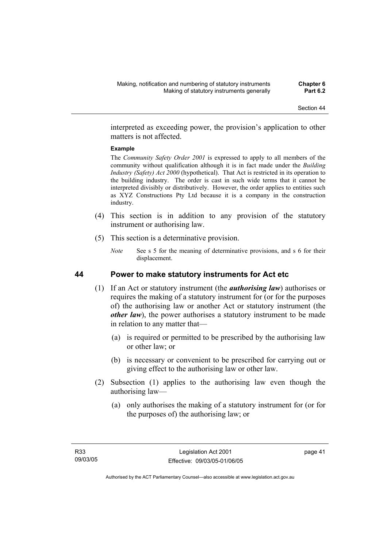interpreted as exceeding power, the provision's application to other matters is not affected.

### **Example**

The *Community Safety Order 2001* is expressed to apply to all members of the community without qualification although it is in fact made under the *Building Industry (Safety) Act 2000* (hypothetical). That Act is restricted in its operation to the building industry. The order is cast in such wide terms that it cannot be interpreted divisibly or distributively. However, the order applies to entities such as XYZ Constructions Pty Ltd because it is a company in the construction industry.

- (4) This section is in addition to any provision of the statutory instrument or authorising law.
- (5) This section is a determinative provision.
	- *Note* See s 5 for the meaning of determinative provisions, and s 6 for their displacement.

## **44 Power to make statutory instruments for Act etc**

- (1) If an Act or statutory instrument (the *authorising law*) authorises or requires the making of a statutory instrument for (or for the purposes of) the authorising law or another Act or statutory instrument (the *other law*), the power authorises a statutory instrument to be made in relation to any matter that—
	- (a) is required or permitted to be prescribed by the authorising law or other law; or
	- (b) is necessary or convenient to be prescribed for carrying out or giving effect to the authorising law or other law.
- (2) Subsection (1) applies to the authorising law even though the authorising law—
	- (a) only authorises the making of a statutory instrument for (or for the purposes of) the authorising law; or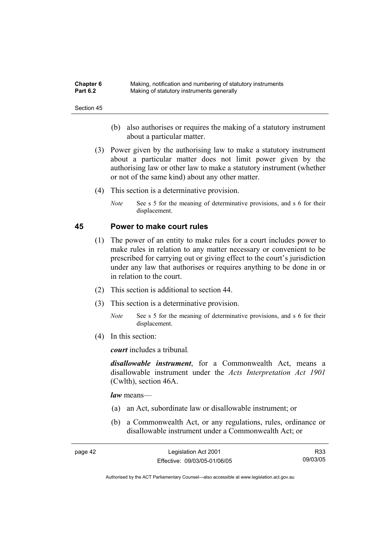| <b>Chapter 6</b> | Making, notification and numbering of statutory instruments |
|------------------|-------------------------------------------------------------|
| <b>Part 6.2</b>  | Making of statutory instruments generally                   |

- (b) also authorises or requires the making of a statutory instrument about a particular matter.
- (3) Power given by the authorising law to make a statutory instrument about a particular matter does not limit power given by the authorising law or other law to make a statutory instrument (whether or not of the same kind) about any other matter.
- (4) This section is a determinative provision.
	- *Note* See s 5 for the meaning of determinative provisions, and s 6 for their displacement.

### **45 Power to make court rules**

- (1) The power of an entity to make rules for a court includes power to make rules in relation to any matter necessary or convenient to be prescribed for carrying out or giving effect to the court's jurisdiction under any law that authorises or requires anything to be done in or in relation to the court.
- (2) This section is additional to section 44.
- (3) This section is a determinative provision.
	- *Note* See s 5 for the meaning of determinative provisions, and s 6 for their displacement.
- (4) In this section:

*court* includes a tribunal*.*

*disallowable instrument*, for a Commonwealth Act, means a disallowable instrument under the *Acts Interpretation Act 1901* (Cwlth), section 46A.

*law* means—

- (a) an Act, subordinate law or disallowable instrument; or
- (b) a Commonwealth Act, or any regulations, rules, ordinance or disallowable instrument under a Commonwealth Act; or

| page 42 | Legislation Act 2001         | R <sub>33</sub> |
|---------|------------------------------|-----------------|
|         | Effective: 09/03/05-01/06/05 | 09/03/05        |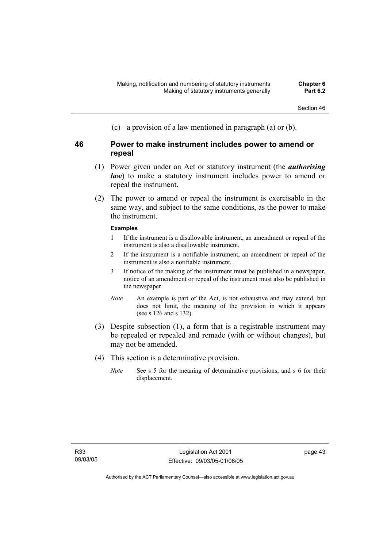(c) a provision of a law mentioned in paragraph (a) or (b).

## **46 Power to make instrument includes power to amend or repeal**

- (1) Power given under an Act or statutory instrument (the *authorising law*) to make a statutory instrument includes power to amend or repeal the instrument.
- (2) The power to amend or repeal the instrument is exercisable in the same way, and subject to the same conditions, as the power to make the instrument.

## **Examples**

- 1 If the instrument is a disallowable instrument, an amendment or repeal of the instrument is also a disallowable instrument.
- 2 If the instrument is a notifiable instrument, an amendment or repeal of the instrument is also a notifiable instrument.
- 3 If notice of the making of the instrument must be published in a newspaper, notice of an amendment or repeal of the instrument must also be published in the newspaper.
- *Note* An example is part of the Act, is not exhaustive and may extend, but does not limit, the meaning of the provision in which it appears (see s 126 and s 132).
- (3) Despite subsection (1), a form that is a registrable instrument may be repealed or repealed and remade (with or without changes), but may not be amended.
- (4) This section is a determinative provision.
	- *Note* See s 5 for the meaning of determinative provisions, and s 6 for their displacement.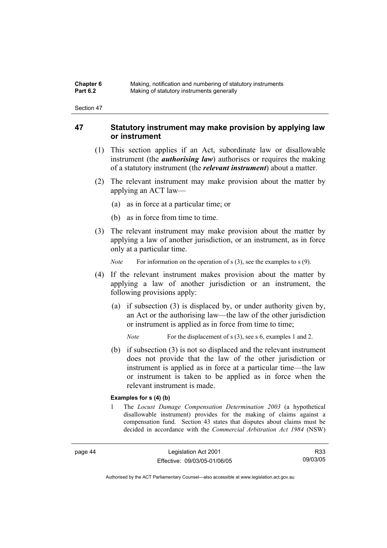| <b>Chapter 6</b> | Making, notification and numbering of statutory instruments |
|------------------|-------------------------------------------------------------|
| <b>Part 6.2</b>  | Making of statutory instruments generally                   |

## **47 Statutory instrument may make provision by applying law or instrument**

- (1) This section applies if an Act, subordinate law or disallowable instrument (the *authorising law*) authorises or requires the making of a statutory instrument (the *relevant instrument*) about a matter.
- (2) The relevant instrument may make provision about the matter by applying an ACT law—
	- (a) as in force at a particular time; or
	- (b) as in force from time to time.
- (3) The relevant instrument may make provision about the matter by applying a law of another jurisdiction, or an instrument, as in force only at a particular time.

*Note* For information on the operation of s (3), see the examples to s (9).

- (4) If the relevant instrument makes provision about the matter by applying a law of another jurisdiction or an instrument, the following provisions apply:
	- (a) if subsection (3) is displaced by, or under authority given by, an Act or the authorising law—the law of the other jurisdiction or instrument is applied as in force from time to time;

*Note* For the displacement of s (3), see s 6, examples 1 and 2.

 (b) if subsection (3) is not so displaced and the relevant instrument does not provide that the law of the other jurisdiction or instrument is applied as in force at a particular time—the law or instrument is taken to be applied as in force when the relevant instrument is made.

#### **Examples for s (4) (b)**

1 The *Locust Damage Compensation Determination 2003* (a hypothetical disallowable instrument) provides for the making of claims against a compensation fund. Section 43 states that disputes about claims must be decided in accordance with the *Commercial Arbitration Act 1984* (NSW)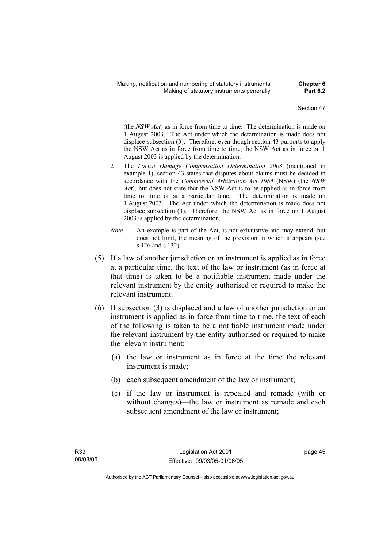(the *NSW Act*) as in force from time to time. The determination is made on 1 August 2003. The Act under which the determination is made does not displace subsection (3). Therefore, even though section 43 purports to apply the NSW Act as in force from time to time, the NSW Act as in force on 1 August 2003 is applied by the determination.

- 2 The *Locust Damage Compensation Determination 2003* (mentioned in example 1), section 43 states that disputes about claims must be decided in accordance with the *Commercial Arbitration Act 1984* (NSW) (the *NSW Act*), but does not state that the NSW Act is to be applied as in force from time to time or at a particular time. The determination is made on 1 August 2003. The Act under which the determination is made does not displace subsection (3). Therefore, the NSW Act as in force on 1 August 2003 is applied by the determination.
- *Note* An example is part of the Act, is not exhaustive and may extend, but does not limit, the meaning of the provision in which it appears (see s 126 and s 132).
- (5) If a law of another jurisdiction or an instrument is applied as in force at a particular time, the text of the law or instrument (as in force at that time) is taken to be a notifiable instrument made under the relevant instrument by the entity authorised or required to make the relevant instrument.
- (6) If subsection (3) is displaced and a law of another jurisdiction or an instrument is applied as in force from time to time, the text of each of the following is taken to be a notifiable instrument made under the relevant instrument by the entity authorised or required to make the relevant instrument:
	- (a) the law or instrument as in force at the time the relevant instrument is made;
	- (b) each subsequent amendment of the law or instrument;
	- (c) if the law or instrument is repealed and remade (with or without changes)—the law or instrument as remade and each subsequent amendment of the law or instrument;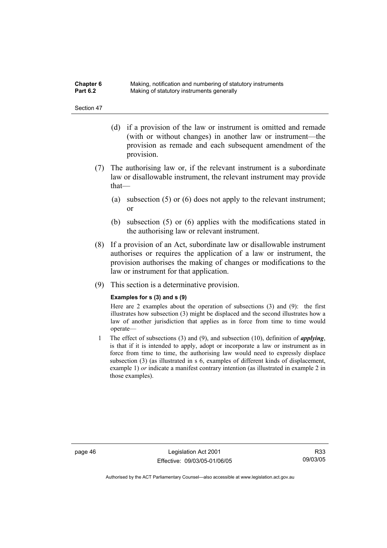| <b>Chapter 6</b> | Making, notification and numbering of statutory instruments |
|------------------|-------------------------------------------------------------|
| <b>Part 6.2</b>  | Making of statutory instruments generally                   |

- (d) if a provision of the law or instrument is omitted and remade (with or without changes) in another law or instrument—the provision as remade and each subsequent amendment of the provision.
- (7) The authorising law or, if the relevant instrument is a subordinate law or disallowable instrument, the relevant instrument may provide that—
	- (a) subsection (5) or (6) does not apply to the relevant instrument; or
	- (b) subsection (5) or (6) applies with the modifications stated in the authorising law or relevant instrument.
- (8) If a provision of an Act, subordinate law or disallowable instrument authorises or requires the application of a law or instrument, the provision authorises the making of changes or modifications to the law or instrument for that application.
- (9) This section is a determinative provision.

#### **Examples for s (3) and s (9)**

Here are 2 examples about the operation of subsections (3) and (9): the first illustrates how subsection (3) might be displaced and the second illustrates how a law of another jurisdiction that applies as in force from time to time would operate—

1 The effect of subsections (3) and (9), and subsection (10), definition of *applying*, is that if it is intended to apply, adopt or incorporate a law or instrument as in force from time to time, the authorising law would need to expressly displace subsection (3) (as illustrated in s 6, examples of different kinds of displacement, example 1) *or* indicate a manifest contrary intention (as illustrated in example 2 in those examples).

page 46 Legislation Act 2001 Effective: 09/03/05-01/06/05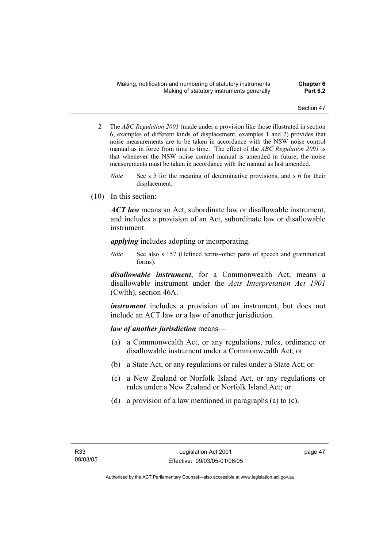- 2 The *ABC Regulation 2001* (made under a provision like those illustrated in section 6, examples of different kinds of displacement, examples 1 and 2) provides that noise measurements are to be taken in accordance with the NSW noise control manual as in force from time to time. The effect of the *ABC Regulation 2001* is that whenever the NSW noise control manual is amended in future, the noise measurements must be taken in accordance with the manual as last amended.
	- *Note* See s 5 for the meaning of determinative provisions, and s 6 for their displacement.
- (10) In this section:

*ACT law* means an Act, subordinate law or disallowable instrument, and includes a provision of an Act, subordinate law or disallowable instrument.

*applying* includes adopting or incorporating.

*Note* See also s 157 (Defined terms–other parts of speech and grammatical forms).

*disallowable instrument*, for a Commonwealth Act, means a disallowable instrument under the *Acts Interpretation Act 1901* (Cwlth), section 46A.

*instrument* includes a provision of an instrument, but does not include an ACT law or a law of another jurisdiction.

## *law of another jurisdiction* means—

- (a) a Commonwealth Act, or any regulations, rules, ordinance or disallowable instrument under a Commonwealth Act; or
- (b) a State Act, or any regulations or rules under a State Act; or
- (c) a New Zealand or Norfolk Island Act, or any regulations or rules under a New Zealand or Norfolk Island Act; or
- (d) a provision of a law mentioned in paragraphs (a) to (c).

page 47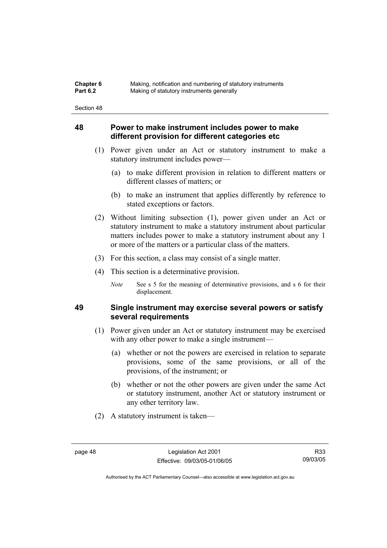| Chapter 6       | Making, notification and numbering of statutory instruments |
|-----------------|-------------------------------------------------------------|
| <b>Part 6.2</b> | Making of statutory instruments generally                   |

## **48 Power to make instrument includes power to make different provision for different categories etc**

- (1) Power given under an Act or statutory instrument to make a statutory instrument includes power—
	- (a) to make different provision in relation to different matters or different classes of matters; or
	- (b) to make an instrument that applies differently by reference to stated exceptions or factors.
- (2) Without limiting subsection (1), power given under an Act or statutory instrument to make a statutory instrument about particular matters includes power to make a statutory instrument about any 1 or more of the matters or a particular class of the matters.
- (3) For this section, a class may consist of a single matter.
- (4) This section is a determinative provision.
	- *Note* See s 5 for the meaning of determinative provisions, and s 6 for their displacement.

## **49 Single instrument may exercise several powers or satisfy several requirements**

- (1) Power given under an Act or statutory instrument may be exercised with any other power to make a single instrument—
	- (a) whether or not the powers are exercised in relation to separate provisions, some of the same provisions, or all of the provisions, of the instrument; or
	- (b) whether or not the other powers are given under the same Act or statutory instrument, another Act or statutory instrument or any other territory law.
- (2) A statutory instrument is taken—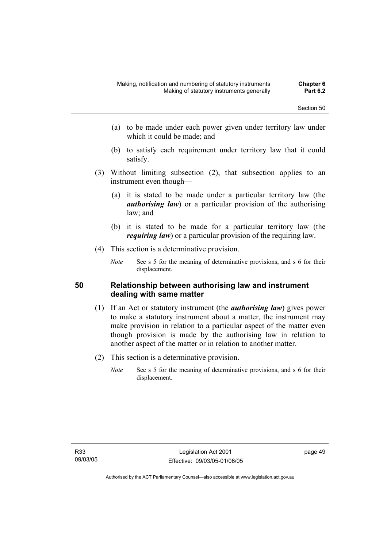- (a) to be made under each power given under territory law under which it could be made; and
- (b) to satisfy each requirement under territory law that it could satisfy.
- (3) Without limiting subsection (2), that subsection applies to an instrument even though—
	- (a) it is stated to be made under a particular territory law (the *authorising law*) or a particular provision of the authorising law; and
	- (b) it is stated to be made for a particular territory law (the *requiring law*) or a particular provision of the requiring law.
- (4) This section is a determinative provision.
	- *Note* See s 5 for the meaning of determinative provisions, and s 6 for their displacement.

## **50 Relationship between authorising law and instrument dealing with same matter**

- (1) If an Act or statutory instrument (the *authorising law*) gives power to make a statutory instrument about a matter, the instrument may make provision in relation to a particular aspect of the matter even though provision is made by the authorising law in relation to another aspect of the matter or in relation to another matter.
- (2) This section is a determinative provision.
	- *Note* See s 5 for the meaning of determinative provisions, and s 6 for their displacement.

page 49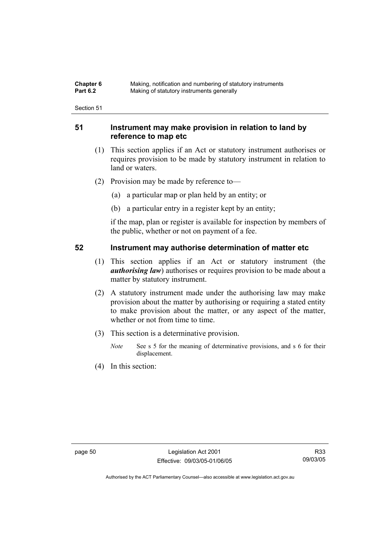| <b>Chapter 6</b> | Making, notification and numbering of statutory instruments |
|------------------|-------------------------------------------------------------|
| <b>Part 6.2</b>  | Making of statutory instruments generally                   |

## **51 Instrument may make provision in relation to land by reference to map etc**

- (1) This section applies if an Act or statutory instrument authorises or requires provision to be made by statutory instrument in relation to land or waters.
- (2) Provision may be made by reference to—
	- (a) a particular map or plan held by an entity; or
	- (b) a particular entry in a register kept by an entity;

if the map, plan or register is available for inspection by members of the public, whether or not on payment of a fee.

## **52 Instrument may authorise determination of matter etc**

- (1) This section applies if an Act or statutory instrument (the *authorising law*) authorises or requires provision to be made about a matter by statutory instrument.
- (2) A statutory instrument made under the authorising law may make provision about the matter by authorising or requiring a stated entity to make provision about the matter, or any aspect of the matter, whether or not from time to time.
- (3) This section is a determinative provision.
	- *Note* See s 5 for the meaning of determinative provisions, and s 6 for their displacement.
- (4) In this section: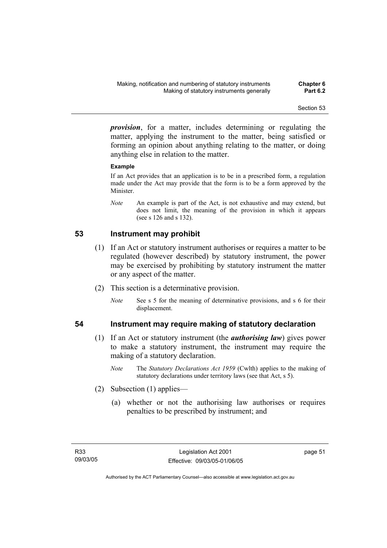*provision*, for a matter, includes determining or regulating the matter, applying the instrument to the matter, being satisfied or forming an opinion about anything relating to the matter, or doing anything else in relation to the matter.

## **Example**

If an Act provides that an application is to be in a prescribed form, a regulation made under the Act may provide that the form is to be a form approved by the Minister.

*Note* An example is part of the Act, is not exhaustive and may extend, but does not limit, the meaning of the provision in which it appears (see s 126 and s 132).

## **53 Instrument may prohibit**

- (1) If an Act or statutory instrument authorises or requires a matter to be regulated (however described) by statutory instrument, the power may be exercised by prohibiting by statutory instrument the matter or any aspect of the matter.
- (2) This section is a determinative provision.
	- *Note* See s 5 for the meaning of determinative provisions, and s 6 for their displacement.

## **54 Instrument may require making of statutory declaration**

- (1) If an Act or statutory instrument (the *authorising law*) gives power to make a statutory instrument, the instrument may require the making of a statutory declaration.
	- *Note* The *Statutory Declarations Act 1959* (Cwlth) applies to the making of statutory declarations under territory laws (see that Act, s 5).
- (2) Subsection (1) applies—
	- (a) whether or not the authorising law authorises or requires penalties to be prescribed by instrument; and

page 51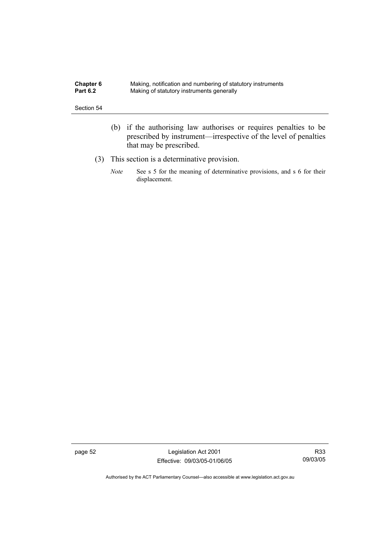| <b>Chapter 6</b> | Making, notification and numbering of statutory instruments |
|------------------|-------------------------------------------------------------|
| <b>Part 6.2</b>  | Making of statutory instruments generally                   |

- (b) if the authorising law authorises or requires penalties to be prescribed by instrument—irrespective of the level of penalties that may be prescribed.
- (3) This section is a determinative provision.
	- *Note* See s 5 for the meaning of determinative provisions, and s 6 for their displacement.

page 52 Legislation Act 2001 Effective: 09/03/05-01/06/05

R33 09/03/05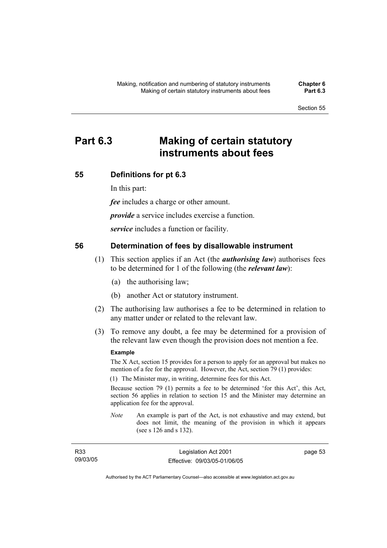# **Part 6.3 Making of certain statutory instruments about fees**

## **55 Definitions for pt 6.3**

In this part:

*fee* includes a charge or other amount.

*provide* a service includes exercise a function.

*service* includes a function or facility.

## **56 Determination of fees by disallowable instrument**

- (1) This section applies if an Act (the *authorising law*) authorises fees to be determined for 1 of the following (the *relevant law*):
	- (a) the authorising law;
	- (b) another Act or statutory instrument.
- (2) The authorising law authorises a fee to be determined in relation to any matter under or related to the relevant law.
- (3) To remove any doubt, a fee may be determined for a provision of the relevant law even though the provision does not mention a fee.

#### **Example**

The X Act, section 15 provides for a person to apply for an approval but makes no mention of a fee for the approval. However, the Act, section 79 (1) provides:

(1) The Minister may, in writing, determine fees for this Act.

Because section 79 (1) permits a fee to be determined 'for this Act', this Act, section 56 applies in relation to section 15 and the Minister may determine an application fee for the approval.

*Note* An example is part of the Act, is not exhaustive and may extend, but does not limit, the meaning of the provision in which it appears (see s 126 and s 132).

| R33      | Legislation Act 2001         | page 53 |
|----------|------------------------------|---------|
| 09/03/05 | Effective: 09/03/05-01/06/05 |         |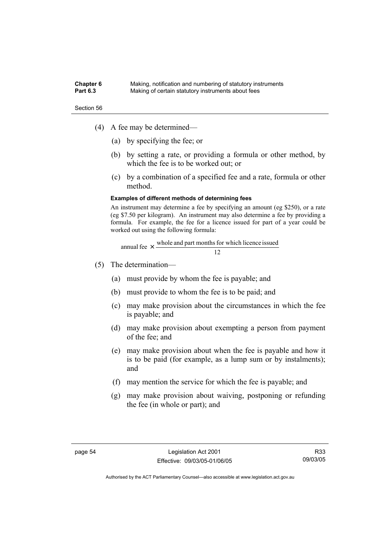#### **Chapter 6** Making, notification and numbering of statutory instruments<br>**Part 6.3** Making of certain statutory instruments about fees Making of certain statutory instruments about fees

Section 56

- (4) A fee may be determined—
	- (a) by specifying the fee; or
	- (b) by setting a rate, or providing a formula or other method, by which the fee is to be worked out; or
	- (c) by a combination of a specified fee and a rate, formula or other method.

#### **Examples of different methods of determining fees**

An instrument may determine a fee by specifying an amount (eg \$250), or a rate (eg \$7.50 per kilogram). An instrument may also determine a fee by providing a formula. For example, the fee for a licence issued for part of a year could be worked out using the following formula:

annual fee 
$$
\times
$$
  $\frac{\text{whole and part months for which licence issued}}{12}$ 

- (5) The determination—
	- (a) must provide by whom the fee is payable; and
	- (b) must provide to whom the fee is to be paid; and
	- (c) may make provision about the circumstances in which the fee is payable; and
	- (d) may make provision about exempting a person from payment of the fee; and
	- (e) may make provision about when the fee is payable and how it is to be paid (for example, as a lump sum or by instalments); and
	- (f) may mention the service for which the fee is payable; and
	- (g) may make provision about waiving, postponing or refunding the fee (in whole or part); and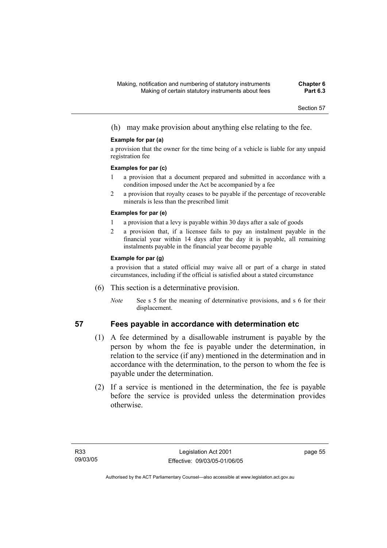(h) may make provision about anything else relating to the fee.

### **Example for par (a)**

a provision that the owner for the time being of a vehicle is liable for any unpaid registration fee

#### **Examples for par (c)**

- 1 a provision that a document prepared and submitted in accordance with a condition imposed under the Act be accompanied by a fee
- 2 a provision that royalty ceases to be payable if the percentage of recoverable minerals is less than the prescribed limit

### **Examples for par (e)**

- 1 a provision that a levy is payable within 30 days after a sale of goods
- 2 a provision that, if a licensee fails to pay an instalment payable in the financial year within 14 days after the day it is payable, all remaining instalments payable in the financial year become payable

### **Example for par (g)**

a provision that a stated official may waive all or part of a charge in stated circumstances, including if the official is satisfied about a stated circumstance

- (6) This section is a determinative provision.
	- *Note* See s 5 for the meaning of determinative provisions, and s 6 for their displacement.

# **57 Fees payable in accordance with determination etc**

- (1) A fee determined by a disallowable instrument is payable by the person by whom the fee is payable under the determination, in relation to the service (if any) mentioned in the determination and in accordance with the determination, to the person to whom the fee is payable under the determination.
- (2) If a service is mentioned in the determination, the fee is payable before the service is provided unless the determination provides otherwise.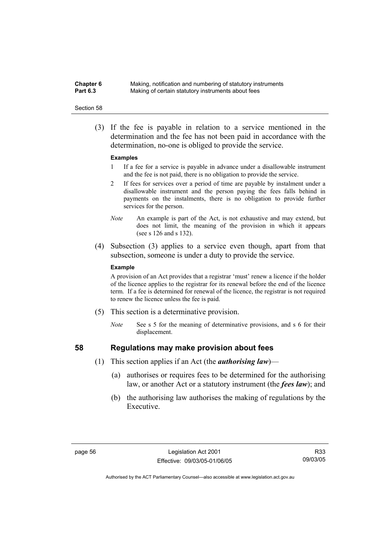**Chapter 6** Making, notification and numbering of statutory instruments<br>**Part 6.3** Making of certain statutory instruments about fees Making of certain statutory instruments about fees

#### Section 58

 (3) If the fee is payable in relation to a service mentioned in the determination and the fee has not been paid in accordance with the determination, no-one is obliged to provide the service.

#### **Examples**

- 1 If a fee for a service is payable in advance under a disallowable instrument and the fee is not paid, there is no obligation to provide the service.
- 2 If fees for services over a period of time are payable by instalment under a disallowable instrument and the person paying the fees falls behind in payments on the instalments, there is no obligation to provide further services for the person.
- *Note* An example is part of the Act, is not exhaustive and may extend, but does not limit, the meaning of the provision in which it appears (see s 126 and s 132).
- (4) Subsection (3) applies to a service even though, apart from that subsection, someone is under a duty to provide the service.

#### **Example**

A provision of an Act provides that a registrar 'must' renew a licence if the holder of the licence applies to the registrar for its renewal before the end of the licence term. If a fee is determined for renewal of the licence, the registrar is not required to renew the licence unless the fee is paid.

- (5) This section is a determinative provision.
	- *Note* See s 5 for the meaning of determinative provisions, and s 6 for their displacement.

- **58 Regulations may make provision about fees** 
	- (1) This section applies if an Act (the *authorising law*)—
		- (a) authorises or requires fees to be determined for the authorising law, or another Act or a statutory instrument (the *fees law*); and
		- (b) the authorising law authorises the making of regulations by the Executive.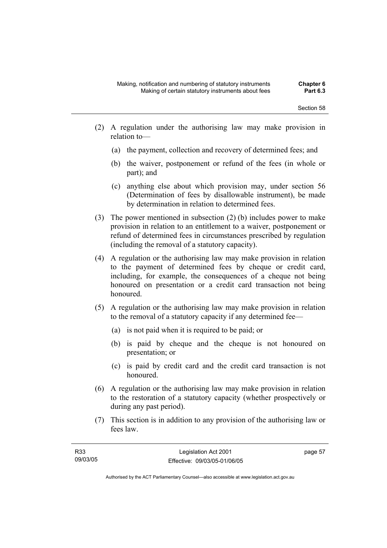- (2) A regulation under the authorising law may make provision in relation to—
	- (a) the payment, collection and recovery of determined fees; and
	- (b) the waiver, postponement or refund of the fees (in whole or part); and
	- (c) anything else about which provision may, under section 56 (Determination of fees by disallowable instrument), be made by determination in relation to determined fees.
- (3) The power mentioned in subsection (2) (b) includes power to make provision in relation to an entitlement to a waiver, postponement or refund of determined fees in circumstances prescribed by regulation (including the removal of a statutory capacity).
- (4) A regulation or the authorising law may make provision in relation to the payment of determined fees by cheque or credit card, including, for example, the consequences of a cheque not being honoured on presentation or a credit card transaction not being honoured.
- (5) A regulation or the authorising law may make provision in relation to the removal of a statutory capacity if any determined fee—
	- (a) is not paid when it is required to be paid; or
	- (b) is paid by cheque and the cheque is not honoured on presentation; or
	- (c) is paid by credit card and the credit card transaction is not honoured.
- (6) A regulation or the authorising law may make provision in relation to the restoration of a statutory capacity (whether prospectively or during any past period).
- (7) This section is in addition to any provision of the authorising law or fees law.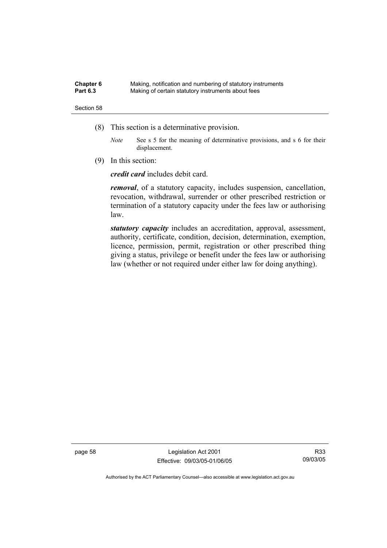| Chapter 6       | Making, notification and numbering of statutory instruments |
|-----------------|-------------------------------------------------------------|
| <b>Part 6.3</b> | Making of certain statutory instruments about fees          |

- (8) This section is a determinative provision.
	- *Note* See s 5 for the meaning of determinative provisions, and s 6 for their displacement.
- (9) In this section:

*credit card* includes debit card.

*removal*, of a statutory capacity, includes suspension, cancellation, revocation, withdrawal, surrender or other prescribed restriction or termination of a statutory capacity under the fees law or authorising law.

*statutory capacity* includes an accreditation, approval, assessment, authority, certificate, condition, decision, determination, exemption, licence, permission, permit, registration or other prescribed thing giving a status, privilege or benefit under the fees law or authorising law (whether or not required under either law for doing anything).

page 58 Legislation Act 2001 Effective: 09/03/05-01/06/05

R33 09/03/05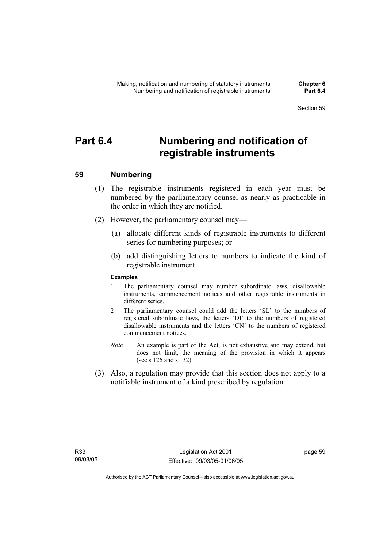# **Part 6.4 Numbering and notification of registrable instruments**

#### **59 Numbering**

- (1) The registrable instruments registered in each year must be numbered by the parliamentary counsel as nearly as practicable in the order in which they are notified.
- (2) However, the parliamentary counsel may—
	- (a) allocate different kinds of registrable instruments to different series for numbering purposes; or
	- (b) add distinguishing letters to numbers to indicate the kind of registrable instrument.

#### **Examples**

- 1 The parliamentary counsel may number subordinate laws, disallowable instruments, commencement notices and other registrable instruments in different series.
- 2 The parliamentary counsel could add the letters 'SL' to the numbers of registered subordinate laws, the letters 'DI' to the numbers of registered disallowable instruments and the letters 'CN' to the numbers of registered commencement notices.
- *Note* An example is part of the Act, is not exhaustive and may extend, but does not limit, the meaning of the provision in which it appears (see s 126 and s 132).
- (3) Also, a regulation may provide that this section does not apply to a notifiable instrument of a kind prescribed by regulation.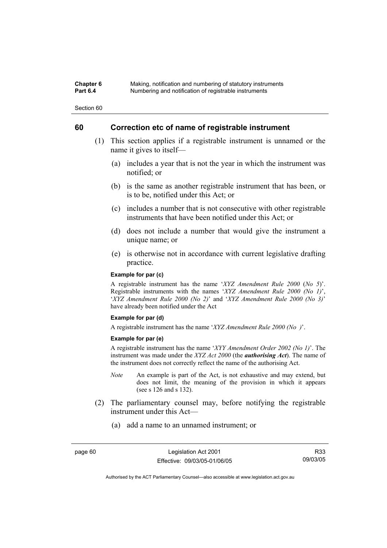#### **Chapter 6** Making, notification and numbering of statutory instruments<br>**Part 6.4** Mumbering and notification of registrable instruments **Part 6.4** Numbering and notification of registrable instruments

Section 60

#### **60 Correction etc of name of registrable instrument**

- (1) This section applies if a registrable instrument is unnamed or the name it gives to itself—
	- (a) includes a year that is not the year in which the instrument was notified; or
	- (b) is the same as another registrable instrument that has been, or is to be, notified under this Act; or
	- (c) includes a number that is not consecutive with other registrable instruments that have been notified under this Act; or
	- (d) does not include a number that would give the instrument a unique name; or
	- (e) is otherwise not in accordance with current legislative drafting practice.

#### **Example for par (c)**

A registrable instrument has the name '*XYZ Amendment Rule 2000* (*No 5*)'. Registrable instruments with the names '*XYZ Amendment Rule 2000 (No 1)*', '*XYZ Amendment Rule 2000 (No 2)*' and '*XYZ Amendment Rule 2000 (No 3)*' have already been notified under the Act

#### **Example for par (d)**

A registrable instrument has the name '*XYZ Amendment Rule 2000 (No )*'.

#### **Example for par (e)**

A registrable instrument has the name '*XYY Amendment Order 2002 (No 1)*'. The instrument was made under the *XYZ Act 2000* (the *authorising Act*). The name of the instrument does not correctly reflect the name of the authorising Act.

- *Note* An example is part of the Act, is not exhaustive and may extend, but does not limit, the meaning of the provision in which it appears (see s 126 and s 132).
- (2) The parliamentary counsel may, before notifying the registrable instrument under this Act—
	- (a) add a name to an unnamed instrument; or

R33 09/03/05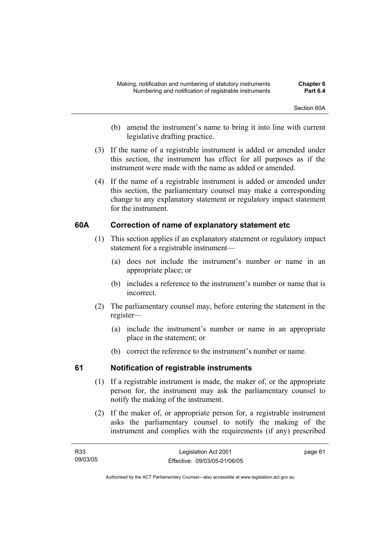- (b) amend the instrument's name to bring it into line with current legislative drafting practice.
- (3) If the name of a registrable instrument is added or amended under this section, the instrument has effect for all purposes as if the instrument were made with the name as added or amended.
- (4) If the name of a registrable instrument is added or amended under this section, the parliamentary counsel may make a corresponding change to any explanatory statement or regulatory impact statement for the instrument.

### **60A Correction of name of explanatory statement etc**

- (1) This section applies if an explanatory statement or regulatory impact statement for a registrable instrument—
	- (a) does not include the instrument's number or name in an appropriate place; or
	- (b) includes a reference to the instrument's number or name that is incorrect.
- (2) The parliamentary counsel may, before entering the statement in the register—
	- (a) include the instrument's number or name in an appropriate place in the statement; or
	- (b) correct the reference to the instrument's number or name.

### **61 Notification of registrable instruments**

- (1) If a registrable instrument is made, the maker of, or the appropriate person for, the instrument may ask the parliamentary counsel to notify the making of the instrument.
- (2) If the maker of, or appropriate person for, a registrable instrument asks the parliamentary counsel to notify the making of the instrument and complies with the requirements (if any) prescribed

| R <sub>33</sub> | Legislation Act 2001         | page 61 |
|-----------------|------------------------------|---------|
| 09/03/05        | Effective: 09/03/05-01/06/05 |         |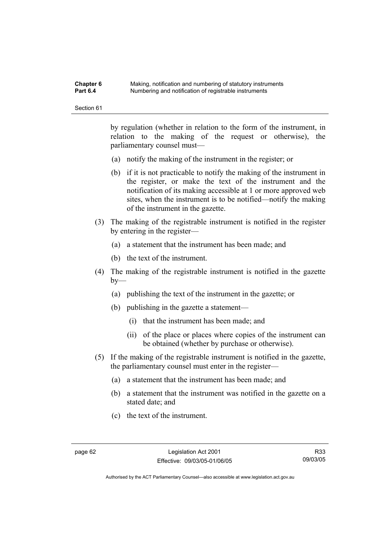| Chapter 6       | Making, notification and numbering of statutory instruments |
|-----------------|-------------------------------------------------------------|
| <b>Part 6.4</b> | Numbering and notification of registrable instruments       |

by regulation (whether in relation to the form of the instrument, in relation to the making of the request or otherwise), the parliamentary counsel must—

- (a) notify the making of the instrument in the register; or
- (b) if it is not practicable to notify the making of the instrument in the register, or make the text of the instrument and the notification of its making accessible at 1 or more approved web sites, when the instrument is to be notified—notify the making of the instrument in the gazette.
- (3) The making of the registrable instrument is notified in the register by entering in the register—
	- (a) a statement that the instrument has been made; and
	- (b) the text of the instrument.
- (4) The making of the registrable instrument is notified in the gazette  $by-$ 
	- (a) publishing the text of the instrument in the gazette; or
	- (b) publishing in the gazette a statement—
		- (i) that the instrument has been made; and
		- (ii) of the place or places where copies of the instrument can be obtained (whether by purchase or otherwise).
- (5) If the making of the registrable instrument is notified in the gazette, the parliamentary counsel must enter in the register—
	- (a) a statement that the instrument has been made; and
	- (b) a statement that the instrument was notified in the gazette on a stated date; and
	- (c) the text of the instrument.

R33 09/03/05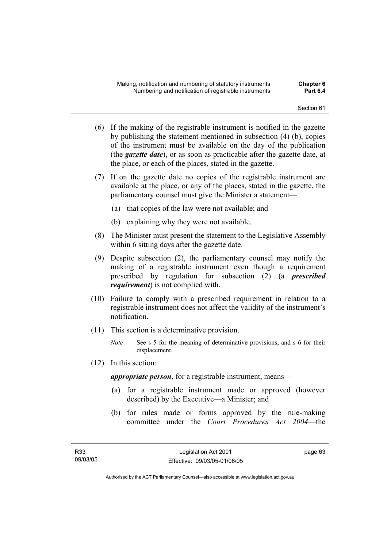- (6) If the making of the registrable instrument is notified in the gazette by publishing the statement mentioned in subsection (4) (b), copies of the instrument must be available on the day of the publication (the *gazette date*), or as soon as practicable after the gazette date, at the place, or each of the places, stated in the gazette.
- (7) If on the gazette date no copies of the registrable instrument are available at the place, or any of the places, stated in the gazette, the parliamentary counsel must give the Minister a statement—
	- (a) that copies of the law were not available; and
	- (b) explaining why they were not available.
- (8) The Minister must present the statement to the Legislative Assembly within 6 sitting days after the gazette date.
- (9) Despite subsection (2), the parliamentary counsel may notify the making of a registrable instrument even though a requirement prescribed by regulation for subsection (2) (a *prescribed requirement*) is not complied with.
- (10) Failure to comply with a prescribed requirement in relation to a registrable instrument does not affect the validity of the instrument's notification.
- (11) This section is a determinative provision.
	- *Note* See s 5 for the meaning of determinative provisions, and s 6 for their displacement.
- (12) In this section:

*appropriate person*, for a registrable instrument, means—

- (a) for a registrable instrument made or approved (however described) by the Executive—a Minister; and
- (b) for rules made or forms approved by the rule-making committee under the *Court Procedures Act 2004*—the

page 63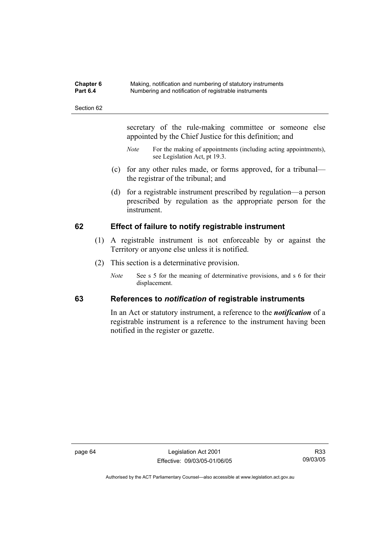| <b>Chapter 6</b> | Making, notification and numbering of statutory instruments |
|------------------|-------------------------------------------------------------|
| <b>Part 6.4</b>  | Numbering and notification of registrable instruments       |

secretary of the rule-making committee or someone else appointed by the Chief Justice for this definition; and

- *Note* For the making of appointments (including acting appointments), see Legislation Act, pt 19.3.
- (c) for any other rules made, or forms approved, for a tribunal the registrar of the tribunal; and
- (d) for a registrable instrument prescribed by regulation—a person prescribed by regulation as the appropriate person for the instrument.

### **62 Effect of failure to notify registrable instrument**

- (1) A registrable instrument is not enforceable by or against the Territory or anyone else unless it is notified.
- (2) This section is a determinative provision.
	- *Note* See s 5 for the meaning of determinative provisions, and s 6 for their displacement.

#### **63 References to** *notification* **of registrable instruments**

In an Act or statutory instrument, a reference to the *notification* of a registrable instrument is a reference to the instrument having been notified in the register or gazette.

page 64 Legislation Act 2001 Effective: 09/03/05-01/06/05

R33 09/03/05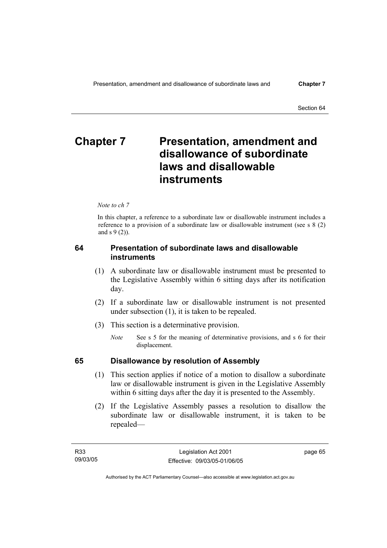# **Chapter 7** Presentation, amendment and **disallowance of subordinate laws and disallowable instruments**

*Note to ch 7* 

In this chapter, a reference to a subordinate law or disallowable instrument includes a reference to a provision of a subordinate law or disallowable instrument (see s 8 (2) and s 9 (2)).

#### **64 Presentation of subordinate laws and disallowable instruments**

- (1) A subordinate law or disallowable instrument must be presented to the Legislative Assembly within 6 sitting days after its notification day.
- (2) If a subordinate law or disallowable instrument is not presented under subsection (1), it is taken to be repealed.
- (3) This section is a determinative provision.
	- *Note* See s 5 for the meaning of determinative provisions, and s 6 for their displacement.

#### **65 Disallowance by resolution of Assembly**

- (1) This section applies if notice of a motion to disallow a subordinate law or disallowable instrument is given in the Legislative Assembly within 6 sitting days after the day it is presented to the Assembly.
- (2) If the Legislative Assembly passes a resolution to disallow the subordinate law or disallowable instrument, it is taken to be repealed—

page 65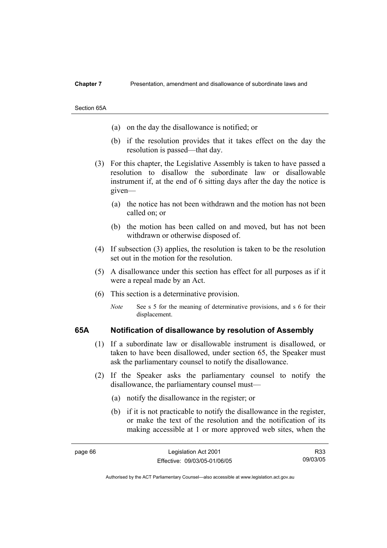#### **Chapter 7** Presentation, amendment and disallowance of subordinate laws and

Section 65A

- (a) on the day the disallowance is notified; or
- (b) if the resolution provides that it takes effect on the day the resolution is passed—that day.
- (3) For this chapter, the Legislative Assembly is taken to have passed a resolution to disallow the subordinate law or disallowable instrument if, at the end of 6 sitting days after the day the notice is given—
	- (a) the notice has not been withdrawn and the motion has not been called on; or
	- (b) the motion has been called on and moved, but has not been withdrawn or otherwise disposed of.
- (4) If subsection (3) applies, the resolution is taken to be the resolution set out in the motion for the resolution.
- (5) A disallowance under this section has effect for all purposes as if it were a repeal made by an Act.
- (6) This section is a determinative provision.
	- *Note* See s 5 for the meaning of determinative provisions, and s 6 for their displacement.

#### **65A Notification of disallowance by resolution of Assembly**

- (1) If a subordinate law or disallowable instrument is disallowed, or taken to have been disallowed, under section 65, the Speaker must ask the parliamentary counsel to notify the disallowance.
- (2) If the Speaker asks the parliamentary counsel to notify the disallowance, the parliamentary counsel must—
	- (a) notify the disallowance in the register; or
	- (b) if it is not practicable to notify the disallowance in the register, or make the text of the resolution and the notification of its making accessible at 1 or more approved web sites, when the

R33 09/03/05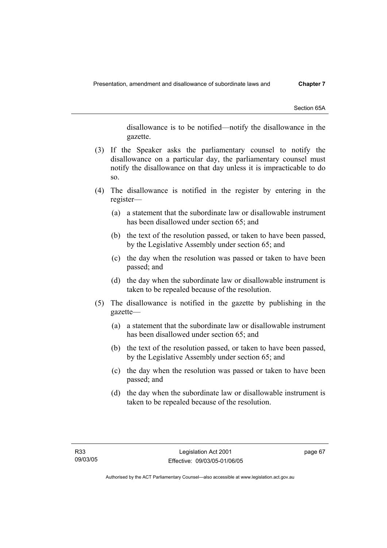Section 65A

disallowance is to be notified—notify the disallowance in the gazette.

- (3) If the Speaker asks the parliamentary counsel to notify the disallowance on a particular day, the parliamentary counsel must notify the disallowance on that day unless it is impracticable to do so.
- (4) The disallowance is notified in the register by entering in the register—
	- (a) a statement that the subordinate law or disallowable instrument has been disallowed under section 65; and
	- (b) the text of the resolution passed, or taken to have been passed, by the Legislative Assembly under section 65; and
	- (c) the day when the resolution was passed or taken to have been passed; and
	- (d) the day when the subordinate law or disallowable instrument is taken to be repealed because of the resolution.
- (5) The disallowance is notified in the gazette by publishing in the gazette—
	- (a) a statement that the subordinate law or disallowable instrument has been disallowed under section 65; and
	- (b) the text of the resolution passed, or taken to have been passed, by the Legislative Assembly under section 65; and
	- (c) the day when the resolution was passed or taken to have been passed; and
	- (d) the day when the subordinate law or disallowable instrument is taken to be repealed because of the resolution.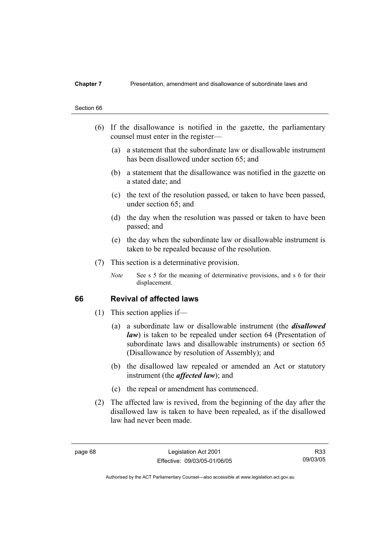#### **Chapter 7** Presentation, amendment and disallowance of subordinate laws and

#### Section 66

- (6) If the disallowance is notified in the gazette, the parliamentary counsel must enter in the register—
	- (a) a statement that the subordinate law or disallowable instrument has been disallowed under section 65; and
	- (b) a statement that the disallowance was notified in the gazette on a stated date; and
	- (c) the text of the resolution passed, or taken to have been passed, under section 65; and
	- (d) the day when the resolution was passed or taken to have been passed; and
	- (e) the day when the subordinate law or disallowable instrument is taken to be repealed because of the resolution.
- (7) This section is a determinative provision.
	- *Note* See s 5 for the meaning of determinative provisions, and s 6 for their displacement.

#### **66 Revival of affected laws**

- (1) This section applies if—
	- (a) a subordinate law or disallowable instrument (the *disallowed law*) is taken to be repealed under section 64 (Presentation of subordinate laws and disallowable instruments) or section 65 (Disallowance by resolution of Assembly); and
	- (b) the disallowed law repealed or amended an Act or statutory instrument (the *affected law*); and
	- (c) the repeal or amendment has commenced.
- (2) The affected law is revived, from the beginning of the day after the disallowed law is taken to have been repealed, as if the disallowed law had never been made.

R33 09/03/05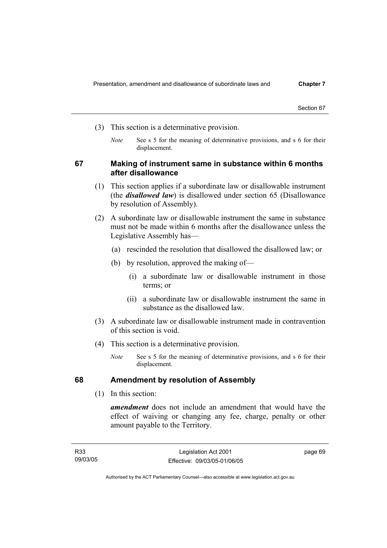- (3) This section is a determinative provision.
	- *Note* See s 5 for the meaning of determinative provisions, and s 6 for their displacement.

#### **67 Making of instrument same in substance within 6 months after disallowance**

- (1) This section applies if a subordinate law or disallowable instrument (the *disallowed law*) is disallowed under section 65 (Disallowance by resolution of Assembly).
- (2) A subordinate law or disallowable instrument the same in substance must not be made within 6 months after the disallowance unless the Legislative Assembly has—
	- (a) rescinded the resolution that disallowed the disallowed law; or
	- (b) by resolution, approved the making of—
		- (i) a subordinate law or disallowable instrument in those terms; or
		- (ii) a subordinate law or disallowable instrument the same in substance as the disallowed law.
- (3) A subordinate law or disallowable instrument made in contravention of this section is void.
- (4) This section is a determinative provision.
	- *Note* See s 5 for the meaning of determinative provisions, and s 6 for their displacement.

#### **68 Amendment by resolution of Assembly**

(1) In this section:

*amendment* does not include an amendment that would have the effect of waiving or changing any fee, charge, penalty or other amount payable to the Territory.

page 69

Authorised by the ACT Parliamentary Counsel—also accessible at www.legislation.act.gov.au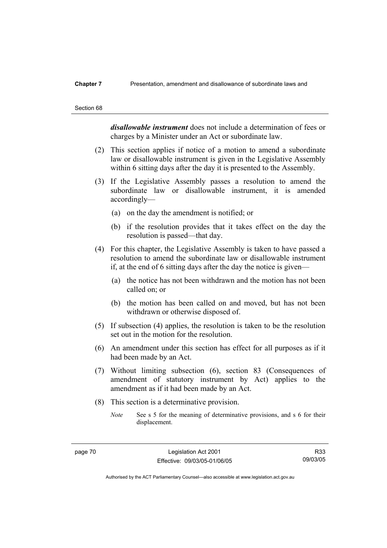#### **Chapter 7** Presentation, amendment and disallowance of subordinate laws and

#### Section 68

*disallowable instrument* does not include a determination of fees or charges by a Minister under an Act or subordinate law.

- (2) This section applies if notice of a motion to amend a subordinate law or disallowable instrument is given in the Legislative Assembly within 6 sitting days after the day it is presented to the Assembly.
- (3) If the Legislative Assembly passes a resolution to amend the subordinate law or disallowable instrument, it is amended accordingly—
	- (a) on the day the amendment is notified; or
	- (b) if the resolution provides that it takes effect on the day the resolution is passed—that day.
- (4) For this chapter, the Legislative Assembly is taken to have passed a resolution to amend the subordinate law or disallowable instrument if, at the end of 6 sitting days after the day the notice is given—
	- (a) the notice has not been withdrawn and the motion has not been called on; or
	- (b) the motion has been called on and moved, but has not been withdrawn or otherwise disposed of.
- (5) If subsection (4) applies, the resolution is taken to be the resolution set out in the motion for the resolution.
- (6) An amendment under this section has effect for all purposes as if it had been made by an Act.
- (7) Without limiting subsection (6), section 83 (Consequences of amendment of statutory instrument by Act) applies to the amendment as if it had been made by an Act.
- (8) This section is a determinative provision.
	- *Note* See s 5 for the meaning of determinative provisions, and s 6 for their displacement.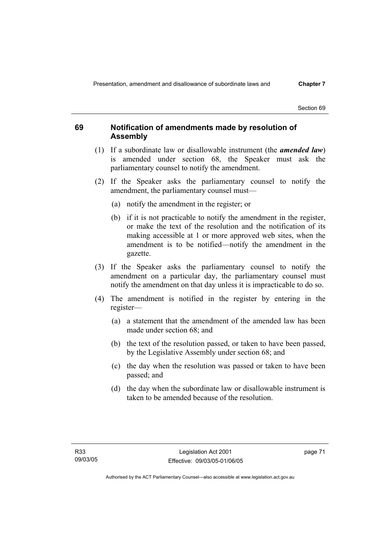### **69 Notification of amendments made by resolution of Assembly**

- (1) If a subordinate law or disallowable instrument (the *amended law*) is amended under section 68, the Speaker must ask the parliamentary counsel to notify the amendment.
- (2) If the Speaker asks the parliamentary counsel to notify the amendment, the parliamentary counsel must—
	- (a) notify the amendment in the register; or
	- (b) if it is not practicable to notify the amendment in the register, or make the text of the resolution and the notification of its making accessible at 1 or more approved web sites, when the amendment is to be notified—notify the amendment in the gazette.
- (3) If the Speaker asks the parliamentary counsel to notify the amendment on a particular day, the parliamentary counsel must notify the amendment on that day unless it is impracticable to do so.
- (4) The amendment is notified in the register by entering in the register—
	- (a) a statement that the amendment of the amended law has been made under section 68; and
	- (b) the text of the resolution passed, or taken to have been passed, by the Legislative Assembly under section 68; and
	- (c) the day when the resolution was passed or taken to have been passed; and
	- (d) the day when the subordinate law or disallowable instrument is taken to be amended because of the resolution.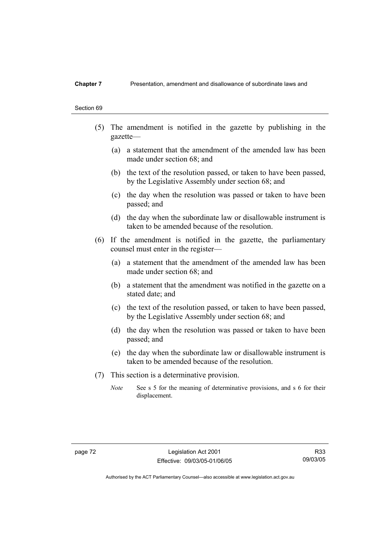#### **Chapter 7** Presentation, amendment and disallowance of subordinate laws and

#### Section 69

- (5) The amendment is notified in the gazette by publishing in the gazette—
	- (a) a statement that the amendment of the amended law has been made under section 68; and
	- (b) the text of the resolution passed, or taken to have been passed, by the Legislative Assembly under section 68; and
	- (c) the day when the resolution was passed or taken to have been passed; and
	- (d) the day when the subordinate law or disallowable instrument is taken to be amended because of the resolution.
- (6) If the amendment is notified in the gazette, the parliamentary counsel must enter in the register—
	- (a) a statement that the amendment of the amended law has been made under section 68; and
	- (b) a statement that the amendment was notified in the gazette on a stated date; and
	- (c) the text of the resolution passed, or taken to have been passed, by the Legislative Assembly under section 68; and
	- (d) the day when the resolution was passed or taken to have been passed; and
	- (e) the day when the subordinate law or disallowable instrument is taken to be amended because of the resolution.
- (7) This section is a determinative provision.
	- *Note* See s 5 for the meaning of determinative provisions, and s 6 for their displacement.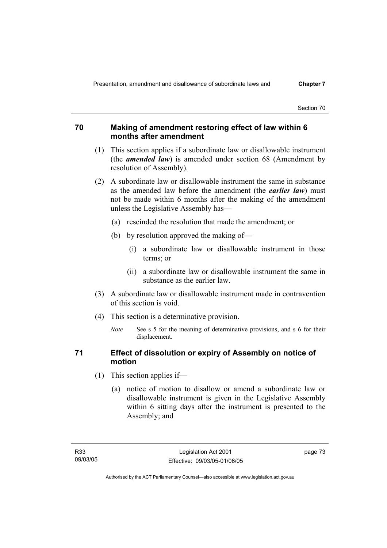#### **70 Making of amendment restoring effect of law within 6 months after amendment**

- (1) This section applies if a subordinate law or disallowable instrument (the *amended law*) is amended under section 68 (Amendment by resolution of Assembly).
- (2) A subordinate law or disallowable instrument the same in substance as the amended law before the amendment (the *earlier law*) must not be made within 6 months after the making of the amendment unless the Legislative Assembly has—
	- (a) rescinded the resolution that made the amendment; or
	- (b) by resolution approved the making of—
		- (i) a subordinate law or disallowable instrument in those terms; or
		- (ii) a subordinate law or disallowable instrument the same in substance as the earlier law.
- (3) A subordinate law or disallowable instrument made in contravention of this section is void.
- (4) This section is a determinative provision.
	- *Note* See s 5 for the meaning of determinative provisions, and s 6 for their displacement.

#### **71 Effect of dissolution or expiry of Assembly on notice of motion**

- (1) This section applies if—
	- (a) notice of motion to disallow or amend a subordinate law or disallowable instrument is given in the Legislative Assembly within 6 sitting days after the instrument is presented to the Assembly; and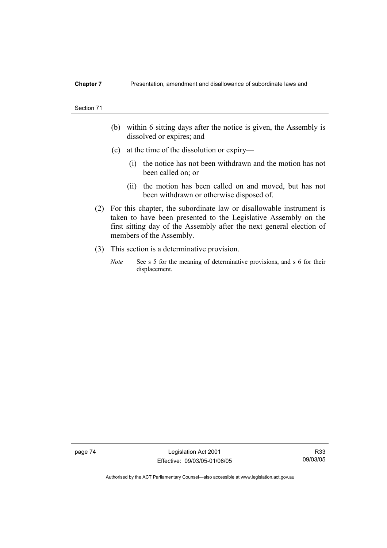#### **Chapter 7** Presentation, amendment and disallowance of subordinate laws and

#### Section 71

- (b) within 6 sitting days after the notice is given, the Assembly is dissolved or expires; and
- (c) at the time of the dissolution or expiry—
	- (i) the notice has not been withdrawn and the motion has not been called on; or
	- (ii) the motion has been called on and moved, but has not been withdrawn or otherwise disposed of.
- (2) For this chapter, the subordinate law or disallowable instrument is taken to have been presented to the Legislative Assembly on the first sitting day of the Assembly after the next general election of members of the Assembly.
- (3) This section is a determinative provision.
	- *Note* See s 5 for the meaning of determinative provisions, and s 6 for their displacement.

page 74 Legislation Act 2001 Effective: 09/03/05-01/06/05

R33 09/03/05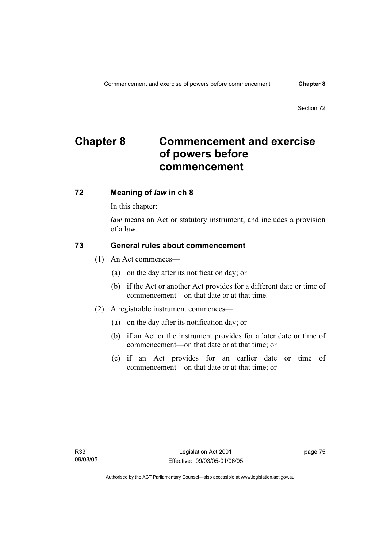# **Chapter 8 Commencement and exercise of powers before commencement**

#### **72 Meaning of** *law* **in ch 8**

In this chapter:

*law* means an Act or statutory instrument, and includes a provision of a law.

#### **73 General rules about commencement**

- (1) An Act commences—
	- (a) on the day after its notification day; or
	- (b) if the Act or another Act provides for a different date or time of commencement—on that date or at that time.
- (2) A registrable instrument commences—
	- (a) on the day after its notification day; or
	- (b) if an Act or the instrument provides for a later date or time of commencement—on that date or at that time; or
	- (c) if an Act provides for an earlier date or time of commencement—on that date or at that time; or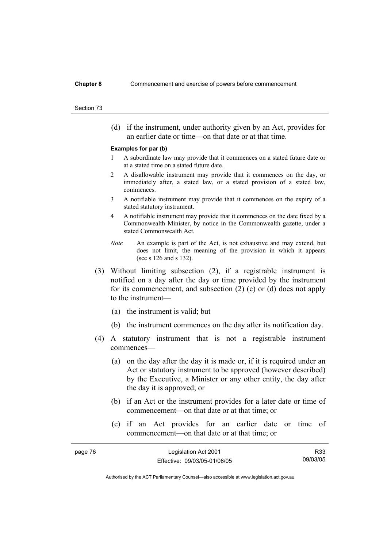(d) if the instrument, under authority given by an Act, provides for an earlier date or time—on that date or at that time.

#### **Examples for par (b)**

- 1 A subordinate law may provide that it commences on a stated future date or at a stated time on a stated future date.
- 2 A disallowable instrument may provide that it commences on the day, or immediately after, a stated law, or a stated provision of a stated law, commences.
- 3 A notifiable instrument may provide that it commences on the expiry of a stated statutory instrument.
- 4 A notifiable instrument may provide that it commences on the date fixed by a Commonwealth Minister, by notice in the Commonwealth gazette, under a stated Commonwealth Act.
- *Note* An example is part of the Act, is not exhaustive and may extend, but does not limit, the meaning of the provision in which it appears (see s 126 and s 132).
- (3) Without limiting subsection (2), if a registrable instrument is notified on a day after the day or time provided by the instrument for its commencement, and subsection (2) (c) or (d) does not apply to the instrument—
	- (a) the instrument is valid; but
	- (b) the instrument commences on the day after its notification day.
- (4) A statutory instrument that is not a registrable instrument commences—
	- (a) on the day after the day it is made or, if it is required under an Act or statutory instrument to be approved (however described) by the Executive, a Minister or any other entity, the day after the day it is approved; or
	- (b) if an Act or the instrument provides for a later date or time of commencement—on that date or at that time; or
	- (c) if an Act provides for an earlier date or time of commencement—on that date or at that time; or

| page 76 | Legislation Act 2001         | R33      |
|---------|------------------------------|----------|
|         | Effective: 09/03/05-01/06/05 | 09/03/05 |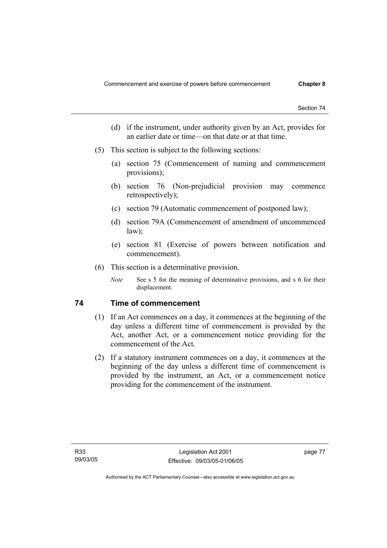- (d) if the instrument, under authority given by an Act, provides for an earlier date or time—on that date or at that time.
- (5) This section is subject to the following sections:
	- (a) section 75 (Commencement of naming and commencement provisions);
	- (b) section 76 (Non-prejudicial provision may commence retrospectively);
	- (c) section 79 (Automatic commencement of postponed law);
	- (d) section 79A (Commencement of amendment of uncommenced law);
	- (e) section 81 (Exercise of powers between notification and commencement).
- (6) This section is a determinative provision.
	- *Note* See s 5 for the meaning of determinative provisions, and s 6 for their displacement.

### **74 Time of commencement**

- (1) If an Act commences on a day, it commences at the beginning of the day unless a different time of commencement is provided by the Act, another Act, or a commencement notice providing for the commencement of the Act.
- (2) If a statutory instrument commences on a day, it commences at the beginning of the day unless a different time of commencement is provided by the instrument, an Act, or a commencement notice providing for the commencement of the instrument.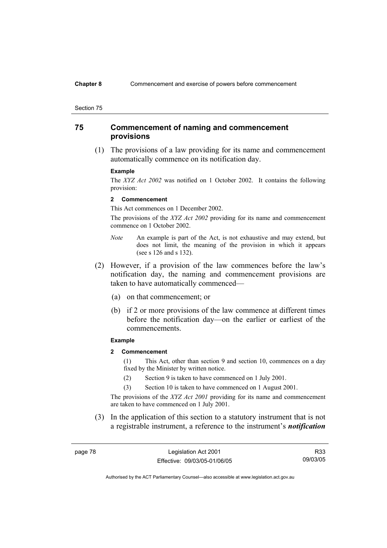#### **Chapter 8** Commencement and exercise of powers before commencement

#### Section 75

#### **75 Commencement of naming and commencement provisions**

 (1) The provisions of a law providing for its name and commencement automatically commence on its notification day.

#### **Example**

The *XYZ Act 2002* was notified on 1 October 2002. It contains the following provision:

#### **2 Commencement**

This Act commences on 1 December 2002.

The provisions of the *XYZ Act 2002* providing for its name and commencement commence on 1 October 2002.

- *Note* An example is part of the Act, is not exhaustive and may extend, but does not limit, the meaning of the provision in which it appears (see s 126 and s 132).
- (2) However, if a provision of the law commences before the law's notification day, the naming and commencement provisions are taken to have automatically commenced—
	- (a) on that commencement; or
	- (b) if 2 or more provisions of the law commence at different times before the notification day—on the earlier or earliest of the commencements.

#### **Example**

**2 Commencement** 

(1) This Act, other than section 9 and section 10, commences on a day fixed by the Minister by written notice.

- (2) Section 9 is taken to have commenced on 1 July 2001.
- (3) Section 10 is taken to have commenced on 1 August 2001.

The provisions of the *XYZ Act 2001* providing for its name and commencement are taken to have commenced on 1 July 2001.

 (3) In the application of this section to a statutory instrument that is not a registrable instrument, a reference to the instrument's *notification* 

page 78 Legislation Act 2001 Effective: 09/03/05-01/06/05

R33 09/03/05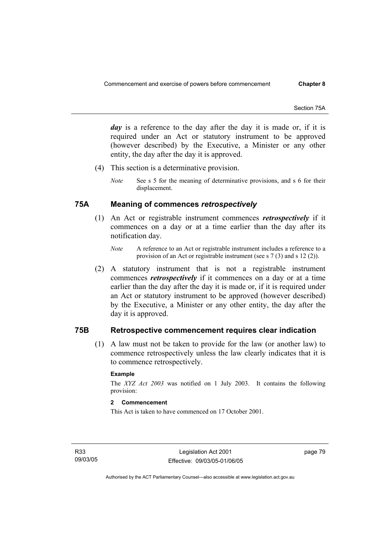*day* is a reference to the day after the day it is made or, if it is required under an Act or statutory instrument to be approved (however described) by the Executive, a Minister or any other entity, the day after the day it is approved.

- (4) This section is a determinative provision.
	- *Note* See s 5 for the meaning of determinative provisions, and s 6 for their displacement.

#### **75A Meaning of commences** *retrospectively*

- (1) An Act or registrable instrument commences *retrospectively* if it commences on a day or at a time earlier than the day after its notification day.
	- *Note* A reference to an Act or registrable instrument includes a reference to a provision of an Act or registrable instrument (see s 7 (3) and s 12 (2)).
- (2) A statutory instrument that is not a registrable instrument commences *retrospectively* if it commences on a day or at a time earlier than the day after the day it is made or, if it is required under an Act or statutory instrument to be approved (however described) by the Executive, a Minister or any other entity, the day after the day it is approved.

#### **75B Retrospective commencement requires clear indication**

 (1) A law must not be taken to provide for the law (or another law) to commence retrospectively unless the law clearly indicates that it is to commence retrospectively.

#### **Example**

The *XYZ Act 2003* was notified on 1 July 2003. It contains the following provision:

#### **2 Commencement**

This Act is taken to have commenced on 17 October 2001.

R33 09/03/05 page 79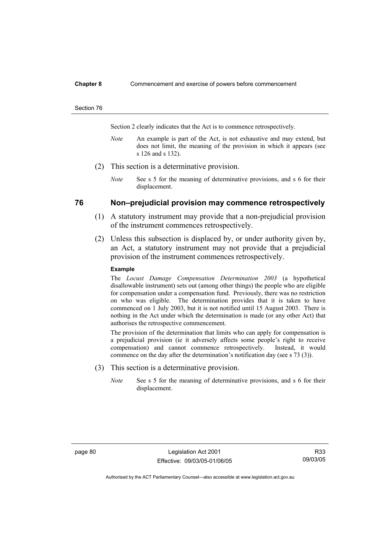#### **Chapter 8** Commencement and exercise of powers before commencement

#### Section 76

Section 2 clearly indicates that the Act is to commence retrospectively.

- *Note* An example is part of the Act, is not exhaustive and may extend, but does not limit, the meaning of the provision in which it appears (see s 126 and s 132).
- (2) This section is a determinative provision.
	- *Note* See s 5 for the meaning of determinative provisions, and s 6 for their displacement.

#### **76 Non–prejudicial provision may commence retrospectively**

- (1) A statutory instrument may provide that a non-prejudicial provision of the instrument commences retrospectively.
- (2) Unless this subsection is displaced by, or under authority given by, an Act, a statutory instrument may not provide that a prejudicial provision of the instrument commences retrospectively.

#### **Example**

The *Locust Damage Compensation Determination 2003* (a hypothetical disallowable instrument) sets out (among other things) the people who are eligible for compensation under a compensation fund. Previously, there was no restriction on who was eligible. The determination provides that it is taken to have commenced on 1 July 2003, but it is not notified until 15 August 2003. There is nothing in the Act under which the determination is made (or any other Act) that authorises the retrospective commencement.

The provision of the determination that limits who can apply for compensation is a prejudicial provision (ie it adversely affects some people's right to receive compensation) and cannot commence retrospectively. Instead, it would commence on the day after the determination's notification day (see s 73 (3)).

- (3) This section is a determinative provision.
	- *Note* See s 5 for the meaning of determinative provisions, and s 6 for their displacement.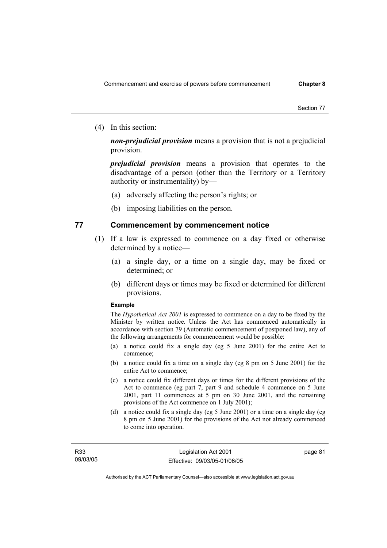(4) In this section:

*non-prejudicial provision* means a provision that is not a prejudicial provision.

*prejudicial provision* means a provision that operates to the disadvantage of a person (other than the Territory or a Territory authority or instrumentality) by—

- (a) adversely affecting the person's rights; or
- (b) imposing liabilities on the person.

#### **77 Commencement by commencement notice**

- (1) If a law is expressed to commence on a day fixed or otherwise determined by a notice—
	- (a) a single day, or a time on a single day, may be fixed or determined; or
	- (b) different days or times may be fixed or determined for different provisions.

#### **Example**

The *Hypothetical Act 2001* is expressed to commence on a day to be fixed by the Minister by written notice. Unless the Act has commenced automatically in accordance with section 79 (Automatic commencement of postponed law), any of the following arrangements for commencement would be possible:

- (a) a notice could fix a single day (eg 5 June 2001) for the entire Act to commence;
- (b) a notice could fix a time on a single day (eg 8 pm on 5 June 2001) for the entire Act to commence;
- (c) a notice could fix different days or times for the different provisions of the Act to commence (eg part 7, part 9 and schedule 4 commence on 5 June 2001, part 11 commences at 5 pm on 30 June 2001, and the remaining provisions of the Act commence on 1 July 2001);
- (d) a notice could fix a single day (eg 5 June 2001) or a time on a single day (eg 8 pm on 5 June 2001) for the provisions of the Act not already commenced to come into operation.

page 81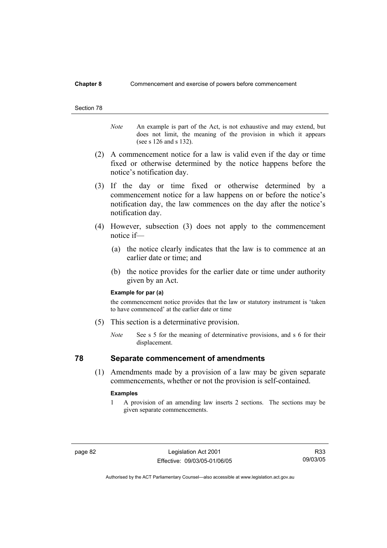#### **Chapter 8** Commencement and exercise of powers before commencement

#### Section 78

*Note* An example is part of the Act, is not exhaustive and may extend, but does not limit, the meaning of the provision in which it appears (see s 126 and s 132).

- (2) A commencement notice for a law is valid even if the day or time fixed or otherwise determined by the notice happens before the notice's notification day.
- (3) If the day or time fixed or otherwise determined by a commencement notice for a law happens on or before the notice's notification day, the law commences on the day after the notice's notification day.
- (4) However, subsection (3) does not apply to the commencement notice if—
	- (a) the notice clearly indicates that the law is to commence at an earlier date or time; and
	- (b) the notice provides for the earlier date or time under authority given by an Act.

#### **Example for par (a)**

the commencement notice provides that the law or statutory instrument is 'taken to have commenced' at the earlier date or time

- (5) This section is a determinative provision.
	- *Note* See s 5 for the meaning of determinative provisions, and s 6 for their displacement.

### **78 Separate commencement of amendments**

 (1) Amendments made by a provision of a law may be given separate commencements, whether or not the provision is self-contained.

#### **Examples**

1 A provision of an amending law inserts 2 sections. The sections may be given separate commencements.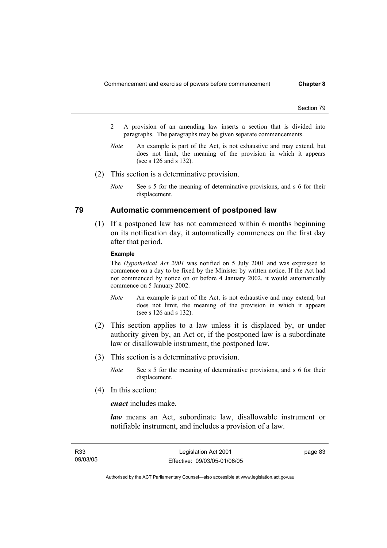- 2 A provision of an amending law inserts a section that is divided into paragraphs. The paragraphs may be given separate commencements.
- *Note* An example is part of the Act, is not exhaustive and may extend, but does not limit, the meaning of the provision in which it appears (see s 126 and s 132).
- (2) This section is a determinative provision.
	- *Note* See s 5 for the meaning of determinative provisions, and s 6 for their displacement.

#### **79 Automatic commencement of postponed law**

 (1) If a postponed law has not commenced within 6 months beginning on its notification day, it automatically commences on the first day after that period.

#### **Example**

The *Hypothetical Act 2001* was notified on 5 July 2001 and was expressed to commence on a day to be fixed by the Minister by written notice. If the Act had not commenced by notice on or before 4 January 2002, it would automatically commence on 5 January 2002.

- *Note* An example is part of the Act, is not exhaustive and may extend, but does not limit, the meaning of the provision in which it appears (see s 126 and s 132).
- (2) This section applies to a law unless it is displaced by, or under authority given by, an Act or, if the postponed law is a subordinate law or disallowable instrument, the postponed law.
- (3) This section is a determinative provision.
	- *Note* See s 5 for the meaning of determinative provisions, and s 6 for their displacement.
- (4) In this section:

*enact* includes make.

*law* means an Act, subordinate law, disallowable instrument or notifiable instrument, and includes a provision of a law.

| R <sub>33</sub> | Legislation Act 2001         | page 83 |
|-----------------|------------------------------|---------|
| 09/03/05        | Effective: 09/03/05-01/06/05 |         |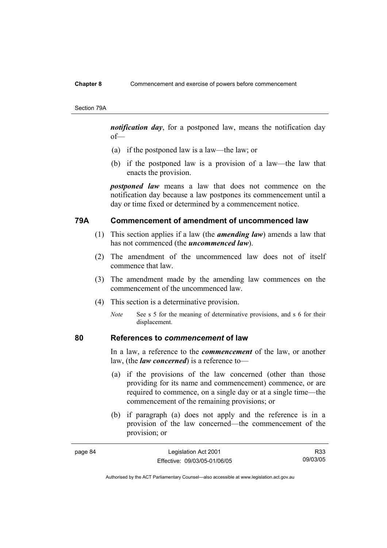#### **Chapter 8** Commencement and exercise of powers before commencement

Section 79A

*notification day*, for a postponed law, means the notification day of—

- (a) if the postponed law is a law—the law; or
- (b) if the postponed law is a provision of a law—the law that enacts the provision.

*postponed law* means a law that does not commence on the notification day because a law postpones its commencement until a day or time fixed or determined by a commencement notice.

#### **79A Commencement of amendment of uncommenced law**

- (1) This section applies if a law (the *amending law*) amends a law that has not commenced (the *uncommenced law*).
- (2) The amendment of the uncommenced law does not of itself commence that law.
- (3) The amendment made by the amending law commences on the commencement of the uncommenced law.
- (4) This section is a determinative provision.
	- *Note* See s 5 for the meaning of determinative provisions, and s 6 for their displacement.

#### **80 References to** *commencement* **of law**

In a law, a reference to the *commencement* of the law, or another law, (the *law concerned*) is a reference to—

- (a) if the provisions of the law concerned (other than those providing for its name and commencement) commence, or are required to commence, on a single day or at a single time—the commencement of the remaining provisions; or
- (b) if paragraph (a) does not apply and the reference is in a provision of the law concerned—the commencement of the provision; or

| page 84 | Legislation Act 2001         | R33      |
|---------|------------------------------|----------|
|         | Effective: 09/03/05-01/06/05 | 09/03/05 |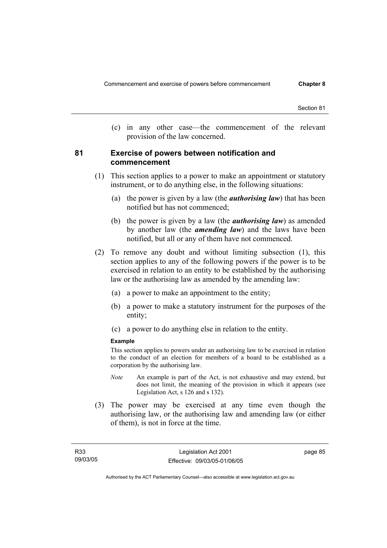(c) in any other case—the commencement of the relevant provision of the law concerned.

#### **81 Exercise of powers between notification and commencement**

- (1) This section applies to a power to make an appointment or statutory instrument, or to do anything else, in the following situations:
	- (a) the power is given by a law (the *authorising law*) that has been notified but has not commenced;
	- (b) the power is given by a law (the *authorising law*) as amended by another law (the *amending law*) and the laws have been notified, but all or any of them have not commenced.
- (2) To remove any doubt and without limiting subsection (1), this section applies to any of the following powers if the power is to be exercised in relation to an entity to be established by the authorising law or the authorising law as amended by the amending law:
	- (a) a power to make an appointment to the entity;
	- (b) a power to make a statutory instrument for the purposes of the entity;
	- (c) a power to do anything else in relation to the entity.

#### **Example**

This section applies to powers under an authorising law to be exercised in relation to the conduct of an election for members of a board to be established as a corporation by the authorising law.

- *Note* An example is part of the Act, is not exhaustive and may extend, but does not limit, the meaning of the provision in which it appears (see Legislation Act, s 126 and s 132).
- (3) The power may be exercised at any time even though the authorising law, or the authorising law and amending law (or either of them), is not in force at the time.

page 85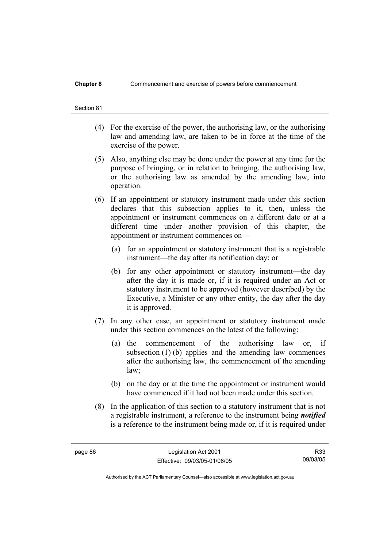#### **Chapter 8** Commencement and exercise of powers before commencement

# Section 81

- (4) For the exercise of the power, the authorising law, or the authorising law and amending law, are taken to be in force at the time of the exercise of the power.
- (5) Also, anything else may be done under the power at any time for the purpose of bringing, or in relation to bringing, the authorising law, or the authorising law as amended by the amending law, into operation.
- (6) If an appointment or statutory instrument made under this section declares that this subsection applies to it, then, unless the appointment or instrument commences on a different date or at a different time under another provision of this chapter, the appointment or instrument commences on—
	- (a) for an appointment or statutory instrument that is a registrable instrument—the day after its notification day; or
	- (b) for any other appointment or statutory instrument—the day after the day it is made or, if it is required under an Act or statutory instrument to be approved (however described) by the Executive, a Minister or any other entity, the day after the day it is approved.
- (7) In any other case, an appointment or statutory instrument made under this section commences on the latest of the following:
	- (a) the commencement of the authorising law or, if subsection  $(1)$  (b) applies and the amending law commences after the authorising law, the commencement of the amending law;
	- (b) on the day or at the time the appointment or instrument would have commenced if it had not been made under this section.
- (8) In the application of this section to a statutory instrument that is not a registrable instrument, a reference to the instrument being *notified*  is a reference to the instrument being made or, if it is required under

R33 09/03/05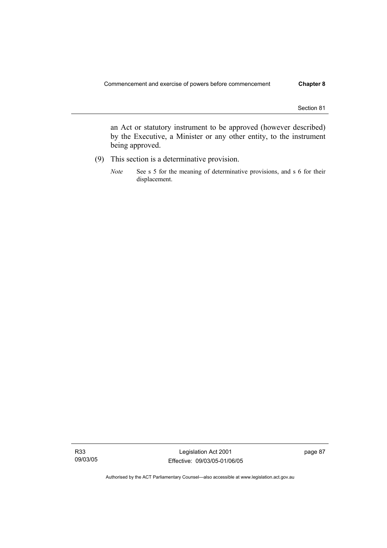an Act or statutory instrument to be approved (however described) by the Executive, a Minister or any other entity, to the instrument being approved.

- (9) This section is a determinative provision.
	- *Note* See s 5 for the meaning of determinative provisions, and s 6 for their displacement.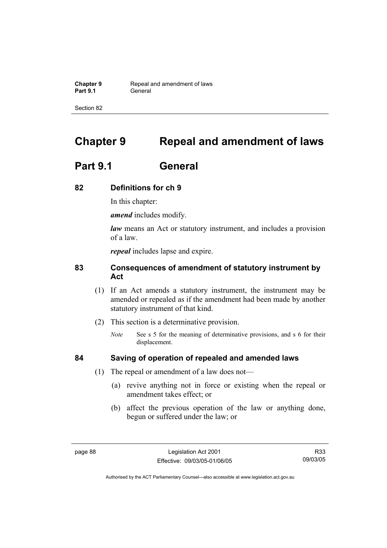**Chapter 9 Repeal and amendment of laws**<br>**Part 9.1 General** General

Section 82

# **Chapter 9 Repeal and amendment of laws**

## **Part 9.1 General**

#### **82 Definitions for ch 9**

In this chapter:

*amend* includes modify.

*law* means an Act or statutory instrument, and includes a provision of a law.

*repeal* includes lapse and expire.

### **83 Consequences of amendment of statutory instrument by Act**

- (1) If an Act amends a statutory instrument, the instrument may be amended or repealed as if the amendment had been made by another statutory instrument of that kind.
- (2) This section is a determinative provision.
	- *Note* See s 5 for the meaning of determinative provisions, and s 6 for their displacement.

- **84 Saving of operation of repealed and amended laws**
	- (1) The repeal or amendment of a law does not—
		- (a) revive anything not in force or existing when the repeal or amendment takes effect; or
		- (b) affect the previous operation of the law or anything done, begun or suffered under the law; or

R33 09/03/05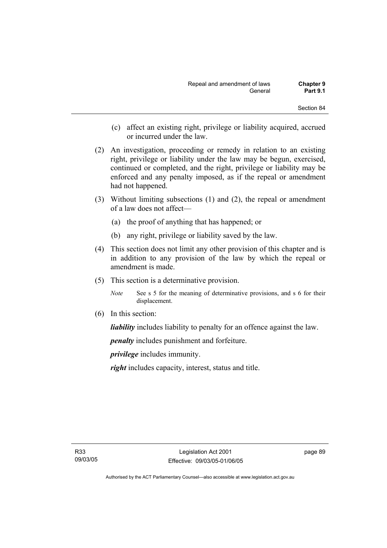- (c) affect an existing right, privilege or liability acquired, accrued or incurred under the law.
- (2) An investigation, proceeding or remedy in relation to an existing right, privilege or liability under the law may be begun, exercised, continued or completed, and the right, privilege or liability may be enforced and any penalty imposed, as if the repeal or amendment had not happened.
- (3) Without limiting subsections (1) and (2), the repeal or amendment of a law does not affect—
	- (a) the proof of anything that has happened; or
	- (b) any right, privilege or liability saved by the law.
- (4) This section does not limit any other provision of this chapter and is in addition to any provision of the law by which the repeal or amendment is made.
- (5) This section is a determinative provision.
	- *Note* See s 5 for the meaning of determinative provisions, and s 6 for their displacement.
- (6) In this section:

*liability* includes liability to penalty for an offence against the law.

*penalty* includes punishment and forfeiture.

*privilege* includes immunity.

*right* includes capacity, interest, status and title.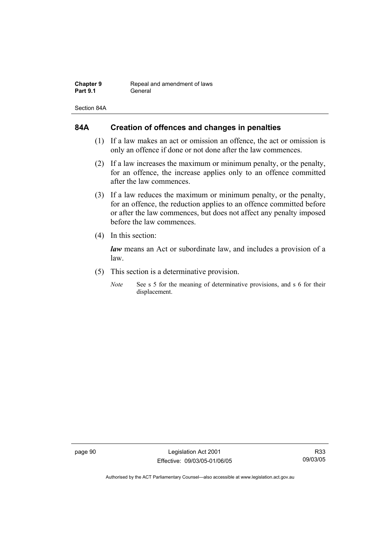| <b>Chapter 9</b> | Repeal and amendment of laws |
|------------------|------------------------------|
| <b>Part 9.1</b>  | General                      |

Section 84A

### **84A Creation of offences and changes in penalties**

- (1) If a law makes an act or omission an offence, the act or omission is only an offence if done or not done after the law commences.
- (2) If a law increases the maximum or minimum penalty, or the penalty, for an offence, the increase applies only to an offence committed after the law commences.
- (3) If a law reduces the maximum or minimum penalty, or the penalty, for an offence, the reduction applies to an offence committed before or after the law commences, but does not affect any penalty imposed before the law commences.
- (4) In this section:

*law* means an Act or subordinate law, and includes a provision of a law.

- (5) This section is a determinative provision.
	- *Note* See s 5 for the meaning of determinative provisions, and s 6 for their displacement.

page 90 Legislation Act 2001 Effective: 09/03/05-01/06/05

R33 09/03/05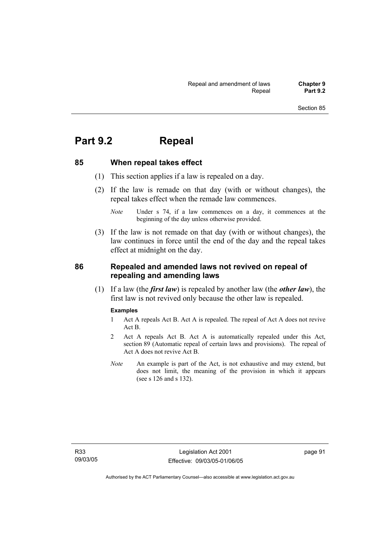# **Part 9.2 Repeal**

#### **85 When repeal takes effect**

- (1) This section applies if a law is repealed on a day.
- (2) If the law is remade on that day (with or without changes), the repeal takes effect when the remade law commences.

 (3) If the law is not remade on that day (with or without changes), the law continues in force until the end of the day and the repeal takes effect at midnight on the day.

#### **86 Repealed and amended laws not revived on repeal of repealing and amending laws**

 (1) If a law (the *first law*) is repealed by another law (the *other law*), the first law is not revived only because the other law is repealed.

#### **Examples**

- 1 Act A repeals Act B. Act A is repealed. The repeal of Act A does not revive Act B.
- 2 Act A repeals Act B. Act A is automatically repealed under this Act, section 89 (Automatic repeal of certain laws and provisions). The repeal of Act A does not revive Act B.
- *Note* An example is part of the Act, is not exhaustive and may extend, but does not limit, the meaning of the provision in which it appears (see s 126 and s 132).

*Note* Under s 74, if a law commences on a day, it commences at the beginning of the day unless otherwise provided.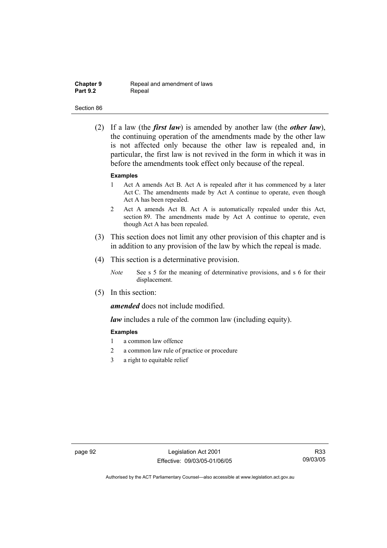| <b>Chapter 9</b> |  |
|------------------|--|
| <b>Part 9.2</b>  |  |

**Repeal and amendment of laws** Repeal

#### Section 86

 (2) If a law (the *first law*) is amended by another law (the *other law*), the continuing operation of the amendments made by the other law is not affected only because the other law is repealed and, in particular, the first law is not revived in the form in which it was in before the amendments took effect only because of the repeal.

#### **Examples**

- 1 Act A amends Act B. Act A is repealed after it has commenced by a later Act C. The amendments made by Act A continue to operate, even though Act A has been repealed.
- 2 Act A amends Act B. Act A is automatically repealed under this Act, section 89. The amendments made by Act A continue to operate, even though Act A has been repealed.
- (3) This section does not limit any other provision of this chapter and is in addition to any provision of the law by which the repeal is made.
- (4) This section is a determinative provision.
	- *Note* See s 5 for the meaning of determinative provisions, and s 6 for their displacement.
- (5) In this section:

*amended* does not include modified.

*law* includes a rule of the common law (including equity).

#### **Examples**

- 1 a common law offence
- 2 a common law rule of practice or procedure
- 3 a right to equitable relief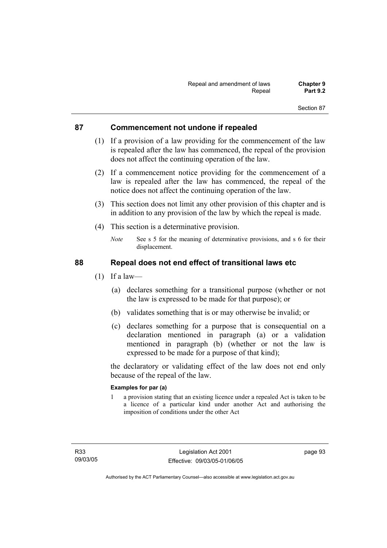### **87 Commencement not undone if repealed**

- (1) If a provision of a law providing for the commencement of the law is repealed after the law has commenced, the repeal of the provision does not affect the continuing operation of the law.
- (2) If a commencement notice providing for the commencement of a law is repealed after the law has commenced, the repeal of the notice does not affect the continuing operation of the law.
- (3) This section does not limit any other provision of this chapter and is in addition to any provision of the law by which the repeal is made.
- (4) This section is a determinative provision.
	- *Note* See s 5 for the meaning of determinative provisions, and s 6 for their displacement.

### **88 Repeal does not end effect of transitional laws etc**

- $(1)$  If a law—
	- (a) declares something for a transitional purpose (whether or not the law is expressed to be made for that purpose); or
	- (b) validates something that is or may otherwise be invalid; or
	- (c) declares something for a purpose that is consequential on a declaration mentioned in paragraph (a) or a validation mentioned in paragraph (b) (whether or not the law is expressed to be made for a purpose of that kind);

the declaratory or validating effect of the law does not end only because of the repeal of the law.

#### **Examples for par (a)**

1 a provision stating that an existing licence under a repealed Act is taken to be a licence of a particular kind under another Act and authorising the imposition of conditions under the other Act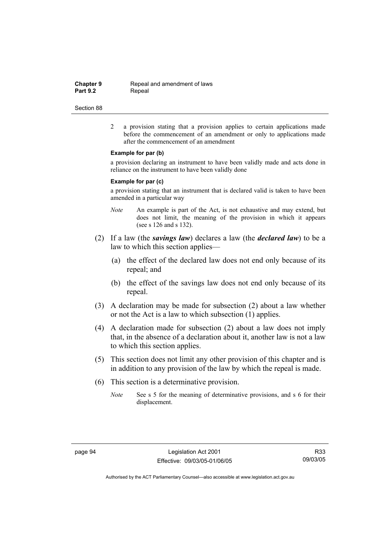**Chapter 9 Repeal and amendment of laws**<br>**Part 9.2 Repeal** Repeal

#### Section 88

2 a provision stating that a provision applies to certain applications made before the commencement of an amendment or only to applications made after the commencement of an amendment

#### **Example for par (b)**

a provision declaring an instrument to have been validly made and acts done in reliance on the instrument to have been validly done

#### **Example for par (c)**

a provision stating that an instrument that is declared valid is taken to have been amended in a particular way

- *Note* An example is part of the Act, is not exhaustive and may extend, but does not limit, the meaning of the provision in which it appears (see s 126 and s 132).
- (2) If a law (the *savings law*) declares a law (the *declared law*) to be a law to which this section applies—
	- (a) the effect of the declared law does not end only because of its repeal; and
	- (b) the effect of the savings law does not end only because of its repeal.
- (3) A declaration may be made for subsection (2) about a law whether or not the Act is a law to which subsection (1) applies.
- (4) A declaration made for subsection (2) about a law does not imply that, in the absence of a declaration about it, another law is not a law to which this section applies.
- (5) This section does not limit any other provision of this chapter and is in addition to any provision of the law by which the repeal is made.
- (6) This section is a determinative provision.
	- *Note* See s 5 for the meaning of determinative provisions, and s 6 for their displacement.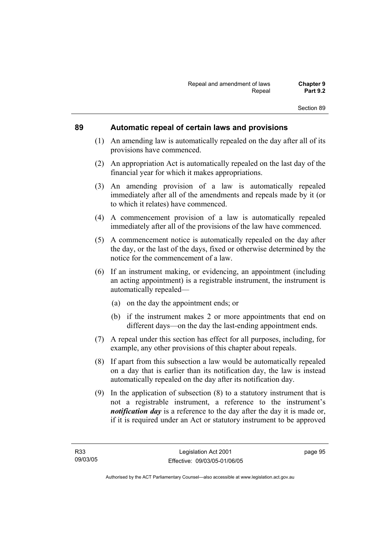### **89 Automatic repeal of certain laws and provisions**

- (1) An amending law is automatically repealed on the day after all of its provisions have commenced.
- (2) An appropriation Act is automatically repealed on the last day of the financial year for which it makes appropriations.
- (3) An amending provision of a law is automatically repealed immediately after all of the amendments and repeals made by it (or to which it relates) have commenced.
- (4) A commencement provision of a law is automatically repealed immediately after all of the provisions of the law have commenced.
- (5) A commencement notice is automatically repealed on the day after the day, or the last of the days, fixed or otherwise determined by the notice for the commencement of a law.
- (6) If an instrument making, or evidencing, an appointment (including an acting appointment) is a registrable instrument, the instrument is automatically repealed—
	- (a) on the day the appointment ends; or
	- (b) if the instrument makes 2 or more appointments that end on different days—on the day the last-ending appointment ends.
- (7) A repeal under this section has effect for all purposes, including, for example, any other provisions of this chapter about repeals.
- (8) If apart from this subsection a law would be automatically repealed on a day that is earlier than its notification day, the law is instead automatically repealed on the day after its notification day.
- (9) In the application of subsection (8) to a statutory instrument that is not a registrable instrument, a reference to the instrument's *notification day* is a reference to the day after the day it is made or, if it is required under an Act or statutory instrument to be approved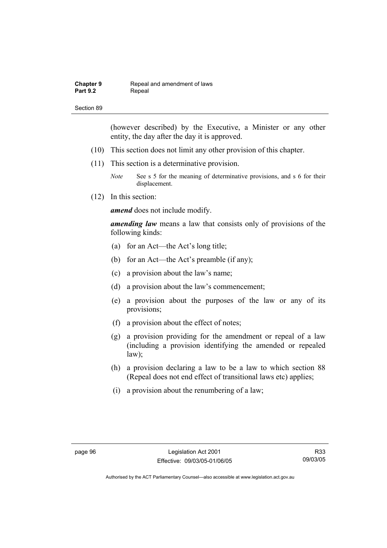| <b>Chapter 9</b> | Repeal and amendment of laws |
|------------------|------------------------------|
| <b>Part 9.2</b>  | Repeal                       |

(however described) by the Executive, a Minister or any other entity, the day after the day it is approved.

- (10) This section does not limit any other provision of this chapter.
- (11) This section is a determinative provision.

*Note* See s 5 for the meaning of determinative provisions, and s 6 for their displacement.

(12) In this section:

*amend* does not include modify.

*amending law* means a law that consists only of provisions of the following kinds:

- (a) for an Act—the Act's long title;
- (b) for an Act—the Act's preamble (if any);
- (c) a provision about the law's name;
- (d) a provision about the law's commencement;
- (e) a provision about the purposes of the law or any of its provisions;
- (f) a provision about the effect of notes;
- (g) a provision providing for the amendment or repeal of a law (including a provision identifying the amended or repealed law);
- (h) a provision declaring a law to be a law to which section 88 (Repeal does not end effect of transitional laws etc) applies;
- (i) a provision about the renumbering of a law;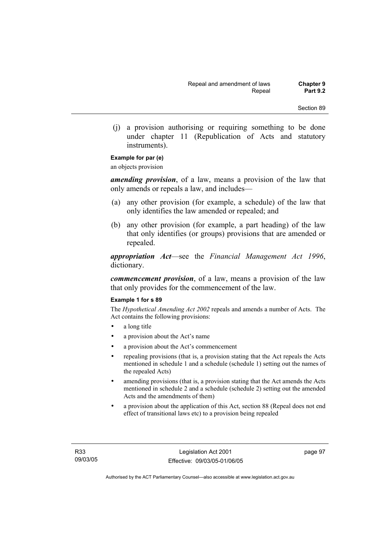(j) a provision authorising or requiring something to be done under chapter 11 (Republication of Acts and statutory instruments).

### **Example for par (e)**

an objects provision

*amending provision*, of a law, means a provision of the law that only amends or repeals a law, and includes—

- (a) any other provision (for example, a schedule) of the law that only identifies the law amended or repealed; and
- (b) any other provision (for example, a part heading) of the law that only identifies (or groups) provisions that are amended or repealed.

*appropriation Act*—see the *Financial Management Act 1996*, dictionary.

*commencement provision*, of a law, means a provision of the law that only provides for the commencement of the law.

#### **Example 1 for s 89**

The *Hypothetical Amending Act 2002* repeals and amends a number of Acts. The Act contains the following provisions:

- a long title
- a provision about the Act's name
- a provision about the Act's commencement
- repealing provisions (that is, a provision stating that the Act repeals the Acts mentioned in schedule 1 and a schedule (schedule 1) setting out the names of the repealed Acts)
- amending provisions (that is, a provision stating that the Act amends the Acts mentioned in schedule 2 and a schedule (schedule 2) setting out the amended Acts and the amendments of them)
- a provision about the application of this Act, section 88 (Repeal does not end effect of transitional laws etc) to a provision being repealed

page 97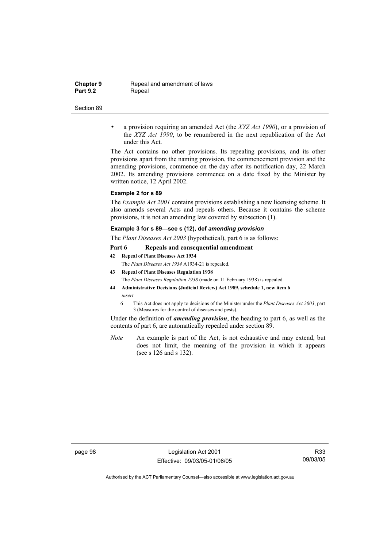**Chapter 9 Repeal and amendment of laws**<br>**Part 9.2 Repeal Repeal** 

#### Section 89

• a provision requiring an amended Act (the *XYZ Act 1990*), or a provision of the *XYZ Act 1990*, to be renumbered in the next republication of the Act under this Act.

The Act contains no other provisions. Its repealing provisions, and its other provisions apart from the naming provision, the commencement provision and the amending provisions, commence on the day after its notification day, 22 March 2002. Its amending provisions commence on a date fixed by the Minister by written notice, 12 April 2002.

#### **Example 2 for s 89**

The *Example Act 2001* contains provisions establishing a new licensing scheme. It also amends several Acts and repeals others. Because it contains the scheme provisions, it is not an amending law covered by subsection (1).

#### **Example 3 for s 89—see s (12), def** *amending provision*

The *Plant Diseases Act 2003* (hypothetical), part 6 is as follows:

#### **Part 6 Repeals and consequential amendment**

- **42 Repeal of Plant Diseases Act 1934** The *Plant Diseases Act 1934* A1934-21 is repealed.
- **43 Repeal of Plant Diseases Regulation 1938**

The *Plant Diseases Regulation 1938* (made on 11 February 1938) is repealed.

- **44 Administrative Decisions (Judicial Review) Act 1989, schedule 1, new item 6**  *insert* 
	- 6 This Act does not apply to decisions of the Minister under the *Plant Diseases Act 2003*, part 3 (Measures for the control of diseases and pests).

Under the definition of *amending provision*, the heading to part 6, as well as the contents of part 6, are automatically repealed under section 89.

*Note* An example is part of the Act, is not exhaustive and may extend, but does not limit, the meaning of the provision in which it appears (see s 126 and s 132).

page 98 Legislation Act 2001 Effective: 09/03/05-01/06/05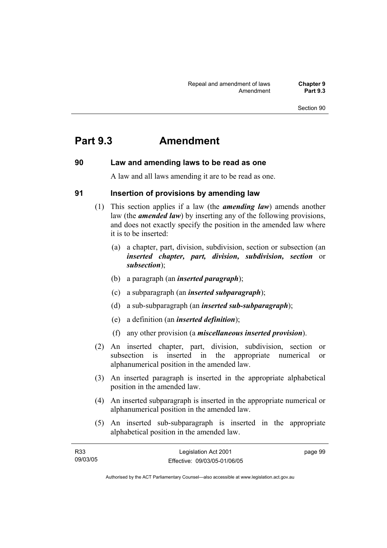# **Part 9.3 Amendment**

#### **90 Law and amending laws to be read as one**

A law and all laws amending it are to be read as one.

### **91 Insertion of provisions by amending law**

- (1) This section applies if a law (the *amending law*) amends another law (the *amended law*) by inserting any of the following provisions, and does not exactly specify the position in the amended law where it is to be inserted:
	- (a) a chapter, part, division, subdivision, section or subsection (an *inserted chapter, part, division, subdivision, section* or *subsection*);
	- (b) a paragraph (an *inserted paragraph*);
	- (c) a subparagraph (an *inserted subparagraph*);
	- (d) a sub-subparagraph (an *inserted sub-subparagraph*);
	- (e) a definition (an *inserted definition*);
	- (f) any other provision (a *miscellaneous inserted provision*).
- (2) An inserted chapter, part, division, subdivision, section or subsection is inserted in the appropriate numerical or alphanumerical position in the amended law.
- (3) An inserted paragraph is inserted in the appropriate alphabetical position in the amended law.
- (4) An inserted subparagraph is inserted in the appropriate numerical or alphanumerical position in the amended law.
- (5) An inserted sub-subparagraph is inserted in the appropriate alphabetical position in the amended law.

| R <sub>33</sub> | Legislation Act 2001         | page 99 |
|-----------------|------------------------------|---------|
| 09/03/05        | Effective: 09/03/05-01/06/05 |         |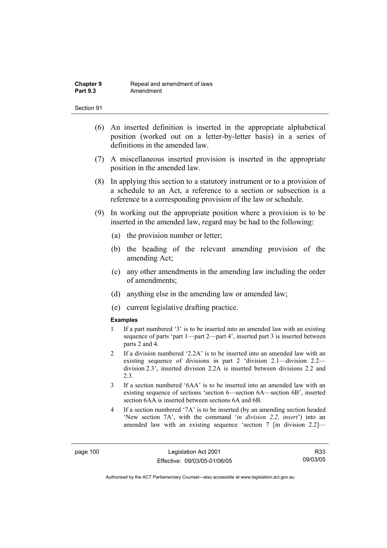- (6) An inserted definition is inserted in the appropriate alphabetical position (worked out on a letter-by-letter basis) in a series of definitions in the amended law.
- (7) A miscellaneous inserted provision is inserted in the appropriate position in the amended law.
- (8) In applying this section to a statutory instrument or to a provision of a schedule to an Act, a reference to a section or subsection is a reference to a corresponding provision of the law or schedule.
- (9) In working out the appropriate position where a provision is to be inserted in the amended law, regard may be had to the following:
	- (a) the provision number or letter;
	- (b) the heading of the relevant amending provision of the amending Act;
	- (c) any other amendments in the amending law including the order of amendments;
	- (d) anything else in the amending law or amended law;
	- (e) current legislative drafting practice.

#### **Examples**

- 1 If a part numbered '3' is to be inserted into an amended law with an existing sequence of parts 'part 1—part 2—part 4', inserted part 3 is inserted between parts 2 and 4.
- 2 If a division numbered '2.2A' is to be inserted into an amended law with an existing sequence of divisions in part 2 'division 2.1—division 2.2 division 2.3', inserted division 2.2A is inserted between divisions 2.2 and 2.3.
- 3 If a section numbered '6AA' is to be inserted into an amended law with an existing sequence of sections 'section 6—section 6A—section 6B', inserted section 6AA is inserted between sections 6A and 6B.
- 4 If a section numbered '7A' is to be inserted (by an amending section headed 'New section 7A', with the command '*in division 2.2, insert*') into an amended law with an existing sequence 'section 7 [in division 2.2]—

R33 09/03/05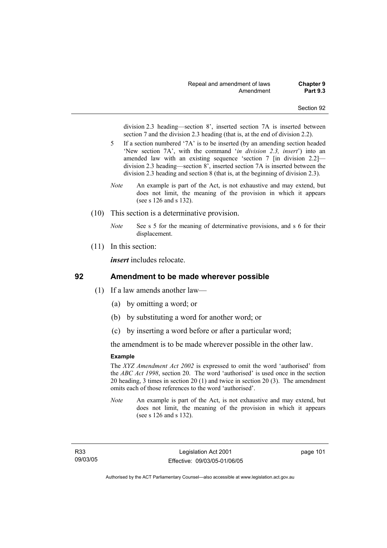division 2.3 heading—section 8', inserted section 7A is inserted between section 7 and the division 2.3 heading (that is, at the end of division 2.2).

- 5 If a section numbered '7A' is to be inserted (by an amending section headed 'New section 7A', with the command '*in division 2.3, insert*') into an amended law with an existing sequence 'section 7 [in division 2.2] division 2.3 heading—section 8', inserted section 7A is inserted between the division 2.3 heading and section 8 (that is, at the beginning of division 2.3).
- *Note* An example is part of the Act, is not exhaustive and may extend, but does not limit, the meaning of the provision in which it appears (see s 126 and s 132).
- (10) This section is a determinative provision.
	- *Note* See s 5 for the meaning of determinative provisions, and s 6 for their displacement.
- (11) In this section:

*insert* includes relocate.

### **92 Amendment to be made wherever possible**

- (1) If a law amends another law—
	- (a) by omitting a word; or
	- (b) by substituting a word for another word; or
	- (c) by inserting a word before or after a particular word;

the amendment is to be made wherever possible in the other law.

#### **Example**

The *XYZ Amendment Act 2002* is expressed to omit the word 'authorised' from the *ABC Act 1998*, section 20. The word 'authorised' is used once in the section 20 heading, 3 times in section 20 (1) and twice in section 20 (3). The amendment omits each of those references to the word 'authorised'.

*Note* An example is part of the Act, is not exhaustive and may extend, but does not limit, the meaning of the provision in which it appears (see s 126 and s 132).

page 101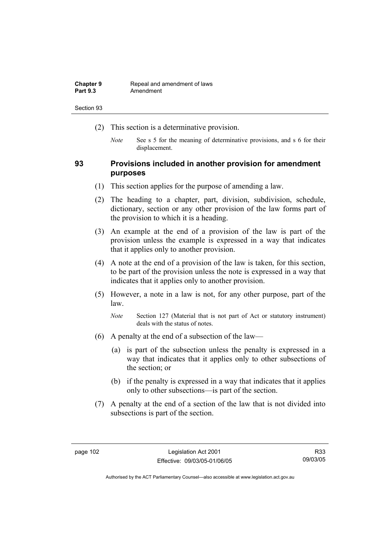| <b>Chapter 9</b> | Repeal and amendment of laws |
|------------------|------------------------------|
| <b>Part 9.3</b>  | Amendment                    |

- (2) This section is a determinative provision.
	- *Note* See s 5 for the meaning of determinative provisions, and s 6 for their displacement.

### **93 Provisions included in another provision for amendment purposes**

- (1) This section applies for the purpose of amending a law.
- (2) The heading to a chapter, part, division, subdivision, schedule, dictionary, section or any other provision of the law forms part of the provision to which it is a heading.
- (3) An example at the end of a provision of the law is part of the provision unless the example is expressed in a way that indicates that it applies only to another provision.
- (4) A note at the end of a provision of the law is taken, for this section, to be part of the provision unless the note is expressed in a way that indicates that it applies only to another provision.
- (5) However, a note in a law is not, for any other purpose, part of the law.

*Note* Section 127 (Material that is not part of Act or statutory instrument) deals with the status of notes.

- (6) A penalty at the end of a subsection of the law—
	- (a) is part of the subsection unless the penalty is expressed in a way that indicates that it applies only to other subsections of the section; or
	- (b) if the penalty is expressed in a way that indicates that it applies only to other subsections—is part of the section.
- (7) A penalty at the end of a section of the law that is not divided into subsections is part of the section.

Authorised by the ACT Parliamentary Counsel—also accessible at www.legislation.act.gov.au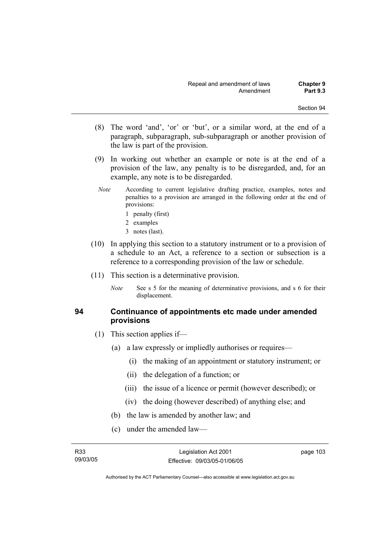- (8) The word 'and', 'or' or 'but', or a similar word, at the end of a paragraph, subparagraph, sub-subparagraph or another provision of the law is part of the provision.
- (9) In working out whether an example or note is at the end of a provision of the law, any penalty is to be disregarded, and, for an example, any note is to be disregarded.
- *Note* According to current legislative drafting practice, examples, notes and penalties to a provision are arranged in the following order at the end of provisions:
	- 1 penalty (first)
	- 2 examples
	- 3 notes (last).
- (10) In applying this section to a statutory instrument or to a provision of a schedule to an Act, a reference to a section or subsection is a reference to a corresponding provision of the law or schedule.
- (11) This section is a determinative provision.
	- *Note* See s 5 for the meaning of determinative provisions, and s 6 for their displacement.

### **94 Continuance of appointments etc made under amended provisions**

- (1) This section applies if—
	- (a) a law expressly or impliedly authorises or requires—
		- (i) the making of an appointment or statutory instrument; or
		- (ii) the delegation of a function; or
		- (iii) the issue of a licence or permit (however described); or
		- (iv) the doing (however described) of anything else; and
	- (b) the law is amended by another law; and
	- (c) under the amended law—

page 103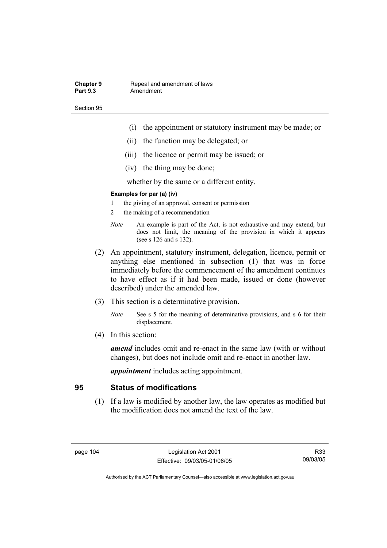#### **Chapter 9 Repeal and amendment of laws**<br>**Part 9.3 Amendment** Amendment

Section 95

- (i) the appointment or statutory instrument may be made; or
- (ii) the function may be delegated; or
- (iii) the licence or permit may be issued; or
- (iv) the thing may be done;

whether by the same or a different entity.

#### **Examples for par (a) (iv)**

- 1 the giving of an approval, consent or permission
- 2 the making of a recommendation
- *Note* An example is part of the Act, is not exhaustive and may extend, but does not limit, the meaning of the provision in which it appears (see s 126 and s 132).
- (2) An appointment, statutory instrument, delegation, licence, permit or anything else mentioned in subsection (1) that was in force immediately before the commencement of the amendment continues to have effect as if it had been made, issued or done (however described) under the amended law.
- (3) This section is a determinative provision.
	- *Note* See s 5 for the meaning of determinative provisions, and s 6 for their displacement.
- (4) In this section:

*amend* includes omit and re-enact in the same law (with or without changes), but does not include omit and re-enact in another law.

*appointment* includes acting appointment.

### **95 Status of modifications**

 (1) If a law is modified by another law, the law operates as modified but the modification does not amend the text of the law.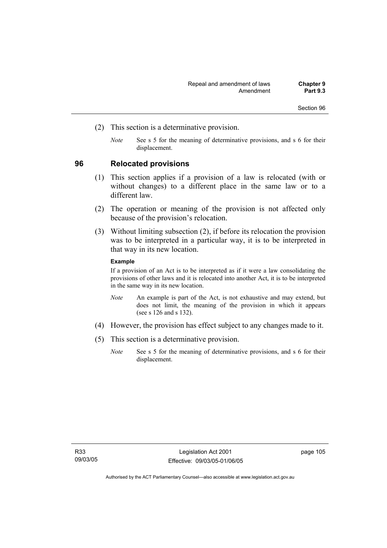- (2) This section is a determinative provision.
	- *Note* See s 5 for the meaning of determinative provisions, and s 6 for their displacement.

#### **96 Relocated provisions**

- (1) This section applies if a provision of a law is relocated (with or without changes) to a different place in the same law or to a different law.
- (2) The operation or meaning of the provision is not affected only because of the provision's relocation.
- (3) Without limiting subsection (2), if before its relocation the provision was to be interpreted in a particular way, it is to be interpreted in that way in its new location.

#### **Example**

If a provision of an Act is to be interpreted as if it were a law consolidating the provisions of other laws and it is relocated into another Act, it is to be interpreted in the same way in its new location.

- *Note* An example is part of the Act, is not exhaustive and may extend, but does not limit, the meaning of the provision in which it appears (see s 126 and s 132).
- (4) However, the provision has effect subject to any changes made to it.
- (5) This section is a determinative provision.
	- *Note* See s 5 for the meaning of determinative provisions, and s 6 for their displacement.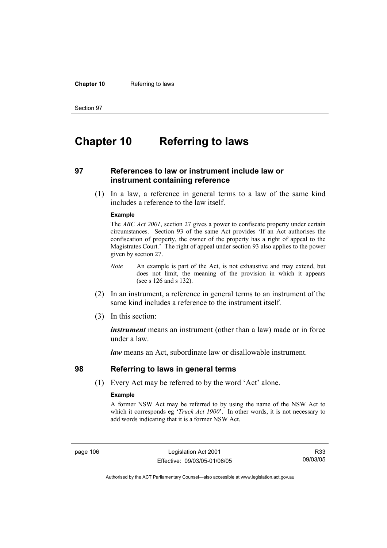#### **Chapter 10** Referring to laws

Section 97

# **Chapter 10 Referring to laws**

### **97 References to law or instrument include law or instrument containing reference**

 (1) In a law, a reference in general terms to a law of the same kind includes a reference to the law itself.

#### **Example**

The *ABC Act 2001*, section 27 gives a power to confiscate property under certain circumstances. Section 93 of the same Act provides 'If an Act authorises the confiscation of property, the owner of the property has a right of appeal to the Magistrates Court.' The right of appeal under section 93 also applies to the power given by section 27.

- *Note* An example is part of the Act, is not exhaustive and may extend, but does not limit, the meaning of the provision in which it appears (see s 126 and s 132).
- (2) In an instrument, a reference in general terms to an instrument of the same kind includes a reference to the instrument itself.
- (3) In this section:

*instrument* means an instrument (other than a law) made or in force under a law.

*law* means an Act, subordinate law or disallowable instrument.

#### **98 Referring to laws in general terms**

(1) Every Act may be referred to by the word 'Act' alone.

#### **Example**

A former NSW Act may be referred to by using the name of the NSW Act to which it corresponds eg '*Truck Act 1900*'. In other words, it is not necessary to add words indicating that it is a former NSW Act.

page 106 Legislation Act 2001 Effective: 09/03/05-01/06/05

R33 09/03/05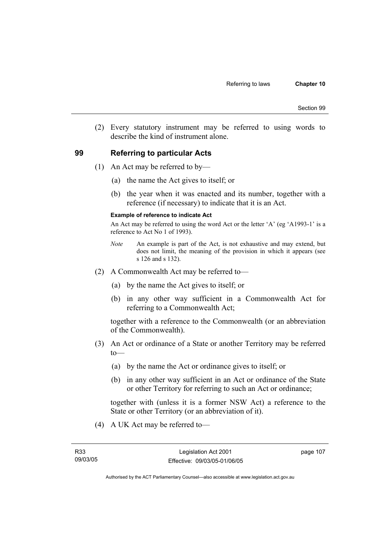(2) Every statutory instrument may be referred to using words to describe the kind of instrument alone.

### **99 Referring to particular Acts**

- (1) An Act may be referred to by—
	- (a) the name the Act gives to itself; or
	- (b) the year when it was enacted and its number, together with a reference (if necessary) to indicate that it is an Act.

#### **Example of reference to indicate Act**

An Act may be referred to using the word Act or the letter 'A' (eg 'A1993-1' is a reference to Act No 1 of 1993).

- *Note* An example is part of the Act, is not exhaustive and may extend, but does not limit, the meaning of the provision in which it appears (see s 126 and s 132).
- (2) A Commonwealth Act may be referred to—
	- (a) by the name the Act gives to itself; or
	- (b) in any other way sufficient in a Commonwealth Act for referring to a Commonwealth Act;

together with a reference to the Commonwealth (or an abbreviation of the Commonwealth).

- (3) An Act or ordinance of a State or another Territory may be referred  $to$ —
	- (a) by the name the Act or ordinance gives to itself; or
	- (b) in any other way sufficient in an Act or ordinance of the State or other Territory for referring to such an Act or ordinance;

together with (unless it is a former NSW Act) a reference to the State or other Territory (or an abbreviation of it).

(4) A UK Act may be referred to—

page 107

Authorised by the ACT Parliamentary Counsel—also accessible at www.legislation.act.gov.au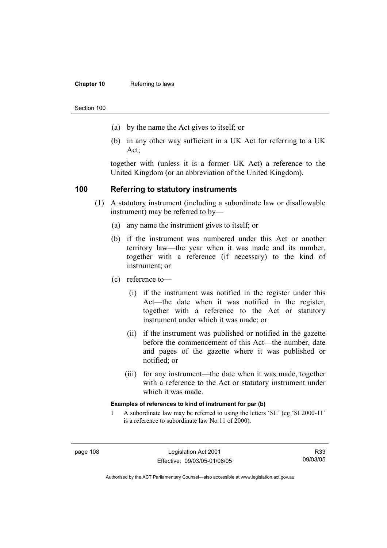#### **Chapter 10** Referring to laws

Section 100

- (a) by the name the Act gives to itself; or
- (b) in any other way sufficient in a UK Act for referring to a UK Act;

together with (unless it is a former UK Act) a reference to the United Kingdom (or an abbreviation of the United Kingdom).

### **100 Referring to statutory instruments**

- (1) A statutory instrument (including a subordinate law or disallowable instrument) may be referred to by—
	- (a) any name the instrument gives to itself; or
	- (b) if the instrument was numbered under this Act or another territory law—the year when it was made and its number, together with a reference (if necessary) to the kind of instrument; or
	- (c) reference to—
		- (i) if the instrument was notified in the register under this Act—the date when it was notified in the register, together with a reference to the Act or statutory instrument under which it was made; or
		- (ii) if the instrument was published or notified in the gazette before the commencement of this Act—the number, date and pages of the gazette where it was published or notified; or
		- (iii) for any instrument—the date when it was made, together with a reference to the Act or statutory instrument under which it was made.

#### **Examples of references to kind of instrument for par (b)**

1 A subordinate law may be referred to using the letters 'SL' (eg 'SL2000-11' is a reference to subordinate law No 11 of 2000).

R33 09/03/05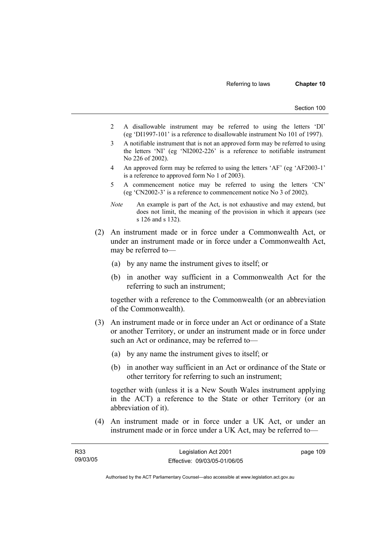- 2 A disallowable instrument may be referred to using the letters 'DI' (eg 'DI1997-101' is a reference to disallowable instrument No 101 of 1997).
- 3 A notifiable instrument that is not an approved form may be referred to using the letters 'NI' (eg 'NI2002-226' is a reference to notifiable instrument No 226 of 2002).
- 4 An approved form may be referred to using the letters 'AF' (eg 'AF2003-1' is a reference to approved form No 1 of 2003).
- 5 A commencement notice may be referred to using the letters 'CN' (eg 'CN2002-3' is a reference to commencement notice No 3 of 2002).
- *Note* An example is part of the Act, is not exhaustive and may extend, but does not limit, the meaning of the provision in which it appears (see s 126 and s 132).
- (2) An instrument made or in force under a Commonwealth Act, or under an instrument made or in force under a Commonwealth Act, may be referred to—
	- (a) by any name the instrument gives to itself; or
	- (b) in another way sufficient in a Commonwealth Act for the referring to such an instrument;

together with a reference to the Commonwealth (or an abbreviation of the Commonwealth).

- (3) An instrument made or in force under an Act or ordinance of a State or another Territory, or under an instrument made or in force under such an Act or ordinance, may be referred to—
	- (a) by any name the instrument gives to itself; or
	- (b) in another way sufficient in an Act or ordinance of the State or other territory for referring to such an instrument;

together with (unless it is a New South Wales instrument applying in the ACT) a reference to the State or other Territory (or an abbreviation of it).

 (4) An instrument made or in force under a UK Act, or under an instrument made or in force under a UK Act, may be referred to—

| R <sub>33</sub> | Legislation Act 2001         | page 109 |
|-----------------|------------------------------|----------|
| 09/03/05        | Effective: 09/03/05-01/06/05 |          |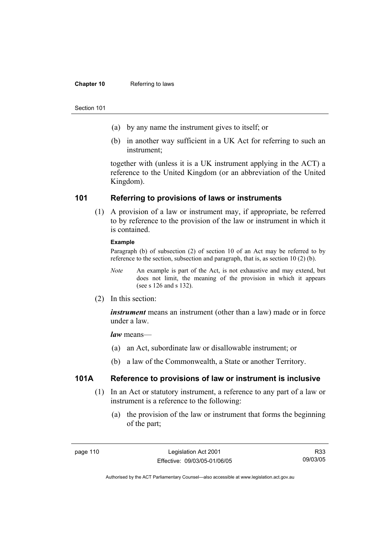#### **Chapter 10** Referring to laws

#### Section 101

- (a) by any name the instrument gives to itself; or
- (b) in another way sufficient in a UK Act for referring to such an instrument;

together with (unless it is a UK instrument applying in the ACT) a reference to the United Kingdom (or an abbreviation of the United Kingdom).

### **101 Referring to provisions of laws or instruments**

 (1) A provision of a law or instrument may, if appropriate, be referred to by reference to the provision of the law or instrument in which it is contained.

#### **Example**

Paragraph (b) of subsection (2) of section 10 of an Act may be referred to by reference to the section, subsection and paragraph, that is, as section 10 (2) (b).

- *Note* An example is part of the Act, is not exhaustive and may extend, but does not limit, the meaning of the provision in which it appears (see s 126 and s 132).
- (2) In this section:

*instrument* means an instrument (other than a law) made or in force under a law.

*law* means—

- (a) an Act, subordinate law or disallowable instrument; or
- (b) a law of the Commonwealth, a State or another Territory.

### **101A Reference to provisions of law or instrument is inclusive**

- (1) In an Act or statutory instrument, a reference to any part of a law or instrument is a reference to the following:
	- (a) the provision of the law or instrument that forms the beginning of the part;

R33 09/03/05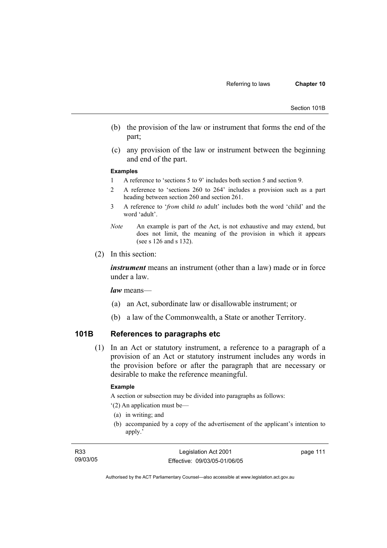Section 101B

- (b) the provision of the law or instrument that forms the end of the part;
- (c) any provision of the law or instrument between the beginning and end of the part.

#### **Examples**

- 1 A reference to 'sections 5 to 9' includes both section 5 and section 9.
- 2 A reference to 'sections 260 to 264' includes a provision such as a part heading between section 260 and section 261.
- 3 A reference to '*from* child *to* adult' includes both the word 'child' and the word 'adult'.
- *Note* An example is part of the Act, is not exhaustive and may extend, but does not limit, the meaning of the provision in which it appears (see s 126 and s 132).
- (2) In this section:

*instrument* means an instrument (other than a law) made or in force under a law.

*law* means—

- (a) an Act, subordinate law or disallowable instrument; or
- (b) a law of the Commonwealth, a State or another Territory.

### **101B References to paragraphs etc**

 (1) In an Act or statutory instrument, a reference to a paragraph of a provision of an Act or statutory instrument includes any words in the provision before or after the paragraph that are necessary or desirable to make the reference meaningful.

#### **Example**

A section or subsection may be divided into paragraphs as follows:

'(2) An application must be—

- (a) in writing; and
- (b) accompanied by a copy of the advertisement of the applicant's intention to apply.'

page 111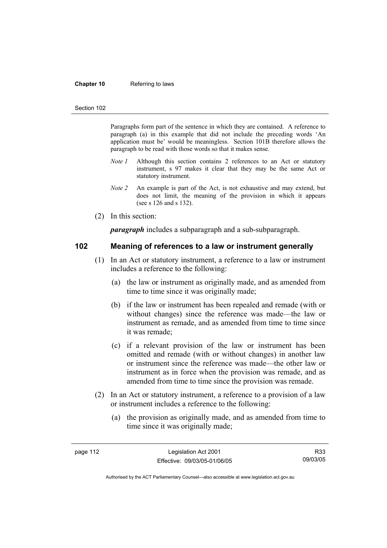#### **Chapter 10** Referring to laws

#### Section 102

Paragraphs form part of the sentence in which they are contained. A reference to paragraph (a) in this example that did not include the preceding words 'An application must be' would be meaningless. Section 101B therefore allows the paragraph to be read with those words so that it makes sense.

- *Note 1* Although this section contains 2 references to an Act or statutory instrument, s 97 makes it clear that they may be the same Act or statutory instrument.
- *Note 2* An example is part of the Act, is not exhaustive and may extend, but does not limit, the meaning of the provision in which it appears (see s 126 and s 132).
- (2) In this section:

*paragraph* includes a subparagraph and a sub-subparagraph.

### **102 Meaning of references to a law or instrument generally**

- (1) In an Act or statutory instrument, a reference to a law or instrument includes a reference to the following:
	- (a) the law or instrument as originally made, and as amended from time to time since it was originally made;
	- (b) if the law or instrument has been repealed and remade (with or without changes) since the reference was made—the law or instrument as remade, and as amended from time to time since it was remade;
	- (c) if a relevant provision of the law or instrument has been omitted and remade (with or without changes) in another law or instrument since the reference was made—the other law or instrument as in force when the provision was remade, and as amended from time to time since the provision was remade.
- (2) In an Act or statutory instrument, a reference to a provision of a law or instrument includes a reference to the following:
	- (a) the provision as originally made, and as amended from time to time since it was originally made;

R33 09/03/05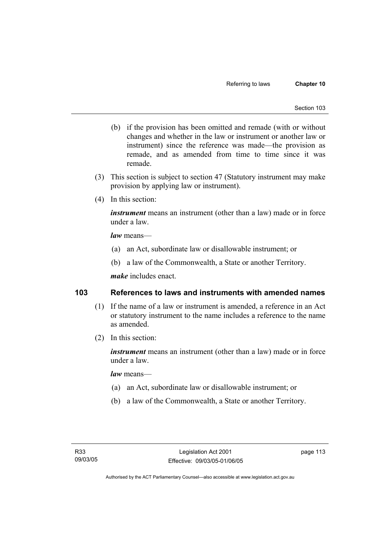- (b) if the provision has been omitted and remade (with or without changes and whether in the law or instrument or another law or instrument) since the reference was made—the provision as remade, and as amended from time to time since it was remade.
- (3) This section is subject to section 47 (Statutory instrument may make provision by applying law or instrument).
- (4) In this section:

*instrument* means an instrument (other than a law) made or in force under a law.

*law* means—

- (a) an Act, subordinate law or disallowable instrument; or
- (b) a law of the Commonwealth, a State or another Territory.

*make* includes enact.

### **103 References to laws and instruments with amended names**

- (1) If the name of a law or instrument is amended, a reference in an Act or statutory instrument to the name includes a reference to the name as amended.
- (2) In this section:

*instrument* means an instrument (other than a law) made or in force under a law.

*law* means—

- (a) an Act, subordinate law or disallowable instrument; or
- (b) a law of the Commonwealth, a State or another Territory.

page 113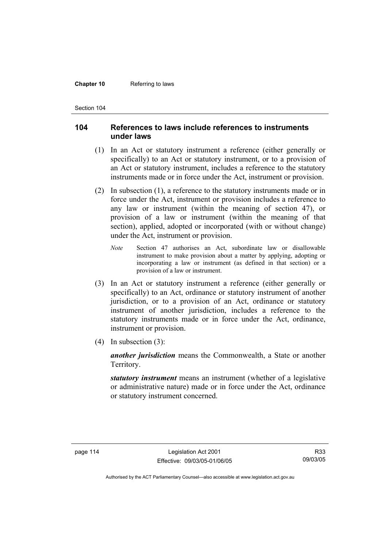#### **Chapter 10** Referring to laws

Section 104

### **104 References to laws include references to instruments under laws**

- (1) In an Act or statutory instrument a reference (either generally or specifically) to an Act or statutory instrument, or to a provision of an Act or statutory instrument, includes a reference to the statutory instruments made or in force under the Act, instrument or provision.
- (2) In subsection (1), a reference to the statutory instruments made or in force under the Act, instrument or provision includes a reference to any law or instrument (within the meaning of section 47), or provision of a law or instrument (within the meaning of that section), applied, adopted or incorporated (with or without change) under the Act, instrument or provision.
	- *Note* Section 47 authorises an Act, subordinate law or disallowable instrument to make provision about a matter by applying, adopting or incorporating a law or instrument (as defined in that section) or a provision of a law or instrument.
- (3) In an Act or statutory instrument a reference (either generally or specifically) to an Act, ordinance or statutory instrument of another jurisdiction, or to a provision of an Act, ordinance or statutory instrument of another jurisdiction, includes a reference to the statutory instruments made or in force under the Act, ordinance, instrument or provision.
- (4) In subsection (3):

*another jurisdiction* means the Commonwealth, a State or another Territory.

*statutory instrument* means an instrument (whether of a legislative or administrative nature) made or in force under the Act, ordinance or statutory instrument concerned.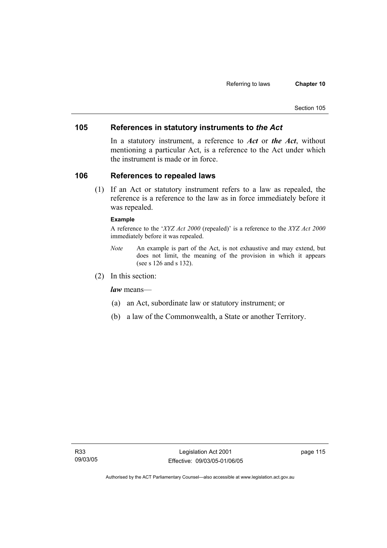### **105 References in statutory instruments to** *the Act*

In a statutory instrument, a reference to *Act* or *the Act*, without mentioning a particular Act, is a reference to the Act under which the instrument is made or in force.

### **106 References to repealed laws**

 (1) If an Act or statutory instrument refers to a law as repealed, the reference is a reference to the law as in force immediately before it was repealed.

#### **Example**

A reference to the '*XYZ Act 2000* (repealed)' is a reference to the *XYZ Act 2000* immediately before it was repealed.

- *Note* An example is part of the Act, is not exhaustive and may extend, but does not limit, the meaning of the provision in which it appears (see s 126 and s 132).
- (2) In this section:

*law* means—

- (a) an Act, subordinate law or statutory instrument; or
- (b) a law of the Commonwealth, a State or another Territory.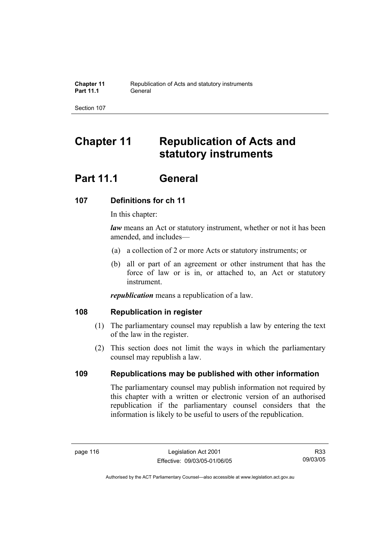# **Chapter 11 Republication of Acts and statutory instruments**

# **Part 11.1 General**

## **107 Definitions for ch 11**

In this chapter:

*law* means an Act or statutory instrument, whether or not it has been amended, and includes—

- (a) a collection of 2 or more Acts or statutory instruments; or
- (b) all or part of an agreement or other instrument that has the force of law or is in, or attached to, an Act or statutory instrument.

*republication* means a republication of a law.

### **108 Republication in register**

- (1) The parliamentary counsel may republish a law by entering the text of the law in the register.
- (2) This section does not limit the ways in which the parliamentary counsel may republish a law.

## **109 Republications may be published with other information**

The parliamentary counsel may publish information not required by this chapter with a written or electronic version of an authorised republication if the parliamentary counsel considers that the information is likely to be useful to users of the republication.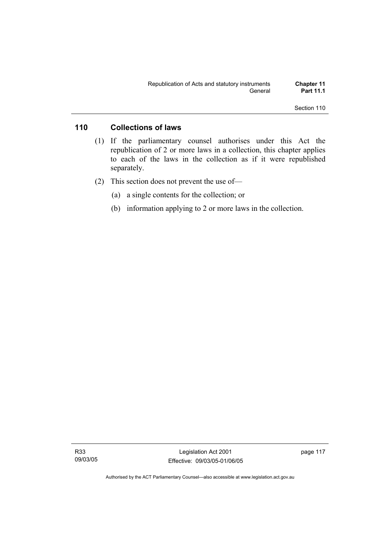### **110 Collections of laws**

- (1) If the parliamentary counsel authorises under this Act the republication of 2 or more laws in a collection, this chapter applies to each of the laws in the collection as if it were republished separately.
- (2) This section does not prevent the use of—
	- (a) a single contents for the collection; or
	- (b) information applying to 2 or more laws in the collection.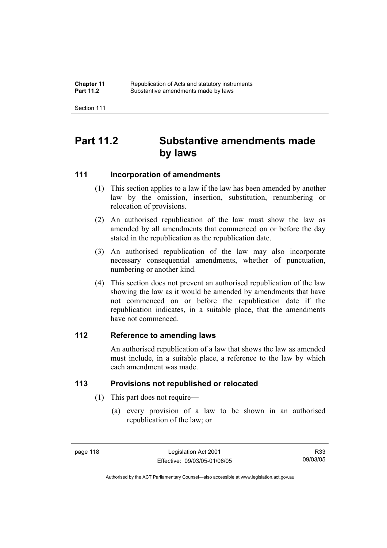| <b>Chapter 11</b> | Republication of Acts and statutory instruments |
|-------------------|-------------------------------------------------|
| <b>Part 11.2</b>  | Substantive amendments made by laws             |

# **Part 11.2 Substantive amendments made by laws**

### **111 Incorporation of amendments**

- (1) This section applies to a law if the law has been amended by another law by the omission, insertion, substitution, renumbering or relocation of provisions.
- (2) An authorised republication of the law must show the law as amended by all amendments that commenced on or before the day stated in the republication as the republication date.
- (3) An authorised republication of the law may also incorporate necessary consequential amendments, whether of punctuation, numbering or another kind.
- (4) This section does not prevent an authorised republication of the law showing the law as it would be amended by amendments that have not commenced on or before the republication date if the republication indicates, in a suitable place, that the amendments have not commenced.

### **112 Reference to amending laws**

An authorised republication of a law that shows the law as amended must include, in a suitable place, a reference to the law by which each amendment was made.

### **113 Provisions not republished or relocated**

- (1) This part does not require—
	- (a) every provision of a law to be shown in an authorised republication of the law; or

Authorised by the ACT Parliamentary Counsel—also accessible at www.legislation.act.gov.au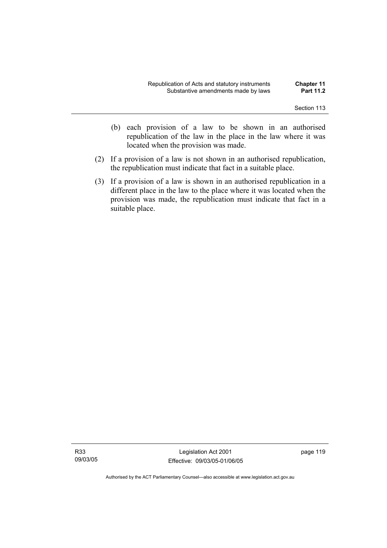- (b) each provision of a law to be shown in an authorised republication of the law in the place in the law where it was located when the provision was made.
- (2) If a provision of a law is not shown in an authorised republication, the republication must indicate that fact in a suitable place.
- (3) If a provision of a law is shown in an authorised republication in a different place in the law to the place where it was located when the provision was made, the republication must indicate that fact in a suitable place.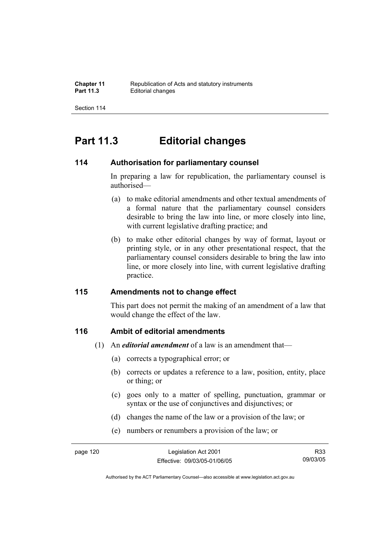# **Part 11.3 Editorial changes**

### **114 Authorisation for parliamentary counsel**

In preparing a law for republication, the parliamentary counsel is authorised—

- (a) to make editorial amendments and other textual amendments of a formal nature that the parliamentary counsel considers desirable to bring the law into line, or more closely into line, with current legislative drafting practice; and
- (b) to make other editorial changes by way of format, layout or printing style, or in any other presentational respect, that the parliamentary counsel considers desirable to bring the law into line, or more closely into line, with current legislative drafting practice.

### **115 Amendments not to change effect**

This part does not permit the making of an amendment of a law that would change the effect of the law.

### **116 Ambit of editorial amendments**

- (1) An *editorial amendment* of a law is an amendment that—
	- (a) corrects a typographical error; or
	- (b) corrects or updates a reference to a law, position, entity, place or thing; or
	- (c) goes only to a matter of spelling, punctuation, grammar or syntax or the use of conjunctives and disjunctives; or
	- (d) changes the name of the law or a provision of the law; or
	- (e) numbers or renumbers a provision of the law; or

R33 09/03/05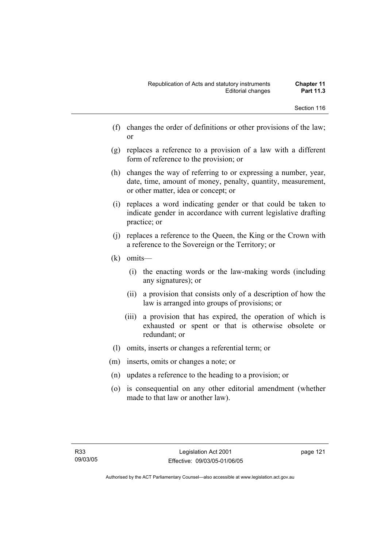- (f) changes the order of definitions or other provisions of the law; or
- (g) replaces a reference to a provision of a law with a different form of reference to the provision; or
- (h) changes the way of referring to or expressing a number, year, date, time, amount of money, penalty, quantity, measurement, or other matter, idea or concept; or
- (i) replaces a word indicating gender or that could be taken to indicate gender in accordance with current legislative drafting practice; or
- (j) replaces a reference to the Queen, the King or the Crown with a reference to the Sovereign or the Territory; or
- (k) omits—
	- (i) the enacting words or the law-making words (including any signatures); or
	- (ii) a provision that consists only of a description of how the law is arranged into groups of provisions; or
	- (iii) a provision that has expired, the operation of which is exhausted or spent or that is otherwise obsolete or redundant; or
- (l) omits, inserts or changes a referential term; or
- (m) inserts, omits or changes a note; or
- (n) updates a reference to the heading to a provision; or
- (o) is consequential on any other editorial amendment (whether made to that law or another law).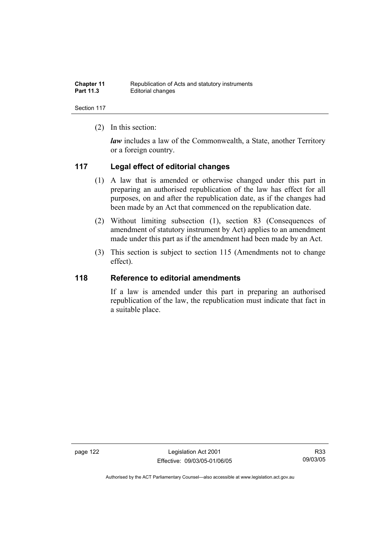| <b>Chapter 11</b> | Republication of Acts and statutory instruments |
|-------------------|-------------------------------------------------|
| <b>Part 11.3</b>  | Editorial changes                               |

(2) In this section:

*law* includes a law of the Commonwealth, a State, another Territory or a foreign country.

### **117 Legal effect of editorial changes**

- (1) A law that is amended or otherwise changed under this part in preparing an authorised republication of the law has effect for all purposes, on and after the republication date, as if the changes had been made by an Act that commenced on the republication date.
- (2) Without limiting subsection (1), section 83 (Consequences of amendment of statutory instrument by Act) applies to an amendment made under this part as if the amendment had been made by an Act.
- (3) This section is subject to section 115 (Amendments not to change effect).

### **118 Reference to editorial amendments**

If a law is amended under this part in preparing an authorised republication of the law, the republication must indicate that fact in a suitable place.

page 122 Legislation Act 2001 Effective: 09/03/05-01/06/05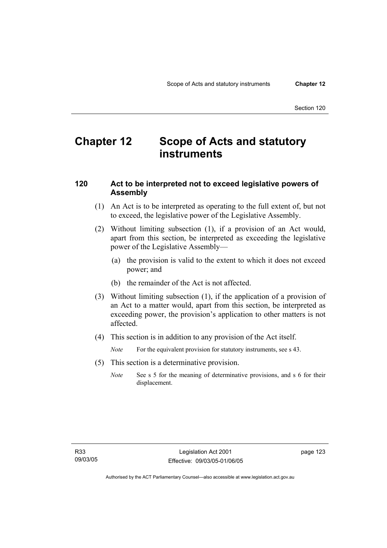# **Chapter 12 Scope of Acts and statutory instruments**

### **120 Act to be interpreted not to exceed legislative powers of Assembly**

- (1) An Act is to be interpreted as operating to the full extent of, but not to exceed, the legislative power of the Legislative Assembly.
- (2) Without limiting subsection (1), if a provision of an Act would, apart from this section, be interpreted as exceeding the legislative power of the Legislative Assembly—
	- (a) the provision is valid to the extent to which it does not exceed power; and
	- (b) the remainder of the Act is not affected.
- (3) Without limiting subsection (1), if the application of a provision of an Act to a matter would, apart from this section, be interpreted as exceeding power, the provision's application to other matters is not affected.
- (4) This section is in addition to any provision of the Act itself.

*Note* For the equivalent provision for statutory instruments, see s 43.

- (5) This section is a determinative provision.
	- *Note* See s 5 for the meaning of determinative provisions, and s 6 for their displacement.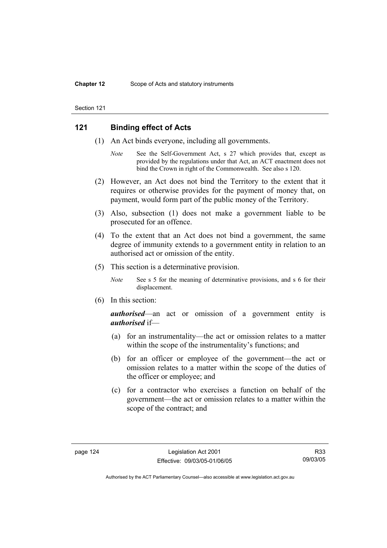### **121 Binding effect of Acts**

- (1) An Act binds everyone, including all governments.
	- *Note* See the Self-Government Act, s 27 which provides that, except as provided by the regulations under that Act, an ACT enactment does not bind the Crown in right of the Commonwealth. See also s 120.
- (2) However, an Act does not bind the Territory to the extent that it requires or otherwise provides for the payment of money that, on payment, would form part of the public money of the Territory.
- (3) Also, subsection (1) does not make a government liable to be prosecuted for an offence.
- (4) To the extent that an Act does not bind a government, the same degree of immunity extends to a government entity in relation to an authorised act or omission of the entity.
- (5) This section is a determinative provision.
	- *Note* See s 5 for the meaning of determinative provisions, and s 6 for their displacement.
- (6) In this section:

*authorised*—an act or omission of a government entity is *authorised* if—

- (a) for an instrumentality—the act or omission relates to a matter within the scope of the instrumentality's functions; and
- (b) for an officer or employee of the government—the act or omission relates to a matter within the scope of the duties of the officer or employee; and
- (c) for a contractor who exercises a function on behalf of the government—the act or omission relates to a matter within the scope of the contract; and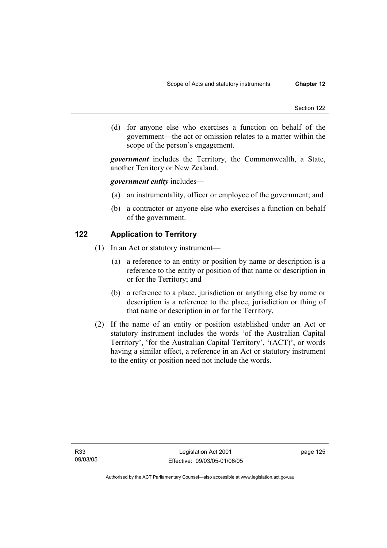(d) for anyone else who exercises a function on behalf of the government—the act or omission relates to a matter within the scope of the person's engagement.

*government* includes the Territory, the Commonwealth, a State, another Territory or New Zealand.

#### *government entity* includes—

- (a) an instrumentality, officer or employee of the government; and
- (b) a contractor or anyone else who exercises a function on behalf of the government.

### **122 Application to Territory**

- (1) In an Act or statutory instrument—
	- (a) a reference to an entity or position by name or description is a reference to the entity or position of that name or description in or for the Territory; and
	- (b) a reference to a place, jurisdiction or anything else by name or description is a reference to the place, jurisdiction or thing of that name or description in or for the Territory.
- (2) If the name of an entity or position established under an Act or statutory instrument includes the words 'of the Australian Capital Territory', 'for the Australian Capital Territory', '(ACT)', or words having a similar effect, a reference in an Act or statutory instrument to the entity or position need not include the words.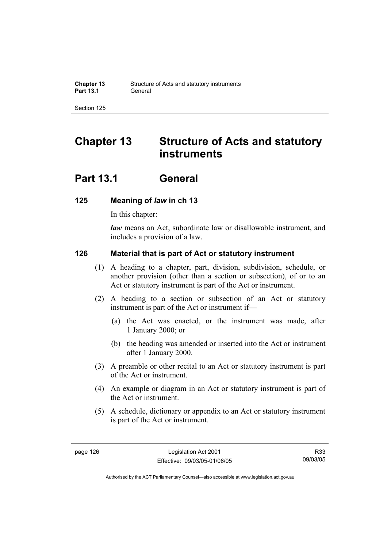# **Chapter 13 Structure of Acts and statutory instruments**

# **Part 13.1 General**

### **125 Meaning of** *law* **in ch 13**

In this chapter:

*law* means an Act, subordinate law or disallowable instrument, and includes a provision of a law.

### **126 Material that is part of Act or statutory instrument**

- (1) A heading to a chapter, part, division, subdivision, schedule, or another provision (other than a section or subsection), of or to an Act or statutory instrument is part of the Act or instrument.
- (2) A heading to a section or subsection of an Act or statutory instrument is part of the Act or instrument if—
	- (a) the Act was enacted, or the instrument was made, after 1 January 2000; or
	- (b) the heading was amended or inserted into the Act or instrument after 1 January 2000.
- (3) A preamble or other recital to an Act or statutory instrument is part of the Act or instrument.
- (4) An example or diagram in an Act or statutory instrument is part of the Act or instrument.
- (5) A schedule, dictionary or appendix to an Act or statutory instrument is part of the Act or instrument.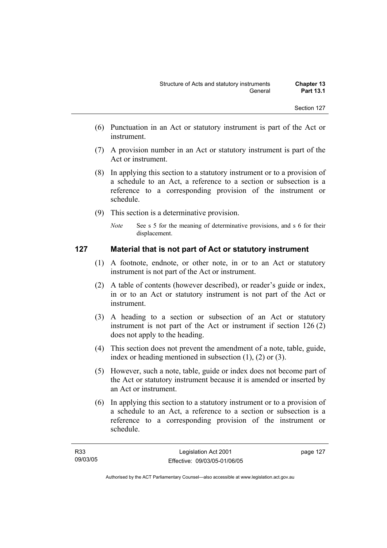- (6) Punctuation in an Act or statutory instrument is part of the Act or instrument.
- (7) A provision number in an Act or statutory instrument is part of the Act or instrument.
- (8) In applying this section to a statutory instrument or to a provision of a schedule to an Act, a reference to a section or subsection is a reference to a corresponding provision of the instrument or schedule.
- (9) This section is a determinative provision.
	- *Note* See s 5 for the meaning of determinative provisions, and s 6 for their displacement.

### **127 Material that is not part of Act or statutory instrument**

- (1) A footnote, endnote, or other note, in or to an Act or statutory instrument is not part of the Act or instrument.
- (2) A table of contents (however described), or reader's guide or index, in or to an Act or statutory instrument is not part of the Act or instrument.
- (3) A heading to a section or subsection of an Act or statutory instrument is not part of the Act or instrument if section 126 (2) does not apply to the heading.
- (4) This section does not prevent the amendment of a note, table, guide, index or heading mentioned in subsection (1), (2) or (3).
- (5) However, such a note, table, guide or index does not become part of the Act or statutory instrument because it is amended or inserted by an Act or instrument.
- (6) In applying this section to a statutory instrument or to a provision of a schedule to an Act, a reference to a section or subsection is a reference to a corresponding provision of the instrument or schedule.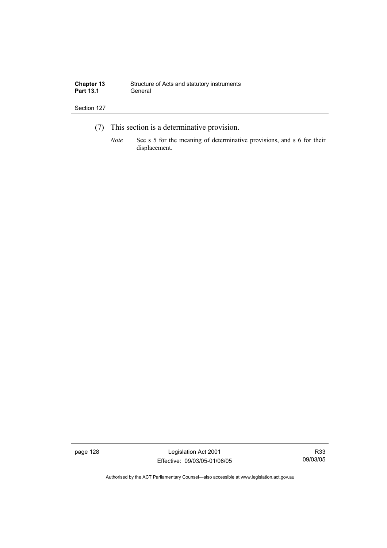| <b>Chapter 13</b> | Structure of Acts and statutory instruments |
|-------------------|---------------------------------------------|
| <b>Part 13.1</b>  | General                                     |

- (7) This section is a determinative provision.
	- *Note* See s 5 for the meaning of determinative provisions, and s 6 for their displacement.

page 128 Legislation Act 2001 Effective: 09/03/05-01/06/05

R33 09/03/05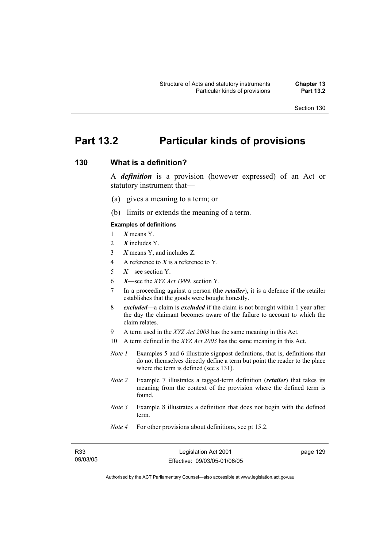## **Part 13.2 Particular kinds of provisions**

### **130 What is a definition?**

A *definition* is a provision (however expressed) of an Act or statutory instrument that—

- (a) gives a meaning to a term; or
- (b) limits or extends the meaning of a term.

#### **Examples of definitions**

- 1 *X* means Y.
- 2 *X* includes Y.
- 3 *X* means Y, and includes Z.
- 4 A reference to *X* is a reference to Y.
- 5 *X*—see section Y.
- 6 *X*—see the *XYZ Act 1999*, section Y.
- 7 In a proceeding against a person (the *retailer*), it is a defence if the retailer establishes that the goods were bought honestly.
- 8 *excluded*—a claim is *excluded* if the claim is not brought within 1 year after the day the claimant becomes aware of the failure to account to which the claim relates.
- 9 A term used in the *XYZ Act 2003* has the same meaning in this Act.
- 10 A term defined in the *XYZ Act 2003* has the same meaning in this Act.
- *Note 1* Examples 5 and 6 illustrate signpost definitions, that is, definitions that do not themselves directly define a term but point the reader to the place where the term is defined (see s 131).
- *Note 2* Example 7 illustrates a tagged-term definition (*retailer*) that takes its meaning from the context of the provision where the defined term is found.
- *Note 3* Example 8 illustrates a definition that does not begin with the defined term.
- *Note 4* For other provisions about definitions, see pt 15.2.

| R33      |
|----------|
| 09/03/05 |

page 129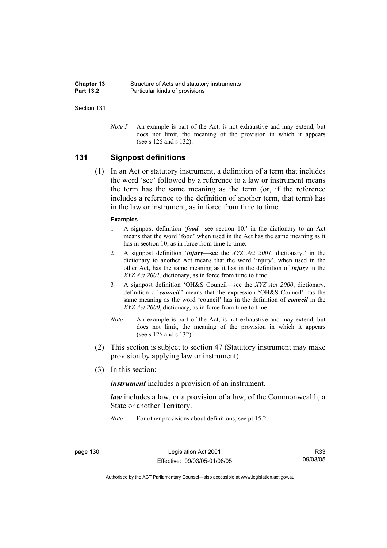| <b>Chapter 13</b> | Structure of Acts and statutory instruments |
|-------------------|---------------------------------------------|
| <b>Part 13.2</b>  | Particular kinds of provisions              |

*Note 5* An example is part of the Act, is not exhaustive and may extend, but does not limit, the meaning of the provision in which it appears (see s 126 and s 132).

### **131 Signpost definitions**

 (1) In an Act or statutory instrument, a definition of a term that includes the word 'see' followed by a reference to a law or instrument means the term has the same meaning as the term (or, if the reference includes a reference to the definition of another term, that term) has in the law or instrument, as in force from time to time.

#### **Examples**

- 1 A signpost definition '*food*—see section 10.' in the dictionary to an Act means that the word 'food' when used in the Act has the same meaning as it has in section 10, as in force from time to time.
- 2 A signpost definition '*injury*—see the *XYZ Act 2001*, dictionary.' in the dictionary to another Act means that the word 'injury', when used in the other Act, has the same meaning as it has in the definition of *injury* in the *XYZ Act 2001*, dictionary, as in force from time to time.
- 3 A signpost definition 'OH&S Council—see the *XYZ Act 2000*, dictionary, definition of *council*.' means that the expression 'OH&S Council' has the same meaning as the word 'council' has in the definition of *council* in the *XYZ Act 2000*, dictionary, as in force from time to time.
- *Note* An example is part of the Act, is not exhaustive and may extend, but does not limit, the meaning of the provision in which it appears (see s 126 and s 132).
- (2) This section is subject to section 47 (Statutory instrument may make provision by applying law or instrument).
- (3) In this section:

*instrument* includes a provision of an instrument.

*law* includes a law, or a provision of a law, of the Commonwealth, a State or another Territory.

*Note* For other provisions about definitions, see pt 15.2.

page 130 Legislation Act 2001 Effective: 09/03/05-01/06/05

R33 09/03/05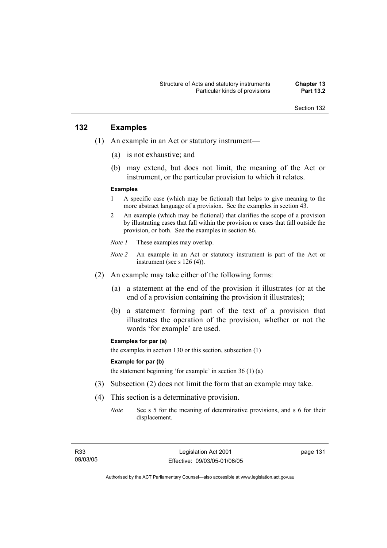### **132 Examples**

- (1) An example in an Act or statutory instrument—
	- (a) is not exhaustive; and
	- (b) may extend, but does not limit, the meaning of the Act or instrument, or the particular provision to which it relates.

#### **Examples**

- 1 A specific case (which may be fictional) that helps to give meaning to the more abstract language of a provision. See the examples in section 43.
- 2 An example (which may be fictional) that clarifies the scope of a provision by illustrating cases that fall within the provision or cases that fall outside the provision, or both. See the examples in section 86.
- *Note 1* These examples may overlap.
- *Note 2* An example in an Act or statutory instrument is part of the Act or instrument (see s 126 (4)).
- (2) An example may take either of the following forms:
	- (a) a statement at the end of the provision it illustrates (or at the end of a provision containing the provision it illustrates);
	- (b) a statement forming part of the text of a provision that illustrates the operation of the provision, whether or not the words 'for example' are used.

#### **Examples for par (a)**

the examples in section 130 or this section, subsection (1)

#### **Example for par (b)**

the statement beginning 'for example' in section 36 (1) (a)

- (3) Subsection (2) does not limit the form that an example may take.
- (4) This section is a determinative provision.
	- *Note* See s 5 for the meaning of determinative provisions, and s 6 for their displacement.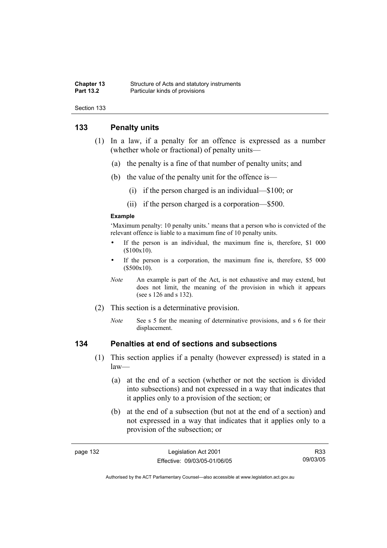#### **Chapter 13** Structure of Acts and statutory instruments<br> **Part 13.2** Particular kinds of provisions **Particular kinds of provisions**

Section 133

### **133 Penalty units**

- (1) In a law, if a penalty for an offence is expressed as a number (whether whole or fractional) of penalty units—
	- (a) the penalty is a fine of that number of penalty units; and
	- (b) the value of the penalty unit for the offence is—
		- (i) if the person charged is an individual—\$100; or
		- (ii) if the person charged is a corporation—\$500.

#### **Example**

'Maximum penalty: 10 penalty units.' means that a person who is convicted of the relevant offence is liable to a maximum fine of 10 penalty units.

- If the person is an individual, the maximum fine is, therefore, \$1 000 (\$100x10).
- If the person is a corporation, the maximum fine is, therefore, \$5 000 (\$500x10).
- *Note* An example is part of the Act, is not exhaustive and may extend, but does not limit, the meaning of the provision in which it appears (see s 126 and s 132).
- (2) This section is a determinative provision.
	- *Note* See s 5 for the meaning of determinative provisions, and s 6 for their displacement.

### **134 Penalties at end of sections and subsections**

- (1) This section applies if a penalty (however expressed) is stated in a law—
	- (a) at the end of a section (whether or not the section is divided into subsections) and not expressed in a way that indicates that it applies only to a provision of the section; or
	- (b) at the end of a subsection (but not at the end of a section) and not expressed in a way that indicates that it applies only to a provision of the subsection; or

| лаае |  |
|------|--|
|------|--|

R33 09/03/05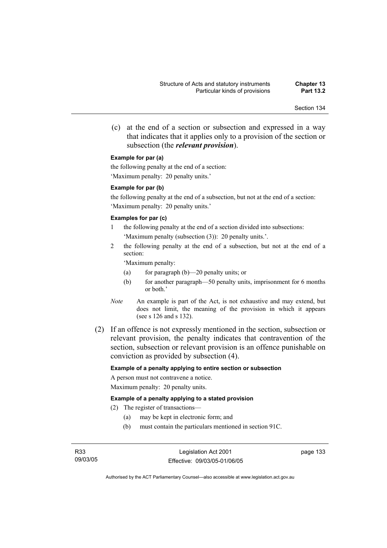(c) at the end of a section or subsection and expressed in a way that indicates that it applies only to a provision of the section or subsection (the *relevant provision*).

#### **Example for par (a)**

the following penalty at the end of a section: 'Maximum penalty: 20 penalty units.'

#### **Example for par (b)**

the following penalty at the end of a subsection, but not at the end of a section: 'Maximum penalty: 20 penalty units.'

#### **Examples for par (c)**

- 1 the following penalty at the end of a section divided into subsections: 'Maximum penalty (subsection (3)): 20 penalty units.'.
- 2 the following penalty at the end of a subsection, but not at the end of a section:

'Maximum penalty:

- (a) for paragraph (b)—20 penalty units; or
- (b) for another paragraph—50 penalty units, imprisonment for 6 months or both.'
- *Note* An example is part of the Act, is not exhaustive and may extend, but does not limit, the meaning of the provision in which it appears (see s 126 and s 132).
- (2) If an offence is not expressly mentioned in the section, subsection or relevant provision, the penalty indicates that contravention of the section, subsection or relevant provision is an offence punishable on conviction as provided by subsection (4).

#### **Example of a penalty applying to entire section or subsection**

A person must not contravene a notice. Maximum penalty: 20 penalty units.

#### **Example of a penalty applying to a stated provision**

(2) The register of transactions—

- (a) may be kept in electronic form; and
- (b) must contain the particulars mentioned in section 91C.

Legislation Act 2001 Effective: 09/03/05-01/06/05 page 133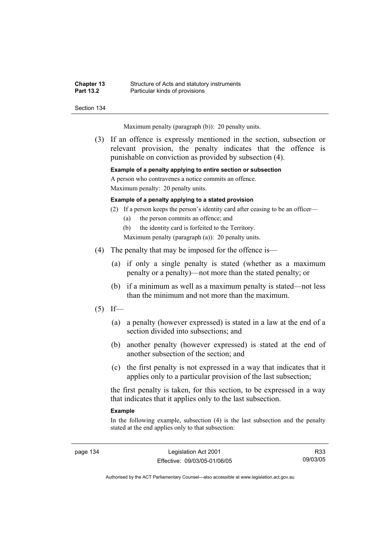| <b>Chapter 13</b> | Structure of Acts and statutory instruments |
|-------------------|---------------------------------------------|
| <b>Part 13.2</b>  | Particular kinds of provisions              |

Maximum penalty (paragraph (b)): 20 penalty units.

 (3) If an offence is expressly mentioned in the section, subsection or relevant provision, the penalty indicates that the offence is punishable on conviction as provided by subsection (4).

#### **Example of a penalty applying to entire section or subsection**

A person who contravenes a notice commits an offence. Maximum penalty: 20 penalty units.

#### **Example of a penalty applying to a stated provision**

- (2) If a person keeps the person's identity card after ceasing to be an officer—
	- (a) the person commits an offence; and
	- (b) the identity card is forfeited to the Territory.
	- Maximum penalty (paragraph (a)): 20 penalty units.
- (4) The penalty that may be imposed for the offence is—
	- (a) if only a single penalty is stated (whether as a maximum penalty or a penalty)—not more than the stated penalty; or
	- (b) if a minimum as well as a maximum penalty is stated—not less than the minimum and not more than the maximum.
- $(5)$  If—
	- (a) a penalty (however expressed) is stated in a law at the end of a section divided into subsections; and
	- (b) another penalty (however expressed) is stated at the end of another subsection of the section; and
	- (c) the first penalty is not expressed in a way that indicates that it applies only to a particular provision of the last subsection;

the first penalty is taken, for this section, to be expressed in a way that indicates that it applies only to the last subsection.

#### **Example**

In the following example, subsection (4) is the last subsection and the penalty stated at the end applies only to that subsection:

page 134 Legislation Act 2001 Effective: 09/03/05-01/06/05

R33 09/03/05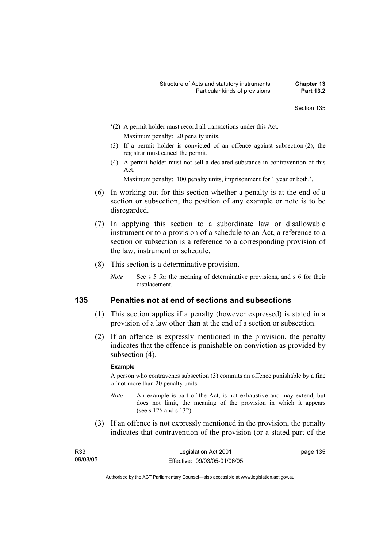- '(2) A permit holder must record all transactions under this Act. Maximum penalty: 20 penalty units.
- (3) If a permit holder is convicted of an offence against subsection (2), the registrar must cancel the permit.
- (4) A permit holder must not sell a declared substance in contravention of this Act.

Maximum penalty: 100 penalty units, imprisonment for 1 year or both.'.

- (6) In working out for this section whether a penalty is at the end of a section or subsection, the position of any example or note is to be disregarded.
- (7) In applying this section to a subordinate law or disallowable instrument or to a provision of a schedule to an Act, a reference to a section or subsection is a reference to a corresponding provision of the law, instrument or schedule.
- (8) This section is a determinative provision.
	- *Note* See s 5 for the meaning of determinative provisions, and s 6 for their displacement.

### **135 Penalties not at end of sections and subsections**

- (1) This section applies if a penalty (however expressed) is stated in a provision of a law other than at the end of a section or subsection.
- (2) If an offence is expressly mentioned in the provision, the penalty indicates that the offence is punishable on conviction as provided by subsection  $(4)$ .

### **Example**

A person who contravenes subsection (3) commits an offence punishable by a fine of not more than 20 penalty units.

- *Note* An example is part of the Act, is not exhaustive and may extend, but does not limit, the meaning of the provision in which it appears (see s 126 and s 132).
- (3) If an offence is not expressly mentioned in the provision, the penalty indicates that contravention of the provision (or a stated part of the

| R <sub>33</sub> | Legislation Act 2001         | page 135 |
|-----------------|------------------------------|----------|
| 09/03/05        | Effective: 09/03/05-01/06/05 |          |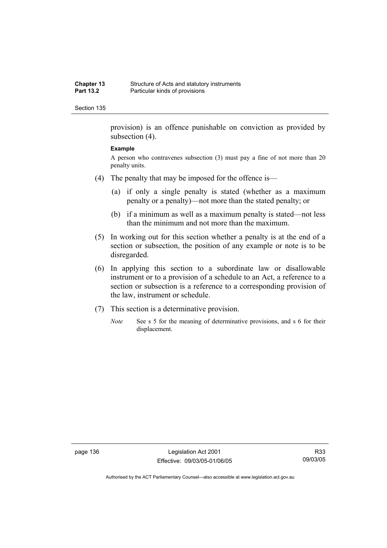provision) is an offence punishable on conviction as provided by subsection (4).

#### **Example**

A person who contravenes subsection (3) must pay a fine of not more than 20 penalty units.

- (4) The penalty that may be imposed for the offence is—
	- (a) if only a single penalty is stated (whether as a maximum penalty or a penalty)—not more than the stated penalty; or
	- (b) if a minimum as well as a maximum penalty is stated—not less than the minimum and not more than the maximum.
- (5) In working out for this section whether a penalty is at the end of a section or subsection, the position of any example or note is to be disregarded.
- (6) In applying this section to a subordinate law or disallowable instrument or to a provision of a schedule to an Act, a reference to a section or subsection is a reference to a corresponding provision of the law, instrument or schedule.
- (7) This section is a determinative provision.
	- *Note* See s 5 for the meaning of determinative provisions, and s 6 for their displacement.

page 136 Legislation Act 2001 Effective: 09/03/05-01/06/05

R33 09/03/05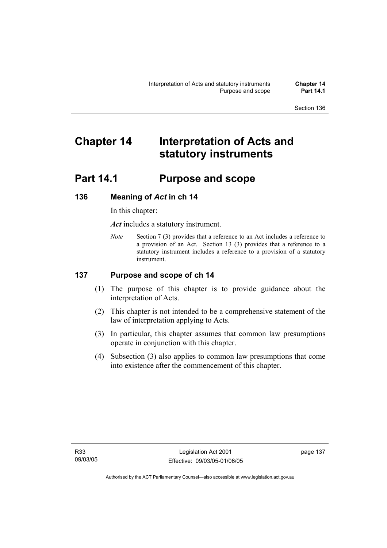# **Chapter 14 Interpretation of Acts and statutory instruments**

## **Part 14.1 Purpose and scope**

## **136 Meaning of** *Act* **in ch 14**

In this chapter:

*Act* includes a statutory instrument.

*Note* Section 7 (3) provides that a reference to an Act includes a reference to a provision of an Act. Section 13 (3) provides that a reference to a statutory instrument includes a reference to a provision of a statutory instrument.

### **137 Purpose and scope of ch 14**

- (1) The purpose of this chapter is to provide guidance about the interpretation of Acts.
- (2) This chapter is not intended to be a comprehensive statement of the law of interpretation applying to Acts.
- (3) In particular, this chapter assumes that common law presumptions operate in conjunction with this chapter.
- (4) Subsection (3) also applies to common law presumptions that come into existence after the commencement of this chapter.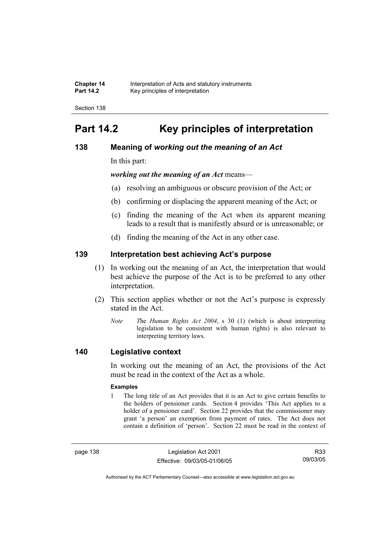| <b>Chapter 14</b> | Interpretation of Acts and statutory instruments |
|-------------------|--------------------------------------------------|
| <b>Part 14.2</b>  | Key principles of interpretation                 |

## **Part 14.2 Key principles of interpretation**

### **138 Meaning of** *working out the meaning of an Act*

In this part:

*working out the meaning of an Act* means—

- (a) resolving an ambiguous or obscure provision of the Act; or
- (b) confirming or displacing the apparent meaning of the Act; or
- (c) finding the meaning of the Act when its apparent meaning leads to a result that is manifestly absurd or is unreasonable; or
- (d) finding the meaning of the Act in any other case.

### **139 Interpretation best achieving Act's purpose**

- (1) In working out the meaning of an Act, the interpretation that would best achieve the purpose of the Act is to be preferred to any other interpretation.
- (2) This section applies whether or not the Act's purpose is expressly stated in the Act.
	- *Note T*he *Human Rights Act 2004*, s 30 (1) (which is about interpreting legislation to be consistent with human rights) is also relevant to interpreting territory laws.

### **140 Legislative context**

In working out the meaning of an Act, the provisions of the Act must be read in the context of the Act as a whole.

#### **Examples**

1 The long title of an Act provides that it is an Act to give certain benefits to the holders of pensioner cards. Section 4 provides 'This Act applies to a holder of a pensioner card'. Section 22 provides that the commissioner may grant 'a person' an exemption from payment of rates. The Act does not contain a definition of 'person'. Section 22 must be read in the context of

page 138 Legislation Act 2001 Effective: 09/03/05-01/06/05

R33 09/03/05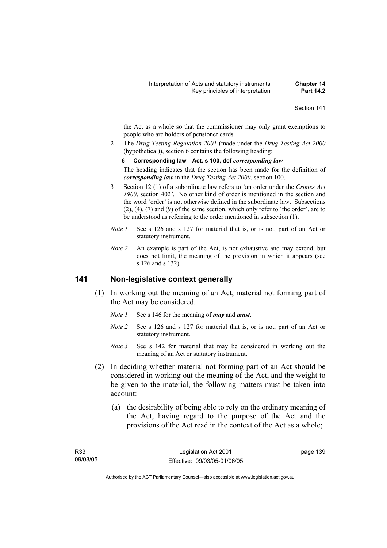the Act as a whole so that the commissioner may only grant exemptions to people who are holders of pensioner cards.

2 The *Drug Testing Regulation 2001* (made under the *Drug Testing Act 2000* (hypothetical)), section 6 contains the following heading:

#### **6 Corresponding law—Act, s 100, def** *corresponding law*

The heading indicates that the section has been made for the definition of *corresponding law* in the *Drug Testing Act 2000*, section 100.

- 3 Section 12 (1) of a subordinate law refers to 'an order under the *Crimes Act 1900*, section 402*'*. No other kind of order is mentioned in the section and the word 'order' is not otherwise defined in the subordinate law. Subsections (2), (4), (7) and (9) of the same section, which only refer to 'the order', are to be understood as referring to the order mentioned in subsection (1).
- *Note 1* See s 126 and s 127 for material that is, or is not, part of an Act or statutory instrument.
- *Note 2* An example is part of the Act, is not exhaustive and may extend, but does not limit, the meaning of the provision in which it appears (see s 126 and s 132).

### **141 Non-legislative context generally**

- (1) In working out the meaning of an Act, material not forming part of the Act may be considered.
	- *Note 1* See s 146 for the meaning of *may* and *must*.
	- *Note 2* See s 126 and s 127 for material that is, or is not, part of an Act or statutory instrument.
	- *Note* 3 See s 142 for material that may be considered in working out the meaning of an Act or statutory instrument.
- (2) In deciding whether material not forming part of an Act should be considered in working out the meaning of the Act, and the weight to be given to the material, the following matters must be taken into account:
	- (a) the desirability of being able to rely on the ordinary meaning of the Act, having regard to the purpose of the Act and the provisions of the Act read in the context of the Act as a whole;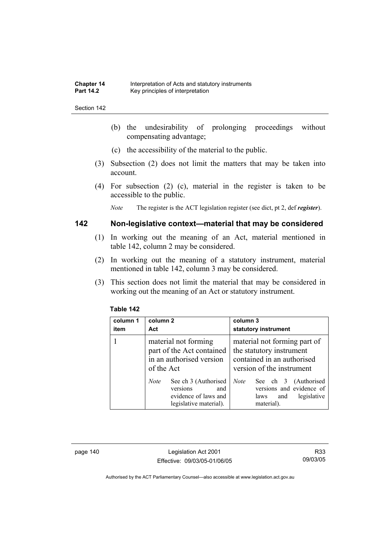- (b) the undesirability of prolonging proceedings without compensating advantage;
- (c) the accessibility of the material to the public.
- (3) Subsection (2) does not limit the matters that may be taken into account.
- (4) For subsection (2) (c), material in the register is taken to be accessible to the public.

*Note* The register is the ACT legislation register (see dict, pt 2, def *register*).

### **142 Non-legislative context—material that may be considered**

- (1) In working out the meaning of an Act, material mentioned in table 142, column 2 may be considered.
- (2) In working out the meaning of a statutory instrument, material mentioned in table 142, column 3 may be considered.
- (3) This section does not limit the material that may be considered in working out the meaning of an Act or statutory instrument.

| column 1<br>item | column 2<br>Act                                                                                          | column 3<br>statutory instrument                                                                                    |
|------------------|----------------------------------------------------------------------------------------------------------|---------------------------------------------------------------------------------------------------------------------|
|                  | material not forming<br>part of the Act contained<br>in an authorised version<br>of the Act              | material not forming part of<br>the statutory instrument<br>contained in an authorised<br>version of the instrument |
|                  | See ch 3 (Authorised<br><i>Note</i><br>versions<br>and<br>evidence of laws and<br>legislative material). | See ch 3 (Authorised<br><b>Note</b><br>versions and evidence of<br>legislative<br>and<br>laws<br>material).         |

#### **Table 142**

page 140 Legislation Act 2001 Effective: 09/03/05-01/06/05

R33 09/03/05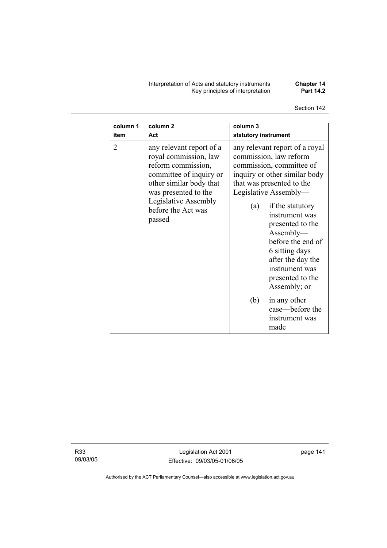Interpretation of Acts and statutory instruments **Chapter 14**  Key principles of interpretation **Part 14.2** 

Section 142

| column 1       | column <sub>2</sub>                                                                                                                                                                                           | column 3                                                                                                                                                                                                                                                                                                                                                                                                                                        |
|----------------|---------------------------------------------------------------------------------------------------------------------------------------------------------------------------------------------------------------|-------------------------------------------------------------------------------------------------------------------------------------------------------------------------------------------------------------------------------------------------------------------------------------------------------------------------------------------------------------------------------------------------------------------------------------------------|
| item           | Act                                                                                                                                                                                                           | statutory instrument                                                                                                                                                                                                                                                                                                                                                                                                                            |
| $\overline{2}$ | any relevant report of a<br>royal commission, law<br>reform commission,<br>committee of inquiry or<br>other similar body that<br>was presented to the<br>Legislative Assembly<br>before the Act was<br>passed | any relevant report of a royal<br>commission, law reform<br>commission, committee of<br>inquiry or other similar body<br>that was presented to the<br>Legislative Assembly-<br>if the statutory<br>(a)<br>instrument was<br>presented to the<br>Assently—<br>before the end of<br>6 sitting days<br>after the day the<br>instrument was<br>presented to the<br>Assembly; or<br>(b)<br>in any other<br>case—before the<br>instrument was<br>made |

R33 09/03/05

Legislation Act 2001 Effective: 09/03/05-01/06/05 page 141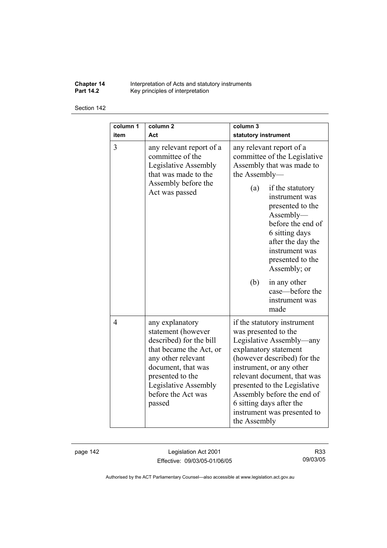**Chapter 14** Interpretation of Acts and statutory instruments **Part 14.2 Key principles of interpretation** 

Section 142

| column 1<br>item | column <sub>2</sub><br>Act                                                                                                                                                                                          | column <sub>3</sub><br>statutory instrument                                                                                                                                                                                                                                                                                                 |
|------------------|---------------------------------------------------------------------------------------------------------------------------------------------------------------------------------------------------------------------|---------------------------------------------------------------------------------------------------------------------------------------------------------------------------------------------------------------------------------------------------------------------------------------------------------------------------------------------|
| 3                | any relevant report of a<br>committee of the<br>Legislative Assembly<br>that was made to the<br>Assembly before the<br>Act was passed                                                                               | any relevant report of a<br>committee of the Legislative<br>Assembly that was made to<br>the Assembly-                                                                                                                                                                                                                                      |
|                  |                                                                                                                                                                                                                     | (a)<br>if the statutory<br>instrument was<br>presented to the<br>Assently—<br>before the end of<br>6 sitting days<br>after the day the<br>instrument was<br>presented to the<br>Assembly; or                                                                                                                                                |
|                  |                                                                                                                                                                                                                     | (b)<br>in any other<br>case—before the<br>instrument was<br>made                                                                                                                                                                                                                                                                            |
| $\overline{4}$   | any explanatory<br>statement (however<br>described) for the bill<br>that became the Act, or<br>any other relevant<br>document, that was<br>presented to the<br>Legislative Assembly<br>before the Act was<br>passed | if the statutory instrument<br>was presented to the<br>Legislative Assembly—any<br>explanatory statement<br>(however described) for the<br>instrument, or any other<br>relevant document, that was<br>presented to the Legislative<br>Assembly before the end of<br>6 sitting days after the<br>instrument was presented to<br>the Assembly |

page 142 Legislation Act 2001 Effective: 09/03/05-01/06/05

R33 09/03/05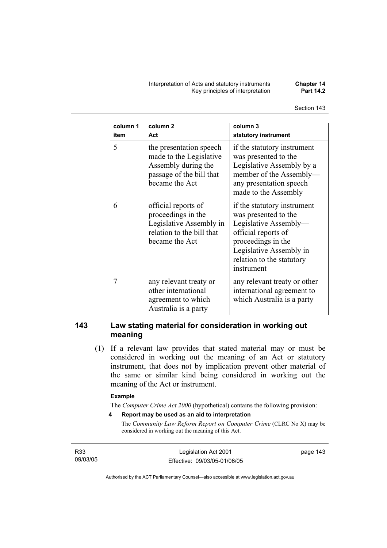Interpretation of Acts and statutory instruments **Chapter 14 Key principles of interpretation** 

| column 1<br>item | column <sub>2</sub><br>Act                                                                                              | column 3<br>statutory instrument                                                                                                                                                                |
|------------------|-------------------------------------------------------------------------------------------------------------------------|-------------------------------------------------------------------------------------------------------------------------------------------------------------------------------------------------|
| 5                | the presentation speech<br>made to the Legislative<br>Assembly during the<br>passage of the bill that<br>became the Act | if the statutory instrument<br>was presented to the<br>Legislative Assembly by a<br>member of the Assembly-<br>any presentation speech<br>made to the Assembly                                  |
| 6                | official reports of<br>proceedings in the<br>Legislative Assembly in<br>relation to the bill that<br>became the Act     | if the statutory instrument<br>was presented to the<br>Legislative Assembly-<br>official reports of<br>proceedings in the<br>Legislative Assembly in<br>relation to the statutory<br>instrument |
| 7                | any relevant treaty or<br>other international<br>agreement to which<br>Australia is a party                             | any relevant treaty or other<br>international agreement to<br>which Australia is a party                                                                                                        |

### **143 Law stating material for consideration in working out meaning**

 (1) If a relevant law provides that stated material may or must be considered in working out the meaning of an Act or statutory instrument, that does not by implication prevent other material of the same or similar kind being considered in working out the meaning of the Act or instrument.

#### **Example**

The *Computer Crime Act 2000* (hypothetical) contains the following provision:

**4 Report may be used as an aid to interpretation** 

The *Community Law Reform Report on Computer Crime* (CLRC No X) may be considered in working out the meaning of this Act.

R33 09/03/05

Legislation Act 2001 Effective: 09/03/05-01/06/05 page 143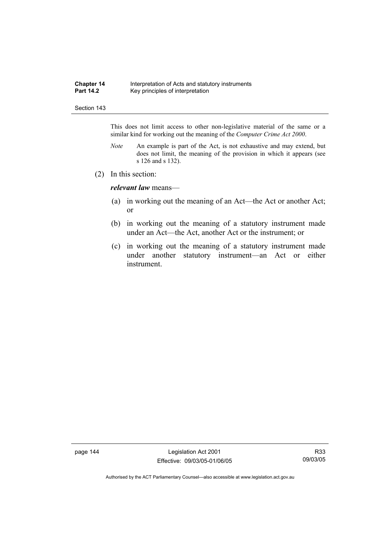#### **Chapter 14** Interpretation of Acts and statutory instruments<br>**Part 14.2** Key principles of interpretation Key principles of interpretation

#### Section 143

This does not limit access to other non-legislative material of the same or a similar kind for working out the meaning of the *Computer Crime Act 2000*.

- *Note* An example is part of the Act, is not exhaustive and may extend, but does not limit, the meaning of the provision in which it appears (see s 126 and s 132).
- (2) In this section:

*relevant law* means—

- (a) in working out the meaning of an Act—the Act or another Act; or
- (b) in working out the meaning of a statutory instrument made under an Act—the Act, another Act or the instrument; or
- (c) in working out the meaning of a statutory instrument made under another statutory instrument—an Act or either instrument.

page 144 Legislation Act 2001 Effective: 09/03/05-01/06/05

R33 09/03/05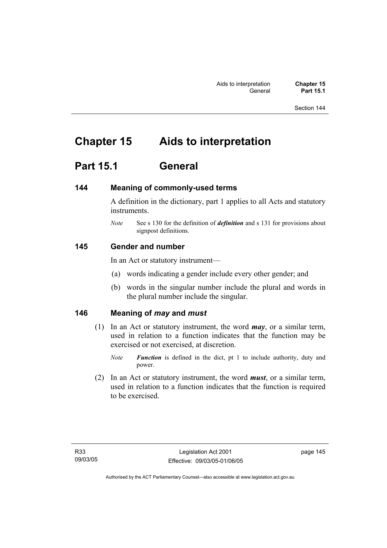## **Chapter 15 Aids to interpretation**

## **Part 15.1 General**

### **144 Meaning of commonly-used terms**

A definition in the dictionary, part 1 applies to all Acts and statutory instruments.

*Note* See s 130 for the definition of *definition* and s 131 for provisions about signpost definitions.

### **145 Gender and number**

In an Act or statutory instrument—

- (a) words indicating a gender include every other gender; and
- (b) words in the singular number include the plural and words in the plural number include the singular.

### **146 Meaning of** *may* **and** *must*

- (1) In an Act or statutory instrument, the word *may*, or a similar term, used in relation to a function indicates that the function may be exercised or not exercised, at discretion.
	- *Note Function* is defined in the dict, pt 1 to include authority, duty and power.
- (2) In an Act or statutory instrument, the word *must*, or a similar term, used in relation to a function indicates that the function is required to be exercised.

page 145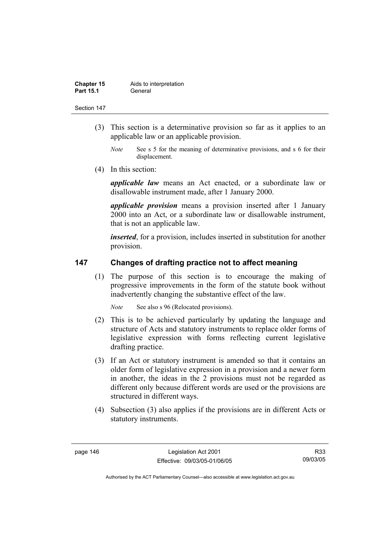| <b>Chapter 15</b> | Aids to interpretation |
|-------------------|------------------------|
| <b>Part 15.1</b>  | General                |

- (3) This section is a determinative provision so far as it applies to an applicable law or an applicable provision.
	- *Note* See s 5 for the meaning of determinative provisions, and s 6 for their displacement.
- (4) In this section:

*applicable law* means an Act enacted, or a subordinate law or disallowable instrument made, after 1 January 2000.

*applicable provision* means a provision inserted after 1 January 2000 into an Act, or a subordinate law or disallowable instrument, that is not an applicable law.

*inserted*, for a provision, includes inserted in substitution for another provision.

### **147 Changes of drafting practice not to affect meaning**

 (1) The purpose of this section is to encourage the making of progressive improvements in the form of the statute book without inadvertently changing the substantive effect of the law.

*Note* See also s 96 (Relocated provisions).

- (2) This is to be achieved particularly by updating the language and structure of Acts and statutory instruments to replace older forms of legislative expression with forms reflecting current legislative drafting practice.
- (3) If an Act or statutory instrument is amended so that it contains an older form of legislative expression in a provision and a newer form in another, the ideas in the 2 provisions must not be regarded as different only because different words are used or the provisions are structured in different ways.
- (4) Subsection (3) also applies if the provisions are in different Acts or statutory instruments.

R33 09/03/05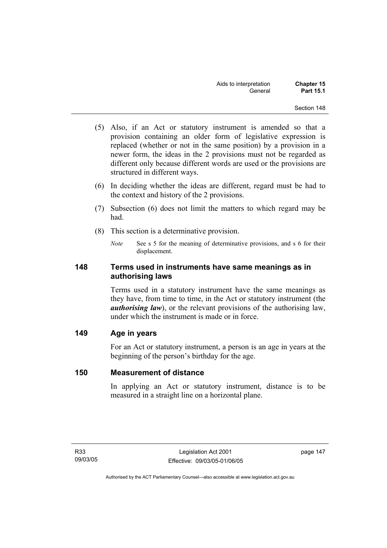- (5) Also, if an Act or statutory instrument is amended so that a provision containing an older form of legislative expression is replaced (whether or not in the same position) by a provision in a newer form, the ideas in the 2 provisions must not be regarded as different only because different words are used or the provisions are structured in different ways.
- (6) In deciding whether the ideas are different, regard must be had to the context and history of the 2 provisions.
- (7) Subsection (6) does not limit the matters to which regard may be had.
- (8) This section is a determinative provision.
	- *Note* See s 5 for the meaning of determinative provisions, and s 6 for their displacement.

### **148 Terms used in instruments have same meanings as in authorising laws**

Terms used in a statutory instrument have the same meanings as they have, from time to time, in the Act or statutory instrument (the *authorising law*), or the relevant provisions of the authorising law, under which the instrument is made or in force.

### **149 Age in years**

For an Act or statutory instrument, a person is an age in years at the beginning of the person's birthday for the age.

### **150 Measurement of distance**

In applying an Act or statutory instrument, distance is to be measured in a straight line on a horizontal plane.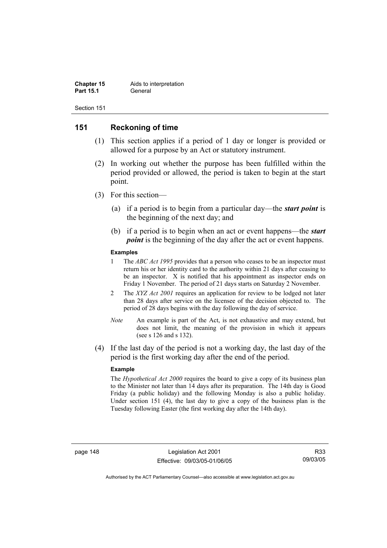| <b>Chapter 15</b> | Aids to interpretation |
|-------------------|------------------------|
| <b>Part 15.1</b>  | General                |

### **151 Reckoning of time**

- (1) This section applies if a period of 1 day or longer is provided or allowed for a purpose by an Act or statutory instrument.
- (2) In working out whether the purpose has been fulfilled within the period provided or allowed, the period is taken to begin at the start point.
- (3) For this section—
	- (a) if a period is to begin from a particular day—the *start point* is the beginning of the next day; and
	- (b) if a period is to begin when an act or event happens—the *start point* is the beginning of the day after the act or event happens.

#### **Examples**

- 1 The *ABC Act 1995* provides that a person who ceases to be an inspector must return his or her identity card to the authority within 21 days after ceasing to be an inspector. X is notified that his appointment as inspector ends on Friday 1 November. The period of 21 days starts on Saturday 2 November.
- 2 The *XYZ Act 2001* requires an application for review to be lodged not later than 28 days after service on the licensee of the decision objected to. The period of 28 days begins with the day following the day of service.
- *Note* An example is part of the Act, is not exhaustive and may extend, but does not limit, the meaning of the provision in which it appears (see s 126 and s 132).
- (4) If the last day of the period is not a working day, the last day of the period is the first working day after the end of the period.

#### **Example**

The *Hypothetical Act 2000* requires the board to give a copy of its business plan to the Minister not later than 14 days after its preparation. The 14th day is Good Friday (a public holiday) and the following Monday is also a public holiday. Under section 151 (4), the last day to give a copy of the business plan is the Tuesday following Easter (the first working day after the 14th day).

R33 09/03/05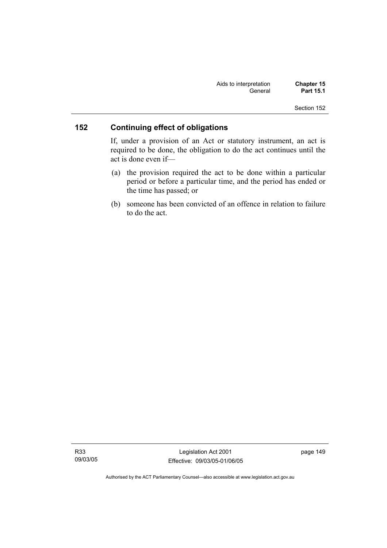| Aids to interpretation | <b>Chapter 15</b> |
|------------------------|-------------------|
| General                | <b>Part 15.1</b>  |

## **152 Continuing effect of obligations**

If, under a provision of an Act or statutory instrument, an act is required to be done, the obligation to do the act continues until the act is done even if—

- (a) the provision required the act to be done within a particular period or before a particular time, and the period has ended or the time has passed; or
- (b) someone has been convicted of an offence in relation to failure to do the act.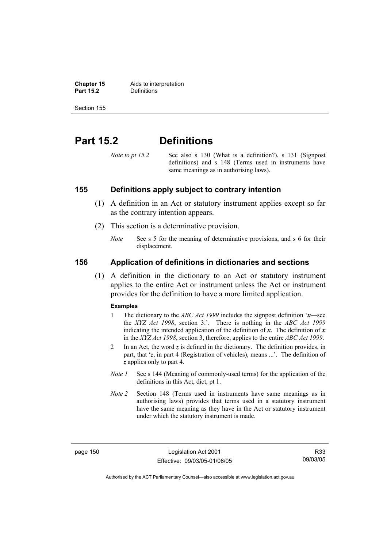**Chapter 15** Aids to interpretation<br>**Part 15.2** Definitions **Definitions** 

Section 155

## **Part 15.2 Definitions**

*Note to pt 15.2* See also s 130 (What is a definition?), s 131 (Signpost definitions) and s 148 (Terms used in instruments have same meanings as in authorising laws).

### **155 Definitions apply subject to contrary intention**

- (1) A definition in an Act or statutory instrument applies except so far as the contrary intention appears.
- (2) This section is a determinative provision.
	- *Note* See s 5 for the meaning of determinative provisions, and s 6 for their displacement.

### **156 Application of definitions in dictionaries and sections**

 (1) A definition in the dictionary to an Act or statutory instrument applies to the entire Act or instrument unless the Act or instrument provides for the definition to have a more limited application.

#### **Examples**

- 1 The dictionary to the *ABC Act 1999* includes the signpost definition '*x*—see the *XYZ Act 1998*, section 3.'. There is nothing in the *ABC Act 1999* indicating the intended application of the definition of  $x$ . The definition of  $x$ in the *XYZ Act 1998*, section 3, therefore, applies to the entire *ABC Act 1999*.
- 2 In an Act, the word *z* is defined in the dictionary. The definition provides, in part, that '*z*, in part 4 (Registration of vehicles), means ...'. The definition of *z* applies only to part 4.
- *Note 1* See s 144 (Meaning of commonly-used terms) for the application of the definitions in this Act, dict, pt 1.
- *Note 2* Section 148 (Terms used in instruments have same meanings as in authorising laws) provides that terms used in a statutory instrument have the same meaning as they have in the Act or statutory instrument under which the statutory instrument is made.

page 150 Legislation Act 2001 Effective: 09/03/05-01/06/05

R33 09/03/05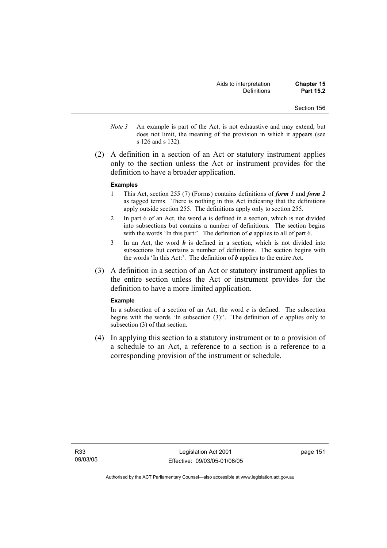- *Note 3* An example is part of the Act, is not exhaustive and may extend, but does not limit, the meaning of the provision in which it appears (see s 126 and s 132).
- (2) A definition in a section of an Act or statutory instrument applies only to the section unless the Act or instrument provides for the definition to have a broader application.

#### **Examples**

- 1 This Act, section 255 (7) (Forms) contains definitions of *form 1* and *form 2* as tagged terms. There is nothing in this Act indicating that the definitions apply outside section 255. The definitions apply only to section 255.
- 2 In part 6 of an Act, the word *a* is defined in a section, which is not divided into subsections but contains a number of definitions. The section begins with the words 'In this part:'. The definition of *a* applies to all of part 6.
- 3 In an Act, the word *b* is defined in a section, which is not divided into subsections but contains a number of definitions. The section begins with the words 'In this Act:'. The definition of *b* applies to the entire Act.
- (3) A definition in a section of an Act or statutory instrument applies to the entire section unless the Act or instrument provides for the definition to have a more limited application.

#### **Example**

In a subsection of a section of an Act, the word  $c$  is defined. The subsection begins with the words 'In subsection  $(3)$ :'. The definition of  $c$  applies only to subsection (3) of that section.

 (4) In applying this section to a statutory instrument or to a provision of a schedule to an Act, a reference to a section is a reference to a corresponding provision of the instrument or schedule.

page 151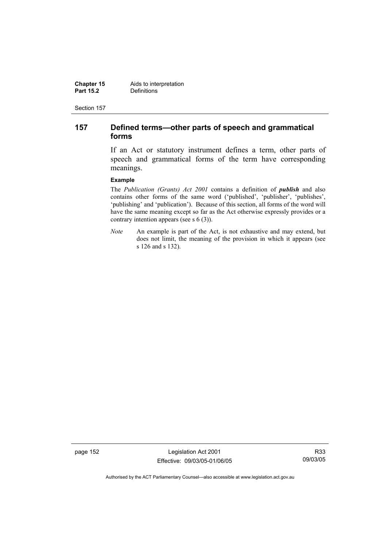**Chapter 15** Aids to interpretation<br>**Part 15.2** Definitions **Definitions** 

Section 157

### **157 Defined terms—other parts of speech and grammatical forms**

If an Act or statutory instrument defines a term, other parts of speech and grammatical forms of the term have corresponding meanings.

#### **Example**

The *Publication (Grants) Act 2001* contains a definition of *publish* and also contains other forms of the same word ('published', 'publisher', 'publishes', 'publishing' and 'publication'). Because of this section, all forms of the word will have the same meaning except so far as the Act otherwise expressly provides or a contrary intention appears (see s 6 (3)).

*Note* An example is part of the Act, is not exhaustive and may extend, but does not limit, the meaning of the provision in which it appears (see s 126 and s 132).

page 152 Legislation Act 2001 Effective: 09/03/05-01/06/05

R33 09/03/05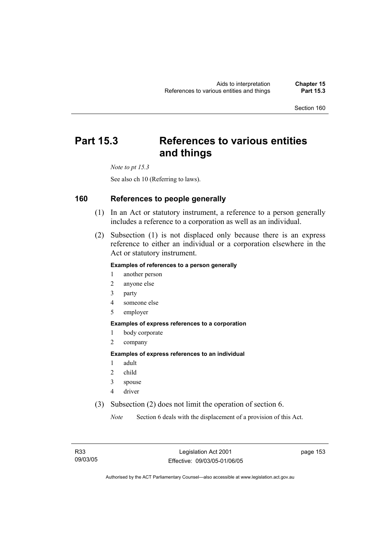## **Part 15.3 References to various entities and things**

*Note to pt 15.3* 

See also ch 10 (Referring to laws).

### **160 References to people generally**

- (1) In an Act or statutory instrument, a reference to a person generally includes a reference to a corporation as well as an individual.
- (2) Subsection (1) is not displaced only because there is an express reference to either an individual or a corporation elsewhere in the Act or statutory instrument.

#### **Examples of references to a person generally**

- 1 another person
- 2 anyone else
- 3 party
- 4 someone else
- 5 employer

#### **Examples of express references to a corporation**

- 1 body corporate
- 2 company

### **Examples of express references to an individual**

- 1 adult
- 2 child
- 3 spouse
- 4 driver
- (3) Subsection (2) does not limit the operation of section 6.

*Note* Section 6 deals with the displacement of a provision of this Act.

page 153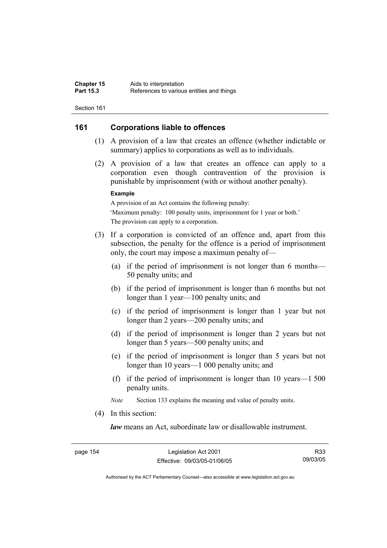### **161 Corporations liable to offences**

- (1) A provision of a law that creates an offence (whether indictable or summary) applies to corporations as well as to individuals.
- (2) A provision of a law that creates an offence can apply to a corporation even though contravention of the provision is punishable by imprisonment (with or without another penalty).

#### **Example**

A provision of an Act contains the following penalty: 'Maximum penalty: 100 penalty units, imprisonment for 1 year or both.' The provision can apply to a corporation.

- (3) If a corporation is convicted of an offence and, apart from this subsection, the penalty for the offence is a period of imprisonment only, the court may impose a maximum penalty of—
	- (a) if the period of imprisonment is not longer than 6 months— 50 penalty units; and
	- (b) if the period of imprisonment is longer than 6 months but not longer than 1 year—100 penalty units; and
	- (c) if the period of imprisonment is longer than 1 year but not longer than 2 years—200 penalty units; and
	- (d) if the period of imprisonment is longer than 2 years but not longer than 5 years—500 penalty units; and
	- (e) if the period of imprisonment is longer than 5 years but not longer than 10 years—1 000 penalty units; and
	- (f) if the period of imprisonment is longer than 10 years—1 500 penalty units.

*Note* Section 133 explains the meaning and value of penalty units.

(4) In this section:

*law* means an Act, subordinate law or disallowable instrument.

page 154 Legislation Act 2001 Effective: 09/03/05-01/06/05

R33 09/03/05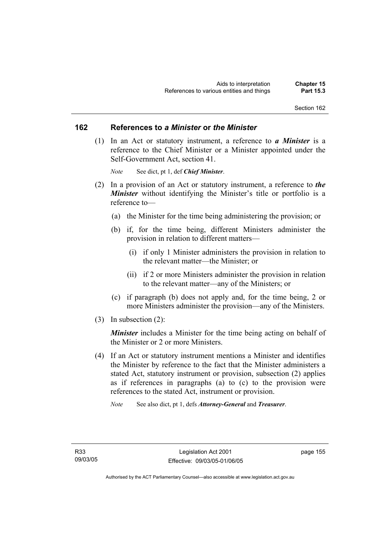#### **162 References to** *a Minister* **or** *the Minister*

 (1) In an Act or statutory instrument, a reference to *a Minister* is a reference to the Chief Minister or a Minister appointed under the Self-Government Act, section 41.

*Note* See dict, pt 1, def *Chief Minister*.

- (2) In a provision of an Act or statutory instrument, a reference to *the Minister* without identifying the Minister's title or portfolio is a reference to—
	- (a) the Minister for the time being administering the provision; or
	- (b) if, for the time being, different Ministers administer the provision in relation to different matters—
		- (i) if only 1 Minister administers the provision in relation to the relevant matter—the Minister; or
		- (ii) if 2 or more Ministers administer the provision in relation to the relevant matter—any of the Ministers; or
	- (c) if paragraph (b) does not apply and, for the time being, 2 or more Ministers administer the provision—any of the Ministers.
- (3) In subsection (2):

*Minister* includes a Minister for the time being acting on behalf of the Minister or 2 or more Ministers.

- (4) If an Act or statutory instrument mentions a Minister and identifies the Minister by reference to the fact that the Minister administers a stated Act, statutory instrument or provision, subsection (2) applies as if references in paragraphs (a) to (c) to the provision were references to the stated Act, instrument or provision.
	- *Note* See also dict, pt 1, defs *Attorney-General* and *Treasurer*.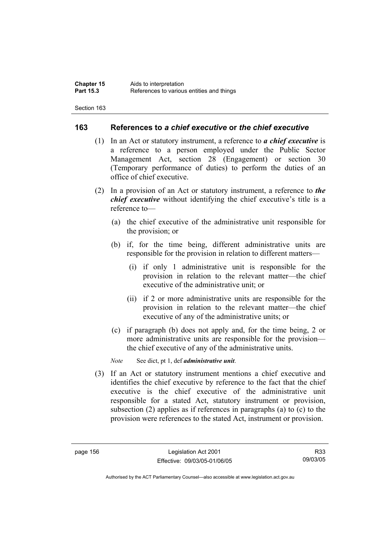### **163 References to** *a chief executive* **or** *the chief executive*

- (1) In an Act or statutory instrument, a reference to *a chief executive* is a reference to a person employed under the Public Sector Management Act, section 28 (Engagement) or section 30 (Temporary performance of duties) to perform the duties of an office of chief executive.
- (2) In a provision of an Act or statutory instrument, a reference to *the chief executive* without identifying the chief executive's title is a reference to—
	- (a) the chief executive of the administrative unit responsible for the provision; or
	- (b) if, for the time being, different administrative units are responsible for the provision in relation to different matters—
		- (i) if only 1 administrative unit is responsible for the provision in relation to the relevant matter—the chief executive of the administrative unit; or
		- (ii) if 2 or more administrative units are responsible for the provision in relation to the relevant matter—the chief executive of any of the administrative units; or
	- (c) if paragraph (b) does not apply and, for the time being, 2 or more administrative units are responsible for the provision the chief executive of any of the administrative units.

*Note* See dict, pt 1, def *administrative unit*.

 (3) If an Act or statutory instrument mentions a chief executive and identifies the chief executive by reference to the fact that the chief executive is the chief executive of the administrative unit responsible for a stated Act, statutory instrument or provision, subsection (2) applies as if references in paragraphs (a) to (c) to the provision were references to the stated Act, instrument or provision.

R33 09/03/05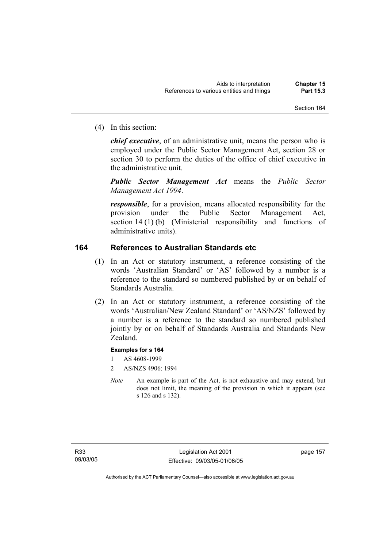(4) In this section:

*chief executive*, of an administrative unit, means the person who is employed under the Public Sector Management Act, section 28 or section 30 to perform the duties of the office of chief executive in the administrative unit.

*Public Sector Management Act* means the *Public Sector Management Act 1994*.

*responsible*, for a provision, means allocated responsibility for the provision under the Public Sector Management Act, section 14 (1) (b) (Ministerial responsibility and functions of administrative units).

### **164 References to Australian Standards etc**

- (1) In an Act or statutory instrument, a reference consisting of the words 'Australian Standard' or 'AS' followed by a number is a reference to the standard so numbered published by or on behalf of Standards Australia.
- (2) In an Act or statutory instrument, a reference consisting of the words 'Australian/New Zealand Standard' or 'AS/NZS' followed by a number is a reference to the standard so numbered published jointly by or on behalf of Standards Australia and Standards New Zealand.

### **Examples for s 164**

- 1 AS 4608-1999
- 2 AS/NZS 4906: 1994
- *Note* An example is part of the Act, is not exhaustive and may extend, but does not limit, the meaning of the provision in which it appears (see s 126 and s 132).

page 157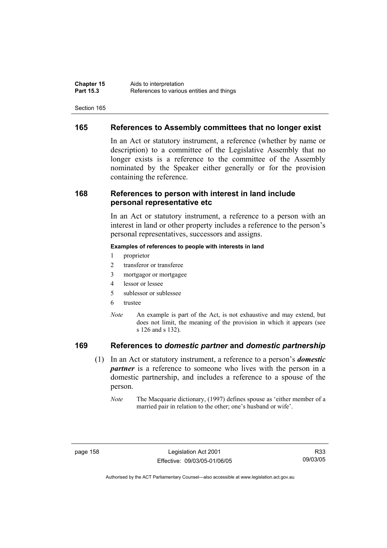### **165 References to Assembly committees that no longer exist**

In an Act or statutory instrument, a reference (whether by name or description) to a committee of the Legislative Assembly that no longer exists is a reference to the committee of the Assembly nominated by the Speaker either generally or for the provision containing the reference.

### **168 References to person with interest in land include personal representative etc**

In an Act or statutory instrument, a reference to a person with an interest in land or other property includes a reference to the person's personal representatives, successors and assigns.

#### **Examples of references to people with interests in land**

- 1 proprietor
- 2 transferor or transferee
- 3 mortgagor or mortgagee
- 4 lessor or lessee
- 5 sublessor or sublessee
- 6 trustee
- *Note* An example is part of the Act, is not exhaustive and may extend, but does not limit, the meaning of the provision in which it appears (see s 126 and s 132).

### **169 References to** *domestic partner* **and** *domestic partnership*

- (1) In an Act or statutory instrument, a reference to a person's *domestic partner* is a reference to someone who lives with the person in a domestic partnership, and includes a reference to a spouse of the person.
	- *Note* The Macquarie dictionary, (1997) defines spouse as 'either member of a married pair in relation to the other; one's husband or wife'.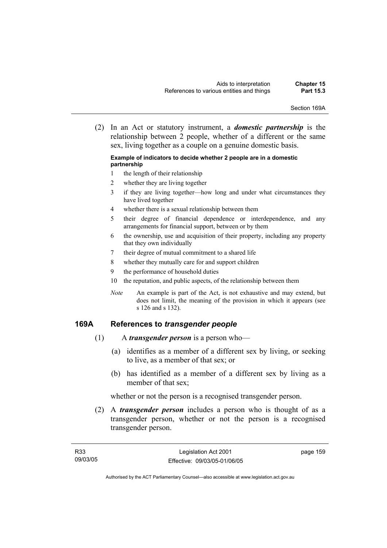Section 169A

 (2) In an Act or statutory instrument, a *domestic partnership* is the relationship between 2 people, whether of a different or the same sex, living together as a couple on a genuine domestic basis.

#### **Example of indicators to decide whether 2 people are in a domestic partnership**

- 1 the length of their relationship
- 2 whether they are living together
- 3 if they are living together—how long and under what circumstances they have lived together
- 4 whether there is a sexual relationship between them
- 5 their degree of financial dependence or interdependence, and any arrangements for financial support, between or by them
- 6 the ownership, use and acquisition of their property, including any property that they own individually
- 7 their degree of mutual commitment to a shared life
- 8 whether they mutually care for and support children
- 9 the performance of household duties
- 10 the reputation, and public aspects, of the relationship between them
- *Note* An example is part of the Act, is not exhaustive and may extend, but does not limit, the meaning of the provision in which it appears (see s 126 and s 132).

### **169A References to** *transgender people*

- (1) A *transgender person* is a person who—
	- (a) identifies as a member of a different sex by living, or seeking to live, as a member of that sex; or
	- (b) has identified as a member of a different sex by living as a member of that sex;

whether or not the person is a recognised transgender person.

 (2) A *transgender person* includes a person who is thought of as a transgender person, whether or not the person is a recognised transgender person.

page 159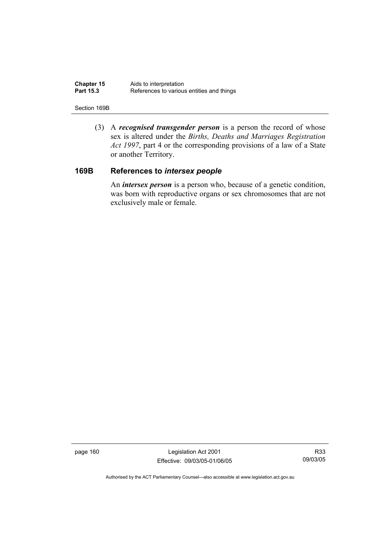| <b>Chapter 15</b> | Aids to interpretation                    |
|-------------------|-------------------------------------------|
| <b>Part 15.3</b>  | References to various entities and things |

#### Section 169B

 (3) A *recognised transgender person* is a person the record of whose sex is altered under the *Births, Deaths and Marriages Registration Act 1997*, part 4 or the corresponding provisions of a law of a State or another Territory.

### **169B References to** *intersex people*

 An *intersex person* is a person who, because of a genetic condition, was born with reproductive organs or sex chromosomes that are not exclusively male or female.

page 160 Legislation Act 2001 Effective: 09/03/05-01/06/05

R33 09/03/05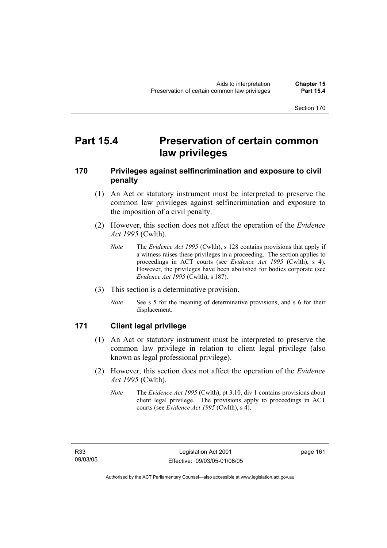## **Part 15.4 Preservation of certain common law privileges**

### **170 Privileges against selfincrimination and exposure to civil penalty**

- (1) An Act or statutory instrument must be interpreted to preserve the common law privileges against selfincrimination and exposure to the imposition of a civil penalty.
- (2) However, this section does not affect the operation of the *Evidence Act 1995* (Cwlth).
	- *Note* The *Evidence Act 1995* (Cwlth), s 128 contains provisions that apply if a witness raises these privileges in a proceeding. The section applies to proceedings in ACT courts (see *Evidence Act 1995* (Cwlth), s 4). However, the privileges have been abolished for bodies corporate (see *Evidence Act 1995* (Cwlth), s 187).
- (3) This section is a determinative provision.
	- *Note* See s 5 for the meaning of determinative provisions, and s 6 for their displacement.

### **171 Client legal privilege**

- (1) An Act or statutory instrument must be interpreted to preserve the common law privilege in relation to client legal privilege (also known as legal professional privilege).
- (2) However, this section does not affect the operation of the *Evidence Act 1995* (Cwlth).
	- *Note* The *Evidence Act 1995* (Cwlth), pt 3.10, div 1 contains provisions about client legal privilege. The provisions apply to proceedings in ACT courts (see *Evidence Act 1995* (Cwlth), s 4).

page 161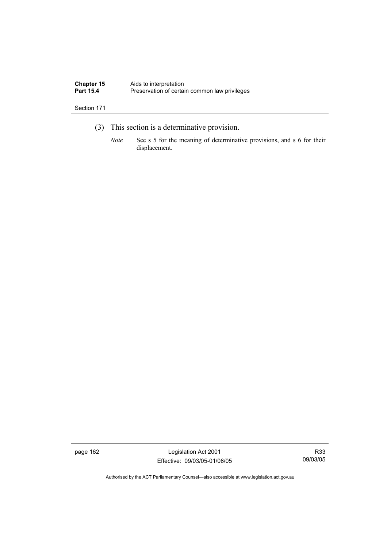| <b>Chapter 15</b> | Aids to interpretation                        |
|-------------------|-----------------------------------------------|
| <b>Part 15.4</b>  | Preservation of certain common law privileges |

- (3) This section is a determinative provision.
	- *Note* See s 5 for the meaning of determinative provisions, and s 6 for their displacement.

page 162 Legislation Act 2001 Effective: 09/03/05-01/06/05

R33 09/03/05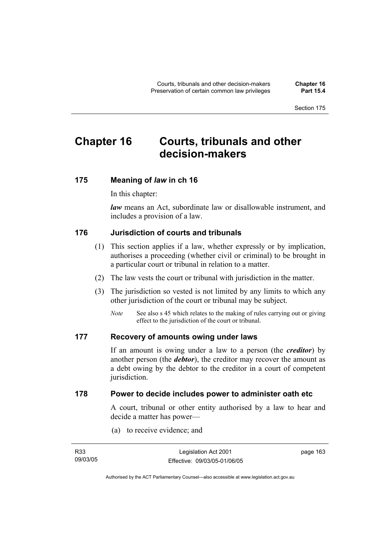## **Chapter 16 Courts, tribunals and other decision-makers**

## **175 Meaning of** *law* **in ch 16**

In this chapter:

*law* means an Act, subordinate law or disallowable instrument, and includes a provision of a law.

### **176 Jurisdiction of courts and tribunals**

- (1) This section applies if a law, whether expressly or by implication, authorises a proceeding (whether civil or criminal) to be brought in a particular court or tribunal in relation to a matter.
- (2) The law vests the court or tribunal with jurisdiction in the matter.
- (3) The jurisdiction so vested is not limited by any limits to which any other jurisdiction of the court or tribunal may be subject.
	- *Note* See also s 45 which relates to the making of rules carrying out or giving effect to the jurisdiction of the court or tribunal.

### **177 Recovery of amounts owing under laws**

If an amount is owing under a law to a person (the *creditor*) by another person (the *debtor*), the creditor may recover the amount as a debt owing by the debtor to the creditor in a court of competent jurisdiction.

### **178 Power to decide includes power to administer oath etc**

A court, tribunal or other entity authorised by a law to hear and decide a matter has power—

(a) to receive evidence; and

| R <sub>33</sub> | Legislation Act 2001         | page 163 |
|-----------------|------------------------------|----------|
| 09/03/05        | Effective: 09/03/05-01/06/05 |          |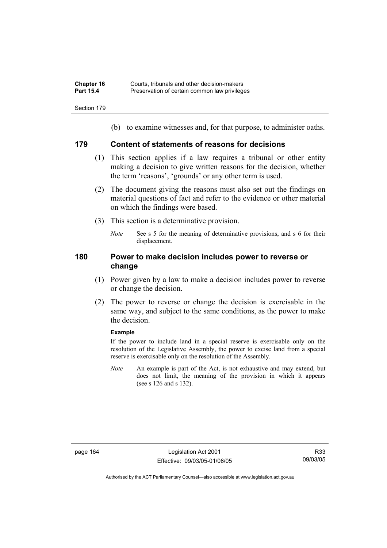| <b>Chapter 16</b> | Courts, tribunals and other decision-makers   |
|-------------------|-----------------------------------------------|
| <b>Part 15.4</b>  | Preservation of certain common law privileges |

(b) to examine witnesses and, for that purpose, to administer oaths.

### **179 Content of statements of reasons for decisions**

- (1) This section applies if a law requires a tribunal or other entity making a decision to give written reasons for the decision, whether the term 'reasons', 'grounds' or any other term is used.
- (2) The document giving the reasons must also set out the findings on material questions of fact and refer to the evidence or other material on which the findings were based.
- (3) This section is a determinative provision.
	- *Note* See s 5 for the meaning of determinative provisions, and s 6 for their displacement.

### **180 Power to make decision includes power to reverse or change**

- (1) Power given by a law to make a decision includes power to reverse or change the decision.
- (2) The power to reverse or change the decision is exercisable in the same way, and subject to the same conditions, as the power to make the decision.

#### **Example**

If the power to include land in a special reserve is exercisable only on the resolution of the Legislative Assembly, the power to excise land from a special reserve is exercisable only on the resolution of the Assembly.

*Note* An example is part of the Act, is not exhaustive and may extend, but does not limit, the meaning of the provision in which it appears (see s 126 and s 132).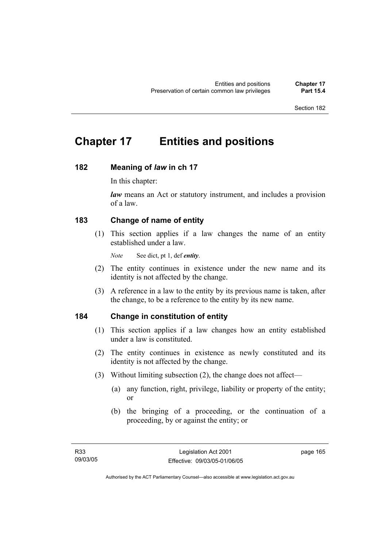# **Chapter 17 Entities and positions**

# **182 Meaning of** *law* **in ch 17**

In this chapter:

*law* means an Act or statutory instrument, and includes a provision of a law.

# **183 Change of name of entity**

 (1) This section applies if a law changes the name of an entity established under a law.

*Note* See dict, pt 1, def *entity*.

- (2) The entity continues in existence under the new name and its identity is not affected by the change.
- (3) A reference in a law to the entity by its previous name is taken, after the change, to be a reference to the entity by its new name.

# **184 Change in constitution of entity**

- (1) This section applies if a law changes how an entity established under a law is constituted.
- (2) The entity continues in existence as newly constituted and its identity is not affected by the change.
- (3) Without limiting subsection (2), the change does not affect—
	- (a) any function, right, privilege, liability or property of the entity; or
	- (b) the bringing of a proceeding, or the continuation of a proceeding, by or against the entity; or

page 165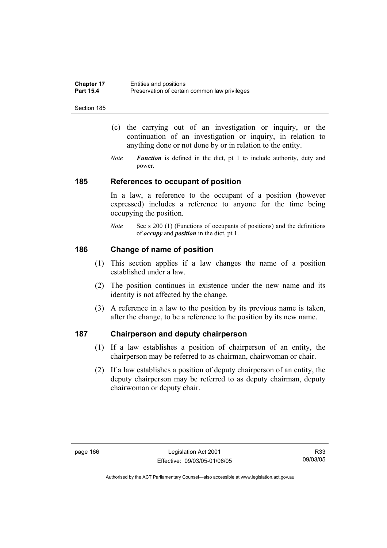| <b>Chapter 17</b> | Entities and positions                        |
|-------------------|-----------------------------------------------|
| <b>Part 15.4</b>  | Preservation of certain common law privileges |

- (c) the carrying out of an investigation or inquiry, or the continuation of an investigation or inquiry, in relation to anything done or not done by or in relation to the entity.
- *Note Function* is defined in the dict, pt 1 to include authority, duty and power.

### **185 References to occupant of position**

In a law, a reference to the occupant of a position (however expressed) includes a reference to anyone for the time being occupying the position.

*Note* See s 200 (1) (Functions of occupants of positions) and the definitions of *occupy* and *position* in the dict, pt 1.

# **186 Change of name of position**

- (1) This section applies if a law changes the name of a position established under a law.
- (2) The position continues in existence under the new name and its identity is not affected by the change.
- (3) A reference in a law to the position by its previous name is taken, after the change, to be a reference to the position by its new name.

# **187 Chairperson and deputy chairperson**

- (1) If a law establishes a position of chairperson of an entity, the chairperson may be referred to as chairman, chairwoman or chair.
- (2) If a law establishes a position of deputy chairperson of an entity, the deputy chairperson may be referred to as deputy chairman, deputy chairwoman or deputy chair.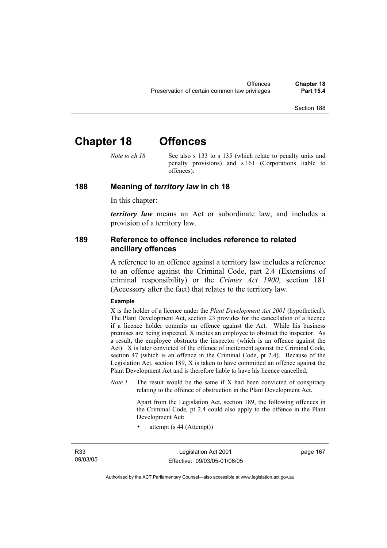# **Chapter 18 Offences**

*Note to ch 18* See also s 133 to s 135 (which relate to penalty units and penalty provisions) and s 161 (Corporations liable to offences).

### **188 Meaning of** *territory law* **in ch 18**

In this chapter:

*territory law* means an Act or subordinate law, and includes a provision of a territory law.

## **189 Reference to offence includes reference to related ancillary offences**

A reference to an offence against a territory law includes a reference to an offence against the Criminal Code, part 2.4 (Extensions of criminal responsibility) or the *Crimes Act 1900*, section 181 (Accessory after the fact) that relates to the territory law.

### **Example**

X is the holder of a licence under the *Plant Development Act 2001* (hypothetical). The Plant Development Act, section 23 provides for the cancellation of a licence if a licence holder commits an offence against the Act. While his business premises are being inspected, X incites an employee to obstruct the inspector. As a result, the employee obstructs the inspector (which is an offence against the Act). X is later convicted of the offence of incitement against the Criminal Code, section 47 (which is an offence in the Criminal Code, pt 2.4). Because of the Legislation Act, section 189, X is taken to have committed an offence against the Plant Development Act and is therefore liable to have his licence cancelled.

*Note 1* The result would be the same if X had been convicted of conspiracy relating to the offence of obstruction in the Plant Development Act.

> Apart from the Legislation Act, section 189, the following offences in the Criminal Code*,* pt 2.4 could also apply to the offence in the Plant Development Act:

• attempt (s 44 (Attempt))

R33 09/03/05

Legislation Act 2001 Effective: 09/03/05-01/06/05 page 167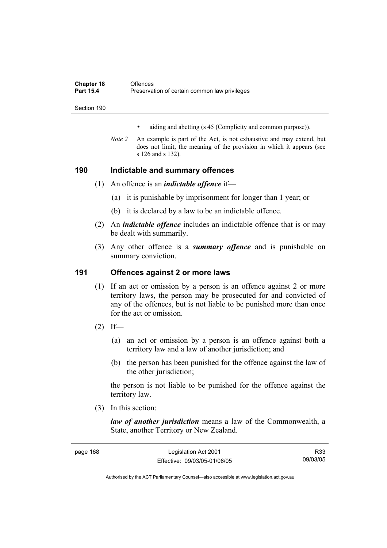| <b>Chapter 18</b> | Offences                                      |
|-------------------|-----------------------------------------------|
| <b>Part 15.4</b>  | Preservation of certain common law privileges |
|                   |                                               |

- aiding and abetting (s 45 (Complicity and common purpose)).
- *Note 2* An example is part of the Act, is not exhaustive and may extend, but does not limit, the meaning of the provision in which it appears (see s 126 and s 132).

# **190 Indictable and summary offences**

- (1) An offence is an *indictable offence* if—
	- (a) it is punishable by imprisonment for longer than 1 year; or
	- (b) it is declared by a law to be an indictable offence.
- (2) An *indictable offence* includes an indictable offence that is or may be dealt with summarily.
- (3) Any other offence is a *summary offence* and is punishable on summary conviction.

# **191 Offences against 2 or more laws**

- (1) If an act or omission by a person is an offence against 2 or more territory laws, the person may be prosecuted for and convicted of any of the offences, but is not liable to be punished more than once for the act or omission.
- $(2)$  If—
	- (a) an act or omission by a person is an offence against both a territory law and a law of another jurisdiction; and
	- (b) the person has been punished for the offence against the law of the other jurisdiction;

the person is not liable to be punished for the offence against the territory law.

(3) In this section:

*law of another jurisdiction* means a law of the Commonwealth, a State, another Territory or New Zealand.

| page 168 | Legislation Act 2001         | R33      |
|----------|------------------------------|----------|
|          | Effective: 09/03/05-01/06/05 | 09/03/05 |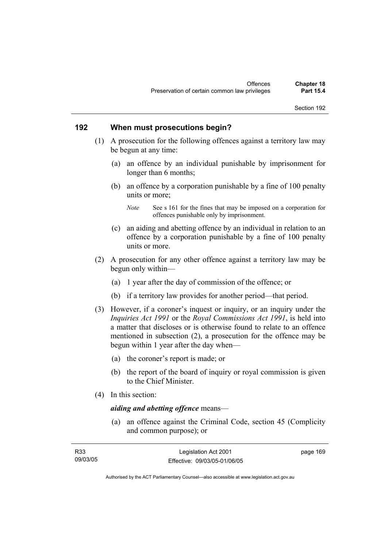## **192 When must prosecutions begin?**

- (1) A prosecution for the following offences against a territory law may be begun at any time:
	- (a) an offence by an individual punishable by imprisonment for longer than 6 months;
	- (b) an offence by a corporation punishable by a fine of 100 penalty units or more;

- (c) an aiding and abetting offence by an individual in relation to an offence by a corporation punishable by a fine of 100 penalty units or more.
- (2) A prosecution for any other offence against a territory law may be begun only within—
	- (a) 1 year after the day of commission of the offence; or
	- (b) if a territory law provides for another period—that period.
- (3) However, if a coroner's inquest or inquiry, or an inquiry under the *Inquiries Act 1991* or the *Royal Commissions Act 1991*, is held into a matter that discloses or is otherwise found to relate to an offence mentioned in subsection (2), a prosecution for the offence may be begun within 1 year after the day when—
	- (a) the coroner's report is made; or
	- (b) the report of the board of inquiry or royal commission is given to the Chief Minister.
- (4) In this section:

# *aiding and abetting offence* means—

 (a) an offence against the Criminal Code, section 45 (Complicity and common purpose); or

| R33      | Legislation Act 2001         | page 169 |
|----------|------------------------------|----------|
| 09/03/05 | Effective: 09/03/05-01/06/05 |          |

*Note* See s 161 for the fines that may be imposed on a corporation for offences punishable only by imprisonment.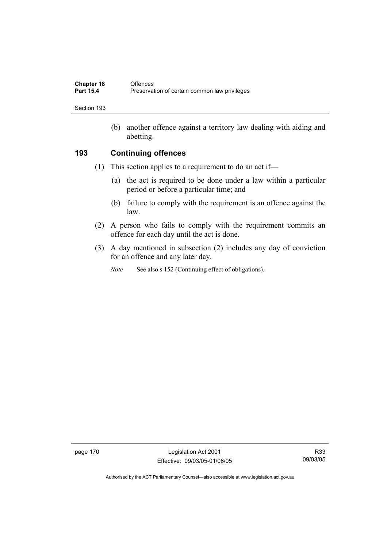| <b>Chapter 18</b> | Offences                                      |
|-------------------|-----------------------------------------------|
| <b>Part 15.4</b>  | Preservation of certain common law privileges |

 (b) another offence against a territory law dealing with aiding and abetting.

# **193 Continuing offences**

- (1) This section applies to a requirement to do an act if—
	- (a) the act is required to be done under a law within a particular period or before a particular time; and
	- (b) failure to comply with the requirement is an offence against the law.
- (2) A person who fails to comply with the requirement commits an offence for each day until the act is done.
- (3) A day mentioned in subsection (2) includes any day of conviction for an offence and any later day.
	- *Note* See also s 152 (Continuing effect of obligations).

page 170 Legislation Act 2001 Effective: 09/03/05-01/06/05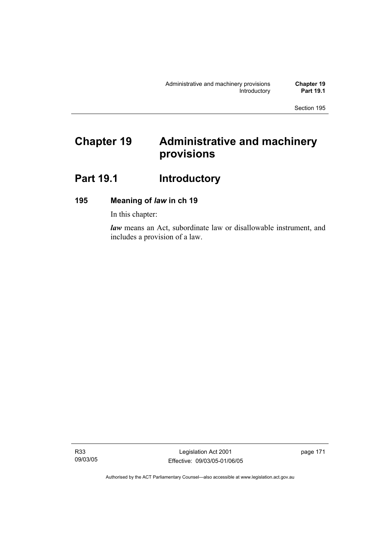# **Chapter 19 Administrative and machinery provisions**

# Part 19.1 **Introductory**

# **195 Meaning of** *law* **in ch 19**

In this chapter:

*law* means an Act, subordinate law or disallowable instrument, and includes a provision of a law.

R33 09/03/05

Legislation Act 2001 Effective: 09/03/05-01/06/05 page 171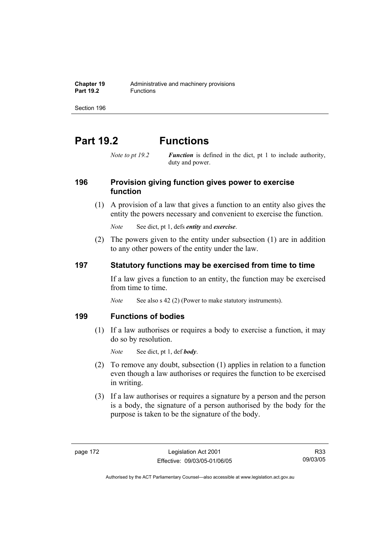**Chapter 19** Administrative and machinery provisions<br>**Part 19.2 Eunctions Part 19.2** Functions

Section 196

# **Part 19.2 Functions**

*Note to pt 19.2 Function* is defined in the dict, pt 1 to include authority, duty and power.

# **196 Provision giving function gives power to exercise function**

 (1) A provision of a law that gives a function to an entity also gives the entity the powers necessary and convenient to exercise the function.

*Note* See dict, pt 1, defs *entity* and *exercise*.

 (2) The powers given to the entity under subsection (1) are in addition to any other powers of the entity under the law.

# **197 Statutory functions may be exercised from time to time**

If a law gives a function to an entity, the function may be exercised from time to time.

*Note* See also s 42 (2) (Power to make statutory instruments).

### **199 Functions of bodies**

 (1) If a law authorises or requires a body to exercise a function, it may do so by resolution.

*Note* See dict, pt 1, def *body*.

- (2) To remove any doubt, subsection (1) applies in relation to a function even though a law authorises or requires the function to be exercised in writing.
- (3) If a law authorises or requires a signature by a person and the person is a body, the signature of a person authorised by the body for the purpose is taken to be the signature of the body.

R33 09/03/05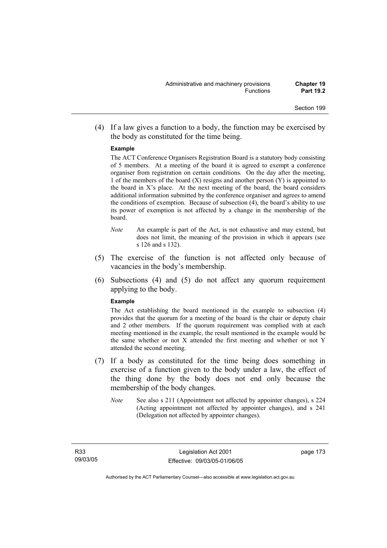(4) If a law gives a function to a body, the function may be exercised by the body as constituted for the time being.

### **Example**

The ACT Conference Organisers Registration Board is a statutory body consisting of 5 members. At a meeting of the board it is agreed to exempt a conference organiser from registration on certain conditions. On the day after the meeting, 1 of the members of the board  $(X)$  resigns and another person  $(Y)$  is appointed to the board in  $X$ 's place. At the next meeting of the board, the board considers additional information submitted by the conference organiser and agrees to amend the conditions of exemption. Because of subsection (4), the board's ability to use its power of exemption is not affected by a change in the membership of the board.

- *Note* An example is part of the Act, is not exhaustive and may extend, but does not limit, the meaning of the provision in which it appears (see s 126 and s 132).
- (5) The exercise of the function is not affected only because of vacancies in the body's membership.
- (6) Subsections (4) and (5) do not affect any quorum requirement applying to the body.

#### **Example**

The Act establishing the board mentioned in the example to subsection (4) provides that the quorum for a meeting of the board is the chair or deputy chair and 2 other members. If the quorum requirement was complied with at each meeting mentioned in the example, the result mentioned in the example would be the same whether or not X attended the first meeting and whether or not Y attended the second meeting.

- (7) If a body as constituted for the time being does something in exercise of a function given to the body under a law, the effect of the thing done by the body does not end only because the membership of the body changes.
	- *Note* See also s 211 (Appointment not affected by appointer changes), s 224 (Acting appointment not affected by appointer changes), and s 241 (Delegation not affected by appointer changes).

page 173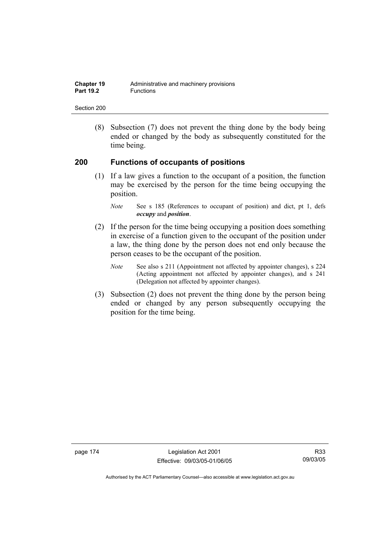| <b>Chapter 19</b> | Administrative and machinery provisions |
|-------------------|-----------------------------------------|
| <b>Part 19.2</b>  | <b>Functions</b>                        |

 (8) Subsection (7) does not prevent the thing done by the body being ended or changed by the body as subsequently constituted for the time being.

## **200 Functions of occupants of positions**

 (1) If a law gives a function to the occupant of a position, the function may be exercised by the person for the time being occupying the position.

- (2) If the person for the time being occupying a position does something in exercise of a function given to the occupant of the position under a law, the thing done by the person does not end only because the person ceases to be the occupant of the position.
	- *Note* See also s 211 (Appointment not affected by appointer changes), s 224 (Acting appointment not affected by appointer changes), and s 241 (Delegation not affected by appointer changes).
- (3) Subsection (2) does not prevent the thing done by the person being ended or changed by any person subsequently occupying the position for the time being.

page 174 Legislation Act 2001 Effective: 09/03/05-01/06/05

*Note* See s 185 (References to occupant of position) and dict, pt 1, defs *occupy* and *position*.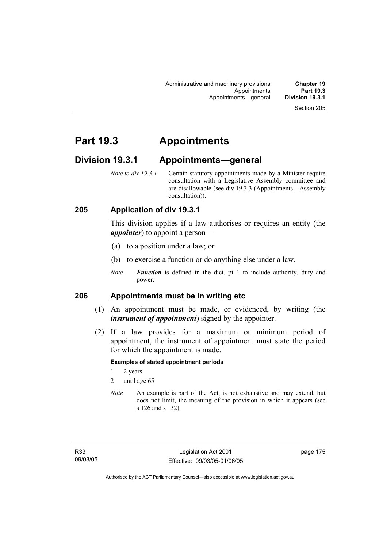Administrative and machinery provisions **Chapter 19**  Appointments **Part 19.3**  Appointments—general

# **Part 19.3 Appointments**

# **Division 19.3.1 Appointments—general**

*Note to div 19.3.1* Certain statutory appointments made by a Minister require consultation with a Legislative Assembly committee and are disallowable (see div 19.3.3 (Appointments—Assembly consultation)).

# **205 Application of div 19.3.1**

This division applies if a law authorises or requires an entity (the *appointer*) to appoint a person—

- (a) to a position under a law; or
- (b) to exercise a function or do anything else under a law.
- *Note Function* is defined in the dict, pt 1 to include authority, duty and power.

# **206 Appointments must be in writing etc**

- (1) An appointment must be made, or evidenced, by writing (the *instrument of appointment*) signed by the appointer.
- (2) If a law provides for a maximum or minimum period of appointment, the instrument of appointment must state the period for which the appointment is made.

### **Examples of stated appointment periods**

- 1 2 years
- 2 until age 65
- *Note* An example is part of the Act, is not exhaustive and may extend, but does not limit, the meaning of the provision in which it appears (see s 126 and s 132).

page 175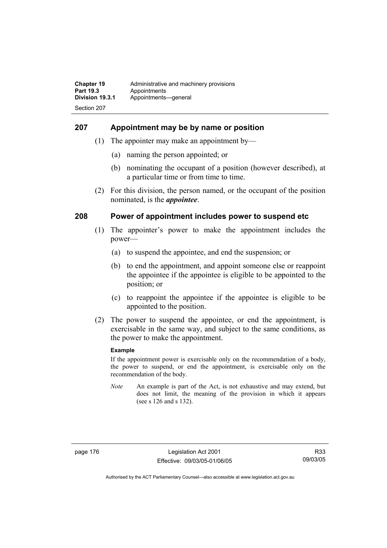# **207 Appointment may be by name or position**

- (1) The appointer may make an appointment by—
	- (a) naming the person appointed; or
	- (b) nominating the occupant of a position (however described), at a particular time or from time to time.
- (2) For this division, the person named, or the occupant of the position nominated, is the *appointee*.

# **208 Power of appointment includes power to suspend etc**

- (1) The appointer's power to make the appointment includes the power—
	- (a) to suspend the appointee, and end the suspension; or
	- (b) to end the appointment, and appoint someone else or reappoint the appointee if the appointee is eligible to be appointed to the position; or
	- (c) to reappoint the appointee if the appointee is eligible to be appointed to the position.
- (2) The power to suspend the appointee, or end the appointment, is exercisable in the same way, and subject to the same conditions, as the power to make the appointment.

### **Example**

If the appointment power is exercisable only on the recommendation of a body, the power to suspend, or end the appointment, is exercisable only on the recommendation of the body.

*Note* An example is part of the Act, is not exhaustive and may extend, but does not limit, the meaning of the provision in which it appears (see s 126 and s 132).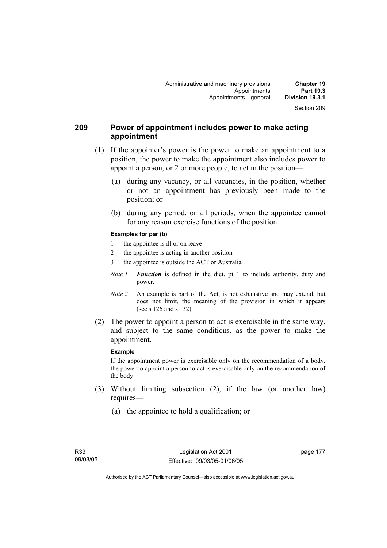# **209 Power of appointment includes power to make acting appointment**

- (1) If the appointer's power is the power to make an appointment to a position, the power to make the appointment also includes power to appoint a person, or 2 or more people, to act in the position—
	- (a) during any vacancy, or all vacancies, in the position, whether or not an appointment has previously been made to the position; or
	- (b) during any period, or all periods, when the appointee cannot for any reason exercise functions of the position.

### **Examples for par (b)**

- 1 the appointee is ill or on leave
- 2 the appointee is acting in another position
- 3 the appointee is outside the ACT or Australia
- *Note 1 Function* is defined in the dict, pt 1 to include authority, duty and power.
- *Note 2* An example is part of the Act, is not exhaustive and may extend, but does not limit, the meaning of the provision in which it appears (see s 126 and s 132).
- (2) The power to appoint a person to act is exercisable in the same way, and subject to the same conditions, as the power to make the appointment.

### **Example**

If the appointment power is exercisable only on the recommendation of a body, the power to appoint a person to act is exercisable only on the recommendation of the body.

- (3) Without limiting subsection (2), if the law (or another law) requires—
	- (a) the appointee to hold a qualification; or

page 177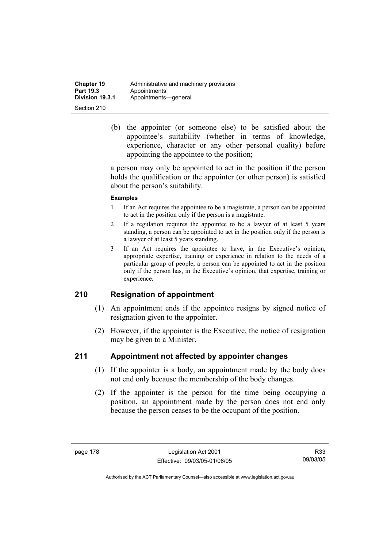| <b>Chapter 19</b> | Administrative and machinery provisions |
|-------------------|-----------------------------------------|
| Part 19.3         | Appointments                            |
| Division 19.3.1   | Appointments-qeneral                    |
| Section 210       |                                         |

 (b) the appointer (or someone else) to be satisfied about the appointee's suitability (whether in terms of knowledge, experience, character or any other personal quality) before appointing the appointee to the position;

a person may only be appointed to act in the position if the person holds the qualification or the appointer (or other person) is satisfied about the person's suitability.

### **Examples**

- 1 If an Act requires the appointee to be a magistrate, a person can be appointed to act in the position only if the person is a magistrate.
- 2 If a regulation requires the appointee to be a lawyer of at least 5 years standing, a person can be appointed to act in the position only if the person is a lawyer of at least 5 years standing.
- 3 If an Act requires the appointee to have, in the Executive's opinion, appropriate expertise, training or experience in relation to the needs of a particular group of people, a person can be appointed to act in the position only if the person has, in the Executive's opinion, that expertise, training or experience.

# **210 Resignation of appointment**

- (1) An appointment ends if the appointee resigns by signed notice of resignation given to the appointer.
- (2) However, if the appointer is the Executive, the notice of resignation may be given to a Minister.

# **211 Appointment not affected by appointer changes**

- (1) If the appointer is a body, an appointment made by the body does not end only because the membership of the body changes.
- (2) If the appointer is the person for the time being occupying a position, an appointment made by the person does not end only because the person ceases to be the occupant of the position.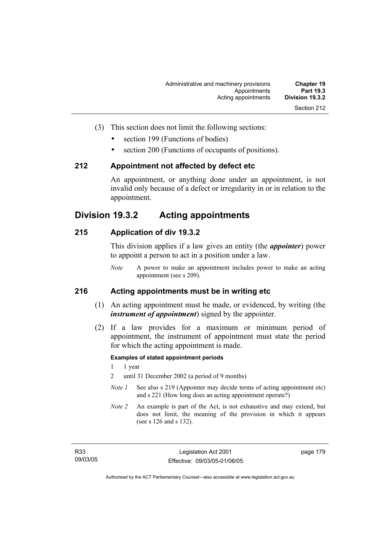- (3) This section does not limit the following sections:
	- section 199 (Functions of bodies)
	- section 200 (Functions of occupants of positions).

## **212 Appointment not affected by defect etc**

An appointment, or anything done under an appointment, is not invalid only because of a defect or irregularity in or in relation to the appointment.

# **Division 19.3.2 Acting appointments**

# **215 Application of div 19.3.2**

This division applies if a law gives an entity (the *appointer*) power to appoint a person to act in a position under a law.

*Note* A power to make an appointment includes power to make an acting appointment (see s 209).

# **216 Acting appointments must be in writing etc**

- (1) An acting appointment must be made, or evidenced, by writing (the *instrument of appointment*) signed by the appointer.
- (2) If a law provides for a maximum or minimum period of appointment, the instrument of appointment must state the period for which the acting appointment is made.

### **Examples of stated appointment periods**

- 1 1 year
- 2 until 31 December 2002 (a period of 9 months)
- *Note 1* See also s 219 (Appointer may decide terms of acting appointment etc) and s 221 (How long does an acting appointment operate?)
- *Note 2* An example is part of the Act, is not exhaustive and may extend, but does not limit, the meaning of the provision in which it appears (see s 126 and s 132).

page 179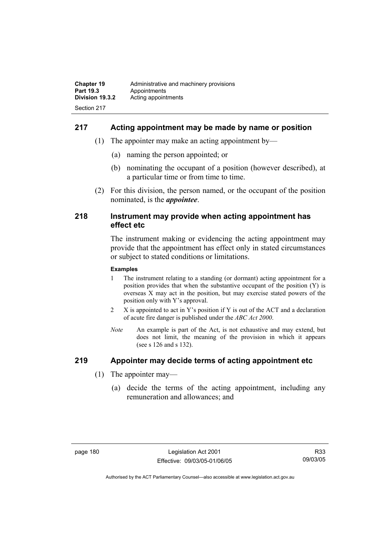# **217 Acting appointment may be made by name or position**

- (1) The appointer may make an acting appointment by—
	- (a) naming the person appointed; or
	- (b) nominating the occupant of a position (however described), at a particular time or from time to time.
- (2) For this division, the person named, or the occupant of the position nominated, is the *appointee*.

## **218 Instrument may provide when acting appointment has effect etc**

The instrument making or evidencing the acting appointment may provide that the appointment has effect only in stated circumstances or subject to stated conditions or limitations.

### **Examples**

- 1 The instrument relating to a standing (or dormant) acting appointment for a position provides that when the substantive occupant of the position (Y) is overseas X may act in the position, but may exercise stated powers of the position only with Y's approval.
- 2 X is appointed to act in Y's position if Y is out of the ACT and a declaration of acute fire danger is published under the *ABC Act 2000*.
- *Note* An example is part of the Act, is not exhaustive and may extend, but does not limit, the meaning of the provision in which it appears (see s 126 and s 132).

# **219 Appointer may decide terms of acting appointment etc**

- (1) The appointer may—
	- (a) decide the terms of the acting appointment, including any remuneration and allowances; and

R33 09/03/05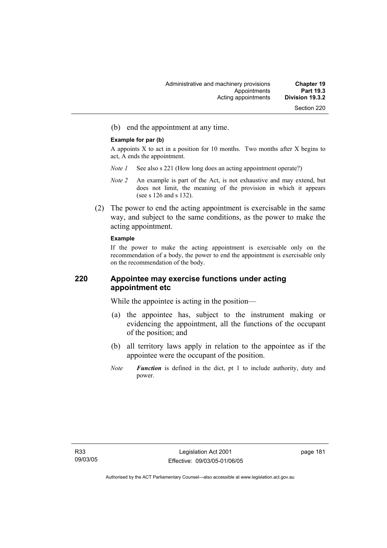(b) end the appointment at any time.

### **Example for par (b)**

A appoints X to act in a position for 10 months. Two months after X begins to act, A ends the appointment.

- *Note 1* See also s 221 (How long does an acting appointment operate?)
- *Note 2* An example is part of the Act, is not exhaustive and may extend, but does not limit, the meaning of the provision in which it appears (see s 126 and s 132).
- (2) The power to end the acting appointment is exercisable in the same way, and subject to the same conditions, as the power to make the acting appointment.

### **Example**

If the power to make the acting appointment is exercisable only on the recommendation of a body, the power to end the appointment is exercisable only on the recommendation of the body.

# **220 Appointee may exercise functions under acting appointment etc**

While the appointee is acting in the position—

- (a) the appointee has, subject to the instrument making or evidencing the appointment, all the functions of the occupant of the position; and
- (b) all territory laws apply in relation to the appointee as if the appointee were the occupant of the position.
- *Note Function* is defined in the dict, pt 1 to include authority, duty and power.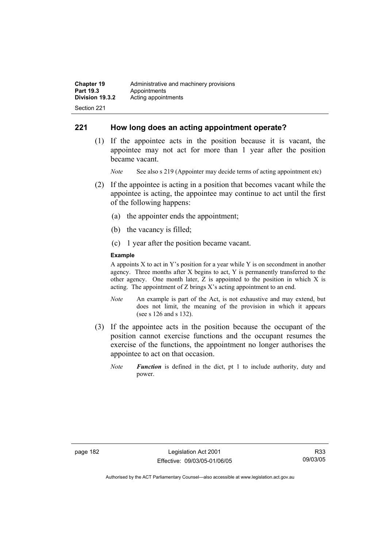# **221 How long does an acting appointment operate?**

 (1) If the appointee acts in the position because it is vacant, the appointee may not act for more than 1 year after the position became vacant.

*Note* See also s 219 (Appointer may decide terms of acting appointment etc)

- (2) If the appointee is acting in a position that becomes vacant while the appointee is acting, the appointee may continue to act until the first of the following happens:
	- (a) the appointer ends the appointment;
	- (b) the vacancy is filled;
	- (c) 1 year after the position became vacant.

### **Example**

A appoints  $X$  to act in Y's position for a year while Y is on secondment in another agency. Three months after X begins to act, Y is permanently transferred to the other agency. One month later, Z is appointed to the position in which X is acting. The appointment of Z brings X's acting appointment to an end.

- *Note* An example is part of the Act, is not exhaustive and may extend, but does not limit, the meaning of the provision in which it appears (see s 126 and s 132).
- (3) If the appointee acts in the position because the occupant of the position cannot exercise functions and the occupant resumes the exercise of the functions, the appointment no longer authorises the appointee to act on that occasion.
	- *Note Function* is defined in the dict, pt 1 to include authority, duty and power.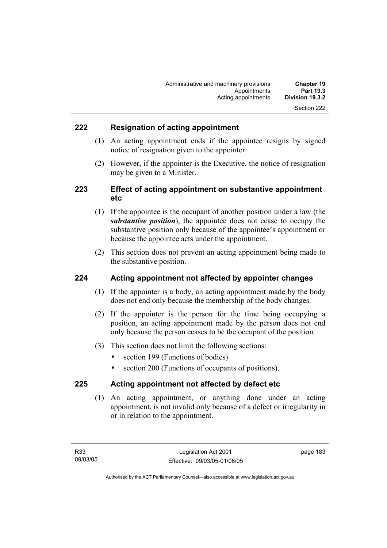# **222 Resignation of acting appointment**

- (1) An acting appointment ends if the appointee resigns by signed notice of resignation given to the appointer.
- (2) However, if the appointer is the Executive, the notice of resignation may be given to a Minister.

# **223 Effect of acting appointment on substantive appointment etc**

- (1) If the appointee is the occupant of another position under a law (the *substantive position*), the appointee does not cease to occupy the substantive position only because of the appointee's appointment or because the appointee acts under the appointment.
- (2) This section does not prevent an acting appointment being made to the substantive position.

# **224 Acting appointment not affected by appointer changes**

- (1) If the appointer is a body, an acting appointment made by the body does not end only because the membership of the body changes.
- (2) If the appointer is the person for the time being occupying a position, an acting appointment made by the person does not end only because the person ceases to be the occupant of the position.
- (3) This section does not limit the following sections:
	- section 199 (Functions of bodies)
	- section 200 (Functions of occupants of positions).

# **225 Acting appointment not affected by defect etc**

 (1) An acting appointment, or anything done under an acting appointment, is not invalid only because of a defect or irregularity in or in relation to the appointment.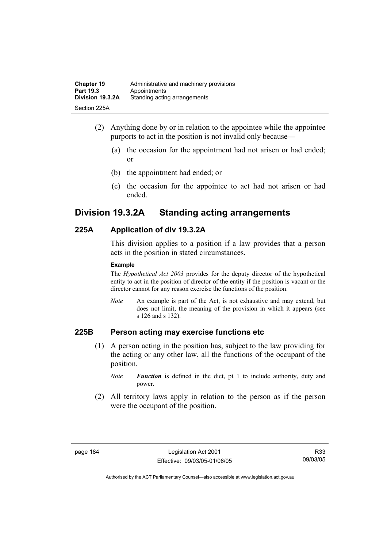| <b>Chapter 19</b> | Administrative and machinery provisions |
|-------------------|-----------------------------------------|
| Part 19.3         | Appointments                            |
| Division 19.3.2A  | Standing acting arrangements            |
| Section 225A      |                                         |

- (2) Anything done by or in relation to the appointee while the appointee purports to act in the position is not invalid only because—
	- (a) the occasion for the appointment had not arisen or had ended; or
	- (b) the appointment had ended; or
	- (c) the occasion for the appointee to act had not arisen or had ended.

# **Division 19.3.2A Standing acting arrangements**

# **225A Application of div 19.3.2A**

This division applies to a position if a law provides that a person acts in the position in stated circumstances.

### **Example**

The *Hypothetical Act 2003* provides for the deputy director of the hypothetical entity to act in the position of director of the entity if the position is vacant or the director cannot for any reason exercise the functions of the position.

*Note* An example is part of the Act, is not exhaustive and may extend, but does not limit, the meaning of the provision in which it appears (see s 126 and s 132).

# **225B Person acting may exercise functions etc**

- (1) A person acting in the position has, subject to the law providing for the acting or any other law, all the functions of the occupant of the position.
	- *Note Function* is defined in the dict, pt 1 to include authority, duty and power.
- (2) All territory laws apply in relation to the person as if the person were the occupant of the position.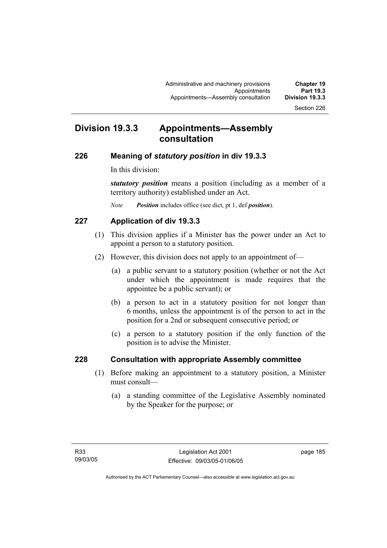# **Division 19.3.3 Appointments—Assembly consultation**

### **226 Meaning of** *statutory position* **in div 19.3.3**

In this division:

*statutory position* means a position (including as a member of a territory authority) established under an Act.

*Note Position* includes office (see dict, pt 1, def *position*).

# **227 Application of div 19.3.3**

- (1) This division applies if a Minister has the power under an Act to appoint a person to a statutory position.
- (2) However, this division does not apply to an appointment of—
	- (a) a public servant to a statutory position (whether or not the Act under which the appointment is made requires that the appointee be a public servant); or
	- (b) a person to act in a statutory position for not longer than 6 months, unless the appointment is of the person to act in the position for a 2nd or subsequent consecutive period; or
	- (c) a person to a statutory position if the only function of the position is to advise the Minister.

# **228 Consultation with appropriate Assembly committee**

- (1) Before making an appointment to a statutory position, a Minister must consult—
	- (a) a standing committee of the Legislative Assembly nominated by the Speaker for the purpose; or

page 185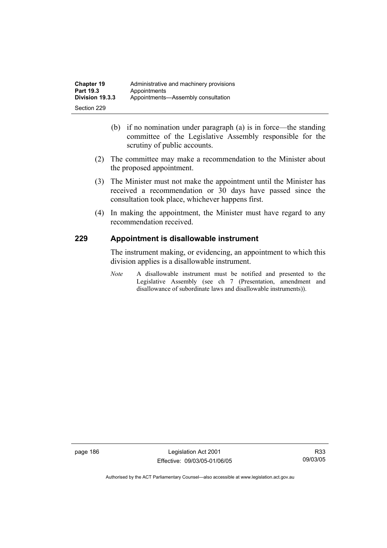- (b) if no nomination under paragraph (a) is in force—the standing committee of the Legislative Assembly responsible for the scrutiny of public accounts.
- (2) The committee may make a recommendation to the Minister about the proposed appointment.
- (3) The Minister must not make the appointment until the Minister has received a recommendation or 30 days have passed since the consultation took place, whichever happens first.
- (4) In making the appointment, the Minister must have regard to any recommendation received.

# **229 Appointment is disallowable instrument**

The instrument making, or evidencing, an appointment to which this division applies is a disallowable instrument.

*Note* A disallowable instrument must be notified and presented to the Legislative Assembly (see ch 7 (Presentation, amendment and disallowance of subordinate laws and disallowable instruments)).

page 186 Legislation Act 2001 Effective: 09/03/05-01/06/05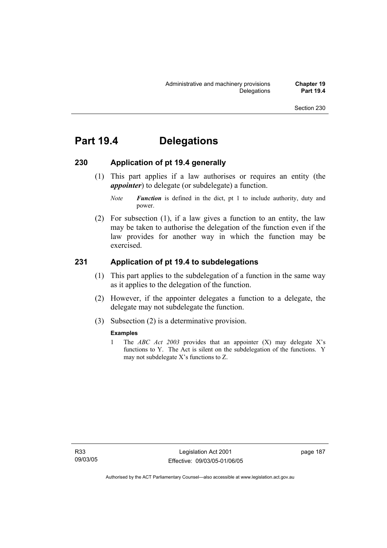# **Part 19.4 Delegations**

# **230 Application of pt 19.4 generally**

 (1) This part applies if a law authorises or requires an entity (the *appointer*) to delegate (or subdelegate) a function.

 (2) For subsection (1), if a law gives a function to an entity, the law may be taken to authorise the delegation of the function even if the law provides for another way in which the function may be exercised.

# **231 Application of pt 19.4 to subdelegations**

- (1) This part applies to the subdelegation of a function in the same way as it applies to the delegation of the function.
- (2) However, if the appointer delegates a function to a delegate, the delegate may not subdelegate the function.
- (3) Subsection (2) is a determinative provision.

### **Examples**

1 The *ABC Act 2003* provides that an appointer (X) may delegate X's functions to Y. The Act is silent on the subdelegation of the functions. Y may not subdelegate X's functions to Z.

*Note Function* is defined in the dict, pt 1 to include authority, duty and power.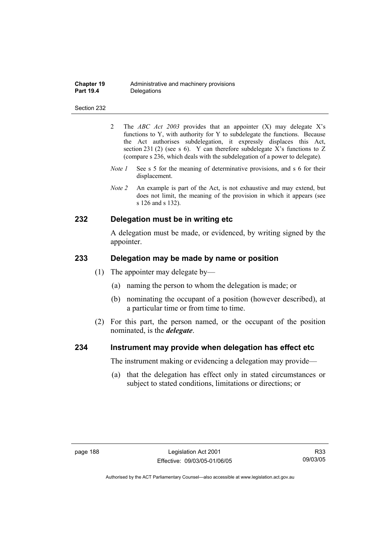| <b>Chapter 19</b> | Administrative and machinery provisions |
|-------------------|-----------------------------------------|
| <b>Part 19.4</b>  | Delegations                             |

- 2 The *ABC Act 2003* provides that an appointer (X) may delegate X's functions to Y, with authority for Y to subdelegate the functions. Because the Act authorises subdelegation, it expressly displaces this Act, section 231 (2) (see s 6). Y can therefore subdelegate X's functions to Z (compare s 236, which deals with the subdelegation of a power to delegate)*.*
- *Note 1* See s 5 for the meaning of determinative provisions, and s 6 for their displacement.
- *Note 2* An example is part of the Act, is not exhaustive and may extend, but does not limit, the meaning of the provision in which it appears (see s 126 and s 132).

# **232 Delegation must be in writing etc**

A delegation must be made, or evidenced, by writing signed by the appointer.

## **233 Delegation may be made by name or position**

- (1) The appointer may delegate by—
	- (a) naming the person to whom the delegation is made; or
	- (b) nominating the occupant of a position (however described), at a particular time or from time to time.
- (2) For this part, the person named, or the occupant of the position nominated, is the *delegate*.

### **234 Instrument may provide when delegation has effect etc**

The instrument making or evidencing a delegation may provide—

 (a) that the delegation has effect only in stated circumstances or subject to stated conditions, limitations or directions; or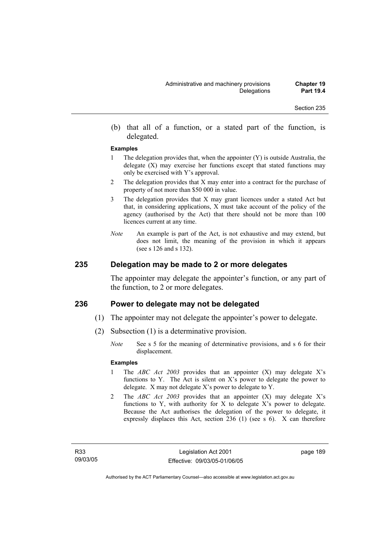(b) that all of a function, or a stated part of the function, is delegated.

#### **Examples**

- 1 The delegation provides that, when the appointer (Y) is outside Australia, the delegate  $(X)$  may exercise her functions except that stated functions may only be exercised with Y's approval.
- 2 The delegation provides that X may enter into a contract for the purchase of property of not more than \$50 000 in value.
- 3 The delegation provides that X may grant licences under a stated Act but that, in considering applications, X must take account of the policy of the agency (authorised by the Act) that there should not be more than 100 licences current at any time.
- *Note* An example is part of the Act, is not exhaustive and may extend, but does not limit, the meaning of the provision in which it appears (see s 126 and s 132).

# **235 Delegation may be made to 2 or more delegates**

The appointer may delegate the appointer's function, or any part of the function, to 2 or more delegates.

### **236 Power to delegate may not be delegated**

- (1) The appointer may not delegate the appointer's power to delegate.
- (2) Subsection (1) is a determinative provision.
	- *Note* See s 5 for the meaning of determinative provisions, and s 6 for their displacement.

### **Examples**

- 1 The *ABC Act 2003* provides that an appointer (X) may delegate X's functions to Y. The Act is silent on X's power to delegate the power to delegate. X may not delegate X's power to delegate to Y.
- 2 The *ABC Act 2003* provides that an appointer (X) may delegate X's functions to Y, with authority for X to delegate X's power to delegate. Because the Act authorises the delegation of the power to delegate, it expressly displaces this Act, section 236 (1) (see s 6). X can therefore

page 189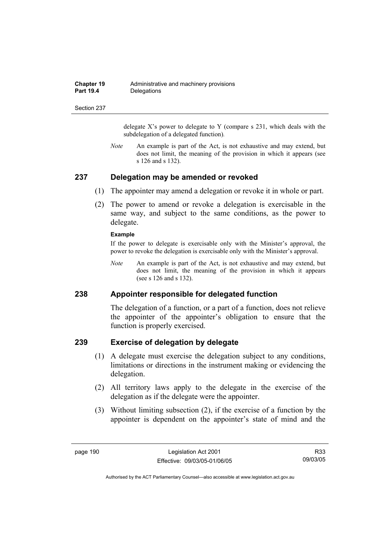| <b>Chapter 19</b> | Administrative and machinery provisions |
|-------------------|-----------------------------------------|
| <b>Part 19.4</b>  | Delegations                             |

delegate  $X$ 's power to delegate to Y (compare s 231, which deals with the subdelegation of a delegated function)*.* 

*Note* An example is part of the Act, is not exhaustive and may extend, but does not limit, the meaning of the provision in which it appears (see s 126 and s 132).

### **237 Delegation may be amended or revoked**

- (1) The appointer may amend a delegation or revoke it in whole or part.
- (2) The power to amend or revoke a delegation is exercisable in the same way, and subject to the same conditions, as the power to delegate.

#### **Example**

If the power to delegate is exercisable only with the Minister's approval, the power to revoke the delegation is exercisable only with the Minister's approval.

*Note* An example is part of the Act, is not exhaustive and may extend, but does not limit, the meaning of the provision in which it appears (see s 126 and s 132).

# **238 Appointer responsible for delegated function**

The delegation of a function, or a part of a function, does not relieve the appointer of the appointer's obligation to ensure that the function is properly exercised.

### **239 Exercise of delegation by delegate**

- (1) A delegate must exercise the delegation subject to any conditions, limitations or directions in the instrument making or evidencing the delegation.
- (2) All territory laws apply to the delegate in the exercise of the delegation as if the delegate were the appointer.
- (3) Without limiting subsection (2), if the exercise of a function by the appointer is dependent on the appointer's state of mind and the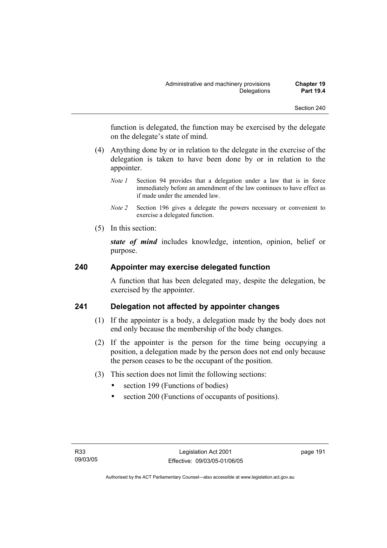function is delegated, the function may be exercised by the delegate on the delegate's state of mind.

- (4) Anything done by or in relation to the delegate in the exercise of the delegation is taken to have been done by or in relation to the appointer.
	- *Note 1* Section 94 provides that a delegation under a law that is in force immediately before an amendment of the law continues to have effect as if made under the amended law.
	- *Note 2* Section 196 gives a delegate the powers necessary or convenient to exercise a delegated function.
- (5) In this section:

*state of mind* includes knowledge, intention, opinion, belief or purpose.

# **240 Appointer may exercise delegated function**

A function that has been delegated may, despite the delegation, be exercised by the appointer.

# **241 Delegation not affected by appointer changes**

- (1) If the appointer is a body, a delegation made by the body does not end only because the membership of the body changes.
- (2) If the appointer is the person for the time being occupying a position, a delegation made by the person does not end only because the person ceases to be the occupant of the position.
- (3) This section does not limit the following sections:
	- section 199 (Functions of bodies)
	- section 200 (Functions of occupants of positions).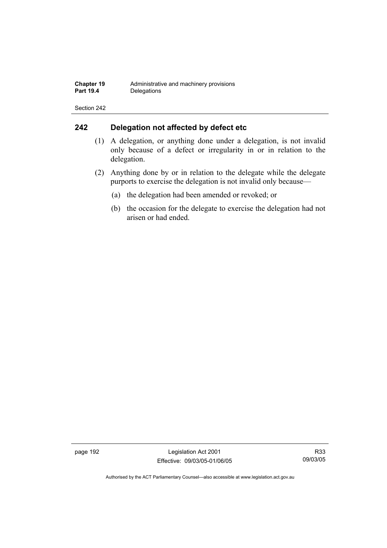# **242 Delegation not affected by defect etc**

- (1) A delegation, or anything done under a delegation, is not invalid only because of a defect or irregularity in or in relation to the delegation.
- (2) Anything done by or in relation to the delegate while the delegate purports to exercise the delegation is not invalid only because—
	- (a) the delegation had been amended or revoked; or
	- (b) the occasion for the delegate to exercise the delegation had not arisen or had ended.

page 192 Legislation Act 2001 Effective: 09/03/05-01/06/05

R33 09/03/05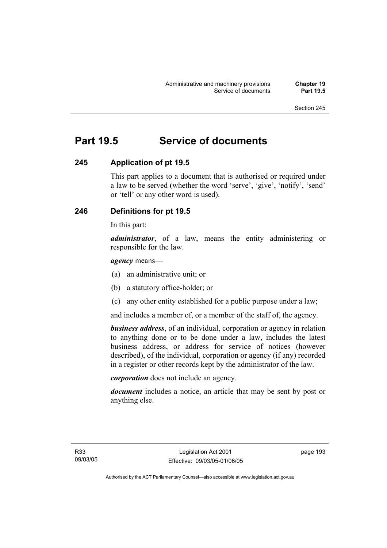# **Part 19.5 Service of documents**

# **245 Application of pt 19.5**

This part applies to a document that is authorised or required under a law to be served (whether the word 'serve', 'give', 'notify', 'send' or 'tell' or any other word is used).

# **246 Definitions for pt 19.5**

In this part:

*administrator*, of a law, means the entity administering or responsible for the law.

### *agency* means—

- (a) an administrative unit; or
- (b) a statutory office-holder; or
- (c) any other entity established for a public purpose under a law;

and includes a member of, or a member of the staff of, the agency.

*business address*, of an individual, corporation or agency in relation to anything done or to be done under a law, includes the latest business address, or address for service of notices (however described), of the individual, corporation or agency (if any) recorded in a register or other records kept by the administrator of the law.

*corporation* does not include an agency.

*document* includes a notice, an article that may be sent by post or anything else.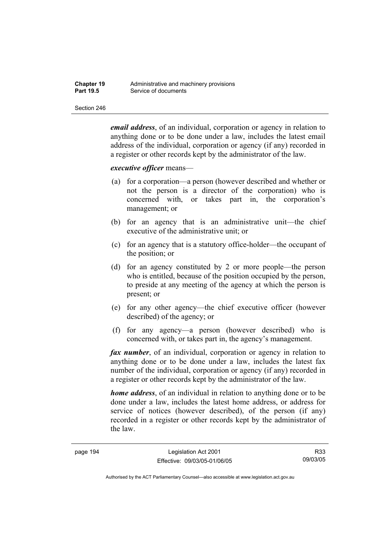| <b>Chapter 19</b> | Administrative and machinery provisions |
|-------------------|-----------------------------------------|
| <b>Part 19.5</b>  | Service of documents                    |

*email address*, of an individual, corporation or agency in relation to anything done or to be done under a law, includes the latest email address of the individual, corporation or agency (if any) recorded in a register or other records kept by the administrator of the law.

### *executive officer* means—

- (a) for a corporation—a person (however described and whether or not the person is a director of the corporation) who is concerned with, or takes part in, the corporation's management; or
- (b) for an agency that is an administrative unit—the chief executive of the administrative unit; or
- (c) for an agency that is a statutory office-holder—the occupant of the position; or
- (d) for an agency constituted by 2 or more people—the person who is entitled, because of the position occupied by the person, to preside at any meeting of the agency at which the person is present; or
- (e) for any other agency—the chief executive officer (however described) of the agency; or
- (f) for any agency—a person (however described) who is concerned with, or takes part in, the agency's management.

*fax number*, of an individual, corporation or agency in relation to anything done or to be done under a law, includes the latest fax number of the individual, corporation or agency (if any) recorded in a register or other records kept by the administrator of the law.

*home address*, of an individual in relation to anything done or to be done under a law, includes the latest home address, or address for service of notices (however described), of the person (if any) recorded in a register or other records kept by the administrator of the law.

R33 09/03/05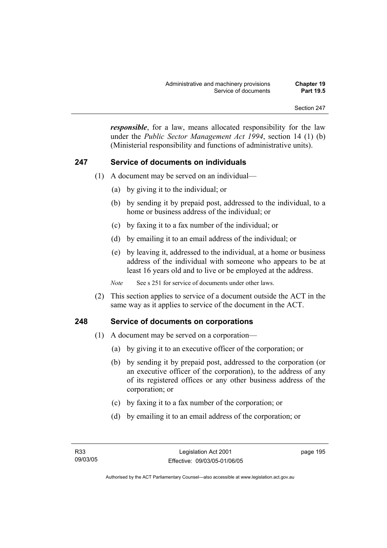*responsible*, for a law, means allocated responsibility for the law under the *Public Sector Management Act 1994*, section 14 (1) (b) (Ministerial responsibility and functions of administrative units).

# **247 Service of documents on individuals**

- (1) A document may be served on an individual—
	- (a) by giving it to the individual; or
	- (b) by sending it by prepaid post, addressed to the individual, to a home or business address of the individual; or
	- (c) by faxing it to a fax number of the individual; or
	- (d) by emailing it to an email address of the individual; or
	- (e) by leaving it, addressed to the individual, at a home or business address of the individual with someone who appears to be at least 16 years old and to live or be employed at the address.

*Note* See s 251 for service of documents under other laws.

 (2) This section applies to service of a document outside the ACT in the same way as it applies to service of the document in the ACT.

# **248 Service of documents on corporations**

- (1) A document may be served on a corporation—
	- (a) by giving it to an executive officer of the corporation; or
	- (b) by sending it by prepaid post, addressed to the corporation (or an executive officer of the corporation), to the address of any of its registered offices or any other business address of the corporation; or
	- (c) by faxing it to a fax number of the corporation; or
	- (d) by emailing it to an email address of the corporation; or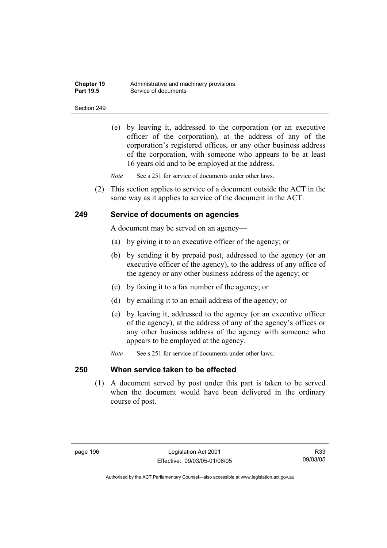| <b>Chapter 19</b> | Administrative and machinery provisions |
|-------------------|-----------------------------------------|
| <b>Part 19.5</b>  | Service of documents                    |

 (e) by leaving it, addressed to the corporation (or an executive officer of the corporation), at the address of any of the corporation's registered offices, or any other business address of the corporation, with someone who appears to be at least 16 years old and to be employed at the address.

*Note* See s 251 for service of documents under other laws.

 (2) This section applies to service of a document outside the ACT in the same way as it applies to service of the document in the ACT.

### **249 Service of documents on agencies**

A document may be served on an agency—

- (a) by giving it to an executive officer of the agency; or
- (b) by sending it by prepaid post, addressed to the agency (or an executive officer of the agency), to the address of any office of the agency or any other business address of the agency; or
- (c) by faxing it to a fax number of the agency; or
- (d) by emailing it to an email address of the agency; or
- (e) by leaving it, addressed to the agency (or an executive officer of the agency), at the address of any of the agency's offices or any other business address of the agency with someone who appears to be employed at the agency.
- *Note* See s 251 for service of documents under other laws.

# **250 When service taken to be effected**

 (1) A document served by post under this part is taken to be served when the document would have been delivered in the ordinary course of post.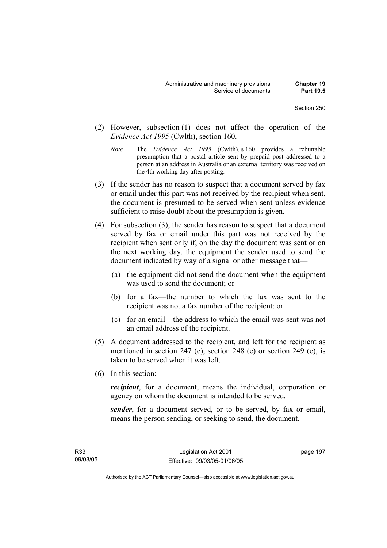- (2) However, subsection (1) does not affect the operation of the *Evidence Act 1995* (Cwlth), section 160.
	- *Note* The *Evidence Act 1995* (Cwlth), s 160 provides a rebuttable presumption that a postal article sent by prepaid post addressed to a person at an address in Australia or an external territory was received on the 4th working day after posting.
- (3) If the sender has no reason to suspect that a document served by fax or email under this part was not received by the recipient when sent, the document is presumed to be served when sent unless evidence sufficient to raise doubt about the presumption is given.
- (4) For subsection (3), the sender has reason to suspect that a document served by fax or email under this part was not received by the recipient when sent only if, on the day the document was sent or on the next working day, the equipment the sender used to send the document indicated by way of a signal or other message that—
	- (a) the equipment did not send the document when the equipment was used to send the document; or
	- (b) for a fax—the number to which the fax was sent to the recipient was not a fax number of the recipient; or
	- (c) for an email—the address to which the email was sent was not an email address of the recipient.
- (5) A document addressed to the recipient, and left for the recipient as mentioned in section 247 (e), section 248 (e) or section 249 (e), is taken to be served when it was left.
- (6) In this section:

*recipient*, for a document, means the individual, corporation or agency on whom the document is intended to be served.

*sender*, for a document served, or to be served, by fax or email, means the person sending, or seeking to send, the document.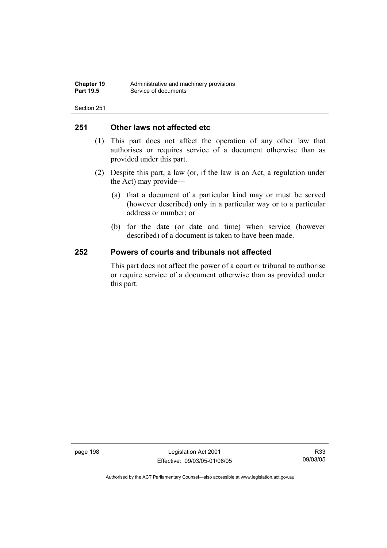# **251 Other laws not affected etc**

- (1) This part does not affect the operation of any other law that authorises or requires service of a document otherwise than as provided under this part.
- (2) Despite this part, a law (or, if the law is an Act, a regulation under the Act) may provide—
	- (a) that a document of a particular kind may or must be served (however described) only in a particular way or to a particular address or number; or
	- (b) for the date (or date and time) when service (however described) of a document is taken to have been made.

# **252 Powers of courts and tribunals not affected**

This part does not affect the power of a court or tribunal to authorise or require service of a document otherwise than as provided under this part.

page 198 Legislation Act 2001 Effective: 09/03/05-01/06/05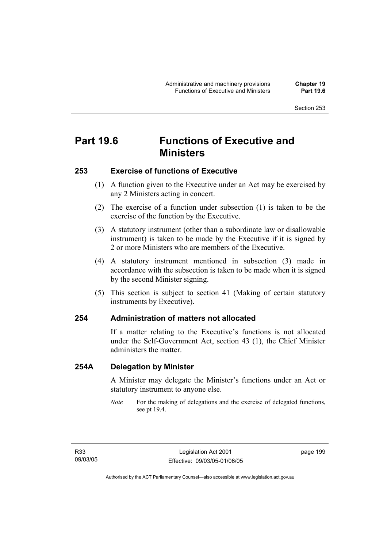# **Part 19.6 Functions of Executive and Ministers**

# **253 Exercise of functions of Executive**

- (1) A function given to the Executive under an Act may be exercised by any 2 Ministers acting in concert.
- (2) The exercise of a function under subsection (1) is taken to be the exercise of the function by the Executive.
- (3) A statutory instrument (other than a subordinate law or disallowable instrument) is taken to be made by the Executive if it is signed by 2 or more Ministers who are members of the Executive.
- (4) A statutory instrument mentioned in subsection (3) made in accordance with the subsection is taken to be made when it is signed by the second Minister signing.
- (5) This section is subject to section 41 (Making of certain statutory instruments by Executive).

# **254 Administration of matters not allocated**

If a matter relating to the Executive's functions is not allocated under the Self-Government Act, section 43 (1), the Chief Minister administers the matter.

# **254A Delegation by Minister**

A Minister may delegate the Minister's functions under an Act or statutory instrument to anyone else.

*Note* For the making of delegations and the exercise of delegated functions, see pt 19.4.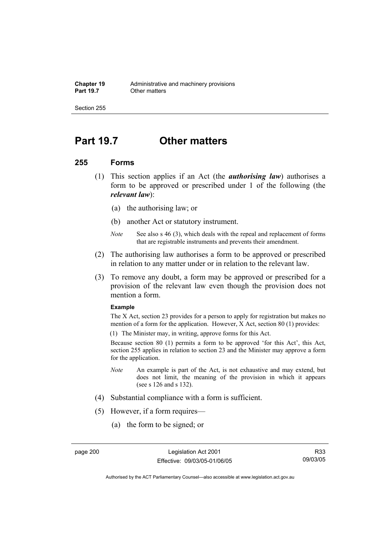# **Part 19.7 Other matters**

### **255 Forms**

- (1) This section applies if an Act (the *authorising law*) authorises a form to be approved or prescribed under 1 of the following (the *relevant law*):
	- (a) the authorising law; or
	- (b) another Act or statutory instrument.
	- *Note* See also s 46 (3), which deals with the repeal and replacement of forms that are registrable instruments and prevents their amendment.
- (2) The authorising law authorises a form to be approved or prescribed in relation to any matter under or in relation to the relevant law.
- (3) To remove any doubt, a form may be approved or prescribed for a provision of the relevant law even though the provision does not mention a form.

#### **Example**

The X Act, section 23 provides for a person to apply for registration but makes no mention of a form for the application. However, X Act, section 80 (1) provides:

(1) The Minister may, in writing, approve forms for this Act.

Because section 80 (1) permits a form to be approved 'for this Act', this Act, section 255 applies in relation to section 23 and the Minister may approve a form for the application.

- *Note* An example is part of the Act, is not exhaustive and may extend, but does not limit, the meaning of the provision in which it appears (see s 126 and s 132).
- (4) Substantial compliance with a form is sufficient.
- (5) However, if a form requires—
	- (a) the form to be signed; or

R33 09/03/05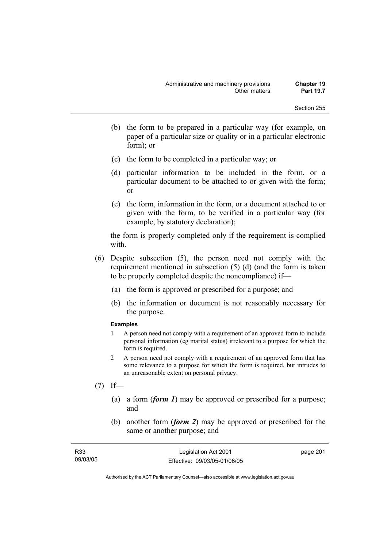- (b) the form to be prepared in a particular way (for example, on paper of a particular size or quality or in a particular electronic form); or
- (c) the form to be completed in a particular way; or
- (d) particular information to be included in the form, or a particular document to be attached to or given with the form; or
- (e) the form, information in the form, or a document attached to or given with the form, to be verified in a particular way (for example, by statutory declaration);

the form is properly completed only if the requirement is complied with.

- (6) Despite subsection (5), the person need not comply with the requirement mentioned in subsection (5) (d) (and the form is taken to be properly completed despite the noncompliance) if—
	- (a) the form is approved or prescribed for a purpose; and
	- (b) the information or document is not reasonably necessary for the purpose.

#### **Examples**

- 1 A person need not comply with a requirement of an approved form to include personal information (eg marital status) irrelevant to a purpose for which the form is required.
- 2 A person need not comply with a requirement of an approved form that has some relevance to a purpose for which the form is required, but intrudes to an unreasonable extent on personal privacy.
- $(7)$  If—
	- (a) a form (*form 1*) may be approved or prescribed for a purpose; and
	- (b) another form (*form 2*) may be approved or prescribed for the same or another purpose; and

| R <sub>33</sub> | Legislation Act 2001         | page 201 |
|-----------------|------------------------------|----------|
| 09/03/05        | Effective: 09/03/05-01/06/05 |          |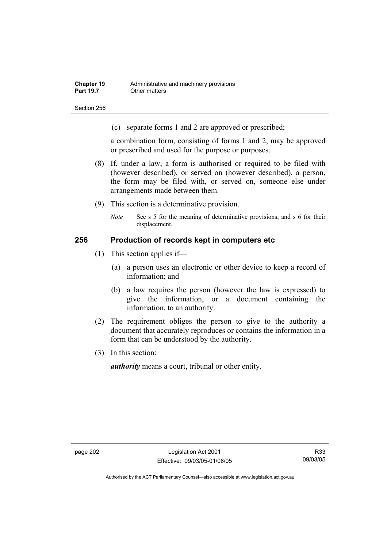Section 256

(c) separate forms 1 and 2 are approved or prescribed;

a combination form, consisting of forms 1 and 2, may be approved or prescribed and used for the purpose or purposes.

- (8) If, under a law, a form is authorised or required to be filed with (however described), or served on (however described), a person, the form may be filed with, or served on, someone else under arrangements made between them.
- (9) This section is a determinative provision.
	- *Note* See s 5 for the meaning of determinative provisions, and s 6 for their displacement.

### **256 Production of records kept in computers etc**

- (1) This section applies if—
	- (a) a person uses an electronic or other device to keep a record of information; and
	- (b) a law requires the person (however the law is expressed) to give the information, or a document containing the information, to an authority.
- (2) The requirement obliges the person to give to the authority a document that accurately reproduces or contains the information in a form that can be understood by the authority.
- (3) In this section:

*authority* means a court, tribunal or other entity.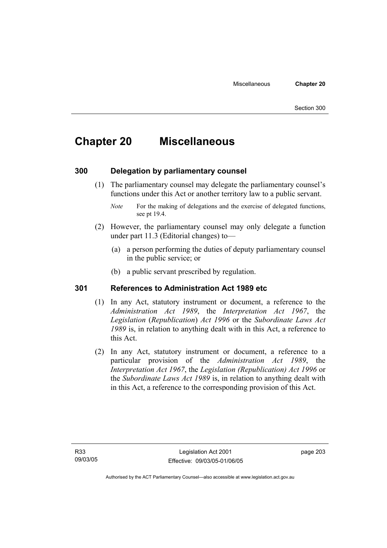# **Chapter 20 Miscellaneous**

## **300 Delegation by parliamentary counsel**

 (1) The parliamentary counsel may delegate the parliamentary counsel's functions under this Act or another territory law to a public servant.

- (2) However, the parliamentary counsel may only delegate a function under part 11.3 (Editorial changes) to—
	- (a) a person performing the duties of deputy parliamentary counsel in the public service; or
	- (b) a public servant prescribed by regulation.

## **301 References to Administration Act 1989 etc**

- (1) In any Act, statutory instrument or document, a reference to the *Administration Act 1989*, the *Interpretation Act 1967*, the *Legislation* (*Republication*) *Act 1996* or the *Subordinate Laws Act 1989* is, in relation to anything dealt with in this Act, a reference to this Act.
- (2) In any Act, statutory instrument or document, a reference to a particular provision of the *Administration Act 1989*, the *Interpretation Act 1967*, the *Legislation (Republication) Act 1996* or the *Subordinate Laws Act 1989* is, in relation to anything dealt with in this Act, a reference to the corresponding provision of this Act.

page 203

*Note* For the making of delegations and the exercise of delegated functions, see pt 19.4.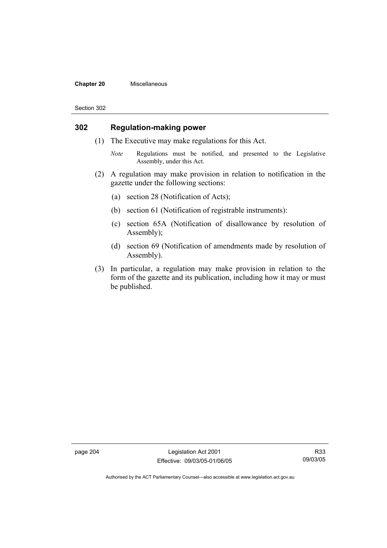#### **Chapter 20** Miscellaneous

#### Section 302

## **302 Regulation-making power**

- (1) The Executive may make regulations for this Act.
	- *Note* Regulations must be notified, and presented to the Legislative Assembly, under this Act.
- (2) A regulation may make provision in relation to notification in the gazette under the following sections:
	- (a) section 28 (Notification of Acts);
	- (b) section 61 (Notification of registrable instruments):
	- (c) section 65A (Notification of disallowance by resolution of Assembly);
	- (d) section 69 (Notification of amendments made by resolution of Assembly).
- (3) In particular, a regulation may make provision in relation to the form of the gazette and its publication, including how it may or must be published.

page 204 Legislation Act 2001 Effective: 09/03/05-01/06/05

R33 09/03/05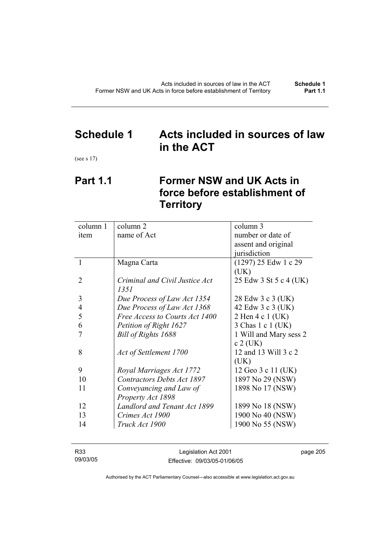## **Schedule 1 Acts included in sources of law in the ACT**

(see s 17)

# **Part 1.1 Former NSW and UK Acts in force before establishment of Territory**

| column 1 | column 2                          | column 3               |
|----------|-----------------------------------|------------------------|
| item     | name of Act                       | number or date of      |
|          |                                   | assent and original    |
|          |                                   | jurisdiction           |
| 1        | Magna Carta                       | (1297) 25 Edw 1 c 29   |
|          |                                   | (UK)                   |
| 2        | Criminal and Civil Justice Act    | 25 Edw 3 St 5 c 4 (UK) |
|          | 1351                              |                        |
| 3        | Due Process of Law Act 1354       | 28 Edw 3 c 3 (UK)      |
| 4        | Due Process of Law Act 1368       | 42 Edw 3 c 3 (UK)      |
| 5        | Free Access to Courts Act 1400    | 2 Hen 4 c 1 (UK)       |
| 6        | Petition of Right 1627            | 3 Chas 1 c 1 (UK)      |
| 7        | Bill of Rights 1688               | 1 Will and Mary sess 2 |
|          |                                   | $c 2$ (UK)             |
| 8        | Act of Settlement 1700            | 12 and 13 Will 3 c 2   |
|          |                                   | (UK)                   |
| 9        | Royal Marriages Act 1772          | 12 Geo 3 c 11 (UK)     |
| 10       | <b>Contractors Debts Act 1897</b> | 1897 No 29 (NSW)       |
| 11       | Conveyancing and Law of           | 1898 No 17 (NSW)       |
|          | Property Act 1898                 |                        |
| 12       | Landlord and Tenant Act 1899      | 1899 No 18 (NSW)       |
| 13       | Crimes Act 1900                   | 1900 No 40 (NSW)       |
| 14       | Truck Act 1900                    | 1900 No 55 (NSW)       |
|          |                                   |                        |

| R33      | Legislation Act 2001         | page 205 |
|----------|------------------------------|----------|
| 09/03/05 | Effective: 09/03/05-01/06/05 |          |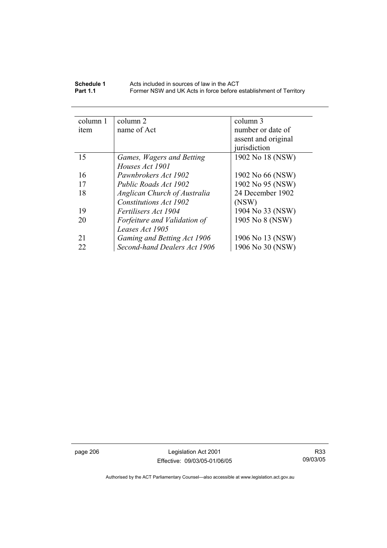| Schedule 1      | Acts included in sources of law in the ACT                        |
|-----------------|-------------------------------------------------------------------|
| <b>Part 1.1</b> | Former NSW and UK Acts in force before establishment of Territory |

| column 2                     | column 3            |
|------------------------------|---------------------|
| name of Act                  | number or date of   |
|                              | assent and original |
|                              | jurisdiction        |
| Games, Wagers and Betting    | 1902 No 18 (NSW)    |
| Houses Act 1901              |                     |
| Pawnbrokers Act 1902         | 1902 No 66 (NSW)    |
| Public Roads Act 1902        | 1902 No 95 (NSW)    |
| Anglican Church of Australia | 24 December 1902    |
| Constitutions Act 1902       | (NSW)               |
| Fertilisers Act 1904         | 1904 No 33 (NSW)    |
| Forfeiture and Validation of | 1905 No 8 (NSW)     |
| Leases Act 1905              |                     |
| Gaming and Betting Act 1906  | 1906 No 13 (NSW)    |
| Second-hand Dealers Act 1906 | 1906 No 30 (NSW)    |
|                              |                     |

page 206 Legislation Act 2001 Effective: 09/03/05-01/06/05

R33 09/03/05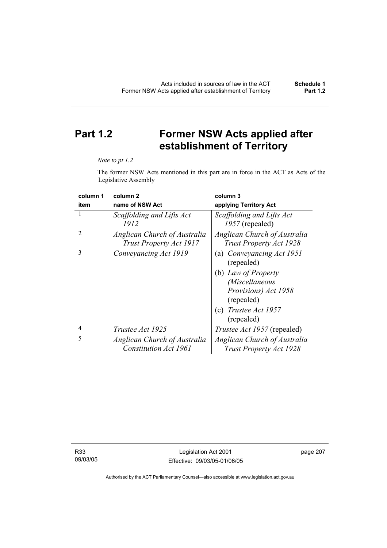# **Part 1.2 Former NSW Acts applied after establishment of Territory**

#### *Note to pt 1.2*

The former NSW Acts mentioned in this part are in force in the ACT as Acts of the Legislative Assembly

| column 1       | column <sub>2</sub>                                     | column 3                                                       |
|----------------|---------------------------------------------------------|----------------------------------------------------------------|
| item           | name of NSW Act                                         | applying Territory Act                                         |
| L              | Scaffolding and Lifts Act<br>1912                       | Scaffolding and Lifts Act<br>1957 (repealed)                   |
| $\mathfrak{D}$ | Anglican Church of Australia<br>Trust Property Act 1917 | Anglican Church of Australia<br><b>Trust Property Act 1928</b> |
| 3              | Conveyancing Act 1919                                   | (a) Conveyancing Act 1951<br>(repealed)                        |
|                |                                                         | (b) Law of Property                                            |
|                |                                                         | (Miscellaneous                                                 |
|                |                                                         | Provisions) Act 1958<br>(repealed)                             |
|                |                                                         | (c) Trustee Act $1957$<br>(repealed)                           |
| $\overline{4}$ | Trustee Act 1925                                        | <i>Trustee Act 1957</i> (repealed)                             |
| 5              | Anglican Church of Australia                            | Anglican Church of Australia                                   |
|                | <b>Constitution Act 1961</b>                            | Trust Property Act 1928                                        |

R33 09/03/05

Legislation Act 2001 Effective: 09/03/05-01/06/05 page 207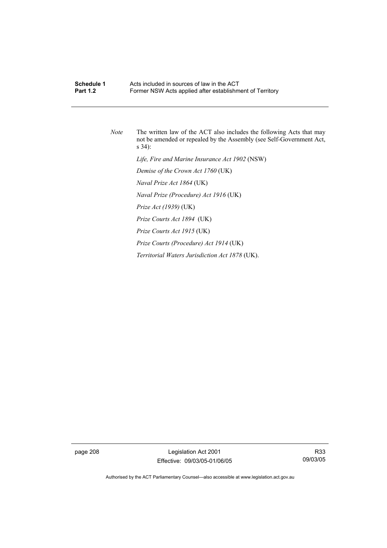## **Schedule 1 Acts included in sources of law in the ACT**<br>**Part 1.2 Example 5 Former NSW Acts annied after establishm** Former NSW Acts applied after establishment of Territory

*Note* The written law of the ACT also includes the following Acts that may not be amended or repealed by the Assembly (see Self-Government Act, s 34):  *Life, Fire and Marine Insurance Act 1902* (NSW)  *Demise of the Crown Act 1760* (UK)  *Naval Prize Act 1864* (UK)  *Naval Prize (Procedure) Act 1916* (UK)  *Prize Act (1939)* (UK)  *Prize Courts Act 1894* (UK)  *Prize Courts Act 1915* (UK)  *Prize Courts (Procedure) Act 1914* (UK)  *Territorial Waters Jurisdiction Act 1878* (UK).

page 208 Legislation Act 2001 Effective: 09/03/05-01/06/05

R33 09/03/05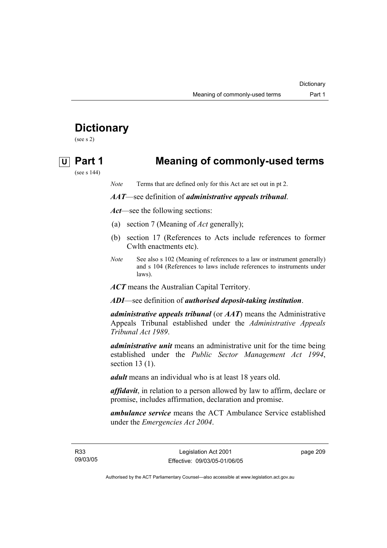# **Dictionary**

(see s 2)

# **U Part 1 Meaning of commonly-used terms**

(see s 144)

*Note* Terms that are defined only for this Act are set out in pt 2.

### *AAT*—see definition of *administrative appeals tribunal*.

*Act*—see the following sections:

- (a) section 7 (Meaning of *Act* generally);
- (b) section 17 (References to Acts include references to former Cwlth enactments etc).
- *Note* See also s 102 (Meaning of references to a law or instrument generally) and s 104 (References to laws include references to instruments under laws).

*ACT* means the Australian Capital Territory.

*ADI*—see definition of *authorised deposit-taking institution*.

*administrative appeals tribunal* (or *AAT*) means the Administrative Appeals Tribunal established under the *Administrative Appeals Tribunal Act 1989*.

*administrative unit* means an administrative unit for the time being established under the *Public Sector Management Act 1994*, section 13 (1).

*adult* means an individual who is at least 18 years old.

*affidavit*, in relation to a person allowed by law to affirm, declare or promise, includes affirmation, declaration and promise.

*ambulance service* means the ACT Ambulance Service established under the *Emergencies Act 2004*.

R33 09/03/05 page 209

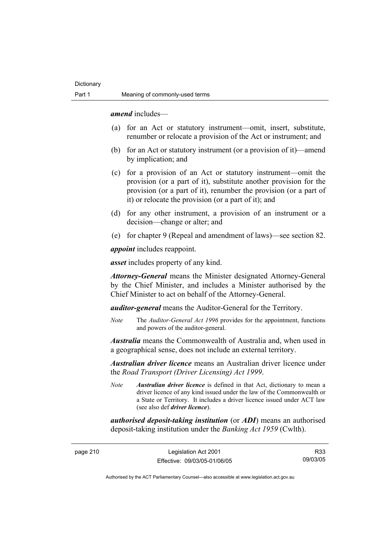*amend* includes—

- (a) for an Act or statutory instrument—omit, insert, substitute, renumber or relocate a provision of the Act or instrument; and
- (b) for an Act or statutory instrument (or a provision of it)—amend by implication; and
- (c) for a provision of an Act or statutory instrument—omit the provision (or a part of it), substitute another provision for the provision (or a part of it), renumber the provision (or a part of it) or relocate the provision (or a part of it); and
- (d) for any other instrument, a provision of an instrument or a decision—change or alter; and
- (e) for chapter 9 (Repeal and amendment of laws)—see section 82.

*appoint* includes reappoint.

*asset* includes property of any kind.

*Attorney-General* means the Minister designated Attorney-General by the Chief Minister, and includes a Minister authorised by the Chief Minister to act on behalf of the Attorney-General.

*auditor-general* means the Auditor-General for the Territory.

*Note* The *Auditor-General Act 1996* provides for the appointment, functions and powers of the auditor-general.

*Australia* means the Commonwealth of Australia and, when used in a geographical sense, does not include an external territory.

*Australian driver licence* means an Australian driver licence under the *Road Transport (Driver Licensing) Act 1999*.

*Note Australian driver licence* is defined in that Act, dictionary to mean a driver licence of any kind issued under the law of the Commonwealth or a State or Territory. It includes a driver licence issued under ACT law (see also def *driver licence*).

*authorised deposit-taking institution* (or *ADI*) means an authorised deposit-taking institution under the *Banking Act 1959* (Cwlth).

page 210 Legislation Act 2001 Effective: 09/03/05-01/06/05

R33 09/03/05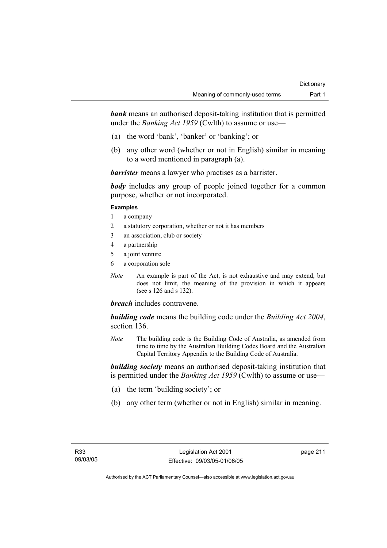**bank** means an authorised deposit-taking institution that is permitted under the *Banking Act 1959* (Cwlth) to assume or use—

- (a) the word 'bank', 'banker' or 'banking'; or
- (b) any other word (whether or not in English) similar in meaning to a word mentioned in paragraph (a).

*barrister* means a lawyer who practises as a barrister.

*body* includes any group of people joined together for a common purpose, whether or not incorporated.

### **Examples**

- 1 a company
- 2 a statutory corporation, whether or not it has members
- 3 an association, club or society
- 4 a partnership
- 5 a joint venture
- 6 a corporation sole
- *Note* An example is part of the Act, is not exhaustive and may extend, but does not limit, the meaning of the provision in which it appears (see s 126 and s 132).

## *breach* includes contravene.

*building code* means the building code under the *Building Act 2004*, section 136.

*Note* The building code is the Building Code of Australia, as amended from time to time by the Australian Building Codes Board and the Australian Capital Territory Appendix to the Building Code of Australia.

*building society* means an authorised deposit-taking institution that is permitted under the *Banking Act 1959* (Cwlth) to assume or use—

- (a) the term 'building society'; or
- (b) any other term (whether or not in English) similar in meaning.

page 211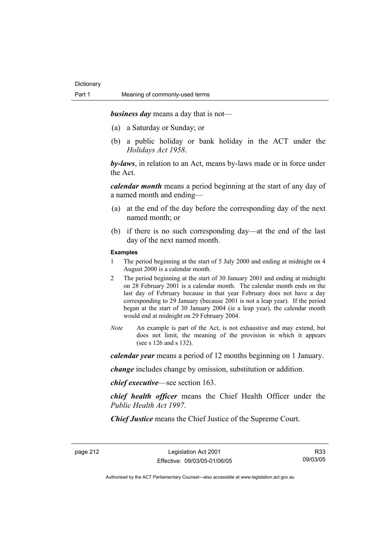*business day* means a day that is not—

- (a) a Saturday or Sunday; or
- (b) a public holiday or bank holiday in the ACT under the *Holidays Act 1958*.

*by-laws*, in relation to an Act, means by-laws made or in force under the Act.

*calendar month* means a period beginning at the start of any day of a named month and ending—

- (a) at the end of the day before the corresponding day of the next named month; or
- (b) if there is no such corresponding day—at the end of the last day of the next named month.

### **Examples**

- 1 The period beginning at the start of 5 July 2000 and ending at midnight on 4 August 2000 is a calendar month.
- 2 The period beginning at the start of 30 January 2001 and ending at midnight on 28 February 2001 is a calendar month. The calendar month ends on the last day of February because in that year February does not have a day corresponding to 29 January (because 2001 is not a leap year). If the period began at the start of 30 January 2004 (ie a leap year), the calendar month would end at midnight on 29 February 2004.
- *Note* An example is part of the Act, is not exhaustive and may extend, but does not limit, the meaning of the provision in which it appears (see s 126 and s 132).

*calendar year* means a period of 12 months beginning on 1 January.

*change* includes change by omission, substitution or addition.

*chief executive*—see section 163.

*chief health officer* means the Chief Health Officer under the *Public Health Act 1997*.

*Chief Justice* means the Chief Justice of the Supreme Court.

page 212 Legislation Act 2001 Effective: 09/03/05-01/06/05

R33 09/03/05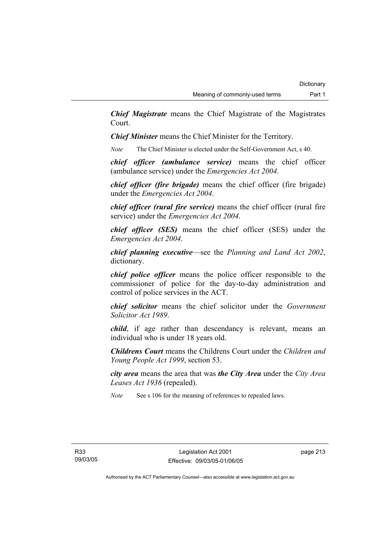*Chief Magistrate* means the Chief Magistrate of the Magistrates Court.

*Chief Minister* means the Chief Minister for the Territory.

*Note* The Chief Minister is elected under the Self-Government Act, s 40.

*chief officer (ambulance service)* means the chief officer (ambulance service) under the *Emergencies Act 2004*.

*chief officer (fire brigade)* means the chief officer (fire brigade) under the *Emergencies Act 2004*.

*chief officer (rural fire service)* means the chief officer (rural fire service) under the *Emergencies Act 2004*.

*chief officer (SES)* means the chief officer (SES) under the *Emergencies Act 2004*.

*chief planning executive*—see the *Planning and Land Act 2002*, dictionary.

*chief police officer* means the police officer responsible to the commissioner of police for the day-to-day administration and control of police services in the ACT.

*chief solicitor* means the chief solicitor under the *Government Solicitor Act 1989*.

*child*, if age rather than descendancy is relevant, means an individual who is under 18 years old.

*Childrens Court* means the Childrens Court under the *Children and Young People Act 1999*, section 53.

*city area* means the area that was *the City Area* under the *City Area Leases Act 1936* (repealed).

*Note* See s 106 for the meaning of references to repealed laws.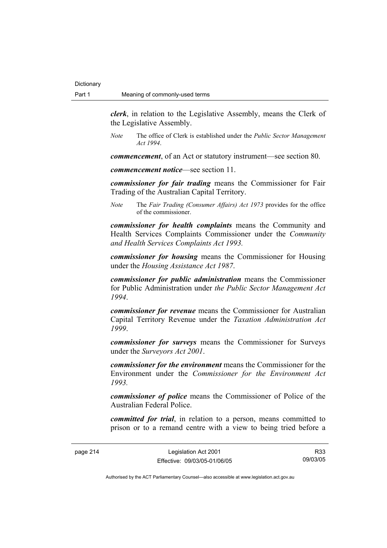*clerk*, in relation to the Legislative Assembly, means the Clerk of the Legislative Assembly.

*Note* The office of Clerk is established under the *Public Sector Management Act 1994*.

*commencement*, of an Act or statutory instrument—see section 80.

*commencement notice*—see section 11.

*commissioner for fair trading* means the Commissioner for Fair Trading of the Australian Capital Territory.

*Note* The *Fair Trading (Consumer Affairs) Act 1973* provides for the office of the commissioner.

*commissioner for health complaints* means the Community and Health Services Complaints Commissioner under the *Community and Health Services Complaints Act 1993.* 

*commissioner for housing* means the Commissioner for Housing under the *Housing Assistance Act 1987*.

*commissioner for public administration* means the Commissioner for Public Administration under *the Public Sector Management Act 1994*.

*commissioner for revenue* means the Commissioner for Australian Capital Territory Revenue under the *Taxation Administration Act 1999*.

*commissioner for surveys* means the Commissioner for Surveys under the *Surveyors Act 2001*.

*commissioner for the environment* means the Commissioner for the Environment under the *Commissioner for the Environment Act 1993.* 

*commissioner of police* means the Commissioner of Police of the Australian Federal Police.

*committed for trial*, in relation to a person, means committed to prison or to a remand centre with a view to being tried before a

page 214 Legislation Act 2001 Effective: 09/03/05-01/06/05

R33 09/03/05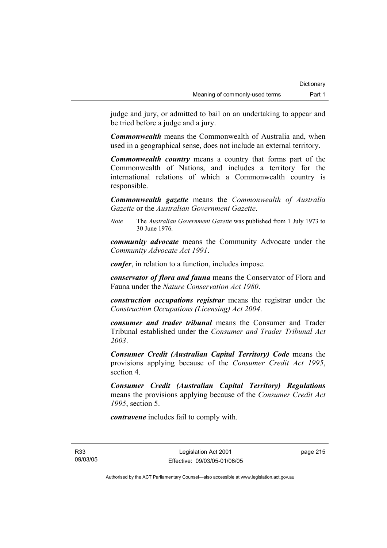judge and jury, or admitted to bail on an undertaking to appear and be tried before a judge and a jury.

*Commonwealth* means the Commonwealth of Australia and, when used in a geographical sense, does not include an external territory.

*Commonwealth country* means a country that forms part of the Commonwealth of Nations, and includes a territory for the international relations of which a Commonwealth country is responsible.

*Commonwealth gazette* means the *Commonwealth of Australia Gazette* or the *Australian Government Gazette*.

*Note* The *Australian Government Gazette* was published from 1 July 1973 to 30 June 1976.

*community advocate* means the Community Advocate under the *Community Advocate Act 1991*.

*confer*, in relation to a function, includes impose.

*conservator of flora and fauna* means the Conservator of Flora and Fauna under the *Nature Conservation Act 1980*.

*construction occupations registrar* means the registrar under the *Construction Occupations (Licensing) Act 2004*.

*consumer and trader tribunal* means the Consumer and Trader Tribunal established under the *Consumer and Trader Tribunal Act 2003*.

*Consumer Credit (Australian Capital Territory) Code* means the provisions applying because of the *Consumer Credit Act 1995*, section 4.

*Consumer Credit (Australian Capital Territory) Regulations* means the provisions applying because of the *Consumer Credit Act 1995*, section 5.

*contravene* includes fail to comply with.

R33 09/03/05 page 215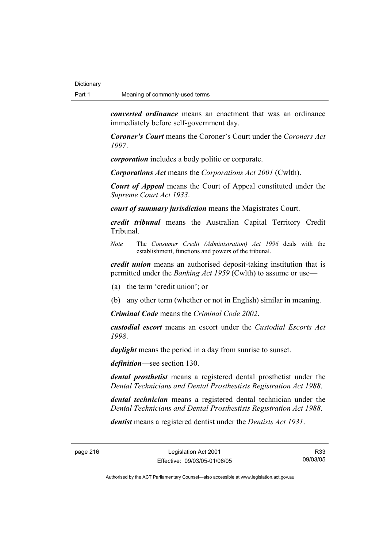*converted ordinance* means an enactment that was an ordinance immediately before self-government day.

*Coroner's Court* means the Coroner's Court under the *Coroners Act 1997*.

*corporation* includes a body politic or corporate.

*Corporations Act* means the *Corporations Act 2001* (Cwlth).

*Court of Appeal* means the Court of Appeal constituted under the *Supreme Court Act 1933*.

*court of summary jurisdiction* means the Magistrates Court.

*credit tribunal* means the Australian Capital Territory Credit Tribunal.

*Note* The *Consumer Credit (Administration) Act 1996* deals with the establishment, functions and powers of the tribunal.

*credit union* means an authorised deposit-taking institution that is permitted under the *Banking Act 1959* (Cwlth) to assume or use—

- (a) the term 'credit union'; or
- (b) any other term (whether or not in English) similar in meaning.

*Criminal Code* means the *Criminal Code 2002*.

*custodial escort* means an escort under the *Custodial Escorts Act 1998*.

*daylight* means the period in a day from sunrise to sunset.

*definition*—see section 130.

*dental prosthetist* means a registered dental prosthetist under the *Dental Technicians and Dental Prosthestists Registration Act 1988*.

*dental technician* means a registered dental technician under the *Dental Technicians and Dental Prosthestists Registration Act 1988*.

*dentist* means a registered dentist under the *Dentists Act 1931*.

page 216 Legislation Act 2001 Effective: 09/03/05-01/06/05

R33 09/03/05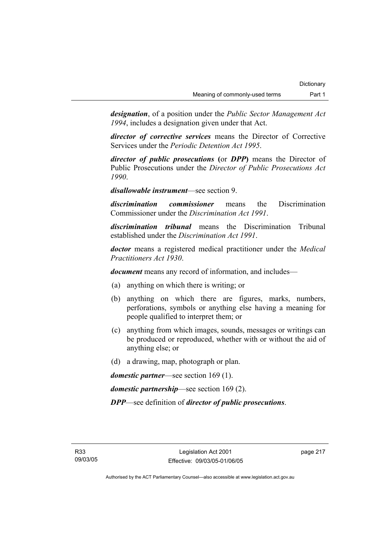*designation*, of a position under the *Public Sector Management Act 1994*, includes a designation given under that Act.

*director of corrective services* means the Director of Corrective Services under the *Periodic Detention Act 1995*.

*director of public prosecutions* **(**or *DPP***)** means the Director of Public Prosecutions under the *Director of Public Prosecutions Act 1990*.

*disallowable instrument*—see section 9.

*discrimination commissioner* means the Discrimination Commissioner under the *Discrimination Act 1991*.

*discrimination tribunal* means the Discrimination Tribunal established under the *Discrimination Act 1991*.

*doctor* means a registered medical practitioner under the *Medical Practitioners Act 1930*.

*document* means any record of information, and includes—

- (a) anything on which there is writing; or
- (b) anything on which there are figures, marks, numbers, perforations, symbols or anything else having a meaning for people qualified to interpret them; or
- (c) anything from which images, sounds, messages or writings can be produced or reproduced, whether with or without the aid of anything else; or
- (d) a drawing, map, photograph or plan.

*domestic partner*—see section 169 (1).

*domestic partnership*—see section 169 (2).

*DPP*—see definition of *director of public prosecutions*.

page 217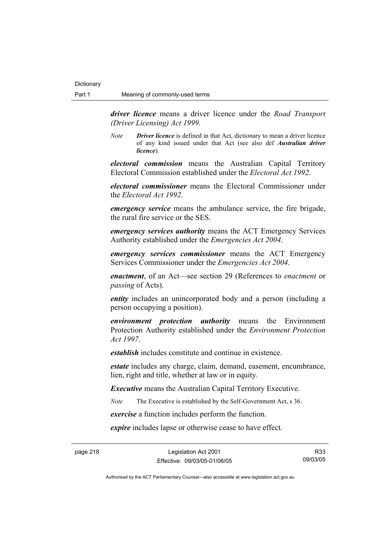*driver licence* means a driver licence under the *Road Transport (Driver Licensing) Act 1999*.

*Note Driver licence* is defined in that Act, dictionary to mean a driver licence of any kind issued under that Act (see also def *Australian driver licence*).

*electoral commission* means the Australian Capital Territory Electoral Commission established under the *Electoral Act 1992*.

*electoral commissioner* means the Electoral Commissioner under the *Electoral Act 1992*.

*emergency service* means the ambulance service, the fire brigade, the rural fire service or the SES.

*emergency services authority* means the ACT Emergency Services Authority established under the *Emergencies Act 2004*.

*emergency services commissioner* means the ACT Emergency Services Commissioner under the *Emergencies Act 2004*.

*enactment*, of an Act—see section 29 (References to *enactment* or *passing* of Acts).

*entity* includes an unincorporated body and a person (including a person occupying a position).

*environment protection authority* means the Environment Protection Authority established under the *Environment Protection Act 1997*.

*establish* includes constitute and continue in existence.

*estate* includes any charge, claim, demand, easement, encumbrance, lien, right and title, whether at law or in equity.

*Executive* means the Australian Capital Territory Executive.

*Note* The Executive is established by the Self-Government Act, s 36.

*exercise* a function includes perform the function.

*expire* includes lapse or otherwise cease to have effect.

page 218 Legislation Act 2001 Effective: 09/03/05-01/06/05

R33 09/03/05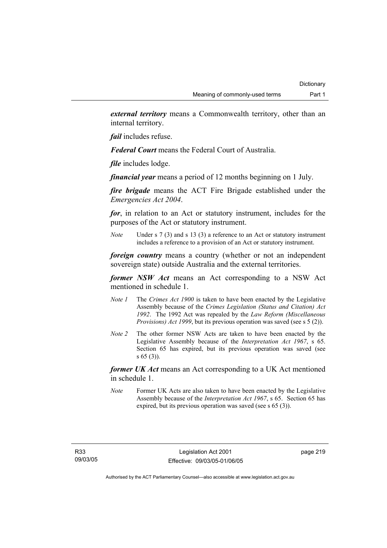*external territory* means a Commonwealth territory, other than an internal territory.

*fail* includes refuse.

*Federal Court* means the Federal Court of Australia.

*file* includes lodge.

*financial year* means a period of 12 months beginning on 1 July.

*fire brigade* means the ACT Fire Brigade established under the *Emergencies Act 2004*.

*for*, in relation to an Act or statutory instrument, includes for the purposes of the Act or statutory instrument.

*Note* Under s 7 (3) and s 13 (3) a reference to an Act or statutory instrument includes a reference to a provision of an Act or statutory instrument.

*foreign country* means a country (whether or not an independent sovereign state) outside Australia and the external territories.

*former NSW Act* means an Act corresponding to a NSW Act mentioned in schedule 1.

- *Note 1* The *Crimes Act 1900* is taken to have been enacted by the Legislative Assembly because of the *Crimes Legislation (Status and Citation) Act 1992*. The 1992 Act was repealed by the *Law Reform (Miscellaneous Provisions) Act 1999*, but its previous operation was saved (see s 5 (2)).
- *Note 2* The other former NSW Acts are taken to have been enacted by the Legislative Assembly because of the *Interpretation Act 1967*, s 65. Section 65 has expired, but its previous operation was saved (see s 65 (3)).

*former UK Act* means an Act corresponding to a UK Act mentioned in schedule 1.

*Note* Former UK Acts are also taken to have been enacted by the Legislative Assembly because of the *Interpretation Act 1967*, s 65. Section 65 has expired, but its previous operation was saved (see s 65 (3)).

page 219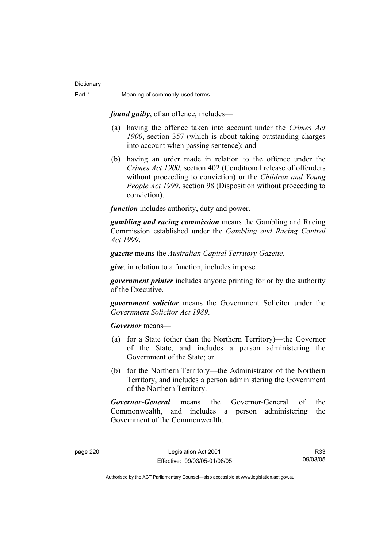*found guilty*, of an offence, includes—

- (a) having the offence taken into account under the *Crimes Act 1900*, section 357 (which is about taking outstanding charges into account when passing sentence); and
- (b) having an order made in relation to the offence under the *Crimes Act 1900*, section 402 (Conditional release of offenders without proceeding to conviction) or the *Children and Young People Act 1999*, section 98 (Disposition without proceeding to conviction).

*function* includes authority, duty and power.

*gambling and racing commission* means the Gambling and Racing Commission established under the *Gambling and Racing Control Act 1999*.

*gazette* means the *Australian Capital Territory Gazette*.

*give*, in relation to a function, includes impose.

*government printer* includes anyone printing for or by the authority of the Executive.

*government solicitor* means the Government Solicitor under the *Government Solicitor Act 1989*.

*Governor* means—

- (a) for a State (other than the Northern Territory)—the Governor of the State, and includes a person administering the Government of the State; or
- (b) for the Northern Territory—the Administrator of the Northern Territory, and includes a person administering the Government of the Northern Territory.

*Governor-General* means the Governor-General of the Commonwealth, and includes a person administering the Government of the Commonwealth.

R33 09/03/05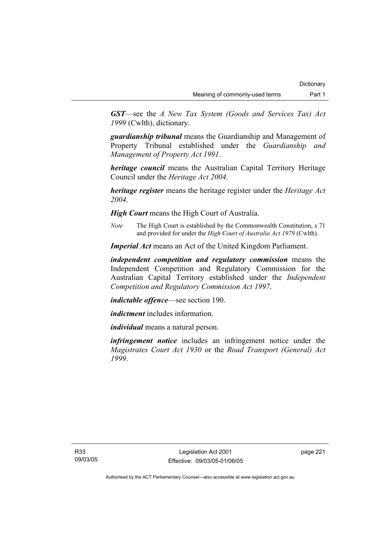*GST*—see the *A New Tax System (Goods and Services Tax) Act 1999* (Cwlth), dictionary.

*guardianship tribunal* means the Guardianship and Management of Property Tribunal established under the *Guardianship and Management of Property Act 1991*.

*heritage council* means the Australian Capital Territory Heritage Council under the *Heritage Act 2004*.

*heritage register* means the heritage register under the *Heritage Act 2004*.

*High Court* means the High Court of Australia.

*Note* The High Court is established by the Commonwealth Constitution, s 71 and provided for under the *High Court of Australia Act 1979* (Cwlth).

*Imperial Act* means an Act of the United Kingdom Parliament.

*independent competition and regulatory commission* means the Independent Competition and Regulatory Commission for the Australian Capital Territory established under the *Independent Competition and Regulatory Commission Act 1997*.

*indictable offence*—see section 190.

*indictment* includes information.

*individual* means a natural person.

*infringement notice* includes an infringement notice under the *Magistrates Court Act 1930* or the *Road Transport (General) Act 1999*.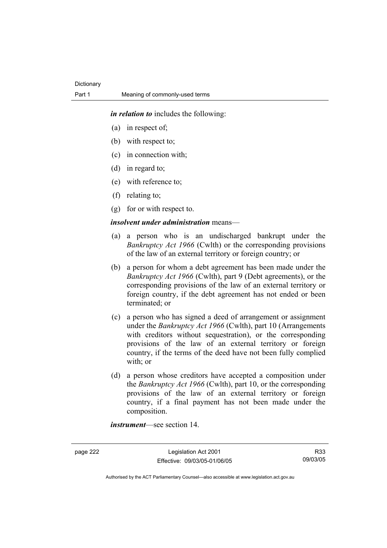*in relation to* includes the following:

- (a) in respect of;
- (b) with respect to;
- (c) in connection with;
- (d) in regard to;
- (e) with reference to;
- (f) relating to;
- (g) for or with respect to.

### *insolvent under administration* means—

- (a) a person who is an undischarged bankrupt under the *Bankruptcy Act 1966* (Cwlth) or the corresponding provisions of the law of an external territory or foreign country; or
- (b) a person for whom a debt agreement has been made under the *Bankruptcy Act 1966* (Cwlth), part 9 (Debt agreements), or the corresponding provisions of the law of an external territory or foreign country, if the debt agreement has not ended or been terminated; or
- (c) a person who has signed a deed of arrangement or assignment under the *Bankruptcy Act 1966* (Cwlth), part 10 (Arrangements with creditors without sequestration), or the corresponding provisions of the law of an external territory or foreign country, if the terms of the deed have not been fully complied with; or
- (d) a person whose creditors have accepted a composition under the *Bankruptcy Act 1966* (Cwlth), part 10, or the corresponding provisions of the law of an external territory or foreign country, if a final payment has not been made under the composition.

*instrument*—see section 14.

page 222 Legislation Act 2001 Effective: 09/03/05-01/06/05

R33 09/03/05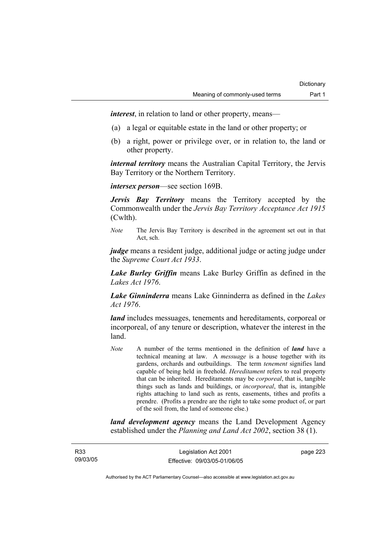*interest*, in relation to land or other property, means—

- (a) a legal or equitable estate in the land or other property; or
- (b) a right, power or privilege over, or in relation to, the land or other property.

*internal territory* means the Australian Capital Territory, the Jervis Bay Territory or the Northern Territory.

*intersex person*—see section 169B.

*Jervis Bay Territory* means the Territory accepted by the Commonwealth under the *Jervis Bay Territory Acceptance Act 1915* (Cwlth).

*Note* The Jervis Bay Territory is described in the agreement set out in that Act, sch.

*judge* means a resident judge, additional judge or acting judge under the *Supreme Court Act 1933*.

*Lake Burley Griffin* means Lake Burley Griffin as defined in the *Lakes Act 1976*.

*Lake Ginninderra* means Lake Ginninderra as defined in the *Lakes Act 1976*.

*land* includes messuages, tenements and hereditaments, corporeal or incorporeal, of any tenure or description, whatever the interest in the land.

*Note* A number of the terms mentioned in the definition of *land* have a technical meaning at law. A *messuage* is a house together with its gardens, orchards and outbuildings. The term *tenement* signifies land capable of being held in freehold. *Hereditament* refers to real property that can be inherited. Hereditaments may be *corporeal*, that is, tangible things such as lands and buildings, or *incorporeal*, that is, intangible rights attaching to land such as rents, easements, tithes and profits a prendre. (Profits a prendre are the right to take some product of, or part of the soil from, the land of someone else.)

*land development agency* means the Land Development Agency established under the *Planning and Land Act 2002*, section 38 (1).

R33 09/03/05

Legislation Act 2001 Effective: 09/03/05-01/06/05 page 223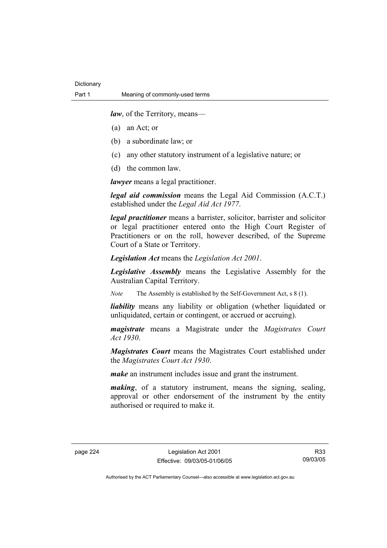*law*, of the Territory, means—

- (a) an Act; or
- (b) a subordinate law; or
- (c) any other statutory instrument of a legislative nature; or
- (d) the common law.

*lawyer* means a legal practitioner.

*legal aid commission* means the Legal Aid Commission (A.C.T.) established under the *Legal Aid Act 1977*.

*legal practitioner* means a barrister, solicitor, barrister and solicitor or legal practitioner entered onto the High Court Register of Practitioners or on the roll, however described, of the Supreme Court of a State or Territory.

*Legislation Act* means the *Legislation Act 2001*.

*Legislative Assembly* means the Legislative Assembly for the Australian Capital Territory.

*Note* The Assembly is established by the Self-Government Act, s 8 (1).

*liability* means any liability or obligation (whether liquidated or unliquidated, certain or contingent, or accrued or accruing).

*magistrate* means a Magistrate under the *Magistrates Court Act 1930*.

*Magistrates Court* means the Magistrates Court established under the *Magistrates Court Act 1930*.

*make* an instrument includes issue and grant the instrument.

*making*, of a statutory instrument, means the signing, sealing, approval or other endorsement of the instrument by the entity authorised or required to make it.

R33 09/03/05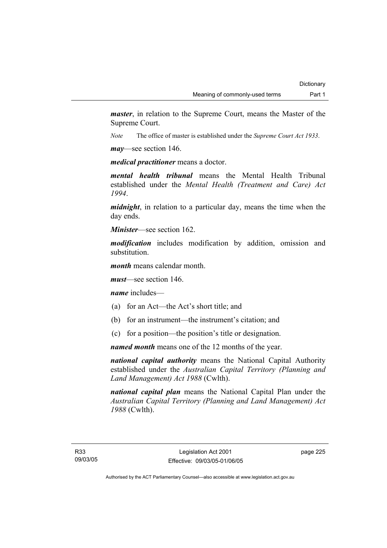*master*, in relation to the Supreme Court, means the Master of the Supreme Court.

*Note* The office of master is established under the *Supreme Court Act 1933*.

*may*—see section 146.

*medical practitioner* means a doctor.

*mental health tribunal* means the Mental Health Tribunal established under the *Mental Health (Treatment and Care) Act 1994*.

*midnight*, in relation to a particular day, means the time when the day ends.

*Minister*—see section 162.

*modification* includes modification by addition, omission and substitution.

*month* means calendar month.

*must*—see section 146.

*name* includes—

- (a) for an Act—the Act's short title; and
- (b) for an instrument—the instrument's citation; and
- (c) for a position—the position's title or designation.

*named month* means one of the 12 months of the year.

*national capital authority* means the National Capital Authority established under the *Australian Capital Territory (Planning and Land Management) Act 1988* (Cwlth).

*national capital plan* means the National Capital Plan under the *Australian Capital Territory (Planning and Land Management) Act 1988* (Cwlth).

page 225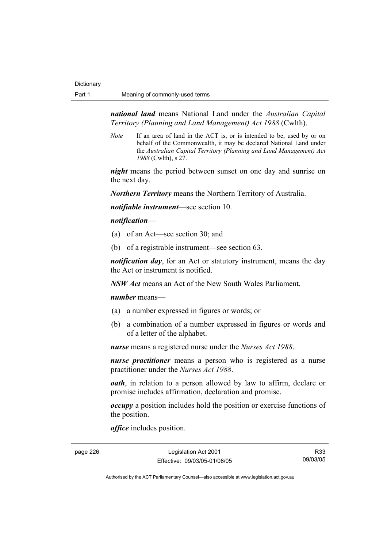*national land* means National Land under the *Australian Capital Territory (Planning and Land Management) Act 1988* (Cwlth).

*Note* If an area of land in the ACT is, or is intended to be, used by or on behalf of the Commonwealth, it may be declared National Land under the *Australian Capital Territory (Planning and Land Management) Act 1988* (Cwlth), s 27.

*night* means the period between sunset on one day and sunrise on the next day.

*Northern Territory* means the Northern Territory of Australia.

*notifiable instrument*—see section 10.

*notification*—

- (a) of an Act—see section 30; and
- (b) of a registrable instrument—see section 63.

*notification day*, for an Act or statutory instrument, means the day the Act or instrument is notified.

*NSW Act* means an Act of the New South Wales Parliament.

#### *number* means—

- (a) a number expressed in figures or words; or
- (b) a combination of a number expressed in figures or words and of a letter of the alphabet.

*nurse* means a registered nurse under the *Nurses Act 1988*.

*nurse practitioner* means a person who is registered as a nurse practitioner under the *Nurses Act 1988*.

*oath*, in relation to a person allowed by law to affirm, declare or promise includes affirmation, declaration and promise.

*occupy* a position includes hold the position or exercise functions of the position.

*office* includes position.

page 226 Legislation Act 2001 Effective: 09/03/05-01/06/05

R33 09/03/05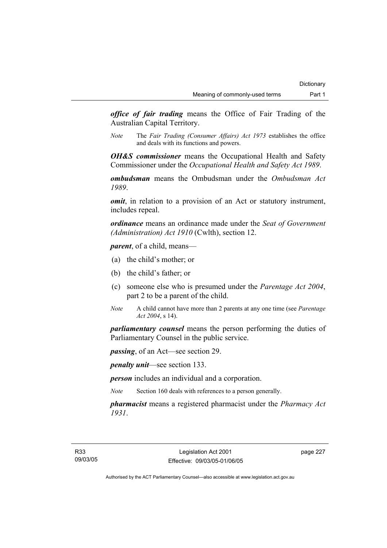*office of fair trading* means the Office of Fair Trading of the Australian Capital Territory.

*Note* The *Fair Trading (Consumer Affairs) Act 1973* establishes the office and deals with its functions and powers.

*OH&S commissioner* means the Occupational Health and Safety Commissioner under the *Occupational Health and Safety Act 1989*.

*ombudsman* means the Ombudsman under the *Ombudsman Act 1989*.

*omit*, in relation to a provision of an Act or statutory instrument, includes repeal.

*ordinance* means an ordinance made under the *Seat of Government (Administration) Act 1910* (Cwlth), section 12.

*parent*, of a child, means—

- (a) the child's mother; or
- (b) the child's father; or
- (c) someone else who is presumed under the *Parentage Act 2004*, part 2 to be a parent of the child.
- *Note* A child cannot have more than 2 parents at any one time (see *Parentage Act 2004*, s 14).

*parliamentary counsel* means the person performing the duties of Parliamentary Counsel in the public service.

*passing*, of an Act—see section 29.

*penalty unit*—see section 133.

*person* includes an individual and a corporation.

*Note* Section 160 deals with references to a person generally.

*pharmacist* means a registered pharmacist under the *Pharmacy Act 1931*.

page 227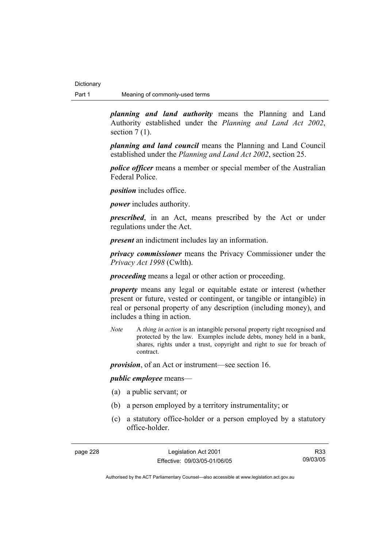*planning and land authority* means the Planning and Land Authority established under the *Planning and Land Act 2002*, section  $7(1)$ .

*planning and land council* means the Planning and Land Council established under the *Planning and Land Act 2002*, section 25.

*police officer* means a member or special member of the Australian Federal Police.

*position* includes office.

*power* includes authority.

*prescribed*, in an Act, means prescribed by the Act or under regulations under the Act.

*present* an indictment includes lay an information.

*privacy commissioner* means the Privacy Commissioner under the *Privacy Act 1998* (Cwlth).

*proceeding* means a legal or other action or proceeding.

*property* means any legal or equitable estate or interest (whether present or future, vested or contingent, or tangible or intangible) in real or personal property of any description (including money), and includes a thing in action.

*Note* A *thing in action* is an intangible personal property right recognised and protected by the law. Examples include debts, money held in a bank, shares, rights under a trust, copyright and right to sue for breach of contract.

*provision*, of an Act or instrument—see section 16.

*public employee* means—

- (a) a public servant; or
- (b) a person employed by a territory instrumentality; or
- (c) a statutory office-holder or a person employed by a statutory office-holder.

page 228 Legislation Act 2001 Effective: 09/03/05-01/06/05

R33 09/03/05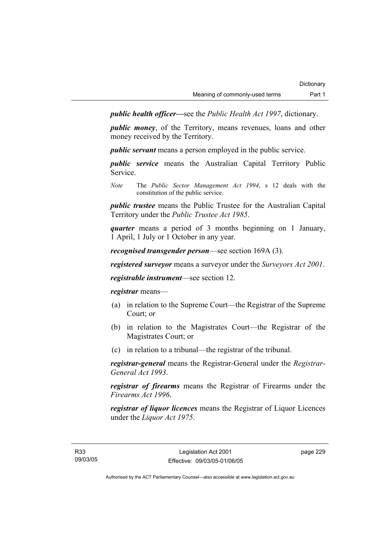*public health officer—*see the *Public Health Act 1997*, dictionary.

*public money*, of the Territory, means revenues, loans and other money received by the Territory.

*public servant* means a person employed in the public service.

*public service* means the Australian Capital Territory Public Service.

*Note* The *Public Sector Management Act 1994*, s 12 deals with the constitution of the public service.

*public trustee* means the Public Trustee for the Australian Capital Territory under the *Public Trustee Act 1985*.

*quarter* means a period of 3 months beginning on 1 January, 1 April, 1 July or 1 October in any year.

*recognised transgender person*—see section 169A (3).

*registered surveyor* means a surveyor under the *Surveyors Act 2001*.

*registrable instrument*—see section 12.

*registrar* means—

- (a) in relation to the Supreme Court—the Registrar of the Supreme Court; or
- (b) in relation to the Magistrates Court—the Registrar of the Magistrates Court; or
- (c) in relation to a tribunal—the registrar of the tribunal.

*registrar-general* means the Registrar-General under the *Registrar-General Act 1993*.

*registrar of firearms* means the Registrar of Firearms under the *Firearms Act 1996*.

*registrar of liquor licences* means the Registrar of Liquor Licences under the *Liquor Act 1975*.

page 229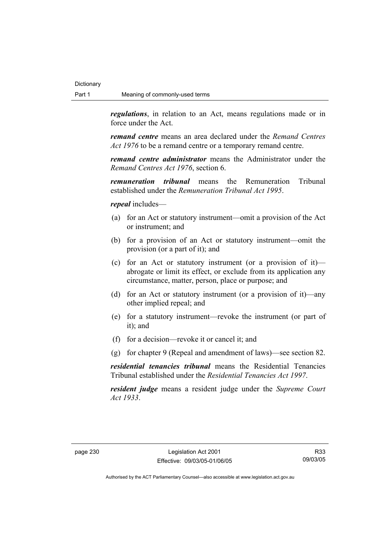*regulations*, in relation to an Act, means regulations made or in force under the Act.

*remand centre* means an area declared under the *Remand Centres Act 1976* to be a remand centre or a temporary remand centre.

*remand centre administrator* means the Administrator under the *Remand Centres Act 1976*, section 6.

*remuneration tribunal* means the Remuneration Tribunal established under the *Remuneration Tribunal Act 1995*.

*repeal* includes—

- (a) for an Act or statutory instrument—omit a provision of the Act or instrument; and
- (b) for a provision of an Act or statutory instrument—omit the provision (or a part of it); and
- (c) for an Act or statutory instrument (or a provision of it) abrogate or limit its effect, or exclude from its application any circumstance, matter, person, place or purpose; and
- (d) for an Act or statutory instrument (or a provision of it)—any other implied repeal; and
- (e) for a statutory instrument—revoke the instrument (or part of it); and
- (f) for a decision—revoke it or cancel it; and
- (g) for chapter 9 (Repeal and amendment of laws)—see section 82.

*residential tenancies tribunal* means the Residential Tenancies Tribunal established under the *Residential Tenancies Act 1997*.

*resident judge* means a resident judge under the *Supreme Court Act 1933*.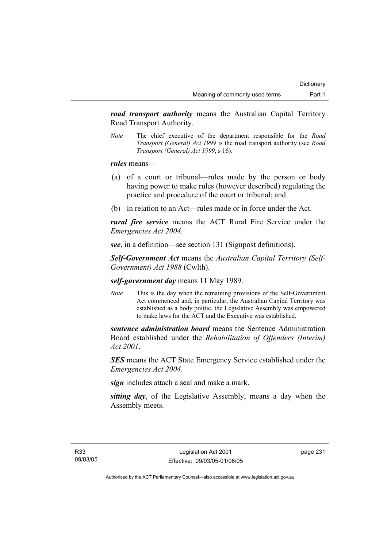*road transport authority* means the Australian Capital Territory Road Transport Authority.

*Note* The chief executive of the department responsible for the *Road Transport (General) Act 1999* is the road transport authority (see *Road Transport (General) Act 1999*, s 16).

*rules* means—

- (a) of a court or tribunal—rules made by the person or body having power to make rules (however described) regulating the practice and procedure of the court or tribunal; and
- (b) in relation to an Act—rules made or in force under the Act.

*rural fire service* means the ACT Rural Fire Service under the *Emergencies Act 2004*.

*see*, in a definition—see section 131 (Signpost definitions).

*Self-Government Act* means the *Australian Capital Territory (Self-Government) Act 1988* (Cwlth).

*self-government day* means 11 May 1989.

*Note* This is the day when the remaining provisions of the Self-Government Act commenced and, in particular, the Australian Capital Territory was established as a body politic, the Legislative Assembly was empowered to make laws for the ACT and the Executive was established.

*sentence administration board* means the Sentence Administration Board established under the *Rehabilitation of Offenders (Interim) Act 2001*.

*SES* means the ACT State Emergency Service established under the *Emergencies Act 2004*.

*sign* includes attach a seal and make a mark.

*sitting day*, of the Legislative Assembly, means a day when the Assembly meets.

page 231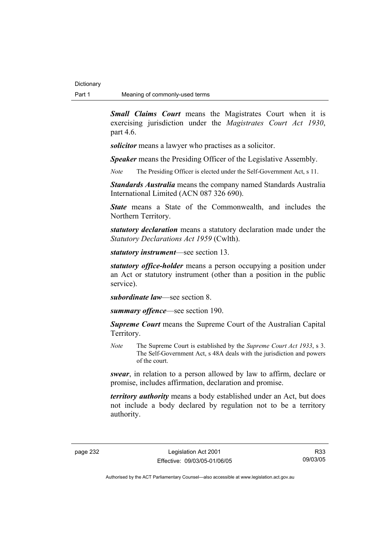*Small Claims Court* means the Magistrates Court when it is exercising jurisdiction under the *Magistrates Court Act 1930*, part 4.6.

*solicitor* means a lawyer who practises as a solicitor.

*Speaker* means the Presiding Officer of the Legislative Assembly.

*Note* The Presiding Officer is elected under the Self-Government Act, s 11.

*Standards Australia* means the company named Standards Australia International Limited (ACN 087 326 690).

*State* means a State of the Commonwealth, and includes the Northern Territory.

*statutory declaration* means a statutory declaration made under the *Statutory Declarations Act 1959* (Cwlth).

*statutory instrument*—see section 13.

*statutory office-holder* means a person occupying a position under an Act or statutory instrument (other than a position in the public service).

*subordinate law*—see section 8.

*summary offence*—see section 190.

*Supreme Court* means the Supreme Court of the Australian Capital Territory.

*Note* The Supreme Court is established by the *Supreme Court Act 1933*, s 3. The Self-Government Act, s 48A deals with the jurisdiction and powers of the court.

*swear*, in relation to a person allowed by law to affirm, declare or promise, includes affirmation, declaration and promise.

*territory authority* means a body established under an Act, but does not include a body declared by regulation not to be a territory authority.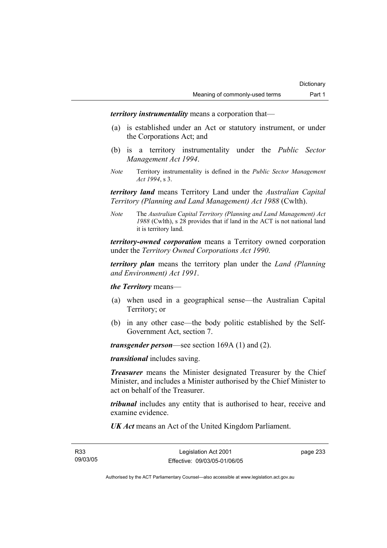*territory instrumentality* means a corporation that—

- (a) is established under an Act or statutory instrument, or under the Corporations Act; and
- (b) is a territory instrumentality under the *Public Sector Management Act 1994*.
- *Note* Territory instrumentality is defined in the *Public Sector Management Act 1994*, s 3.

*territory land* means Territory Land under the *Australian Capital Territory (Planning and Land Management) Act 1988* (Cwlth).

*Note* The *Australian Capital Territory (Planning and Land Management) Act 1988* (Cwlth), s 28 provides that if land in the ACT is not national land it is territory land.

*territory-owned corporation* means a Territory owned corporation under the *Territory Owned Corporations Act 1990*.

*territory plan* means the territory plan under the *Land (Planning and Environment) Act 1991*.

*the Territory* means—

- (a) when used in a geographical sense—the Australian Capital Territory; or
- (b) in any other case—the body politic established by the Self-Government Act, section 7.

*transgender person*—see section 169A (1) and (2).

*transitional* includes saving.

*Treasurer* means the Minister designated Treasurer by the Chief Minister, and includes a Minister authorised by the Chief Minister to act on behalf of the Treasurer.

*tribunal* includes any entity that is authorised to hear, receive and examine evidence.

*UK Act* means an Act of the United Kingdom Parliament.

page 233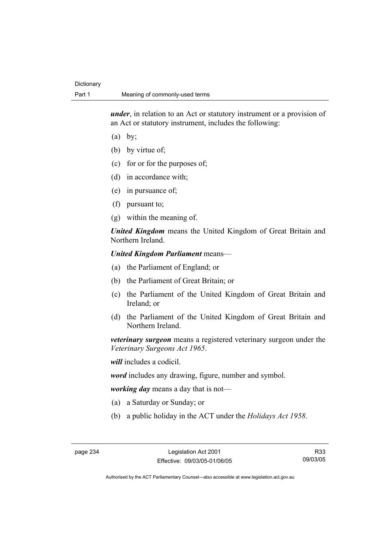*under*, in relation to an Act or statutory instrument or a provision of an Act or statutory instrument, includes the following:

- $(a)$  by;
- (b) by virtue of;
- (c) for or for the purposes of;
- (d) in accordance with;
- (e) in pursuance of;
- (f) pursuant to;
- (g) within the meaning of.

*United Kingdom* means the United Kingdom of Great Britain and Northern Ireland.

### *United Kingdom Parliament* means—

- (a) the Parliament of England; or
- (b) the Parliament of Great Britain; or
- (c) the Parliament of the United Kingdom of Great Britain and Ireland; or
- (d) the Parliament of the United Kingdom of Great Britain and Northern Ireland.

*veterinary surgeon* means a registered veterinary surgeon under the *Veterinary Surgeons Act 1965*.

*will* includes a codicil.

*word* includes any drawing, figure, number and symbol.

*working day* means a day that is not—

- (a) a Saturday or Sunday; or
- (b) a public holiday in the ACT under the *Holidays Act 1958*.

R33 09/03/05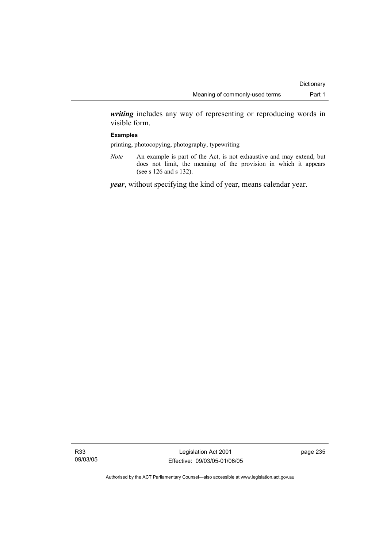*writing* includes any way of representing or reproducing words in visible form.

#### **Examples**

printing, photocopying, photography, typewriting

*Note* An example is part of the Act, is not exhaustive and may extend, but does not limit, the meaning of the provision in which it appears (see s 126 and s 132).

*year*, without specifying the kind of year, means calendar year.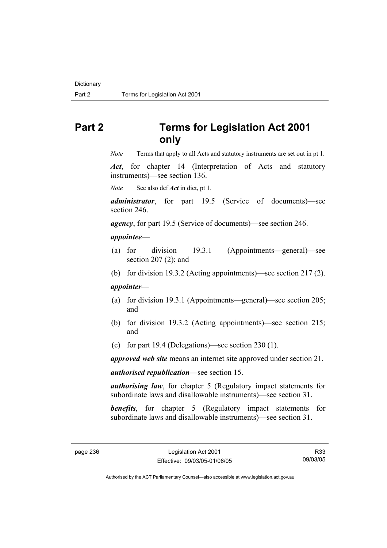# **Part 2 Terms for Legislation Act 2001 only**

*Note* Terms that apply to all Acts and statutory instruments are set out in pt 1.

*Act*, for chapter 14 (Interpretation of Acts and statutory instruments)—see section 136.

*Note* See also def *Act* in dict, pt 1.

*administrator*, for part 19.5 (Service of documents)—see section 246.

*agency*, for part 19.5 (Service of documents)—see section 246.

#### *appointee*—

- (a) for division 19.3.1 (Appointments—general)—see section 207 (2); and
- (b) for division 19.3.2 (Acting appointments)—see section 217 (2).

### *appointer*—

- (a) for division 19.3.1 (Appointments—general)—see section 205; and
- (b) for division 19.3.2 (Acting appointments)—see section 215; and
- (c) for part 19.4 (Delegations)—see section 230 (1).

*approved web site* means an internet site approved under section 21.

*authorised republication*—see section 15.

*authorising law*, for chapter 5 (Regulatory impact statements for subordinate laws and disallowable instruments)—see section 31.

**benefits**, for chapter 5 (Regulatory impact statements for subordinate laws and disallowable instruments)—see section 31.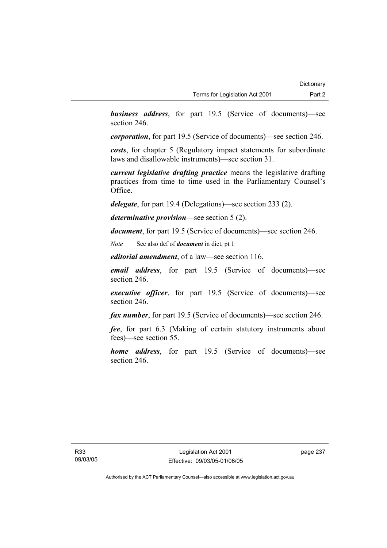*business address*, for part 19.5 (Service of documents)—see section 246.

*corporation*, for part 19.5 (Service of documents)—see section 246.

*costs*, for chapter 5 (Regulatory impact statements for subordinate laws and disallowable instruments)—see section 31.

*current legislative drafting practice* means the legislative drafting practices from time to time used in the Parliamentary Counsel's Office.

*delegate*, for part 19.4 (Delegations)—see section 233 (2).

*determinative provision*—see section 5 (2).

*document*, for part 19.5 (Service of documents)—see section 246.

*Note* See also def of *document* in dict, pt 1

*editorial amendment*, of a law—see section 116.

*email address*, for part 19.5 (Service of documents)—see section 246.

*executive officer*, for part 19.5 (Service of documents)—see section 246.

*fax number*, for part 19.5 (Service of documents)—see section 246.

*fee*, for part 6.3 (Making of certain statutory instruments about fees)—see section 55.

*home address*, for part 19.5 (Service of documents)—see section 246.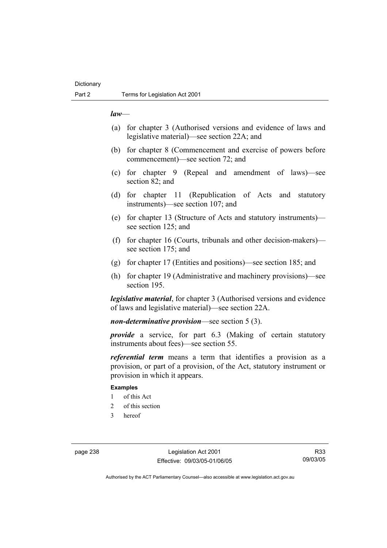#### *law*—

- (a) for chapter 3 (Authorised versions and evidence of laws and legislative material)—see section 22A; and
- (b) for chapter 8 (Commencement and exercise of powers before commencement)—see section 72; and
- (c) for chapter 9 (Repeal and amendment of laws)—see section 82; and
- (d) for chapter 11 (Republication of Acts and statutory instruments)—see section 107; and
- (e) for chapter 13 (Structure of Acts and statutory instruments) see section 125; and
- (f) for chapter 16 (Courts, tribunals and other decision-makers) see section 175; and
- (g) for chapter 17 (Entities and positions)—see section 185; and
- (h) for chapter 19 (Administrative and machinery provisions)—see section 195.

*legislative material*, for chapter 3 (Authorised versions and evidence of laws and legislative material)—see section 22A.

*non-determinative provision*—see section 5 (3).

*provide* a service, for part 6.3 (Making of certain statutory instruments about fees)—see section 55.

*referential term* means a term that identifies a provision as a provision, or part of a provision, of the Act, statutory instrument or provision in which it appears.

## **Examples**

- 1 of this Act
- 2 of this section
- 3 hereof

page 238 Legislation Act 2001 Effective: 09/03/05-01/06/05

R33 09/03/05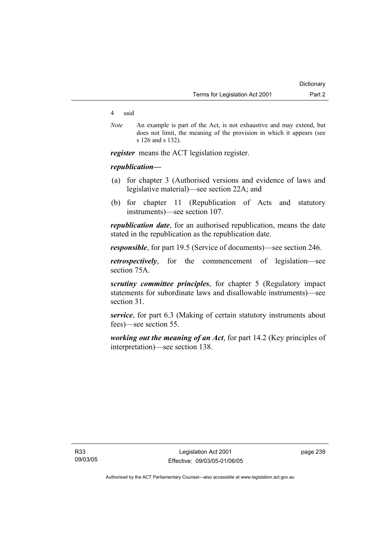#### 4 said

*Note* An example is part of the Act, is not exhaustive and may extend, but does not limit, the meaning of the provision in which it appears (see s 126 and s 132).

*register* means the ACT legislation register.

## *republication—*

- (a) for chapter 3 (Authorised versions and evidence of laws and legislative material)—see section 22A; and
- (b) for chapter 11 (Republication of Acts and statutory instruments)—see section 107.

*republication date*, for an authorised republication, means the date stated in the republication as the republication date.

*responsible*, for part 19.5 (Service of documents)—see section 246.

*retrospectively*, for the commencement of legislation—see section 75A.

*scrutiny committee principles*, for chapter 5 (Regulatory impact statements for subordinate laws and disallowable instruments)—see section 31.

*service*, for part 6.3 (Making of certain statutory instruments about fees)—see section 55.

*working out the meaning of an Act*, for part 14.2 (Key principles of interpretation)—see section 138.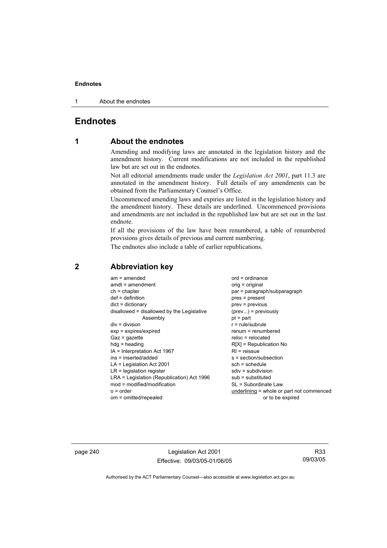1 About the endnotes

# **Endnotes**

# **1 About the endnotes**

Amending and modifying laws are annotated in the legislation history and the amendment history. Current modifications are not included in the republished law but are set out in the endnotes.

Not all editorial amendments made under the *Legislation Act 2001*, part 11.3 are annotated in the amendment history. Full details of any amendments can be obtained from the Parliamentary Counsel's Office.

Uncommenced amending laws and expiries are listed in the legislation history and the amendment history. These details are underlined. Uncommenced provisions and amendments are not included in the republished law but are set out in the last endnote.

If all the provisions of the law have been renumbered, a table of renumbered provisions gives details of previous and current numbering.

The endnotes also include a table of earlier republications.

| $am = amended$<br>$amdt = amendment$<br>$ch = chapter$<br>$def = definition$<br>$dict = dictionary$<br>disallowed = disallowed by the Legislative<br>Assembly<br>$div = division$<br>$exp = expires/expired$<br>$Gaz = gazette$<br>$hdg = heading$<br>$IA = Interpretation Act 1967$<br>$ins = inserted/added$<br>$LA =$ Legislation Act 2001<br>$LR =$ legislation register<br>LRA = Legislation (Republication) Act 1996<br>$mod = modified/modification$ | $ord = ordinance$<br>$orig = original$<br>par = paragraph/subparagraph<br>$pres = present$<br>$prev = previous$<br>$(\text{prev}) = \text{previously}$<br>$pt = part$<br>$r = rule/subrule$<br>$renum = renumbered$<br>$reloc = relocated$<br>$R[X]$ = Republication No<br>$R1$ = reissue<br>$s = section/subsection$<br>$sch = schedule$<br>$sdiv = subdivision$<br>$sub =$ substituted<br>SL = Subordinate Law |
|-------------------------------------------------------------------------------------------------------------------------------------------------------------------------------------------------------------------------------------------------------------------------------------------------------------------------------------------------------------------------------------------------------------------------------------------------------------|------------------------------------------------------------------------------------------------------------------------------------------------------------------------------------------------------------------------------------------------------------------------------------------------------------------------------------------------------------------------------------------------------------------|
| $o = order$                                                                                                                                                                                                                                                                                                                                                                                                                                                 | underlining = whole or part not commenced                                                                                                                                                                                                                                                                                                                                                                        |
| om = omitted/repealed                                                                                                                                                                                                                                                                                                                                                                                                                                       | or to be expired                                                                                                                                                                                                                                                                                                                                                                                                 |
|                                                                                                                                                                                                                                                                                                                                                                                                                                                             |                                                                                                                                                                                                                                                                                                                                                                                                                  |

# **2 Abbreviation key**

page 240 Legislation Act 2001 Effective: 09/03/05-01/06/05

R33 09/03/05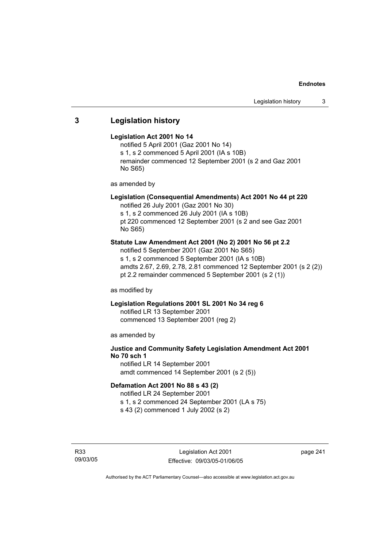# **3 Legislation history**

## **Legislation Act 2001 No 14**

notified 5 April 2001 (Gaz 2001 No 14) s 1, s 2 commenced 5 April 2001 (IA s 10B) remainder commenced 12 September 2001 (s 2 and Gaz 2001 No S65)

as amended by

# **Legislation (Consequential Amendments) Act 2001 No 44 pt 220**

notified 26 July 2001 (Gaz 2001 No 30) s 1, s 2 commenced 26 July 2001 (IA s 10B)

pt 220 commenced 12 September 2001 (s 2 and see Gaz 2001 No S65)

# **Statute Law Amendment Act 2001 (No 2) 2001 No 56 pt 2.2**

notified 5 September 2001 (Gaz 2001 No S65) s 1, s 2 commenced 5 September 2001 (IA s 10B) amdts 2.67, 2.69, 2.78, 2.81 commenced 12 September 2001 (s 2 (2)) pt 2.2 remainder commenced 5 September 2001 (s 2 (1))

as modified by

# **Legislation Regulations 2001 SL 2001 No 34 reg 6**

notified LR 13 September 2001 commenced 13 September 2001 (reg 2)

as amended by

# **Justice and Community Safety Legislation Amendment Act 2001 No 70 sch 1**

notified LR 14 September 2001 amdt commenced 14 September 2001 (s 2 (5))

## **Defamation Act 2001 No 88 s 43 (2)**

notified LR 24 September 2001 s 1, s 2 commenced 24 September 2001 (LA s 75)

s 43 (2) commenced 1 July 2002 (s 2)

R33 09/03/05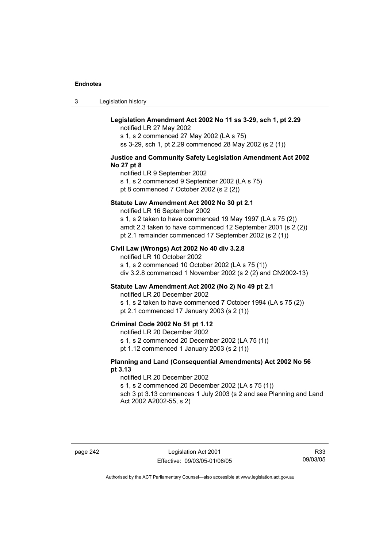3 Legislation history

## **Legislation Amendment Act 2002 No 11 ss 3-29, sch 1, pt 2.29**

notified LR 27 May 2002 s 1, s 2 commenced 27 May 2002 (LA s 75) ss 3-29, sch 1, pt 2.29 commenced 28 May 2002 (s 2 (1))

#### **Justice and Community Safety Legislation Amendment Act 2002 No 27 pt 8**

notified LR 9 September 2002 s 1, s 2 commenced 9 September 2002 (LA s 75) pt 8 commenced 7 October 2002 (s 2 (2))

#### **Statute Law Amendment Act 2002 No 30 pt 2.1**

notified LR 16 September 2002

s 1, s 2 taken to have commenced 19 May 1997 (LA s 75 (2)) amdt 2.3 taken to have commenced 12 September 2001 (s 2 (2)) pt 2.1 remainder commenced 17 September 2002 (s 2 (1))

## **Civil Law (Wrongs) Act 2002 No 40 div 3.2.8**

notified LR 10 October 2002 s 1, s 2 commenced 10 October 2002 (LA s 75 (1)) div 3.2.8 commenced 1 November 2002 (s 2 (2) and CN2002-13)

## **Statute Law Amendment Act 2002 (No 2) No 49 pt 2.1**

notified LR 20 December 2002

s 1, s 2 taken to have commenced 7 October 1994 (LA s 75 (2)) pt 2.1 commenced 17 January 2003 (s 2 (1))

## **Criminal Code 2002 No 51 pt 1.12**

notified LR 20 December 2002

s 1, s 2 commenced 20 December 2002 (LA 75 (1))

pt 1.12 commenced 1 January 2003 (s 2 (1))

## **Planning and Land (Consequential Amendments) Act 2002 No 56 pt 3.13**

#### notified LR 20 December 2002

s 1, s 2 commenced 20 December 2002 (LA s 75 (1))

sch 3 pt 3.13 commences 1 July 2003 (s 2 and see Planning and Land Act 2002 A2002-55, s 2)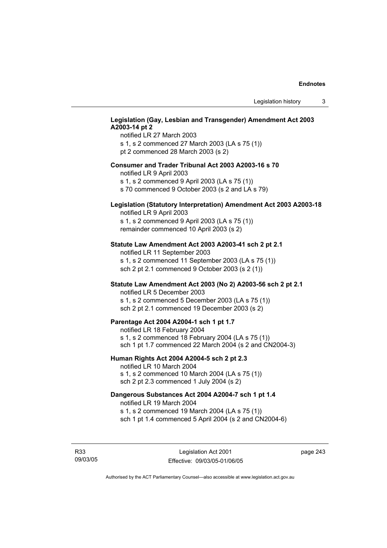## **Legislation (Gay, Lesbian and Transgender) Amendment Act 2003 A2003-14 pt 2**

notified LR 27 March 2003 s 1, s 2 commenced 27 March 2003 (LA s 75 (1)) pt 2 commenced 28 March 2003 (s 2)

## **Consumer and Trader Tribunal Act 2003 A2003-16 s 70**

notified LR 9 April 2003

s 1, s 2 commenced 9 April 2003 (LA s 75 (1))

s 70 commenced 9 October 2003 (s 2 and LA s 79)

# **Legislation (Statutory Interpretation) Amendment Act 2003 A2003-18**

notified LR 9 April 2003 s 1, s 2 commenced 9 April 2003 (LA s 75 (1)) remainder commenced 10 April 2003 (s 2)

#### **Statute Law Amendment Act 2003 A2003-41 sch 2 pt 2.1**

notified LR 11 September 2003 s 1, s 2 commenced 11 September 2003 (LA s 75 (1)) sch 2 pt 2.1 commenced 9 October 2003 (s 2 (1))

# **Statute Law Amendment Act 2003 (No 2) A2003-56 sch 2 pt 2.1**

notified LR 5 December 2003 s 1, s 2 commenced 5 December 2003 (LA s 75 (1)) sch 2 pt 2.1 commenced 19 December 2003 (s 2)

#### **Parentage Act 2004 A2004-1 sch 1 pt 1.7**

notified LR 18 February 2004 s 1, s 2 commenced 18 February 2004 (LA s 75 (1)) sch 1 pt 1.7 commenced 22 March 2004 (s 2 and CN2004-3)

#### **Human Rights Act 2004 A2004-5 sch 2 pt 2.3**

notified LR 10 March 2004 s 1, s 2 commenced 10 March 2004 (LA s 75 (1)) sch 2 pt 2.3 commenced 1 July 2004 (s 2)

#### **Dangerous Substances Act 2004 A2004-7 sch 1 pt 1.4**

notified LR 19 March 2004 s 1, s 2 commenced 19 March 2004 (LA s 75 (1)) sch 1 pt 1.4 commenced 5 April 2004 (s 2 and CN2004-6)

R33 09/03/05 page 243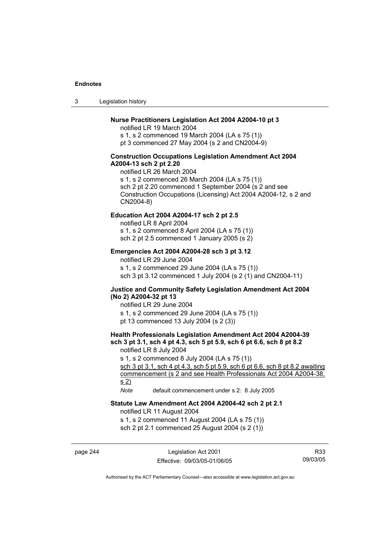3 Legislation history

## **Nurse Practitioners Legislation Act 2004 A2004-10 pt 3**

notified LR 19 March 2004 s 1, s 2 commenced 19 March 2004 (LA s 75 (1)) pt 3 commenced 27 May 2004 (s 2 and CN2004-9)

#### **Construction Occupations Legislation Amendment Act 2004 A2004-13 sch 2 pt 2.20**

notified LR 26 March 2004 s 1, s 2 commenced 26 March 2004 (LA s 75 (1)) sch 2 pt 2.20 commenced 1 September 2004 (s 2 and see Construction Occupations (Licensing) Act 2004 A2004-12, s 2 and CN2004-8)

## **Education Act 2004 A2004-17 sch 2 pt 2.5**

notified LR 8 April 2004 s 1, s 2 commenced 8 April 2004 (LA s 75 (1))

sch 2 pt 2.5 commenced 1 January 2005 (s 2)

## **Emergencies Act 2004 A2004-28 sch 3 pt 3.12**

notified LR 29 June 2004

s 1, s 2 commenced 29 June 2004 (LA s 75 (1)) sch 3 pt 3.12 commenced 1 July 2004 (s 2 (1) and CN2004-11)

#### **Justice and Community Safety Legislation Amendment Act 2004 (No 2) A2004-32 pt 13**

notified LR 29 June 2004 s 1, s 2 commenced 29 June 2004 (LA s 75 (1)) pt 13 commenced 13 July 2004 (s 2 (3))

# **Health Professionals Legislation Amendment Act 2004 A2004-39 sch 3 pt 3.1, sch 4 pt 4.3, sch 5 pt 5.9, sch 6 pt 6.6, sch 8 pt 8.2**

notified LR 8 July 2004

s 1, s 2 commenced 8 July 2004 (LA s 75 (1))

sch 3 pt 3.1, sch 4 pt 4.3, sch 5 pt 5.9, sch 6 pt 6.6, sch 8 pt 8.2 awaiting commencement (s 2 and see Health Professionals Act 2004 A2004-38, s 2)

*Note* default commencement under s 2: 8 July 2005

## **Statute Law Amendment Act 2004 A2004-42 sch 2 pt 2.1**

notified LR 11 August 2004

s 1, s 2 commenced 11 August 2004 (LA s 75 (1))

sch 2 pt 2.1 commenced 25 August 2004 (s 2 (1))

page 244 Legislation Act 2001 Effective: 09/03/05-01/06/05

R33 09/03/05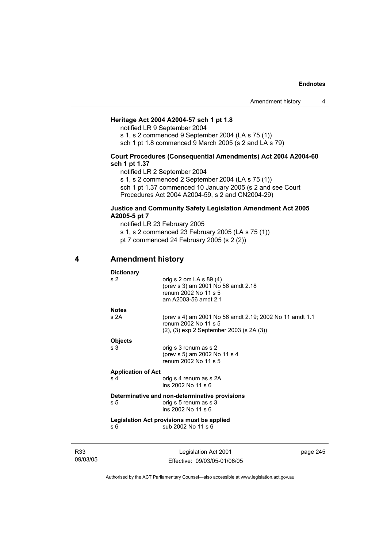## **Heritage Act 2004 A2004-57 sch 1 pt 1.8**

notified LR 9 September 2004 s 1, s 2 commenced 9 September 2004 (LA s 75 (1)) sch 1 pt 1.8 commenced 9 March 2005 (s 2 and LA s 79)

## **Court Procedures (Consequential Amendments) Act 2004 A2004-60 sch 1 pt 1.37**

notified LR 2 September 2004

s 1, s 2 commenced 2 September 2004 (LA s 75 (1))

sch 1 pt 1.37 commenced 10 January 2005 (s 2 and see Court Procedures Act 2004 A2004-59, s 2 and CN2004-29)

## **Justice and Community Safety Legislation Amendment Act 2005 A2005-5 pt 7**

notified LR 23 February 2005 s 1, s 2 commenced 23 February 2005 (LA s 75 (1)) pt 7 commenced 24 February 2005 (s 2 (2))

# **4 Amendment history**

**Dictionary** 

| s 2     | orig s $2$ om LA s $89(4)$<br>(prev s 3) am 2001 No 56 amdt 2.18<br>renum 2002 No 11 s 5<br>am A2003-56 amdt 2.1            |
|---------|-----------------------------------------------------------------------------------------------------------------------------|
| Notes   |                                                                                                                             |
| s 2A    | (prev s 4) am 2001 No 56 amdt 2.19; 2002 No 11 amdt 1.1<br>renum 2002 No 11 s 5<br>(2), (3) exp 2 September 2003 (s 2A (3)) |
| Obiects |                                                                                                                             |

s 3<sup>o</sup> orig s 3 renum as s 2 (prev s 5) am 2002 No 11 s 4 renum 2002 No 11 s 5

#### **Application of Act**

s 4 orig s 4 renum as s 2A ins 2002 No 11 s 6

#### **Determinative and non-determinative provisions**

s 5 **b** orig s 5 renum as s 3 ins 2002 No 11 s 6

**Legislation Act provisions must be applied**  s 6 sub 2002 No 11 s 6

R33 09/03/05

Legislation Act 2001 Effective: 09/03/05-01/06/05 page 245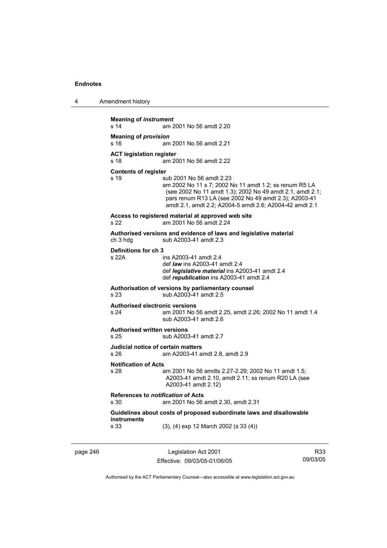4 Amendment history

```
Meaning of instrument 
s 14 am 2001 No 56 amdt 2.20 
Meaning of provision 
s 16 am 2001 No 56 amdt 2.21 
ACT legislation register 
s 18 am 2001 No 56 amdt 2.22 
Contents of register 
s 19 sub 2001 No 56 amdt 2.23 
                  am 2002 No 11 s 7; 2002 No 11 amdt 1.2; ss renum R5 LA 
                  (see 2002 No 11 amdt 1.3); 2002 No 49 amdt 2.1, amdt 2.1; 
                  pars renum R13 LA (see 2002 No 49 amdt 2.3); A2003-41 
                  amdt 2.1, amdt 2.2; A2004-5 amdt 2.6; A2004-42 amdt 2.1 
Access to registered material at approved web site 
s 22 am 2001 No 56 amdt 2.24 
Authorised versions and evidence of laws and legislative material 
                 sub A2003-41 amdt 2.3
Definitions for ch 3 
s 22A ins A2003-41 amdt 2.4 
                  def law ins A2003-41 amdt 2.4 
                  def legislative material ins A2003-41 amdt 2.4 
                  def republication ins A2003-41 amdt 2.4 
Authorisation of versions by parliamentary counsel 
s 23 sub A2003-41 amdt 2.5 
Authorised electronic versions 
s 24 am 2001 No 56 amdt 2.25, amdt 2.26; 2002 No 11 amdt 1.4 
                  sub A2003-41 amdt 2.6 
Authorised written versions 
s 25 sub A2003-41 amdt 2.7 
Judicial notice of certain matters 
s 26 am A2003-41 amdt 2.8, amdt 2.9 
Notification of Acts 
s 28 am 2001 No 56 amdts 2.27-2.29; 2002 No 11 amdt 1.5; 
                  A2003-41 amdt 2.10, amdt 2.11; ss renum R20 LA (see 
                  A2003-41 amdt 2.12) 
References to notification of Acts 
s 30 am 2001 No 56 amdt 2.30, amdt 2.31 
Guidelines about costs of proposed subordinate laws and disallowable 
instruments 
s 33 (3), (4) exp 12 March 2002 (s 33 (4))
```
page 246 Legislation Act 2001 Effective: 09/03/05-01/06/05

R33 09/03/05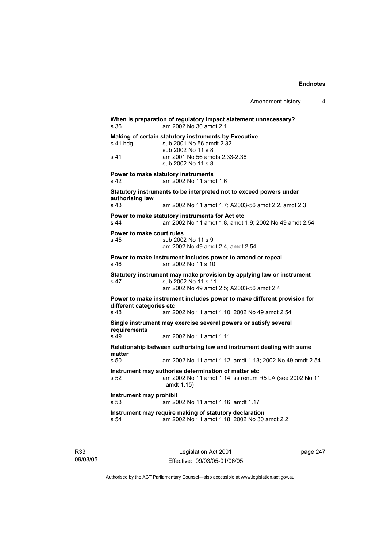```
When is preparation of regulatory impact statement unnecessary? 
s 36 am 2002 No 30 amdt 2.1 
Making of certain statutory instruments by Executive 
s 41 hdg sub 2001 No 56 amdt 2.32
                 sub 2002 No 11 s 8 
s 41 am 2001 No 56 amdts 2.33-2.36 
                 sub 2002 No 11 s 8 
Power to make statutory instruments 
s 42 am 2002 No 11 amdt 1.6 
Statutory instruments to be interpreted not to exceed powers under 
authorising law 
s 43 am 2002 No 11 amdt 1.7; A2003-56 amdt 2.2, amdt 2.3 
Power to make statutory instruments for Act etc 
s 44 am 2002 No 11 amdt 1.8, amdt 1.9; 2002 No 49 amdt 2.54 
Power to make court rules 
s 45 sub 2002 No 11 s 9 
                 am 2002 No 49 amdt 2.4, amdt 2.54 
Power to make instrument includes power to amend or repeal 
s 46 am 2002 No 11 s 10 
Statutory instrument may make provision by applying law or instrument 
s 47 sub 2002 No 11 s 11
                 am 2002 No 49 amdt 2.5; A2003-56 amdt 2.4 
Power to make instrument includes power to make different provision for 
different categories etc 
s 48 am 2002 No 11 amdt 1.10; 2002 No 49 amdt 2.54 
Single instrument may exercise several powers or satisfy several 
requirements 
s 49 am 2002 No 11 amdt 1.11 
Relationship between authorising law and instrument dealing with same 
matter 
                am 2002 No 11 amdt 1.12, amdt 1.13; 2002 No 49 amdt 2.54
Instrument may authorise determination of matter etc 
s 52 am 2002 No 11 amdt 1.14; ss renum R5 LA (see 2002 No 11 
                 amdt 1.15) 
Instrument may prohibit 
s 53 am 2002 No 11 amdt 1.16, amdt 1.17 
Instrument may require making of statutory declaration 
s 54 am 2002 No 11 amdt 1.18; 2002 No 30 amdt 2.2
```
R33 09/03/05

Legislation Act 2001 Effective: 09/03/05-01/06/05 page 247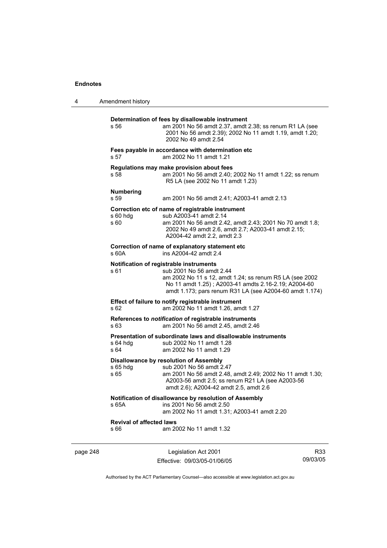| 4        | Amendment history                       |                                                                                                                                                                                                                                                   |                 |
|----------|-----------------------------------------|---------------------------------------------------------------------------------------------------------------------------------------------------------------------------------------------------------------------------------------------------|-----------------|
|          | s 56                                    | Determination of fees by disallowable instrument<br>am 2001 No 56 amdt 2.37, amdt 2.38; ss renum R1 LA (see<br>2001 No 56 amdt 2.39); 2002 No 11 amdt 1.19, amdt 1.20;<br>2002 No 49 amdt 2.54                                                    |                 |
|          | s 57                                    | Fees payable in accordance with determination etc<br>am 2002 No 11 amdt 1.21                                                                                                                                                                      |                 |
|          | s 58                                    | Regulations may make provision about fees<br>am 2001 No 56 amdt 2.40; 2002 No 11 amdt 1.22; ss renum<br>R5 LA (see 2002 No 11 amdt 1.23)                                                                                                          |                 |
|          | <b>Numbering</b><br>s 59                | am 2001 No 56 amdt 2.41; A2003-41 amdt 2.13                                                                                                                                                                                                       |                 |
|          | $s60h$ dg<br>s 60                       | Correction etc of name of registrable instrument<br>sub A2003-41 amdt 2.14<br>am 2001 No 56 amdt 2.42, amdt 2.43; 2001 No 70 amdt 1.8;<br>2002 No 49 amdt 2.6, amdt 2.7; A2003-41 amdt 2.15;<br>A2004-42 amdt 2.2, amdt 2.3                       |                 |
|          | s 60A                                   | Correction of name of explanatory statement etc<br>ins A2004-42 amdt 2.4                                                                                                                                                                          |                 |
|          | s 61                                    | Notification of registrable instruments<br>sub 2001 No 56 amdt 2.44<br>am 2002 No 11 s 12, amdt 1.24; ss renum R5 LA (see 2002<br>No 11 amdt 1.25); A2003-41 amdts 2.16-2.19; A2004-60<br>amdt 1.173; pars renum R31 LA (see A2004-60 amdt 1.174) |                 |
|          | s 62                                    | Effect of failure to notify registrable instrument<br>am 2002 No 11 amdt 1.26, amdt 1.27                                                                                                                                                          |                 |
|          | s 63                                    | References to notification of registrable instruments<br>am 2001 No 56 amdt 2.45, amdt 2.46                                                                                                                                                       |                 |
|          | $s$ 64 hdg<br>s 64                      | Presentation of subordinate laws and disallowable instruments<br>sub 2002 No 11 amdt 1.28<br>am 2002 No 11 amdt 1.29                                                                                                                              |                 |
|          | s 65 hdg<br>s 65                        | Disallowance by resolution of Assembly<br>sub 2001 No 56 amdt 2.47<br>am 2001 No 56 amdt 2.48, amdt 2.49; 2002 No 11 amdt 1.30;<br>A2003-56 amdt 2.5; ss renum R21 LA (see A2003-56<br>amdt 2.6); A2004-42 amdt 2.5, amdt 2.6                     |                 |
|          | s 65A                                   | Notification of disallowance by resolution of Assembly<br>ins 2001 No 56 amdt 2.50<br>am 2002 No 11 amdt 1.31; A2003-41 amdt 2.20                                                                                                                 |                 |
|          | <b>Revival of affected laws</b><br>s 66 | am 2002 No 11 amdt 1.32                                                                                                                                                                                                                           |                 |
| page 248 |                                         | Legislation Act 2001<br>Effective: 09/03/05-01/06/05                                                                                                                                                                                              | R33<br>09/03/05 |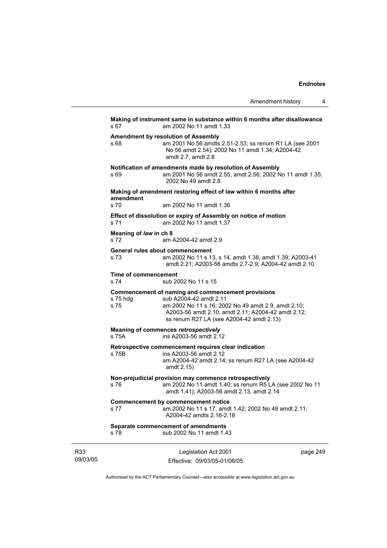|                 | s 67                                                | Making of instrument same in substance within 6 months after disallowance<br>am 2002 No 11 amdt 1.33                                                                                                                                  |          |
|-----------------|-----------------------------------------------------|---------------------------------------------------------------------------------------------------------------------------------------------------------------------------------------------------------------------------------------|----------|
|                 | s 68                                                | Amendment by resolution of Assembly<br>am 2001 No 56 amdts 2.51-2.53; ss renum R1 LA (see 2001<br>No 56 amdt 2.54); 2002 No 11 amdt 1.34; A2004-42<br>amdt 2.7, amdt 2.8                                                              |          |
|                 | s 69                                                | Notification of amendments made by resolution of Assembly<br>am 2001 No 56 amdt 2.55, amdt 2.56; 2002 No 11 amdt 1.35;<br>2002 No 49 amdt 2.8                                                                                         |          |
|                 |                                                     | Making of amendment restoring effect of law within 6 months after                                                                                                                                                                     |          |
|                 | amendment<br>s 70                                   | am 2002 No 11 amdt 1.36                                                                                                                                                                                                               |          |
|                 | s 71                                                | Effect of dissolution or expiry of Assembly on notice of motion<br>am 2002 No 11 amdt 1.37                                                                                                                                            |          |
|                 | Meaning of law in ch 8<br>s 72                      | am A2004-42 amdt 2.9                                                                                                                                                                                                                  |          |
|                 | s 73                                                | General rules about commencement<br>am 2002 No 11 s 13, s 14, amdt 1.38, amdt 1.39; A2003-41<br>amdt 2.21; A2003-56 amdts 2.7-2.9; A2004-42 amdt 2.10                                                                                 |          |
|                 | Time of commencement<br>s 74<br>sub 2002 No 11 s 15 |                                                                                                                                                                                                                                       |          |
|                 | s 75 hdg<br>s 75                                    | Commencement of naming and commencement provisions<br>sub A2004-42 amdt 2.11<br>am 2002 No 11 s 16; 2002 No 49 amdt 2.9, amdt 2.10;<br>A2003-56 amdt 2.10, amdt 2.11; A2004-42 amdt 2.12;<br>ss renum R27 LA (see A2004-42 amdt 2.13) |          |
|                 | s 75A                                               | Meaning of commences retrospectively<br>ins A2003-56 amdt 2.12                                                                                                                                                                        |          |
|                 | s 75B                                               | Retrospective commencement requires clear indication<br>ins A2003-56 amdt 2.12<br>am A2004-42 amdt 2.14; ss renum R27 LA (see A2004-42<br>amdt 2.15)                                                                                  |          |
|                 | s 76                                                | Non-prejudicial provision may commence retrospectively<br>am 2002 No 11 amdt 1.40; ss renum R5 LA (see 2002 No 11<br>amdt 1.41); A2003-56 amdt 2.13, amdt 2.14                                                                        |          |
|                 | s 77                                                | <b>Commencement by commencement notice</b><br>am 2002 No 11 s 17, amdt 1.42; 2002 No 49 amdt 2.11;<br>A2004-42 amdts 2.16-2.18                                                                                                        |          |
|                 | s 78                                                | Separate commencement of amendments<br>sub 2002 No 11 amdt 1.43                                                                                                                                                                       |          |
| R33<br>09/03/05 |                                                     | Legislation Act 2001<br>Fffective: 09/03/05-01/06/05                                                                                                                                                                                  | page 249 |

Authorised by the ACT Parliamentary Counsel—also accessible at www.legislation.act.gov.au

Effective: 09/03/05-01/06/05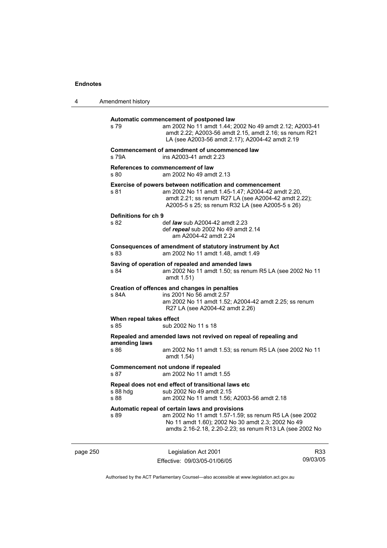| 4 | Amendment history                |                                                                                                                                                                                                                            |
|---|----------------------------------|----------------------------------------------------------------------------------------------------------------------------------------------------------------------------------------------------------------------------|
|   | s 79                             | Automatic commencement of postponed law<br>am 2002 No 11 amdt 1.44; 2002 No 49 amdt 2.12; A2003-41<br>amdt 2.22; A2003-56 amdt 2.15, amdt 2.16; ss renum R21<br>LA (see A2003-56 amdt 2.17); A2004-42 amdt 2.19            |
|   | s 79A                            | Commencement of amendment of uncommenced law<br>ins A2003-41 amdt 2.23                                                                                                                                                     |
|   | s 80                             | References to commencement of law<br>am 2002 No 49 amdt 2.13                                                                                                                                                               |
|   | s 81                             | Exercise of powers between notification and commencement<br>am 2002 No 11 amdt 1.45-1.47; A2004-42 amdt 2.20,<br>amdt 2.21; ss renum R27 LA (see A2004-42 amdt 2.22);<br>A2005-5 s 25; ss renum R32 LA (see A2005-5 s 26)  |
|   | Definitions for ch 9<br>s 82     | def <i>law</i> sub A2004-42 amdt 2.23<br>def repeal sub 2002 No 49 amdt 2.14<br>am A2004-42 amdt 2.24                                                                                                                      |
|   | s 83                             | Consequences of amendment of statutory instrument by Act<br>am 2002 No 11 amdt 1.48, amdt 1.49                                                                                                                             |
|   | s 84                             | Saving of operation of repealed and amended laws<br>am 2002 No 11 amdt 1.50; ss renum R5 LA (see 2002 No 11<br>amdt 1.51)                                                                                                  |
|   | s 84A                            | Creation of offences and changes in penalties<br>ins 2001 No 56 amdt 2.57<br>am 2002 No 11 amdt 1.52; A2004-42 amdt 2.25; ss renum<br>R27 LA (see A2004-42 amdt 2.26)                                                      |
|   | When repeal takes effect<br>s 85 | sub 2002 No 11 s 18                                                                                                                                                                                                        |
|   | amending laws                    | Repealed and amended laws not revived on repeal of repealing and                                                                                                                                                           |
|   | s 86                             | am 2002 No 11 amdt 1.53; ss renum R5 LA (see 2002 No 11<br>amdt 1.54)                                                                                                                                                      |
|   | s 87                             | Commencement not undone if repealed<br>am 2002 No 11 amdt 1.55                                                                                                                                                             |
|   | s 88 hdg<br>s 88                 | Repeal does not end effect of transitional laws etc<br>sub 2002 No 49 amdt 2.15<br>am 2002 No 11 amdt 1.56; A2003-56 amdt 2.18                                                                                             |
|   | s 89                             | Automatic repeal of certain laws and provisions<br>am 2002 No 11 amdt 1.57-1.59; ss renum R5 LA (see 2002<br>No 11 amdt 1.60); 2002 No 30 amdt 2.3; 2002 No 49<br>amdts 2.16-2.18, 2.20-2.23; ss renum R13 LA (see 2002 No |

page 250 Legislation Act 2001 Effective: 09/03/05-01/06/05

R33 09/03/05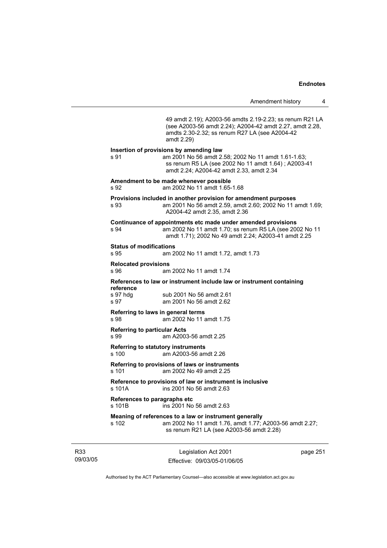49 amdt 2.19); A2003-56 amdts 2.19-2.23; ss renum R21 LA (see A2003-56 amdt 2.24); A2004-42 amdt 2.27, amdt 2.28, amdts 2.30-2.32; ss renum R27 LA (see A2004-42 amdt 2.29) **Insertion of provisions by amending law**  s 91 am 2001 No 56 amdt 2.58; 2002 No 11 amdt 1.61-1.63; ss renum R5 LA (see 2002 No 11 amdt 1.64) ; A2003-41 amdt 2.24; A2004-42 amdt 2.33, amdt 2.34 **Amendment to be made whenever possible**  s 92 am 2002 No 11 amdt 1.65-1.68 **Provisions included in another provision for amendment purposes**  s 93 am 2001 No 56 amdt 2.59, amdt 2.60; 2002 No 11 amdt 1.69; A2004-42 amdt 2.35, amdt 2.36 **Continuance of appointments etc made under amended provisions**  s 94 am 2002 No 11 amdt 1.70; ss renum R5 LA (see 2002 No 11 amdt 1.71); 2002 No 49 amdt 2.24; A2003-41 amdt 2.25 **Status of modifications**  s 95 am 2002 No 11 amdt 1.72, amdt 1.73 **Relocated provisions**  s 96 am 2002 No 11 amdt 1.74 **References to law or instrument include law or instrument containing reference**  sub 2001 No 56 amdt 2.61 s 97 am 2001 No 56 amdt 2.62 **Referring to laws in general terms**  s 98 am 2002 No 11 amdt 1.75 **Referring to particular Acts**  s 99 am A2003-56 amdt 2.25 **Referring to statutory instruments** s 100 am A2003-56 amdt 2.26 **Referring to provisions of laws or instruments**  s 101 am 2002 No 49 amdt 2.25 **Reference to provisions of law or instrument is inclusive**  s 101A ins 2001 No 56 amdt 2.63 **References to paragraphs etc**  s 101B ins 2001 No 56 amdt 2.63 **Meaning of references to a law or instrument generally**  s 102 am 2002 No 11 amdt 1.76, amdt 1.77; A2003-56 amdt 2.27; ss renum R21 LA (see A2003-56 amdt 2.28)

R33 09/03/05

Legislation Act 2001 Effective: 09/03/05-01/06/05 page 251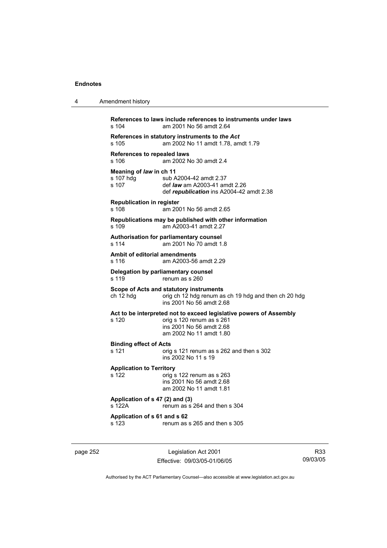| 4 | Amendment history                                                                                                                                               |
|---|-----------------------------------------------------------------------------------------------------------------------------------------------------------------|
|   | References to laws include references to instruments under laws<br>am 2001 No 56 amdt 2.64<br>s 104                                                             |
|   | References in statutory instruments to the Act<br>am 2002 No 11 amdt 1.78, amdt 1.79<br>s 105                                                                   |
|   | References to repealed laws<br>am 2002 No 30 amdt 2.4<br>s 106                                                                                                  |
|   | Meaning of law in ch 11<br>s 107 hdg<br>sub A2004-42 amdt 2.37<br>s 107<br>def <i>law</i> am A2003-41 amdt 2.26<br>def republication ins A2004-42 amdt 2.38     |
|   | <b>Republication in register</b><br>am 2001 No 56 amdt 2.65<br>s 108                                                                                            |
|   | Republications may be published with other information<br>am A2003-41 amdt 2.27<br>s 109                                                                        |
|   | Authorisation for parliamentary counsel<br>s 114<br>am 2001 No 70 amdt 1.8                                                                                      |
|   | Ambit of editorial amendments<br>s 116<br>am A2003-56 amdt 2.29                                                                                                 |
|   | Delegation by parliamentary counsel<br>s 119<br>renum as s 260                                                                                                  |
|   | Scope of Acts and statutory instruments<br>ch 12 hdg<br>orig ch 12 hdg renum as ch 19 hdg and then ch 20 hdg<br>ins 2001 No 56 amdt 2.68                        |
|   | Act to be interpreted not to exceed legislative powers of Assembly<br>s 120<br>orig s 120 renum as s 261<br>ins 2001 No 56 amdt 2.68<br>am 2002 No 11 amdt 1.80 |
|   | <b>Binding effect of Acts</b><br>s 121<br>orig s 121 renum as s 262 and then s 302<br>ins 2002 No 11 s 19                                                       |
|   | <b>Application to Territory</b><br>s 122<br>orig s 122 renum as s 263<br>ins 2001 No 56 amdt 2.68<br>am 2002 No 11 amdt 1.81                                    |
|   | Application of s 47 (2) and (3)<br>s 122A<br>renum as s 264 and then s 304                                                                                      |
|   | Application of s 61 and s 62<br>s 123<br>renum as s 265 and then s 305                                                                                          |
|   |                                                                                                                                                                 |

page 252 Legislation Act 2001 Effective: 09/03/05-01/06/05

R33 09/03/05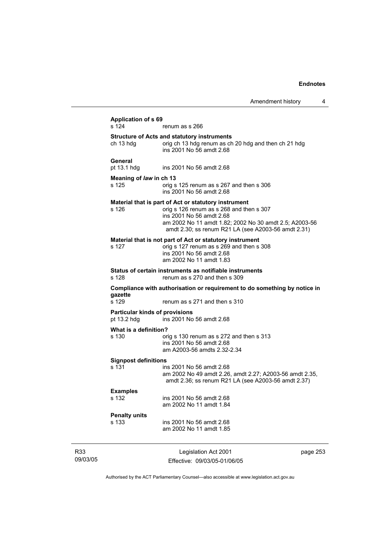| <b>Application of s 69</b>                           |                                                                                                                                                                                                                                               |  |  |
|------------------------------------------------------|-----------------------------------------------------------------------------------------------------------------------------------------------------------------------------------------------------------------------------------------------|--|--|
| s 124                                                | renum as s 266                                                                                                                                                                                                                                |  |  |
| ch 13 hdg                                            | <b>Structure of Acts and statutory instruments</b><br>orig ch 13 hdg renum as ch 20 hdg and then ch 21 hdg<br>ins 2001 No 56 amdt 2.68                                                                                                        |  |  |
| General<br>pt 13.1 hdg                               | ins 2001 No 56 amdt 2.68                                                                                                                                                                                                                      |  |  |
| Meaning of law in ch 13                              |                                                                                                                                                                                                                                               |  |  |
| s 125                                                | orig s 125 renum as s 267 and then s 306<br>ins 2001 No 56 amdt 2.68                                                                                                                                                                          |  |  |
| s 126                                                | Material that is part of Act or statutory instrument<br>orig s 126 renum as s 268 and then s 307<br>ins 2001 No 56 amdt 2.68<br>am 2002 No 11 amdt 1.82; 2002 No 30 amdt 2.5; A2003-56<br>amdt 2.30; ss renum R21 LA (see A2003-56 amdt 2.31) |  |  |
| s 127                                                | Material that is not part of Act or statutory instrument<br>orig s 127 renum as s 269 and then s 308<br>ins 2001 No 56 amdt 2.68<br>am 2002 No 11 amdt 1.83                                                                                   |  |  |
| s 128                                                | Status of certain instruments as notifiable instruments<br>renum as s 270 and then s 309                                                                                                                                                      |  |  |
| gazette                                              | Compliance with authorisation or requirement to do something by notice in                                                                                                                                                                     |  |  |
| s 129                                                | renum as s 271 and then s 310                                                                                                                                                                                                                 |  |  |
| <b>Particular kinds of provisions</b><br>pt 13.2 hdg | ins 2001 No 56 amdt 2.68                                                                                                                                                                                                                      |  |  |
| What is a definition?                                |                                                                                                                                                                                                                                               |  |  |
| s 130                                                | orig s 130 renum as s 272 and then s 313                                                                                                                                                                                                      |  |  |
|                                                      | ins 2001 No 56 amdt 2.68                                                                                                                                                                                                                      |  |  |
|                                                      | am A2003-56 amdts 2.32-2.34                                                                                                                                                                                                                   |  |  |
| <b>Signpost definitions</b>                          |                                                                                                                                                                                                                                               |  |  |
| s 131                                                | ins 2001 No 56 amdt 2.68<br>am 2002 No 49 amdt 2.26, amdt 2.27; A2003-56 amdt 2.35,<br>amdt 2.36; ss renum R21 LA (see A2003-56 amdt 2.37)                                                                                                    |  |  |
| <b>Examples</b>                                      |                                                                                                                                                                                                                                               |  |  |
| s 132                                                | ins 2001 No 56 amdt 2.68<br>am 2002 No 11 amdt 1.84                                                                                                                                                                                           |  |  |
| <b>Penalty units</b>                                 |                                                                                                                                                                                                                                               |  |  |
| s 133                                                | ins 2001 No 56 amdt 2.68                                                                                                                                                                                                                      |  |  |
|                                                      | am 2002 No 11 amdt 1.85                                                                                                                                                                                                                       |  |  |
|                                                      |                                                                                                                                                                                                                                               |  |  |

R33 09/03/05

Legislation Act 2001 Effective: 09/03/05-01/06/05 page 253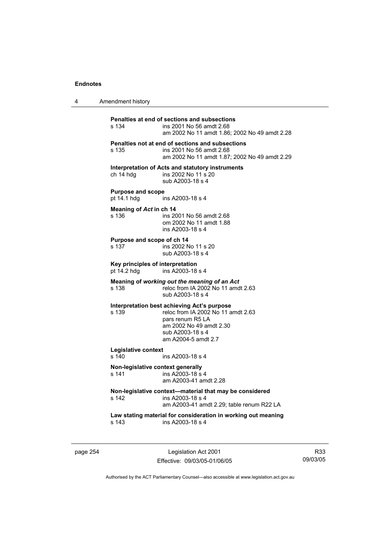| 4 | Amendment history |
|---|-------------------|
|---|-------------------|

| Penalties at end of sections and subsections            |                                                                                                                               |  |  |
|---------------------------------------------------------|-------------------------------------------------------------------------------------------------------------------------------|--|--|
| s 134                                                   | ins 2001 No 56 amdt 2.68<br>am 2002 No 11 amdt 1.86; 2002 No 49 amdt 2.28                                                     |  |  |
| s 135                                                   | Penalties not at end of sections and subsections<br>ins 2001 No 56 amdt 2.68<br>am 2002 No 11 amdt 1.87: 2002 No 49 amdt 2.29 |  |  |
|                                                         | Interpretation of Acts and statutory instruments                                                                              |  |  |
| ch 14 hdg                                               | ins 2002 No 11 s 20<br>sub A2003-18 s 4                                                                                       |  |  |
| <b>Purpose and scope</b><br>pt 14.1 hdg                 | ins A2003-18 s 4                                                                                                              |  |  |
| Meaning of Act in ch 14                                 |                                                                                                                               |  |  |
| s 136                                                   | ins 2001 No 56 amdt 2.68<br>om 2002 No 11 amdt 1.88<br>ins A2003-18 s 4                                                       |  |  |
| Purpose and scope of ch 14                              |                                                                                                                               |  |  |
| s 137                                                   | ins 2002 No 11 s 20<br>sub A2003-18 s 4                                                                                       |  |  |
| Key principles of interpretation                        |                                                                                                                               |  |  |
| pt 14.2 hdg                                             | ins A2003-18 s 4                                                                                                              |  |  |
| s 138                                                   | Meaning of working out the meaning of an Act<br>reloc from IA 2002 No 11 amdt 2.63<br>sub A2003-18 s 4                        |  |  |
|                                                         | Interpretation best achieving Act's purpose                                                                                   |  |  |
| s 139                                                   | reloc from IA 2002 No 11 amdt 2.63<br>pars renum R5 LA                                                                        |  |  |
|                                                         | am 2002 No 49 amdt 2.30                                                                                                       |  |  |
|                                                         | sub A2003-18 s 4<br>am A2004-5 amdt 2.7                                                                                       |  |  |
| Legislative context                                     |                                                                                                                               |  |  |
| s 140                                                   | ins A2003-18 s 4                                                                                                              |  |  |
| Non-legislative context generally<br>s 141              | ins A2003-18 s 4<br>am A2003-41 amdt 2.28                                                                                     |  |  |
| Non-legislative context—material that may be considered |                                                                                                                               |  |  |
| s 142                                                   |                                                                                                                               |  |  |
|                                                         | ins A2003-18 s 4<br>am A2003-41 amdt 2.29; table renum R22 LA                                                                 |  |  |
|                                                         |                                                                                                                               |  |  |
| s 143                                                   | Law stating material for consideration in working out meaning<br>ins A2003-18 s 4                                             |  |  |

page 254 Legislation Act 2001 Effective: 09/03/05-01/06/05

R33 09/03/05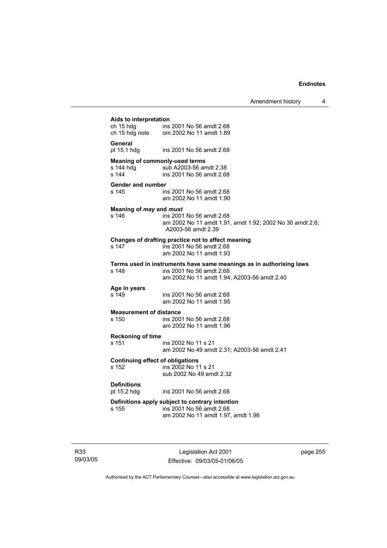Amendment history 4

| Aids to interpretation                  |                                                                              |  |
|-----------------------------------------|------------------------------------------------------------------------------|--|
|                                         |                                                                              |  |
|                                         | ch 15 hdg ins 2001 No 56 amdt 2.68<br>ch 15 hdg note om 2002 No 11 amdt 1.89 |  |
|                                         |                                                                              |  |
| General                                 |                                                                              |  |
| pt 15.1 hdg                             | ins 2001 No 56 amdt 2.68                                                     |  |
|                                         |                                                                              |  |
| <b>Meaning of commonly-used terms</b>   |                                                                              |  |
| s 144 hdg                               | sub A2003-56 amdt 2.38                                                       |  |
| s 144                                   | ins 2001 No 56 amdt 2.68                                                     |  |
|                                         |                                                                              |  |
| Gender and number                       |                                                                              |  |
| s 145                                   | ins 2001 No 56 amdt 2.68                                                     |  |
|                                         | am 2002 No 11 amdt 1.90                                                      |  |
|                                         |                                                                              |  |
| Meaning of may and must                 |                                                                              |  |
| s 146                                   | ins 2001 No 56 amdt 2.68                                                     |  |
|                                         | am 2002 No 11 amdt 1.91, amdt 1.92; 2002 No 30 amdt 2.6;                     |  |
|                                         | A2003-56 amdt 2.39                                                           |  |
|                                         |                                                                              |  |
|                                         | Changes of drafting practice not to affect meaning                           |  |
| s 147                                   | ins 2001 No 56 amdt 2.68                                                     |  |
|                                         | am 2002 No 11 amdt 1.93                                                      |  |
|                                         | Terms used in instruments have same meanings as in authorising laws          |  |
| s 148                                   | ins 2001 No 56 amdt 2.68                                                     |  |
|                                         |                                                                              |  |
|                                         | am 2002 No 11 amdt 1.94; A2003-56 amdt 2.40                                  |  |
| Age in years                            |                                                                              |  |
| s 149                                   | ins 2001 No 56 amdt 2.68                                                     |  |
|                                         | am 2002 No 11 amdt 1.95                                                      |  |
|                                         |                                                                              |  |
| <b>Measurement of distance</b>          |                                                                              |  |
| s 150                                   | ins 2001 No 56 amdt 2.68                                                     |  |
|                                         | am 2002 No 11 amdt 1.96                                                      |  |
|                                         |                                                                              |  |
| <b>Reckoning of time</b>                |                                                                              |  |
| s 151                                   | ins 2002 No 11 s 21                                                          |  |
|                                         | am 2002 No 49 amdt 2.31; A2003-56 amdt 2.41                                  |  |
|                                         |                                                                              |  |
| <b>Continuing effect of obligations</b> |                                                                              |  |
| s 152                                   | ins 2002 No 11 s 21                                                          |  |
|                                         | sub 2002 No 49 amdt 2.32                                                     |  |
|                                         |                                                                              |  |
| <b>Definitions</b>                      |                                                                              |  |
| pt 15.2 hdg                             | ins 2001 No 56 amdt 2.68                                                     |  |
|                                         | Definitions apply subject to contrary intention                              |  |
| s 155                                   | ins 2001 No 56 amdt 2.68                                                     |  |
|                                         | am 2002 No 11 amdt 1.97, amdt 1.98                                           |  |
|                                         |                                                                              |  |
|                                         |                                                                              |  |

R33 09/03/05

Legislation Act 2001 Effective: 09/03/05-01/06/05 page 255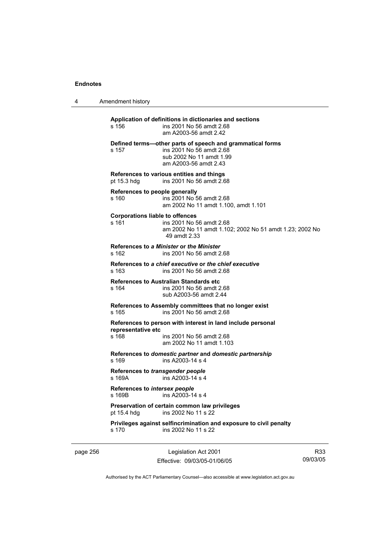4 Amendment history

**Application of definitions in dictionaries and sections**  s 156 ins 2001 No 56 amdt 2.68 am A2003-56 amdt 2.42 **Defined terms—other parts of speech and grammatical forms**  s 157 ins 2001 No 56 amdt 2.68 sub 2002 No 11 amdt 1.99 am A2003-56 amdt 2.43 **References to various entities and things**  pt 15.3 hdg ins 2001 No 56 amdt 2.68 **References to people generally**  s 160 ins 2001 No 56 amdt 2.68 am 2002 No 11 amdt 1.100, amdt 1.101 **Corporations liable to offences**  s 161 ins 2001 No 56 amdt 2.68 am 2002 No 11 amdt 1.102; 2002 No 51 amdt 1.23; 2002 No 49 amdt 2.33 **References to** *a Minister* **or** *the Minister* s 162 ins 2001 No 56 amdt 2.68 **References to** *a chief executive* **or** *the chief executive* s 163 ins 2001 No 56 amdt 2.68 **References to Australian Standards etc**  s 164 ins 2001 No 56 amdt 2.68 sub A2003-56 amdt 2.44 **References to Assembly committees that no longer exist**  s 165 ins 2001 No 56 amdt 2.68 **References to person with interest in land include personal representative etc**  s 168 ins 2001 No 56 amdt 2.68 am 2002 No 11 amdt 1.103 **References to** *domestic partner* **and** *domestic partnership*  s 169 ins A2003-14 s 4 **References to** *transgender people*  s 169A ins A2003-14 s 4 **References to** *intersex people*   $ins$  A2003-14 s 4 **Preservation of certain common law privileges**  pt 15.4 hdg ins 2002 No 11 s 22 **Privileges against selfincrimination and exposure to civil penalty**  s 170 ins 2002 No 11 s 22

page 256 Legislation Act 2001 Effective: 09/03/05-01/06/05

R33 09/03/05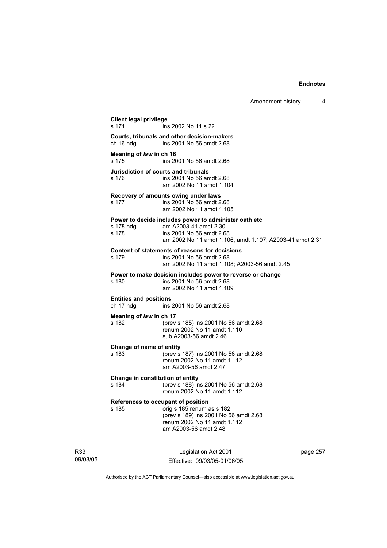| <b>Client legal privilege</b><br>s 171     | ins 2002 No 11 s 22                                                                          |
|--------------------------------------------|----------------------------------------------------------------------------------------------|
|                                            | Courts, tribunals and other decision-makers                                                  |
| ch 16 hdg                                  | ins 2001 No 56 amdt 2.68                                                                     |
| Meaning of law in ch 16<br>s 175           | ins 2001 No 56 amdt 2.68                                                                     |
| s 176                                      | Jurisdiction of courts and tribunals<br>ins 2001 No 56 amdt 2.68<br>am 2002 No 11 amdt 1.104 |
|                                            | Recovery of amounts owing under laws                                                         |
| s 177                                      | ins 2001 No 56 amdt 2.68                                                                     |
|                                            | am 2002 No 11 amdt 1.105                                                                     |
|                                            | Power to decide includes power to administer oath etc                                        |
| s 178 hdg                                  | am A2003-41 amdt 2.30                                                                        |
| s 178                                      | ins 2001 No 56 amdt 2.68<br>am 2002 No 11 amdt 1.106, amdt 1.107; A2003-41 amdt 2.31         |
|                                            |                                                                                              |
|                                            | Content of statements of reasons for decisions                                               |
| s 179                                      | ins 2001 No 56 amdt 2.68                                                                     |
|                                            | am 2002 No 11 amdt 1.108; A2003-56 amdt 2.45                                                 |
|                                            | Power to make decision includes power to reverse or change                                   |
| s 180                                      | ins 2001 No 56 amdt 2.68<br>am 2002 No 11 amdt 1.109                                         |
|                                            |                                                                                              |
| <b>Entities and positions</b><br>ch 17 hdg | ins 2001 No 56 amdt 2.68                                                                     |
|                                            |                                                                                              |
| Meaning of law in ch 17                    |                                                                                              |
| s 182                                      | (prev s 185) ins 2001 No 56 amdt 2.68<br>renum 2002 No 11 amdt 1.110                         |
|                                            | sub A2003-56 amdt 2.46                                                                       |
|                                            |                                                                                              |
| Change of name of entity<br>s 183          | (prev s 187) ins 2001 No 56 amdt 2.68                                                        |
|                                            | renum 2002 No 11 amdt 1.112                                                                  |
|                                            | am A2003-56 amdt 2.47                                                                        |
| Change in constitution of entity           |                                                                                              |
| s 184                                      | (prev s 188) ins 2001 No 56 amdt 2.68                                                        |
|                                            | renum 2002 No 11 amdt 1.112                                                                  |
|                                            | References to occupant of position                                                           |
| s 185                                      | orig s 185 renum as s 182                                                                    |
|                                            | (prev s 189) ins 2001 No 56 amdt 2.68                                                        |
|                                            | renum 2002 No 11 amdt 1.112<br>am A2003-56 amdt 2.48                                         |
|                                            |                                                                                              |
|                                            |                                                                                              |
|                                            |                                                                                              |

R33 09/03/05

Legislation Act 2001 Effective: 09/03/05-01/06/05 page 257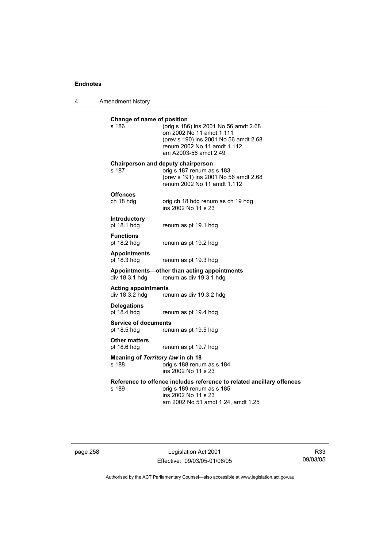4 Amendment history

| Change of name of position<br>s 186          | (orig s 186) ins 2001 No 56 amdt 2.68<br>om 2002 No 11 amdt 1.111<br>(prev s 190) ins 2001 No 56 amdt 2.68<br>renum 2002 No 11 amdt 1.112<br>am A2003-56 amdt 2.49 |
|----------------------------------------------|--------------------------------------------------------------------------------------------------------------------------------------------------------------------|
| s 187                                        | Chairperson and deputy chairperson<br>orig s 187 renum as s 183<br>(prev s 191) ins 2001 No 56 amdt 2.68<br>renum 2002 No 11 amdt 1.112                            |
| <b>Offences</b><br>ch 18 hdg                 | orig ch 18 hdg renum as ch 19 hdg<br>ins 2002 No 11 s 23                                                                                                           |
| Introductory<br>pt 18.1 hdg                  | renum as pt 19.1 hdg                                                                                                                                               |
| <b>Functions</b><br>pt 18.2 hdg              | renum as pt 19.2 hdg                                                                                                                                               |
| <b>Appointments</b><br>pt 18.3 hdg           | renum as pt 19.3 hdg                                                                                                                                               |
| div 18.3.1 hdg                               | Appointments-other than acting appointments<br>renum as div 19.3.1.hdg                                                                                             |
| <b>Acting appointments</b><br>div 18.3.2 hdg | renum as div 19.3.2 hdg                                                                                                                                            |
| <b>Delegations</b><br>pt 18.4 hdg            | renum as pt 19.4 hdg                                                                                                                                               |
| <b>Service of documents</b><br>pt 18.5 hdg   | renum as pt 19.5 hdg                                                                                                                                               |
| <b>Other matters</b><br>pt 18.6 hdg          | renum as pt 19.7 hdg                                                                                                                                               |
| Meaning of Territory law in ch 18<br>s 188   | orig s 188 renum as s 184<br>ins 2002 No 11 s 23                                                                                                                   |
| s 189                                        | Reference to offence includes reference to related ancillary offences<br>orig s 189 renum as s 185<br>ins 2002 No 11 s 23<br>am 2002 No 51 amdt 1.24, amdt 1.25    |
|                                              |                                                                                                                                                                    |

page 258 Legislation Act 2001 Effective: 09/03/05-01/06/05

R33 09/03/05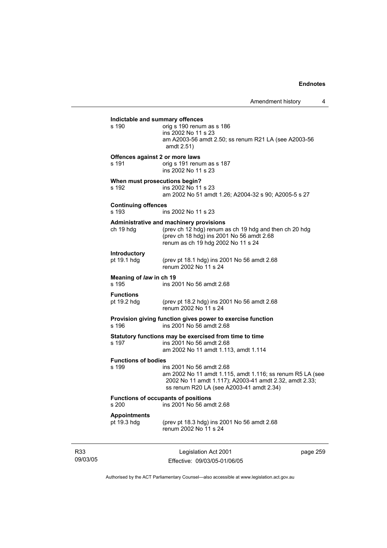Legislation Act 2001 page 259 **Indictable and summary offences**   $\overline{\text{oria}}$  s 190 renum as s 186 ins 2002 No 11 s 23 am A2003-56 amdt 2.50; ss renum R21 LA (see A2003-56 amdt 2.51) **Offences against 2 or more laws**  s 191 orig s 191 renum as s 187 ins 2002 No 11 s 23 **When must prosecutions begin?**  s 192 ins 2002 No 11 s 23 am 2002 No 51 amdt 1.26; A2004-32 s 90; A2005-5 s 27 **Continuing offences**  s 193 ins 2002 No 11 s 23 **Administrative and machinery provisions**  (prev ch 12 hdg) renum as ch 19 hdg and then ch 20 hdg (prev ch 18 hdg) ins 2001 No 56 amdt 2.68 renum as ch 19 hdg 2002 No 11 s 24 **Introductory**  (prev pt 18.1 hdg) ins 2001 No 56 amdt  $2.68$ renum 2002 No 11 s 24 **Meaning of** *law* **in ch 19**  s 195 ins 2001 No 56 amdt 2.68 **Functions**  pt 19.2 hdg (prev pt 18.2 hdg) ins 2001 No 56 amdt 2.68 renum 2002 No 11 s 24 **Provision giving function gives power to exercise function**  s 196 ins 2001 No 56 amdt 2.68 **Statutory functions may be exercised from time to time**  s 197 ins 2001 No 56 amdt 2.68 am 2002 No 11 amdt 1.113, amdt 1.114 **Functions of bodies**  ins 2001 No 56 amdt 2.68 am 2002 No 11 amdt 1.115, amdt 1.116; ss renum R5 LA (see 2002 No 11 amdt 1.117); A2003-41 amdt 2.32, amdt 2.33; ss renum R20 LA (see A2003-41 amdt 2.34) **Functions of occupants of positions**  s 200 ins 2001 No 56 amdt 2.68 **Appointments**  pt 19.3 hdg (prev pt 18.3 hdg) ins 2001 No 56 amdt 2.68 renum 2002 No 11 s 24

R33 09/03/05

Effective: 09/03/05-01/06/05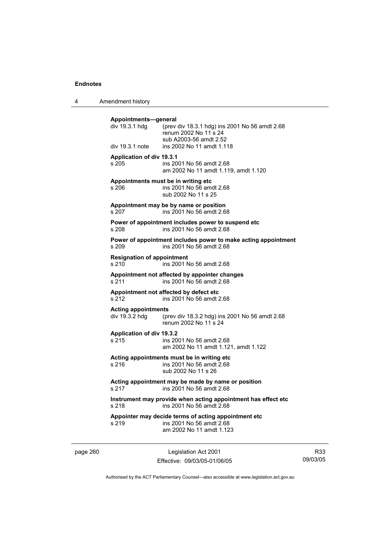4 Amendment history

| Appointments-general<br>div 19.3.1 hdg<br>div 19.3.1 note | (prev div 18.3.1 hdg) ins 2001 No 56 amdt 2.68<br>renum 2002 No 11 s 24<br>sub A2003-56 amdt 2.52<br>ins 2002 No 11 amdt 1.118 |
|-----------------------------------------------------------|--------------------------------------------------------------------------------------------------------------------------------|
|                                                           |                                                                                                                                |
| <b>Application of div 19.3.1</b><br>s 205                 | ins 2001 No 56 amdt 2.68<br>am 2002 No 11 amdt 1.119, amdt 1.120                                                               |
| s 206                                                     | Appointments must be in writing etc<br>ins 2001 No 56 amdt 2.68<br>sub 2002 No 11 s 25                                         |
| s 207                                                     | Appointment may be by name or position<br>ins 2001 No 56 amdt 2.68                                                             |
| s 208                                                     | Power of appointment includes power to suspend etc<br>ins 2001 No 56 amdt 2.68                                                 |
| s 209                                                     | Power of appointment includes power to make acting appointment<br>ins 2001 No 56 amdt 2.68                                     |
| <b>Resignation of appointment</b><br>s 210                | ins 2001 No 56 amdt 2.68                                                                                                       |
| s 211                                                     | Appointment not affected by appointer changes<br>ins 2001 No 56 amdt 2.68                                                      |
| s 212                                                     | Appointment not affected by defect etc<br>ins 2001 No 56 amdt 2.68                                                             |
| <b>Acting appointments</b>                                | div 19.3.2 hdg (prev div 18.3.2 hdg) ins 2001 No 56 amdt 2.68<br>renum 2002 No 11 s 24                                         |
| Application of div 19.3.2<br>s 215                        | ins 2001 No 56 amdt 2.68<br>am 2002 No 11 amdt 1.121, amdt 1.122                                                               |
| s 216                                                     | Acting appointments must be in writing etc<br>ins 2001 No 56 amdt 2.68<br>sub 2002 No 11 s 26                                  |
| s 217                                                     | Acting appointment may be made by name or position<br>ins 2001 No 56 amdt 2.68                                                 |
| s 218                                                     | Instrument may provide when acting appointment has effect etc<br>ins 2001 No 56 amdt 2.68                                      |
| s 219                                                     | Appointer may decide terms of acting appointment etc<br>ins 2001 No 56 amdt 2.68<br>am 2002 No 11 amdt 1.123                   |

page 260 Legislation Act 2001 Effective: 09/03/05-01/06/05

R33 09/03/05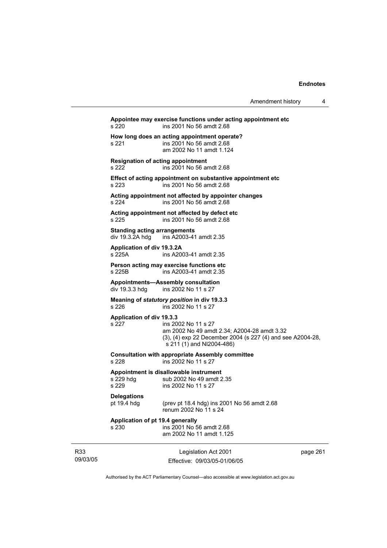| Amendment history |  |
|-------------------|--|
|-------------------|--|

Legislation Act 2001 Effective: 09/03/05-01/06/05 page 261 **Appointee may exercise functions under acting appointment etc**  s 220 ins 2001 No 56 amdt 2.68 **How long does an acting appointment operate?**  s 221 ins 2001 No 56 amdt 2.68 am 2002 No 11 amdt 1.124 **Resignation of acting appointment**  s 222 ins 2001 No 56 amdt 2.68 **Effect of acting appointment on substantive appointment etc**  s 223 ins 2001 No 56 amdt 2.68 **Acting appointment not affected by appointer changes**  s 224 ins 2001 No 56 amdt 2.68 **Acting appointment not affected by defect etc**  s 225 ins 2001 No 56 amdt 2.68 **Standing acting arrangements**  div 19.3.2A hdg ins A2003-41 amdt 2.35 **Application of div 19.3.2A**  s 225A ins A2003-41 amdt 2.35 **Person acting may exercise functions etc**  s 225B ins A2003-41 amdt 2.35 **Appointments—Assembly consultation**  ins 2002 No 11 s 27 **Meaning of** *statutory position* **in div 19.3.3**  s 226 ins 2002 No 11 s 27 **Application of div 19.3.3**  ins 2002 No 11 s 27 am 2002 No 49 amdt 2.34; A2004-28 amdt 3.32 (3), (4) exp 22 December 2004 (s 227 (4) and see A2004-28, s 211 (1) and NI2004-486) **Consultation with appropriate Assembly committee**  s 228 ins 2002 No 11 s 27 **Appointment is disallowable instrument**  s 229 hdg sub 2002 No 49 amdt 2.35<br>s 229 s ins 2002 No 11 s 27 ins 2002 No 11 s 27 **Delegations**  pt 19.4 hdg (prev pt 18.4 hdg) ins 2001 No 56 amdt 2.68 renum 2002 No 11 s 24 **Application of pt 19.4 generally**  s 230 ins 2001 No 56 amdt 2.68 am 2002 No 11 amdt 1.125

Authorised by the ACT Parliamentary Counsel—also accessible at www.legislation.act.gov.au

R33 09/03/05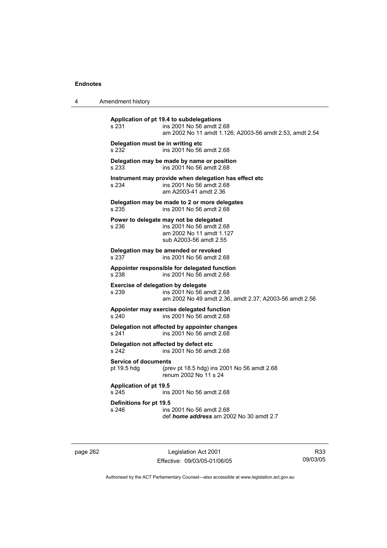| 4 | Amendment history |
|---|-------------------|
|---|-------------------|

**Application of pt 19.4 to subdelegations**  s 231 ins 2001 No 56 amdt 2.68 am 2002 No 11 amdt 1.126; A2003-56 amdt 2.53, amdt 2.54 **Delegation must be in writing etc**  s 232 ins 2001 No 56 amdt 2.68 **Delegation may be made by name or position**  s 233 ins 2001 No 56 amdt 2.68 **Instrument may provide when delegation has effect etc**  s 234 ins 2001 No 56 amdt 2.68 am A2003-41 amdt 2.36 **Delegation may be made to 2 or more delegates**  ins 2001 No 56 amdt 2.68 **Power to delegate may not be delegated**  s 236 ins 2001 No 56 amdt 2.68 am 2002 No 11 amdt 1.127 sub A2003-56 amdt 2.55 **Delegation may be amended or revoked**  s 237 ins 2001 No 56 amdt 2.68 **Appointer responsible for delegated function**  s 238 ins 2001 No 56 amdt 2.68 **Exercise of delegation by delegate**  s 239 ins 2001 No 56 amdt 2.68 am 2002 No 49 amdt 2.36, amdt 2.37; A2003-56 amdt 2.56 **Appointer may exercise delegated function**  s 240 ins 2001 No 56 amdt 2.68 **Delegation not affected by appointer changes**  s 241 ins 2001 No 56 amdt 2.68 **Delegation not affected by defect etc**  s 242 ins 2001 No 56 amdt 2.68 **Service of documents**  pt 19.5 hdg (prev pt 18.5 hdg) ins 2001 No 56 amdt 2.68 renum 2002 No 11 s 24 **Application of pt 19.5**  s 245 ins 2001 No 56 amdt 2.68 **Definitions for pt 19.5**  ins 2001 No 56 amdt 2.68 def *home address* am 2002 No 30 amdt 2.7

page 262 Legislation Act 2001 Effective: 09/03/05-01/06/05

R33 09/03/05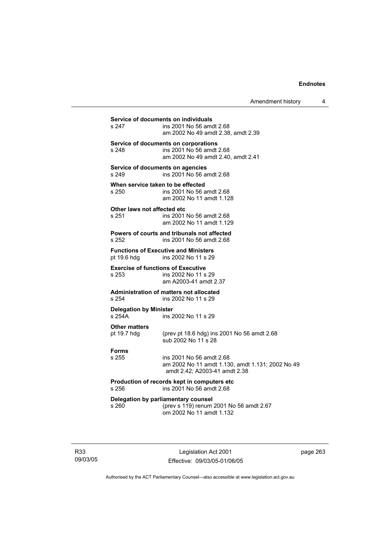Amendment history 4

| Service of documents on individuals                |                                                                                                               |  |
|----------------------------------------------------|---------------------------------------------------------------------------------------------------------------|--|
| s 247                                              | ins 2001 No 56 amdt 2.68<br>am 2002 No 49 amdt 2.38, amdt 2.39                                                |  |
| s 248                                              | Service of documents on corporations<br>ins 2001 No 56 amdt 2.68<br>am 2002 No 49 amdt 2.40, amdt 2.41        |  |
| Service of documents on agencies<br>s 249          | ins 2001 No 56 amdt 2.68                                                                                      |  |
| When service taken to be effected<br>s 250         | ins 2001 No 56 amdt 2.68<br>am 2002 No 11 amdt 1.128                                                          |  |
| Other laws not affected etc<br>s 251               | ins 2001 No 56 amdt 2.68<br>am 2002 No 11 amdt 1.129                                                          |  |
| s 252                                              | Powers of courts and tribunals not affected<br>ins 2001 No 56 amdt 2.68                                       |  |
| pt 19.6 hdg                                        | <b>Functions of Executive and Ministers</b><br>ins 2002 No 11 s 29                                            |  |
| <b>Exercise of functions of Executive</b><br>s 253 | ins 2002 No 11 s 29<br>am A2003-41 amdt 2.37                                                                  |  |
| s 254                                              | Administration of matters not allocated<br>ins 2002 No 11 s 29                                                |  |
| <b>Delegation by Minister</b><br>s 254A            | ins 2002 No 11 s 29                                                                                           |  |
| <b>Other matters</b><br>pt 19.7 hdg                | (prev pt 18.6 hdg) ins 2001 No 56 amdt 2.68<br>sub 2002 No 11 s 28                                            |  |
| <b>Forms</b><br>s 255                              | ins 2001 No 56 amdt 2.68<br>am 2002 No 11 amdt 1.130, amdt 1.131; 2002 No 49<br>amdt 2.42; A2003-41 amdt 2.38 |  |
| s 256                                              | Production of records kept in computers etc<br>ins 2001 No 56 amdt 2.68                                       |  |
| s 260                                              | Delegation by parliamentary counsel<br>(prev s 119) renum 2001 No 56 amdt 2.67<br>om 2002 No 11 amdt 1.132    |  |

R33 09/03/05

Legislation Act 2001 Effective: 09/03/05-01/06/05 page 263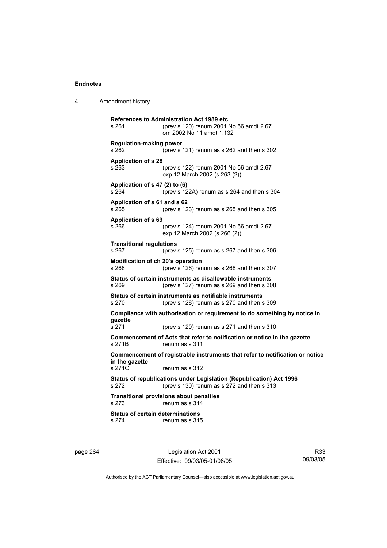4 Amendment history

|                | s 261                                            | <b>References to Administration Act 1989 etc</b><br>(prev s 120) renum 2001 No 56 amdt 2.67<br>om 2002 No 11 amdt 1.132 |
|----------------|--------------------------------------------------|-------------------------------------------------------------------------------------------------------------------------|
|                | <b>Regulation-making power</b><br>s 262          | (prev s 121) renum as s 262 and then s 302                                                                              |
|                | <b>Application of s 28</b><br>s 263              | (prev s 122) renum 2001 No 56 amdt 2.67<br>exp 12 March 2002 (s 263 (2))                                                |
|                | Application of s 47 (2) to (6)<br>s 264          | (prev s 122A) renum as s 264 and then s 304                                                                             |
|                | Application of s 61 and s 62<br>s 265            | (prev s 123) renum as s 265 and then s 305                                                                              |
|                | <b>Application of s 69</b><br>s 266              | (prev s 124) renum 2001 No 56 amdt 2.67<br>exp 12 March 2002 (s 266 (2))                                                |
|                | <b>Transitional regulations</b><br>s 267         | (prev s $125$ ) renum as s $267$ and then s $306$                                                                       |
|                | Modification of ch 20's operation<br>s 268       | (prev s 126) renum as s 268 and then s 307                                                                              |
|                | s 269                                            | Status of certain instruments as disallowable instruments<br>(prev s $127$ ) renum as s $269$ and then s $308$          |
|                | s 270                                            | Status of certain instruments as notifiable instruments<br>(prev s $128$ ) renum as s 270 and then s 309                |
|                | qazette                                          | Compliance with authorisation or requirement to do something by notice in                                               |
|                | s 271                                            | (prev s 129) renum as s 271 and then s 310                                                                              |
|                | s 271B                                           | Commencement of Acts that refer to notification or notice in the gazette<br>renum as s 311                              |
| in the gazette |                                                  | Commencement of registrable instruments that refer to notification or notice                                            |
|                | s 271C                                           | renum as s 312                                                                                                          |
|                | s 272                                            | Status of republications under Legislation (Republication) Act 1996<br>(prev s 130) renum as s 272 and then s 313       |
|                | s 273                                            | <b>Transitional provisions about penalties</b><br>renum as s 314                                                        |
|                | <b>Status of certain determinations</b><br>s 274 | renum as s 315                                                                                                          |
|                |                                                  |                                                                                                                         |

page 264 Legislation Act 2001 Effective: 09/03/05-01/06/05

R33 09/03/05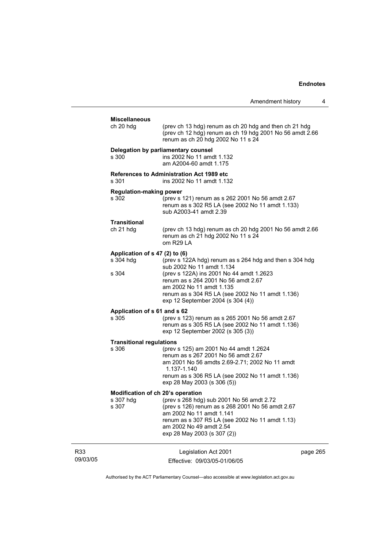| Amendment history |  |  |
|-------------------|--|--|
|-------------------|--|--|

|                 | <b>Miscellaneous</b>                    |                                                                                                                                                                                                                                        |          |
|-----------------|-----------------------------------------|----------------------------------------------------------------------------------------------------------------------------------------------------------------------------------------------------------------------------------------|----------|
|                 | ch 20 hdg                               | (prev ch 13 hdg) renum as ch 20 hdg and then ch 21 hdg<br>(prev ch 12 hdg) renum as ch 19 hdg 2001 No 56 amdt 2.66<br>renum as ch 20 hdg 2002 No 11 s 24                                                                               |          |
|                 | s 300                                   | Delegation by parliamentary counsel<br>ins 2002 No 11 amdt 1.132<br>am A2004-60 amdt 1.175                                                                                                                                             |          |
|                 | s 301                                   | <b>References to Administration Act 1989 etc</b><br>ins 2002 No 11 amdt 1.132                                                                                                                                                          |          |
|                 | <b>Regulation-making power</b><br>s 302 | (prev s 121) renum as s 262 2001 No 56 amdt 2.67<br>renum as s 302 R5 LA (see 2002 No 11 amdt 1.133)<br>sub A2003-41 amdt 2.39                                                                                                         |          |
|                 | Transitional<br>ch 21 hdg               | (prev ch 13 hdg) renum as ch 20 hdg 2001 No 56 amdt 2.66<br>renum as ch 21 hdg 2002 No 11 s 24<br>om R29 LA                                                                                                                            |          |
|                 | Application of s 47 (2) to (6)          |                                                                                                                                                                                                                                        |          |
|                 | s 304 hdg                               | (prev s 122A hdg) renum as s 264 hdg and then s 304 hdg<br>sub 2002 No 11 amdt 1.134                                                                                                                                                   |          |
|                 | s 304                                   | (prev s 122A) ins 2001 No 44 amdt 1.2623<br>renum as s 264 2001 No 56 amdt 2.67<br>am 2002 No 11 amdt 1.135<br>renum as s 304 R5 LA (see 2002 No 11 amdt 1.136)<br>exp 12 September 2004 (s 304 (4))                                   |          |
|                 | Application of s 61 and s 62            |                                                                                                                                                                                                                                        |          |
|                 | s 305                                   | (prev s 123) renum as s 265 2001 No 56 amdt 2.67<br>renum as s 305 R5 LA (see 2002 No 11 amdt 1.136)<br>exp 12 September 2002 (s 305 (3))                                                                                              |          |
|                 | <b>Transitional regulations</b>         |                                                                                                                                                                                                                                        |          |
|                 | s 306                                   | (prev s 125) am 2001 No 44 amdt 1.2624<br>renum as s 267 2001 No 56 amdt 2.67<br>am 2001 No 56 amdts 2.69-2.71; 2002 No 11 amdt<br>1.137-1.140<br>renum as s 306 R5 LA (see 2002 No 11 amdt 1.136)<br>exp 28 May 2003 (s 306 (5))      |          |
|                 | Modification of ch 20's operation       |                                                                                                                                                                                                                                        |          |
|                 | s 307 hdg<br>s 307                      | (prev s 268 hdg) sub 2001 No 56 amdt 2.72<br>(prev s 126) renum as s 268 2001 No 56 amdt 2.67<br>am 2002 No 11 amdt 1.141<br>renum as s 307 R5 LA (see 2002 No 11 amdt 1.13)<br>am 2002 No 49 amdt 2.54<br>exp 28 May 2003 (s 307 (2)) |          |
| R33<br>09/03/05 |                                         | Legislation Act 2001<br>Effective: 09/03/05-01/06/05                                                                                                                                                                                   | page 265 |
|                 |                                         |                                                                                                                                                                                                                                        |          |

Authorised by the ACT Parliamentary Counsel—also accessible at www.legislation.act.gov.au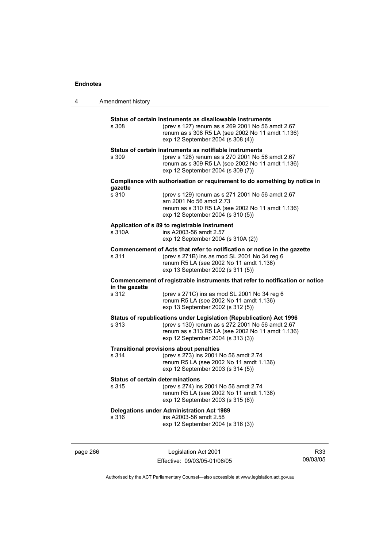| 4 | Amendment history                                |                                                                                                                                                                                                                  |
|---|--------------------------------------------------|------------------------------------------------------------------------------------------------------------------------------------------------------------------------------------------------------------------|
|   | s 308                                            | Status of certain instruments as disallowable instruments<br>(prev s 127) renum as s 269 2001 No 56 amdt 2.67<br>renum as s 308 R5 LA (see 2002 No 11 amdt 1.136)<br>exp 12 September 2004 (s 308 (4))           |
|   | s 309                                            | Status of certain instruments as notifiable instruments<br>(prev s 128) renum as s 270 2001 No 56 amdt 2.67<br>renum as s 309 R5 LA (see 2002 No 11 amdt 1.136)<br>exp 12 September 2004 (s 309 (7))             |
|   |                                                  | Compliance with authorisation or requirement to do something by notice in                                                                                                                                        |
|   | gazette<br>s 310                                 | (prev s 129) renum as s 271 2001 No 56 amdt 2.67<br>am 2001 No 56 amdt 2.73<br>renum as s 310 R5 LA (see 2002 No 11 amdt 1.136)<br>exp 12 September 2004 (s 310 (5))                                             |
|   | s 310A                                           | Application of s 89 to registrable instrument<br>ins A2003-56 amdt 2.57<br>exp 12 September 2004 (s 310A (2))                                                                                                    |
|   | s 311                                            | Commencement of Acts that refer to notification or notice in the gazette<br>(prev s 271B) ins as mod SL 2001 No 34 reg 6<br>renum R5 LA (see 2002 No 11 amdt 1.136)<br>exp 13 September 2002 (s 311 (5))         |
|   | in the gazette                                   | Commencement of registrable instruments that refer to notification or notice                                                                                                                                     |
|   | s 312                                            | (prev s 271C) ins as mod SL 2001 No 34 reg 6<br>renum R5 LA (see 2002 No 11 amdt 1.136)<br>exp 13 September 2002 (s 312 (5))                                                                                     |
|   | s 313                                            | Status of republications under Legislation (Republication) Act 1996<br>(prev s 130) renum as s 272 2001 No 56 amdt 2.67<br>renum as s 313 R5 LA (see 2002 No 11 amdt 1.136)<br>exp 12 September 2004 (s 313 (3)) |
|   | s 314                                            | <b>Transitional provisions about penalties</b><br>(prev s 273) ins 2001 No 56 amdt 2.74<br>renum R5 LA (see 2002 No 11 amdt 1.136)<br>exp 12 September 2003 (s 314 (5))                                          |
|   | <b>Status of certain determinations</b><br>s 315 | (prev s 274) ins 2001 No 56 amdt 2.74<br>renum R5 LA (see 2002 No 11 amdt 1.136)<br>exp 12 September 2003 (s 315 (6))                                                                                            |
|   | s 316                                            | <b>Delegations under Administration Act 1989</b><br>ins A2003-56 amdt 2.58<br>exp 12 September 2004 (s 316 (3))                                                                                                  |
|   |                                                  |                                                                                                                                                                                                                  |

page 266 Legislation Act 2001 Effective: 09/03/05-01/06/05

R33 09/03/05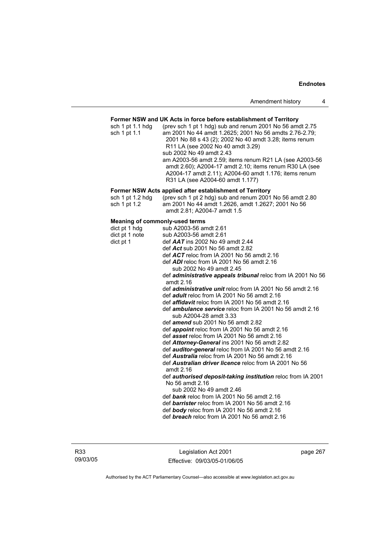## **Former NSW and UK Acts in force before establishment of Territory**

| sch $1$ pt $1.1$ hdg | (prev sch 1 pt 1 hdg) sub and renum 2001 No 56 amdt 2.75 |
|----------------------|----------------------------------------------------------|
| sch 1 pt 1.1         | am 2001 No 44 amdt 1.2625; 2001 No 56 amdts 2.76-2.79;   |
|                      | 2001 No 88 s 43 (2); 2002 No 40 amdt 3.28; items renum   |
|                      | R11 LA (see 2002 No 40 amdt 3.29)                        |
|                      | sub 2002 No 49 amdt 2.43                                 |
|                      | am A2003-56 amdt 2.59; items renum R21 LA (see A2003-56  |
|                      | amdt 2.60); A2004-17 amdt 2.10; items renum R30 LA (see  |
|                      | A2004-17 amdt 2.11); A2004-60 amdt 1.176; items renum    |
|                      | R31 LA (see A2004-60 amdt 1.177)                         |

#### **Former NSW Acts applied after establishment of Territory**

| sch 1 pt 1.2 hdg | (prev sch 1 pt 2 hdg) sub and renum 2001 No 56 amdt 2.80 |
|------------------|----------------------------------------------------------|
| sch 1 pt 1.2     | am 2001 No 44 amdt 1.2626, amdt 1.2627; 2001 No 56       |
|                  | amdt 2.81; A2004-7 amdt 1.5                              |

| dict pt 1 hdg<br>sub A2003-56 amdt 2.61<br>dict pt 1 note<br>sub A2003-56 amdt 2.61<br>dict pt 1<br>def $AAT$ ins 2002 No 49 amdt 2.44<br>def Act sub 2001 No 56 amdt 2.82<br>def $ACT$ reloc from IA 2001 No 56 amdt 2.16<br>def ADI reloc from IA 2001 No 56 amdt 2.16<br>sub 2002 No 49 amdt 2.45<br>def administrative appeals tribunal reloc from IA 2001 No 56<br>amdt 2.16<br>def <i>administrative unit</i> reloc from IA 2001 No 56 amdt 2.16<br>def <i>adult</i> reloc from IA 2001 No 56 amdt 2.16<br>def <i>affidavit</i> reloc from IA 2001 No 56 amdt 2.16<br>def <i>ambulance service</i> reloc from IA 2001 No 56 amdt 2.16<br>sub A2004-28 amdt 3.33<br>def <i>amend</i> sub 2001 No 56 amdt 2.82<br>def <i>appoint</i> reloc from IA 2001 No 56 amdt 2.16<br>def asset reloc from IA 2001 No 56 amdt 2.16<br>def <b>Attorney-General</b> ins 2001 No 56 amdt 2.82<br>def <b>auditor-general</b> reloc from IA 2001 No 56 amdt 2.16<br>def <b>Australia</b> reloc from IA 2001 No 56 amdt 2.16<br>def <b>Australian driver licence</b> reloc from IA 2001 No 56<br>amdt $2.16$<br>def authorised deposit-taking institution reloc from IA 2001<br>No 56 amdt 2.16<br>sub 2002 No 49 amdt 2.46<br>def bank reloc from IA 2001 No 56 amdt 2.16<br>def <b>barrister</b> reloc from IA 2001 No 56 amdt 2.16<br>def <b>body</b> reloc from IA 2001 No 56 amdt 2.16<br>def breach reloc from IA 2001 No 56 amdt 2.16 | <b>Meaning of commonly-used terms</b> |  |  |
|---------------------------------------------------------------------------------------------------------------------------------------------------------------------------------------------------------------------------------------------------------------------------------------------------------------------------------------------------------------------------------------------------------------------------------------------------------------------------------------------------------------------------------------------------------------------------------------------------------------------------------------------------------------------------------------------------------------------------------------------------------------------------------------------------------------------------------------------------------------------------------------------------------------------------------------------------------------------------------------------------------------------------------------------------------------------------------------------------------------------------------------------------------------------------------------------------------------------------------------------------------------------------------------------------------------------------------------------------------------------------------------------------------------------------------|---------------------------------------|--|--|
|                                                                                                                                                                                                                                                                                                                                                                                                                                                                                                                                                                                                                                                                                                                                                                                                                                                                                                                                                                                                                                                                                                                                                                                                                                                                                                                                                                                                                                 |                                       |  |  |
|                                                                                                                                                                                                                                                                                                                                                                                                                                                                                                                                                                                                                                                                                                                                                                                                                                                                                                                                                                                                                                                                                                                                                                                                                                                                                                                                                                                                                                 |                                       |  |  |
|                                                                                                                                                                                                                                                                                                                                                                                                                                                                                                                                                                                                                                                                                                                                                                                                                                                                                                                                                                                                                                                                                                                                                                                                                                                                                                                                                                                                                                 |                                       |  |  |
|                                                                                                                                                                                                                                                                                                                                                                                                                                                                                                                                                                                                                                                                                                                                                                                                                                                                                                                                                                                                                                                                                                                                                                                                                                                                                                                                                                                                                                 |                                       |  |  |
|                                                                                                                                                                                                                                                                                                                                                                                                                                                                                                                                                                                                                                                                                                                                                                                                                                                                                                                                                                                                                                                                                                                                                                                                                                                                                                                                                                                                                                 |                                       |  |  |
|                                                                                                                                                                                                                                                                                                                                                                                                                                                                                                                                                                                                                                                                                                                                                                                                                                                                                                                                                                                                                                                                                                                                                                                                                                                                                                                                                                                                                                 |                                       |  |  |
|                                                                                                                                                                                                                                                                                                                                                                                                                                                                                                                                                                                                                                                                                                                                                                                                                                                                                                                                                                                                                                                                                                                                                                                                                                                                                                                                                                                                                                 |                                       |  |  |
|                                                                                                                                                                                                                                                                                                                                                                                                                                                                                                                                                                                                                                                                                                                                                                                                                                                                                                                                                                                                                                                                                                                                                                                                                                                                                                                                                                                                                                 |                                       |  |  |
|                                                                                                                                                                                                                                                                                                                                                                                                                                                                                                                                                                                                                                                                                                                                                                                                                                                                                                                                                                                                                                                                                                                                                                                                                                                                                                                                                                                                                                 |                                       |  |  |
|                                                                                                                                                                                                                                                                                                                                                                                                                                                                                                                                                                                                                                                                                                                                                                                                                                                                                                                                                                                                                                                                                                                                                                                                                                                                                                                                                                                                                                 |                                       |  |  |
|                                                                                                                                                                                                                                                                                                                                                                                                                                                                                                                                                                                                                                                                                                                                                                                                                                                                                                                                                                                                                                                                                                                                                                                                                                                                                                                                                                                                                                 |                                       |  |  |
|                                                                                                                                                                                                                                                                                                                                                                                                                                                                                                                                                                                                                                                                                                                                                                                                                                                                                                                                                                                                                                                                                                                                                                                                                                                                                                                                                                                                                                 |                                       |  |  |
|                                                                                                                                                                                                                                                                                                                                                                                                                                                                                                                                                                                                                                                                                                                                                                                                                                                                                                                                                                                                                                                                                                                                                                                                                                                                                                                                                                                                                                 |                                       |  |  |
|                                                                                                                                                                                                                                                                                                                                                                                                                                                                                                                                                                                                                                                                                                                                                                                                                                                                                                                                                                                                                                                                                                                                                                                                                                                                                                                                                                                                                                 |                                       |  |  |
|                                                                                                                                                                                                                                                                                                                                                                                                                                                                                                                                                                                                                                                                                                                                                                                                                                                                                                                                                                                                                                                                                                                                                                                                                                                                                                                                                                                                                                 |                                       |  |  |
|                                                                                                                                                                                                                                                                                                                                                                                                                                                                                                                                                                                                                                                                                                                                                                                                                                                                                                                                                                                                                                                                                                                                                                                                                                                                                                                                                                                                                                 |                                       |  |  |
|                                                                                                                                                                                                                                                                                                                                                                                                                                                                                                                                                                                                                                                                                                                                                                                                                                                                                                                                                                                                                                                                                                                                                                                                                                                                                                                                                                                                                                 |                                       |  |  |
|                                                                                                                                                                                                                                                                                                                                                                                                                                                                                                                                                                                                                                                                                                                                                                                                                                                                                                                                                                                                                                                                                                                                                                                                                                                                                                                                                                                                                                 |                                       |  |  |
|                                                                                                                                                                                                                                                                                                                                                                                                                                                                                                                                                                                                                                                                                                                                                                                                                                                                                                                                                                                                                                                                                                                                                                                                                                                                                                                                                                                                                                 |                                       |  |  |
|                                                                                                                                                                                                                                                                                                                                                                                                                                                                                                                                                                                                                                                                                                                                                                                                                                                                                                                                                                                                                                                                                                                                                                                                                                                                                                                                                                                                                                 |                                       |  |  |
|                                                                                                                                                                                                                                                                                                                                                                                                                                                                                                                                                                                                                                                                                                                                                                                                                                                                                                                                                                                                                                                                                                                                                                                                                                                                                                                                                                                                                                 |                                       |  |  |
|                                                                                                                                                                                                                                                                                                                                                                                                                                                                                                                                                                                                                                                                                                                                                                                                                                                                                                                                                                                                                                                                                                                                                                                                                                                                                                                                                                                                                                 |                                       |  |  |
|                                                                                                                                                                                                                                                                                                                                                                                                                                                                                                                                                                                                                                                                                                                                                                                                                                                                                                                                                                                                                                                                                                                                                                                                                                                                                                                                                                                                                                 |                                       |  |  |
|                                                                                                                                                                                                                                                                                                                                                                                                                                                                                                                                                                                                                                                                                                                                                                                                                                                                                                                                                                                                                                                                                                                                                                                                                                                                                                                                                                                                                                 |                                       |  |  |
|                                                                                                                                                                                                                                                                                                                                                                                                                                                                                                                                                                                                                                                                                                                                                                                                                                                                                                                                                                                                                                                                                                                                                                                                                                                                                                                                                                                                                                 |                                       |  |  |

Legislation Act 2001 Effective: 09/03/05-01/06/05 page 267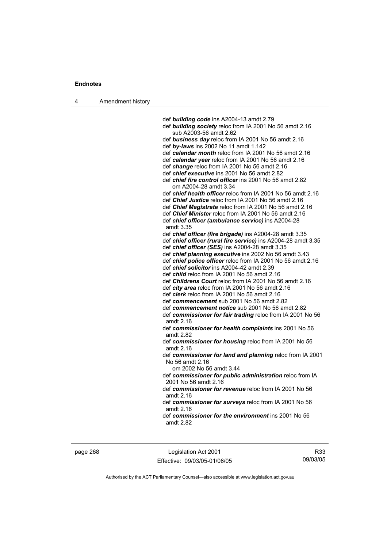4 Amendment history

 def *building code* ins A2004-13 amdt 2.79 def *building society* reloc from IA 2001 No 56 amdt 2.16 sub A2003-56 amdt 2.62 def *business day* reloc from IA 2001 No 56 amdt 2.16 def *by-laws* ins 2002 No 11 amdt 1.142 def *calendar month* reloc from IA 2001 No 56 amdt 2.16 def *calendar year* reloc from IA 2001 No 56 amdt 2.16 def *change* reloc from IA 2001 No 56 amdt 2.16 def *chief executive* ins 2001 No 56 amdt 2.82 def *chief fire control officer* ins 2001 No 56 amdt 2.82 om A2004-28 amdt 3.34 def *chief health officer* reloc from IA 2001 No 56 amdt 2.16 def *Chief Justice* reloc from IA 2001 No 56 amdt 2.16 def *Chief Magistrate* reloc from IA 2001 No 56 amdt 2.16 def *Chief Minister* reloc from IA 2001 No 56 amdt 2.16 def *chief officer (ambulance service)* ins A2004-28 amdt 3.35 def *chief officer (fire brigade)* ins A2004-28 amdt 3.35 def *chief officer (rural fire service)* ins A2004-28 amdt 3.35 def *chief officer (SES)* ins A2004-28 amdt 3.35 def *chief planning executive* ins 2002 No 56 amdt 3.43 def *chief police officer* reloc from IA 2001 No 56 amdt 2.16 def *chief solicitor* ins A2004-42 amdt 2.39 def *child* reloc from IA 2001 No 56 amdt 2.16 def *Childrens Court* reloc from IA 2001 No 56 amdt 2.16 def *city area* reloc from IA 2001 No 56 amdt 2.16 def *clerk* reloc from IA 2001 No 56 amdt 2.16 def *commencement* sub 2001 No 56 amdt 2.82 def *commencement notice* sub 2001 No 56 amdt 2.82 def *commissioner for fair trading* reloc from IA 2001 No 56 amdt 2.16 def *commissioner for health complaints* ins 2001 No 56 amdt 2.82 def *commissioner for housing* reloc from IA 2001 No 56 amdt 2.16 def *commissioner for land and planning* reloc from IA 2001 No 56 amdt 2.16 om 2002 No 56 amdt 3.44 def *commissioner for public administration* reloc from IA 2001 No 56 amdt 2.16 def *commissioner for revenue* reloc from IA 2001 No 56 amdt 2.16 def *commissioner for surveys* reloc from IA 2001 No 56 amdt 2.16 def *commissioner for the environment* ins 2001 No 56 amdt 2.82

page 268 Legislation Act 2001 Effective: 09/03/05-01/06/05

R33 09/03/05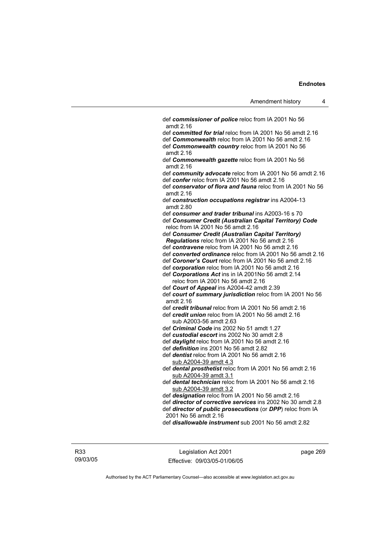def *commissioner of police* reloc from IA 2001 No 56 amdt 2.16 def *committed for trial* reloc from IA 2001 No 56 amdt 2.16 def *Commonwealth* reloc from IA 2001 No 56 amdt 2.16 def *Commonwealth country* reloc from IA 2001 No 56 amdt 2.16 def *Commonwealth gazette* reloc from IA 2001 No 56 amdt 2.16 def *community advocate* reloc from IA 2001 No 56 amdt 2.16 def *confer* reloc from IA 2001 No 56 amdt 2.16 def *conservator of flora and fauna* reloc from IA 2001 No 56 amdt 2.16 def *construction occupations registrar* ins A2004-13 amdt 2.80 def *consumer and trader tribunal* ins A2003-16 s 70 def *Consumer Credit (Australian Capital Territory) Code* reloc from IA 2001 No 56 amdt 2.16 def *Consumer Credit (Australian Capital Territory) Regulations* reloc from IA 2001 No 56 amdt 2.16 def *contravene* reloc from IA 2001 No 56 amdt 2.16 def *converted ordinance* reloc from IA 2001 No 56 amdt 2.16 def *Coroner's Court* reloc from IA 2001 No 56 amdt 2.16 def *corporation* reloc from IA 2001 No 56 amdt 2.16 def *Corporations Act* ins in IA 2001No 56 amdt 2.14 reloc from IA 2001 No 56 amdt 2.16 def *Court of Appeal* ins A2004-42 amdt 2.39 def *court of summary jurisdiction* reloc from IA 2001 No 56 amdt 2.16 def *credit tribunal* reloc from IA 2001 No 56 amdt 2.16 def *credit union* reloc from IA 2001 No 56 amdt 2.16 sub A2003-56 amdt 2.63 def *Criminal Code* ins 2002 No 51 amdt 1.27 def *custodial escort* ins 2002 No 30 amdt 2.8 def *daylight* reloc from IA 2001 No 56 amdt 2.16 def *definition* ins 2001 No 56 amdt 2.82 def *dentist* reloc from IA 2001 No 56 amdt 2.16 sub A2004-39 amdt 4.3 def *dental prosthetist* reloc from IA 2001 No 56 amdt 2.16 sub A2004-39 amdt 3.1 def *dental technician* reloc from IA 2001 No 56 amdt 2.16 sub A2004-39 amdt 3.2 def *designation* reloc from IA 2001 No 56 amdt 2.16 def *director of corrective services* ins 2002 No 30 amdt 2.8 def *director of public prosecutions* (or *DPP*) reloc from IA 2001 No 56 amdt 2.16 def *disallowable instrument* sub 2001 No 56 amdt 2.82

R33 09/03/05

Legislation Act 2001 Effective: 09/03/05-01/06/05 page 269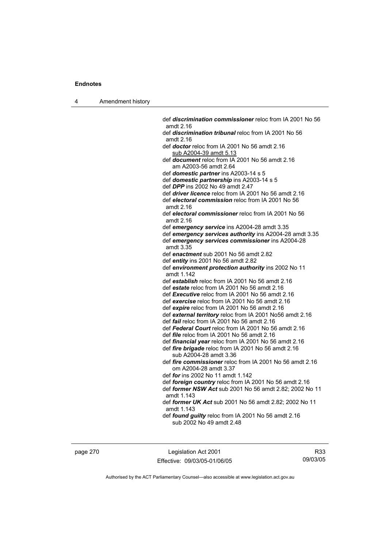4 Amendment history

 def *discrimination commissioner* reloc from IA 2001 No 56 amdt 2.16 def *discrimination tribunal* reloc from IA 2001 No 56 amdt 2.16 def *doctor* reloc from IA 2001 No 56 amdt 2.16 sub A2004-39 amdt 5.13 def *document* reloc from IA 2001 No 56 amdt 2.16 am A2003-56 amdt 2.64 def *domestic partner* ins A2003-14 s 5 def *domestic partnership* ins A2003-14 s 5 def *DPP* ins 2002 No 49 amdt 2.47 def *driver licence* reloc from IA 2001 No 56 amdt 2.16 def *electoral commission* reloc from IA 2001 No 56 amdt 2.16 def *electoral commissioner* reloc from IA 2001 No 56 amdt 2.16 def *emergency service* ins A2004-28 amdt 3.35 def *emergency services authority* ins A2004-28 amdt 3.35 def *emergency services commissioner* ins A2004-28 amdt 3.35 def *enactment* sub 2001 No 56 amdt 2.82 def *entity* ins 2001 No 56 amdt 2.82 def *environment protection authority* ins 2002 No 11 amdt 1.142 def *establish* reloc from IA 2001 No 56 amdt 2.16 def *estate* reloc from IA 2001 No 56 amdt 2.16 def *Executive* reloc from IA 2001 No 56 amdt 2.16 def *exercise* reloc from IA 2001 No 56 amdt 2.16 def *expire* reloc from IA 2001 No 56 amdt 2.16 def *external territory* reloc from IA 2001 No56 amdt 2.16 def *fail* reloc from IA 2001 No 56 amdt 2.16 def *Federal Court* reloc from IA 2001 No 56 amdt 2.16 def *file* reloc from IA 2001 No 56 amdt 2.16 def *financial year* reloc from IA 2001 No 56 amdt 2.16 def *fire brigade* reloc from IA 2001 No 56 amdt 2.16 sub A2004-28 amdt 3.36 def *fire commissioner* reloc from IA 2001 No 56 amdt 2.16 om A2004-28 amdt 3.37 def *for* ins 2002 No 11 amdt 1.142 def *foreign country* reloc from IA 2001 No 56 amdt 2.16 def *former NSW Act* sub 2001 No 56 amdt 2.82; 2002 No 11 amdt 1.143 def *former UK Act* sub 2001 No 56 amdt 2.82; 2002 No 11 amdt 1.143 def *found guilty* reloc from IA 2001 No 56 amdt 2.16 sub 2002 No 49 amdt 2.48

page 270 Legislation Act 2001 Effective: 09/03/05-01/06/05

R33 09/03/05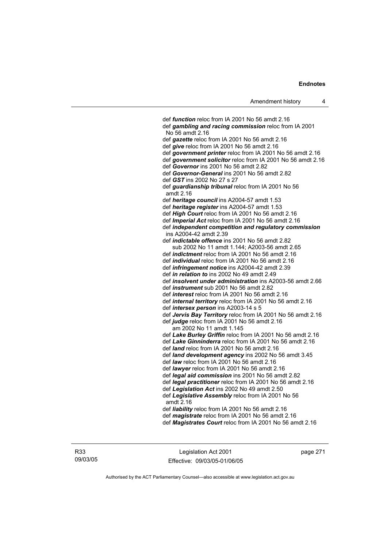def *function* reloc from IA 2001 No 56 amdt 2.16 def *gambling and racing commission* reloc from IA 2001 No 56 amdt 2.16 def *gazette* reloc from IA 2001 No 56 amdt 2.16 def *give* reloc from IA 2001 No 56 amdt 2.16 def *government printer* reloc from IA 2001 No 56 amdt 2.16 def *government solicitor* reloc from IA 2001 No 56 amdt 2.16 def *Governor* ins 2001 No 56 amdt 2.82 def *Governor-General* ins 2001 No 56 amdt 2.82 def *GST* ins 2002 No 27 s 27 def *guardianship tribunal* reloc from IA 2001 No 56 amdt 2.16 def *heritage council* ins A2004-57 amdt 1.53 def *heritage register* ins A2004-57 amdt 1.53 def *High Court* reloc from IA 2001 No 56 amdt 2.16 def *Imperial Act* reloc from IA 2001 No 56 amdt 2.16 def *independent competition and regulatory commission*  ins A2004-42 amdt 2.39 def *indictable offence* ins 2001 No 56 amdt 2.82 sub 2002 No 11 amdt 1.144; A2003-56 amdt 2.65 def *indictment* reloc from IA 2001 No 56 amdt 2.16 def *individual* reloc from IA 2001 No 56 amdt 2.16 def *infringement notice* ins A2004-42 amdt 2.39 def *in relation to* ins 2002 No 49 amdt 2.49 def *insolvent under administration* ins A2003-56 amdt 2.66 def *instrument* sub 2001 No 56 amdt 2.82 def *interest* reloc from IA 2001 No 56 amdt 2.16 def *internal territory* reloc from IA 2001 No 56 amdt 2.16 def *intersex person* ins A2003-14 s 5 def *Jervis Bay Territory* reloc from IA 2001 No 56 amdt 2.16 def *judge* reloc from IA 2001 No 56 amdt 2.16 am 2002 No 11 amdt 1.145 def *Lake Burley Griffin* reloc from IA 2001 No 56 amdt 2.16 def *Lake Ginninderra* reloc from IA 2001 No 56 amdt 2.16 def *land* reloc from IA 2001 No 56 amdt 2.16 def *land development agency* ins 2002 No 56 amdt 3.45 def *law* reloc from IA 2001 No 56 amdt 2.16 def *lawyer* reloc from IA 2001 No 56 amdt 2.16 def *legal aid commission* ins 2001 No 56 amdt 2.82 def *legal practitioner* reloc from IA 2001 No 56 amdt 2.16 def *Legislation Act* ins 2002 No 49 amdt 2.50 def *Legislative Assembly* reloc from IA 2001 No 56 amdt 2.16 def *liability* reloc from IA 2001 No 56 amdt 2.16 def *magistrate* reloc from IA 2001 No 56 amdt 2.16 def *Magistrates Court* reloc from IA 2001 No 56 amdt 2.16

R33 09/03/05

Legislation Act 2001 Effective: 09/03/05-01/06/05 page 271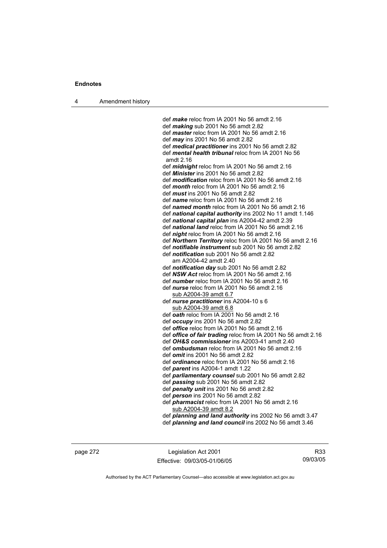4 Amendment history

 def *make* reloc from IA 2001 No 56 amdt 2.16 def *making* sub 2001 No 56 amdt 2.82 def *master* reloc from IA 2001 No 56 amdt 2.16 def *may* ins 2001 No 56 amdt 2.82 def *medical practitioner* ins 2001 No 56 amdt 2.82 def *mental health tribunal* reloc from IA 2001 No 56 amdt 2.16 def *midnight* reloc from IA 2001 No 56 amdt 2.16 def *Minister* ins 2001 No 56 amdt 2.82 def *modification* reloc from IA 2001 No 56 amdt 2.16 def *month* reloc from IA 2001 No 56 amdt 2.16 def *must* ins 2001 No 56 amdt 2.82 def *name* reloc from IA 2001 No 56 amdt 2.16 def *named month* reloc from IA 2001 No 56 amdt 2.16 def *national capital authority* ins 2002 No 11 amdt 1.146 def *national capital plan* ins A2004-42 amdt 2.39 def *national land* reloc from IA 2001 No 56 amdt 2.16 def *night* reloc from IA 2001 No 56 amdt 2.16 def *Northern Territory* reloc from IA 2001 No 56 amdt 2.16 def *notifiable instrument* sub 2001 No 56 amdt 2.82 def *notification* sub 2001 No 56 amdt 2.82 am A2004-42 amdt 2.40 def *notification day* sub 2001 No 56 amdt 2.82 def *NSW Act* reloc from IA 2001 No 56 amdt 2.16 def *number* reloc from IA 2001 No 56 amdt 2.16 def *nurse* reloc from IA 2001 No 56 amdt 2.16 sub A2004-39 amdt 6.7 def *nurse practitioner* ins A2004-10 s 6 sub A2004-39 amdt 6.8 def *oath* reloc from IA 2001 No 56 amdt 2.16 def *occupy* ins 2001 No 56 amdt 2.82 def *office* reloc from IA 2001 No 56 amdt 2.16 def *office of fair trading* reloc from IA 2001 No 56 amdt 2.16 def *OH&S commissioner* ins A2003-41 amdt 2.40 def *ombudsman* reloc from IA 2001 No 56 amdt 2.16 def *omit* ins 2001 No 56 amdt 2.82 def *ordinance* reloc from IA 2001 No 56 amdt 2.16 def *parent* ins A2004-1 amdt 1.22 def *parliamentary counsel* sub 2001 No 56 amdt 2.82 def *passing* sub 2001 No 56 amdt 2.82 def *penalty unit* ins 2001 No 56 amdt 2.82 def *person* ins 2001 No 56 amdt 2.82 def *pharmacist* reloc from IA 2001 No 56 amdt 2.16 sub A2004-39 amdt 8.2 def *planning and land authority* ins 2002 No 56 amdt 3.47

def *planning and land council* ins 2002 No 56 amdt 3.46

page 272 Legislation Act 2001 Effective: 09/03/05-01/06/05

R33 09/03/05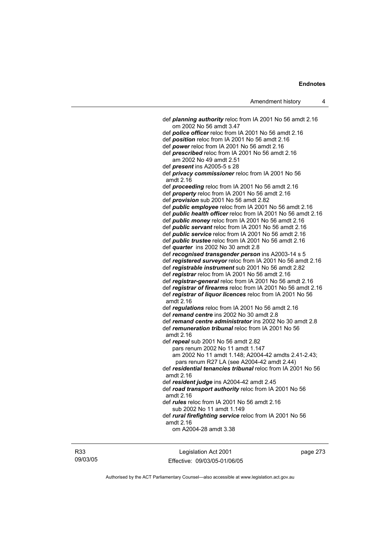def *planning authority* reloc from IA 2001 No 56 amdt 2.16 om 2002 No 56 amdt 3.47 def *police officer* reloc from IA 2001 No 56 amdt 2.16 def *position* reloc from IA 2001 No 56 amdt 2.16 def *power* reloc from IA 2001 No 56 amdt 2.16 def *prescribed* reloc from IA 2001 No 56 amdt 2.16 am 2002 No 49 amdt 2.51 def *present* ins A2005-5 s 28 def *privacy commissioner* reloc from IA 2001 No 56 amdt 2.16 def *proceeding* reloc from IA 2001 No 56 amdt 2.16 def *property* reloc from IA 2001 No 56 amdt 2.16 def *provision* sub 2001 No 56 amdt 2.82 def *public employee* reloc from IA 2001 No 56 amdt 2.16 def *public health officer* reloc from IA 2001 No 56 amdt 2.16 def *public money* reloc from IA 2001 No 56 amdt 2.16 def *public servant* reloc from IA 2001 No 56 amdt 2.16 def *public service* reloc from IA 2001 No 56 amdt 2.16 def *public trustee* reloc from IA 2001 No 56 amdt 2.16 def *quarter* ins 2002 No 30 amdt 2.8 def *recognised transgender person* ins A2003-14 s 5 def *registered surveyor* reloc from IA 2001 No 56 amdt 2.16 def *registrable instrument* sub 2001 No 56 amdt 2.82 def *registrar* reloc from IA 2001 No 56 amdt 2.16 def *registrar-general* reloc from IA 2001 No 56 amdt 2.16 def *registrar of firearms* reloc from IA 2001 No 56 amdt 2.16 def *registrar of liquor licences* reloc from IA 2001 No 56 amdt 2.16 def *regulations* reloc from IA 2001 No 56 amdt 2.16 def *remand centre* ins 2002 No 30 amdt 2.8 def *remand centre administrator* ins 2002 No 30 amdt 2.8 def *remuneration tribunal* reloc from IA 2001 No 56 amdt 2.16 def *repeal* sub 2001 No 56 amdt 2.82 pars renum 2002 No 11 amdt 1.147 am 2002 No 11 amdt 1.148; A2004-42 amdts 2.41-2.43; pars renum R27 LA (see A2004-42 amdt 2.44) def *residential tenancies tribunal* reloc from IA 2001 No 56 amdt 2.16 def *resident judge* ins A2004-42 amdt 2.45 def *road transport authority* reloc from IA 2001 No 56 amdt 2.16 def *rules* reloc from IA 2001 No 56 amdt 2.16 sub 2002 No 11 amdt 1.149 def *rural firefighting service* reloc from IA 2001 No 56 amdt 2.16 om A2004-28 amdt 3.38

R33 09/03/05

Legislation Act 2001 Effective: 09/03/05-01/06/05 page 273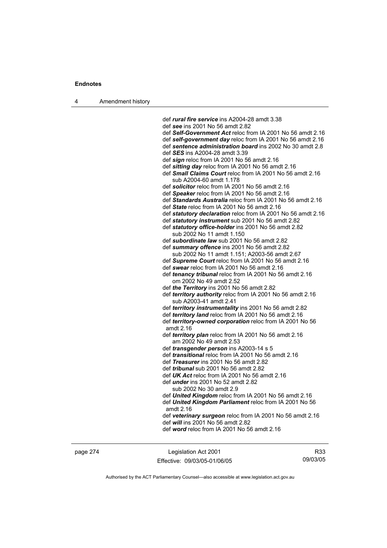4 Amendment history

 def *rural fire service* ins A2004-28 amdt 3.38 def *see* ins 2001 No 56 amdt 2.82 def *Self-Government Act* reloc from IA 2001 No 56 amdt 2.16 def *self-government day* reloc from IA 2001 No 56 amdt 2.16 def *sentence administration board* ins 2002 No 30 amdt 2.8 def *SES* ins A2004-28 amdt 3.39 def *sign* reloc from IA 2001 No 56 amdt 2.16 def *sitting day* reloc from IA 2001 No 56 amdt 2.16 def *Small Claims Court* reloc from IA 2001 No 56 amdt 2.16 sub A2004-60 amdt 1.178 def *solicitor* reloc from IA 2001 No 56 amdt 2.16 def *Speaker* reloc from IA 2001 No 56 amdt 2.16 def *Standards Australia* reloc from IA 2001 No 56 amdt 2.16 def *State* reloc from IA 2001 No 56 amdt 2.16 def *statutory declaration* reloc from IA 2001 No 56 amdt 2.16 def *statutory instrument* sub 2001 No 56 amdt 2.82 def *statutory office-holder* ins 2001 No 56 amdt 2.82 sub 2002 No 11 amdt 1.150 def *subordinate law* sub 2001 No 56 amdt 2.82 def *summary offence* ins 2001 No 56 amdt 2.82 sub 2002 No 11 amdt 1.151; A2003-56 amdt 2.67 def *Supreme Court* reloc from IA 2001 No 56 amdt 2.16 def *swear* reloc from IA 2001 No 56 amdt 2.16 def *tenancy tribunal* reloc from IA 2001 No 56 amdt 2.16 om 2002 No 49 amdt 2.52 def *the Territory* ins 2001 No 56 amdt 2.82 def *territory authority* reloc from IA 2001 No 56 amdt 2.16 sub A2003-41 amdt 2.41 def *territory instrumentality* ins 2001 No 56 amdt 2.82 def *territory land* reloc from IA 2001 No 56 amdt 2.16 def *territory-owned corporation* reloc from IA 2001 No 56 amdt 2.16 def *territory plan* reloc from IA 2001 No 56 amdt 2.16 am 2002 No 49 amdt 2.53 def *transgender person* ins A2003-14 s 5 def *transitional* reloc from IA 2001 No 56 amdt 2.16 def *Treasurer* ins 2001 No 56 amdt 2.82 def *tribunal* sub 2001 No 56 amdt 2.82 def *UK Act* reloc from IA 2001 No 56 amdt 2.16 def *under* ins 2001 No 52 amdt 2.82 sub 2002 No 30 amdt 2.9 def *United Kingdom* reloc from IA 2001 No 56 amdt 2.16 def *United Kingdom Parliament* reloc from IA 2001 No 56 amdt 2.16 def *veterinary surgeon* reloc from IA 2001 No 56 amdt 2.16 def *will* ins 2001 No 56 amdt 2.82 def *word* reloc from IA 2001 No 56 amdt 2.16

page 274 Legislation Act 2001 Effective: 09/03/05-01/06/05

R33 09/03/05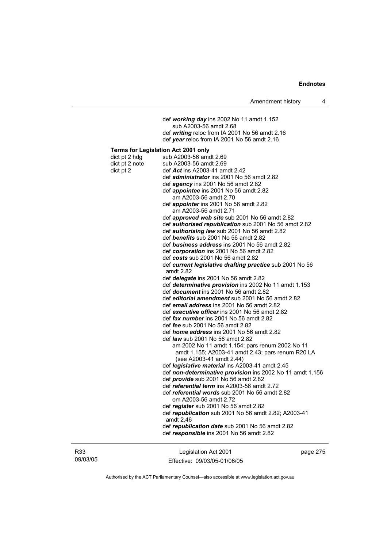|                                              | Amendment history                                                                                                                                                                                                                                                                                                                                                                                                                                                                                                                                                                                                                                                                                                                                                                                                                                                                                                                                                                                                                                                                                                                                                                                                                                                                                                                                                                                                                                                                                                                                                                                                                                                                                                                                                                                                                                                                                                        | 4 |
|----------------------------------------------|--------------------------------------------------------------------------------------------------------------------------------------------------------------------------------------------------------------------------------------------------------------------------------------------------------------------------------------------------------------------------------------------------------------------------------------------------------------------------------------------------------------------------------------------------------------------------------------------------------------------------------------------------------------------------------------------------------------------------------------------------------------------------------------------------------------------------------------------------------------------------------------------------------------------------------------------------------------------------------------------------------------------------------------------------------------------------------------------------------------------------------------------------------------------------------------------------------------------------------------------------------------------------------------------------------------------------------------------------------------------------------------------------------------------------------------------------------------------------------------------------------------------------------------------------------------------------------------------------------------------------------------------------------------------------------------------------------------------------------------------------------------------------------------------------------------------------------------------------------------------------------------------------------------------------|---|
|                                              | def working day ins 2002 No 11 amdt 1.152<br>sub A2003-56 amdt 2.68<br>def writing reloc from IA 2001 No 56 amdt 2.16                                                                                                                                                                                                                                                                                                                                                                                                                                                                                                                                                                                                                                                                                                                                                                                                                                                                                                                                                                                                                                                                                                                                                                                                                                                                                                                                                                                                                                                                                                                                                                                                                                                                                                                                                                                                    |   |
|                                              |                                                                                                                                                                                                                                                                                                                                                                                                                                                                                                                                                                                                                                                                                                                                                                                                                                                                                                                                                                                                                                                                                                                                                                                                                                                                                                                                                                                                                                                                                                                                                                                                                                                                                                                                                                                                                                                                                                                          |   |
| dict pt 2 hdg<br>dict pt 2 note<br>dict pt 2 | def year reloc from IA 2001 No 56 amdt 2.16<br><b>Terms for Legislation Act 2001 only</b><br>sub A2003-56 amdt 2.69<br>sub A2003-56 amdt 2.69<br>def Act ins A2003-41 amdt 2.42<br>def <i>administrator</i> ins 2001 No 56 amdt 2.82<br>def <i>agency</i> ins 2001 No 56 amdt 2.82<br>def <i>appointee</i> ins 2001 No 56 amdt 2.82<br>am A2003-56 amdt 2.70<br>def appointer ins 2001 No 56 amdt 2.82<br>am A2003-56 amdt 2.71<br>def <i>approved web site</i> sub 2001 No 56 amdt 2.82<br>def authorised republication sub 2001 No 56 amdt 2.82<br>def <i>authorising law</i> sub 2001 No 56 amdt 2.82<br>def benefits sub 2001 No 56 amdt 2.82<br>def business address ins 2001 No 56 amdt 2.82<br>def corporation ins 2001 No 56 amdt 2.82<br>def costs sub 2001 No 56 amdt 2.82<br>def current legislative drafting practice sub 2001 No 56<br>amdt 2.82<br>def <i>delegate</i> ins 2001 No 56 amdt 2.82<br>def determinative provision ins 2002 No 11 amdt 1.153<br>def <i>document</i> ins 2001 No 56 amdt 2.82<br>def editorial amendment sub 2001 No 56 amdt 2.82<br>def email address ins 2001 No 56 amdt 2.82<br>def executive officer ins 2001 No 56 amdt 2.82<br>def fax number ins 2001 No 56 amdt 2.82<br>def <i>fee</i> sub 2001 No 56 amdt 2.82<br>def <i>home address</i> ins 2001 No 56 amdt 2.82<br>def <i>law</i> sub 2001 No 56 amdt 2.82<br>am 2002 No 11 amdt 1.154; pars renum 2002 No 11<br>amdt 1.155; A2003-41 amdt 2.43; pars renum R20 LA<br>(see A2003-41 amdt 2.44)<br>def <i>legislative material</i> ins A2003-41 amdt 2.45<br>def non-determinative provision ins 2002 No 11 amdt 1.156<br>def <i>provide</i> sub 2001 No 56 amdt 2.82<br>def <i>referential term</i> ins A2003-56 amdt 2.72<br>def referential words sub 2001 No 56 amdt 2.82<br>om A2003-56 amdt 2.72<br>def register sub 2001 No 56 amdt 2.82<br>def republication sub 2001 No 56 amdt 2.82; A2003-41<br>amdt 2.46 |   |
|                                              | def republication date sub 2001 No 56 amdt 2.82<br>def responsible ins 2001 No 56 amdt 2.82                                                                                                                                                                                                                                                                                                                                                                                                                                                                                                                                                                                                                                                                                                                                                                                                                                                                                                                                                                                                                                                                                                                                                                                                                                                                                                                                                                                                                                                                                                                                                                                                                                                                                                                                                                                                                              |   |
|                                              |                                                                                                                                                                                                                                                                                                                                                                                                                                                                                                                                                                                                                                                                                                                                                                                                                                                                                                                                                                                                                                                                                                                                                                                                                                                                                                                                                                                                                                                                                                                                                                                                                                                                                                                                                                                                                                                                                                                          |   |

R33 09/03/05

Legislation Act 2001 Effective: 09/03/05-01/06/05 page 275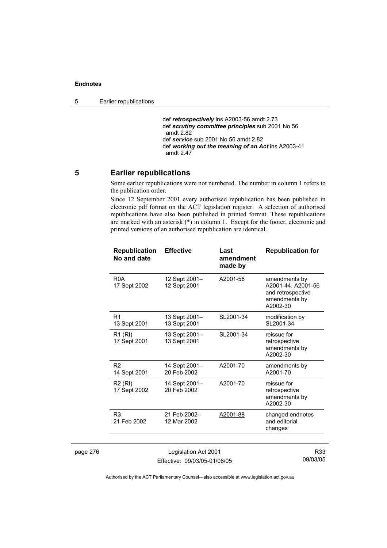5 Earlier republications

 def *retrospectively* ins A2003-56 amdt 2.73 def *scrutiny committee principles* sub 2001 No 56 amdt 2.82 def *service* sub 2001 No 56 amdt 2.82 def *working out the meaning of an Act* ins A2003-41 amdt 2.47

### **5 Earlier republications**

Some earlier republications were not numbered. The number in column 1 refers to the publication order.

Since 12 September 2001 every authorised republication has been published in electronic pdf format on the ACT legislation register. A selection of authorised republications have also been published in printed format. These republications are marked with an asterisk (\*) in column 1. Except for the footer, electronic and printed versions of an authorised republication are identical.

|          | <b>Republication</b><br>No and date | <b>Effective</b>              | Last<br>amendment<br>made by | <b>Republication for</b>                                                              |
|----------|-------------------------------------|-------------------------------|------------------------------|---------------------------------------------------------------------------------------|
|          | R <sub>0</sub> A<br>17 Sept 2002    | 12 Sept 2001–<br>12 Sept 2001 | A2001-56                     | amendments by<br>A2001-44, A2001-56<br>and retrospective<br>amendments by<br>A2002-30 |
|          | R <sub>1</sub><br>13 Sept 2001      | 13 Sept 2001–<br>13 Sept 2001 | SL2001-34                    | modification by<br>SL2001-34                                                          |
|          | R <sub>1</sub> (RI)<br>17 Sept 2001 | 13 Sept 2001-<br>13 Sept 2001 | SL2001-34                    | reissue for<br>retrospective<br>amendments by<br>A2002-30                             |
|          | R <sub>2</sub><br>14 Sept 2001      | 14 Sept 2001-<br>20 Feb 2002  | A2001-70                     | amendments by<br>A2001-70                                                             |
|          | R2 (RI)<br>17 Sept 2002             | 14 Sept 2001–<br>20 Feb 2002  | A2001-70                     | reissue for<br>retrospective<br>amendments by<br>A2002-30                             |
|          | R <sub>3</sub><br>21 Feb 2002       | 21 Feb 2002-<br>12 Mar 2002   | A2001-88                     | changed endnotes<br>and editorial<br>changes                                          |
| page 276 |                                     | Legislation Act 2001          |                              | R33                                                                                   |

Effective: 09/03/05-01/06/05

09/03/05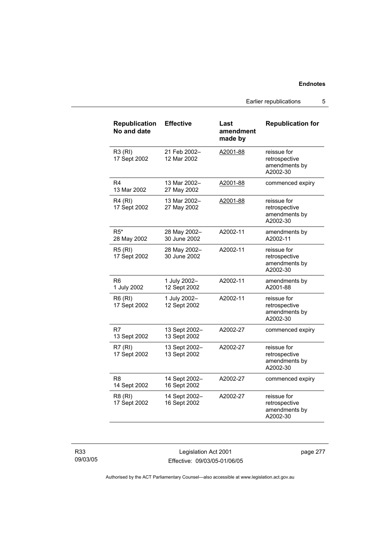Earlier republications 5

| <b>Republication</b><br>No and date | <b>Effective</b>              | Last<br>amendment<br>made by | <b>Republication for</b>                                  |
|-------------------------------------|-------------------------------|------------------------------|-----------------------------------------------------------|
| R3 (RI)<br>17 Sept 2002             | 21 Feb 2002-<br>12 Mar 2002   | A2001-88                     | reissue for<br>retrospective<br>amendments by<br>A2002-30 |
| R4<br>13 Mar 2002                   | 13 Mar 2002-<br>27 May 2002   | A2001-88                     | commenced expiry                                          |
| R4 (RI)<br>17 Sept 2002             | 13 Mar 2002-<br>27 May 2002   | A2001-88                     | reissue for<br>retrospective<br>amendments by<br>A2002-30 |
| $R5*$<br>28 May 2002                | 28 May 2002-<br>30 June 2002  | A2002-11                     | amendments by<br>A2002-11                                 |
| <b>R5 (RI)</b><br>17 Sept 2002      | 28 May 2002-<br>30 June 2002  | A2002-11                     | reissue for<br>retrospective<br>amendments by<br>A2002-30 |
| R6<br>1 July 2002                   | 1 July 2002-<br>12 Sept 2002  | A2002-11                     | amendments by<br>A2001-88                                 |
| R6 (RI)<br>17 Sept 2002             | 1 July 2002-<br>12 Sept 2002  | A2002-11                     | reissue for<br>retrospective<br>amendments by<br>A2002-30 |
| R7<br>13 Sept 2002                  | 13 Sept 2002-<br>13 Sept 2002 | A2002-27                     | commenced expiry                                          |
| R7(RI)<br>17 Sept 2002              | 13 Sept 2002-<br>13 Sept 2002 | A2002-27                     | reissue for<br>retrospective<br>amendments by<br>A2002-30 |
| R8<br>14 Sept 2002                  | 14 Sept 2002-<br>16 Sept 2002 | A2002-27                     | commenced expiry                                          |
| R8 (RI)<br>17 Sept 2002             | 14 Sept 2002-<br>16 Sept 2002 | A2002-27                     | reissue for<br>retrospective<br>amendments by<br>A2002-30 |

R33 09/03/05

Legislation Act 2001 Effective: 09/03/05-01/06/05 page 277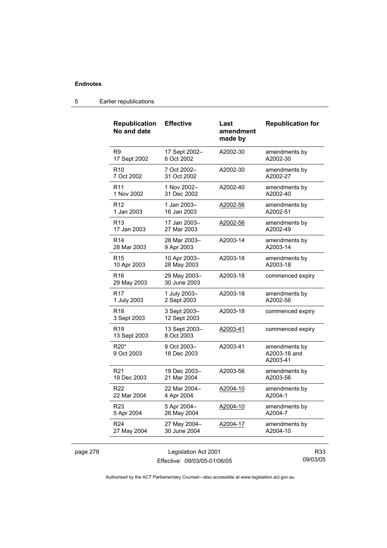page 278

| <b>Republication</b><br>No and date | <b>Effective</b>                                     | Last<br>amendment<br>made by | <b>Republication for</b>                  |
|-------------------------------------|------------------------------------------------------|------------------------------|-------------------------------------------|
| R9                                  | 17 Sept 2002-                                        | A2002-30                     | amendments by                             |
| 17 Sept 2002                        | 6 Oct 2002                                           |                              | A2002-30                                  |
| R <sub>10</sub>                     | 7 Oct 2002-                                          | A2002-30                     | amendments by                             |
| 7 Oct 2002                          | 31 Oct 2002                                          |                              | A2002-27                                  |
| R <sub>11</sub>                     | 1 Nov 2002-                                          | A2002-40                     | amendments by                             |
| 1 Nov 2002                          | 31 Dec 2002                                          |                              | A2002-40                                  |
| R <sub>12</sub>                     | 1 Jan 2003-                                          | A2002-56                     | amendments by                             |
| 1 Jan 2003                          | 16 Jan 2003                                          |                              | A2002-51                                  |
| R <sub>13</sub>                     | 17 Jan 2003-                                         | A2002-56                     | amendments by                             |
| 17 Jan 2003                         | 27 Mar 2003                                          |                              | A2002-49                                  |
| R <sub>14</sub>                     | 28 Mar 2003-                                         | A2003-14                     | amendments by                             |
| 28 Mar 2003                         | 9 Apr 2003                                           |                              | A2003-14                                  |
| R <sub>15</sub>                     | 10 Apr 2003-                                         | A2003-18                     | amendments by                             |
| 10 Apr 2003                         | 28 May 2003                                          |                              | A2003-18                                  |
| R <sub>16</sub><br>29 May 2003      | 29 May 2003-<br>30 June 2003                         | A2003-18                     | commenced expiry                          |
| R <sub>17</sub>                     | 1 July 2003-                                         | A2003-18                     | amendments by                             |
| 1 July 2003                         | 2 Sept 2003                                          |                              | A2002-56                                  |
| R <sub>18</sub><br>3 Sept 2003      | 3 Sept 2003-<br>12 Sept 2003                         | A2003-18                     | commenced expiry                          |
| R <sub>19</sub><br>13 Sept 2003     | 13 Sept 2003-<br>8 Oct 2003                          | A2003-41                     | commenced expiry                          |
| R20*<br>9 Oct 2003                  | 9 Oct 2003-<br>18 Dec 2003                           | A2003-41                     | amendments by<br>A2003-16 and<br>A2003-41 |
| R <sub>21</sub>                     | 19 Dec 2003-                                         | A2003-56                     | amendments by                             |
| 19 Dec 2003                         | 21 Mar 2004                                          |                              | A2003-56                                  |
| R <sub>22</sub>                     | 22 Mar 2004-                                         | A2004-10                     | amendments by                             |
| 22 Mar 2004                         | 4 Apr 2004                                           |                              | A2004-1                                   |
| R <sub>23</sub>                     | 5 Apr 2004-                                          | A2004-10                     | amendments by                             |
| 5 Apr 2004                          | 26 May 2004                                          |                              | A2004-7                                   |
| R <sub>24</sub>                     | 27 May 2004-                                         | A2004-17                     | amendments by                             |
| 27 May 2004                         | 30 June 2004                                         |                              | A2004-10                                  |
|                                     | Legislation Act 2001<br>Effective: 09/03/05-01/06/05 |                              | R33<br>09/03/05                           |

### 5 Earlier republications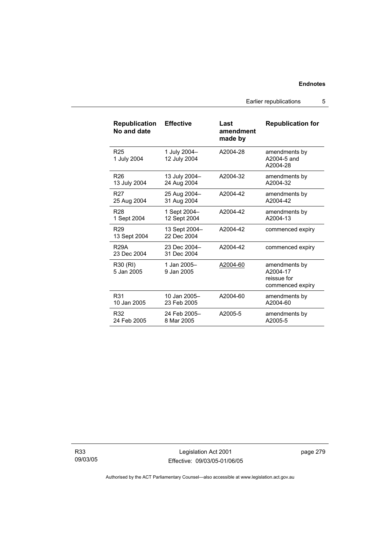Earlier republications 5

| <b>Republication</b><br>No and date | <b>Effective</b>             | Last<br>amendment<br>made by | <b>Republication for</b>                                     |
|-------------------------------------|------------------------------|------------------------------|--------------------------------------------------------------|
| R <sub>25</sub><br>1 July 2004      | 1 July 2004-<br>12 July 2004 | A2004-28                     | amendments by<br>A2004-5 and<br>A2004-28                     |
| R <sub>26</sub>                     | 13 July 2004-                | A2004-32                     | amendments by                                                |
| 13 July 2004                        | 24 Aug 2004                  |                              | A2004-32                                                     |
| R <sub>27</sub>                     | 25 Aug 2004-                 | A2004-42                     | amendments by                                                |
| 25 Aug 2004                         | 31 Aug 2004                  |                              | A2004-42                                                     |
| <b>R28</b>                          | 1 Sept 2004-                 | A2004-42                     | amendments by                                                |
| 1 Sept 2004                         | 12 Sept 2004                 |                              | A2004-13                                                     |
| R <sub>29</sub><br>13 Sept 2004     | 13 Sept 2004-<br>22 Dec 2004 | A2004-42                     | commenced expiry                                             |
| <b>R29A</b><br>23 Dec 2004          | 23 Dec 2004-<br>31 Dec 2004  | A2004-42                     | commenced expiry                                             |
| R30 (RI)<br>5 Jan 2005              | 1 Jan 2005-<br>9 Jan 2005    | A2004-60                     | amendments by<br>A2004-17<br>reissue for<br>commenced expiry |
| R31                                 | 10 Jan 2005-                 | A2004-60                     | amendments by                                                |
| 10 Jan 2005                         | 23 Feb 2005                  |                              | A2004-60                                                     |
| R32                                 | 24 Feb 2005-                 | A2005-5                      | amendments by                                                |
| 24 Feb 2005                         | 8 Mar 2005                   |                              | A2005-5                                                      |

R33 09/03/05

Legislation Act 2001 Effective: 09/03/05-01/06/05 page 279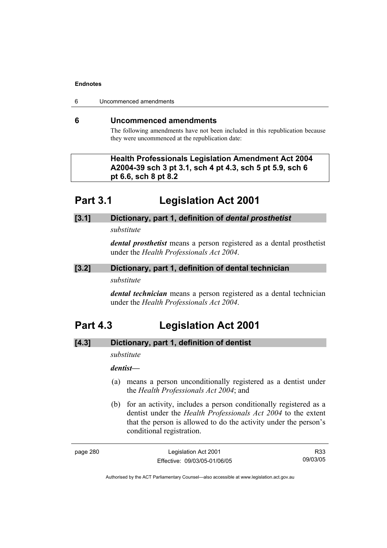6 Uncommenced amendments

### **6 Uncommenced amendments**

The following amendments have not been included in this republication because they were uncommenced at the republication date:

 **Health Professionals Legislation Amendment Act 2004 A2004-39 sch 3 pt 3.1, sch 4 pt 4.3, sch 5 pt 5.9, sch 6 pt 6.6, sch 8 pt 8.2** 

# **Part 3.1 Legislation Act 2001**

# **[3.1] Dictionary, part 1, definition of** *dental prosthetist*

*substitute* 

*dental prosthetist* means a person registered as a dental prosthetist under the *Health Professionals Act 2004*.

### **[3.2] Dictionary, part 1, definition of dental technician**

### *substitute*

*dental technician* means a person registered as a dental technician under the *Health Professionals Act 2004*.

# **Part 4.3 Legislation Act 2001**

# **[4.3] Dictionary, part 1, definition of dentist**

*substitute* 

# *dentist***—**

- (a) means a person unconditionally registered as a dentist under the *Health Professionals Act 2004*; and
- (b) for an activity, includes a person conditionally registered as a dentist under the *Health Professionals Act 2004* to the extent that the person is allowed to do the activity under the person's conditional registration.

Legislation Act 2001 Effective: 09/03/05-01/06/05

R33 09/03/05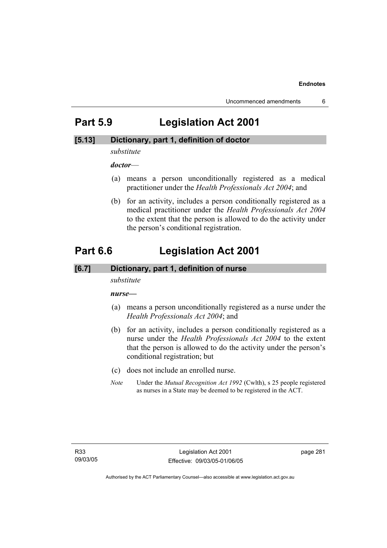# **Part 5.9 Legislation Act 2001**

## **[5.13] Dictionary, part 1, definition of doctor**

*substitute* 

*doctor*—

- (a) means a person unconditionally registered as a medical practitioner under the *Health Professionals Act 2004*; and
- (b) for an activity, includes a person conditionally registered as a medical practitioner under the *Health Professionals Act 2004*  to the extent that the person is allowed to do the activity under the person's conditional registration.

# **Part 6.6 Legislation Act 2001**

### **[6.7] Dictionary, part 1, definition of nurse**

*substitute* 

*nurse***—**

- (a) means a person unconditionally registered as a nurse under the *Health Professionals Act 2004*; and
- (b) for an activity, includes a person conditionally registered as a nurse under the *Health Professionals Act 2004* to the extent that the person is allowed to do the activity under the person's conditional registration; but
- (c) does not include an enrolled nurse.
- *Note* Under the *Mutual Recognition Act 1992* (Cwlth), s 25 people registered as nurses in a State may be deemed to be registered in the ACT.

page 281